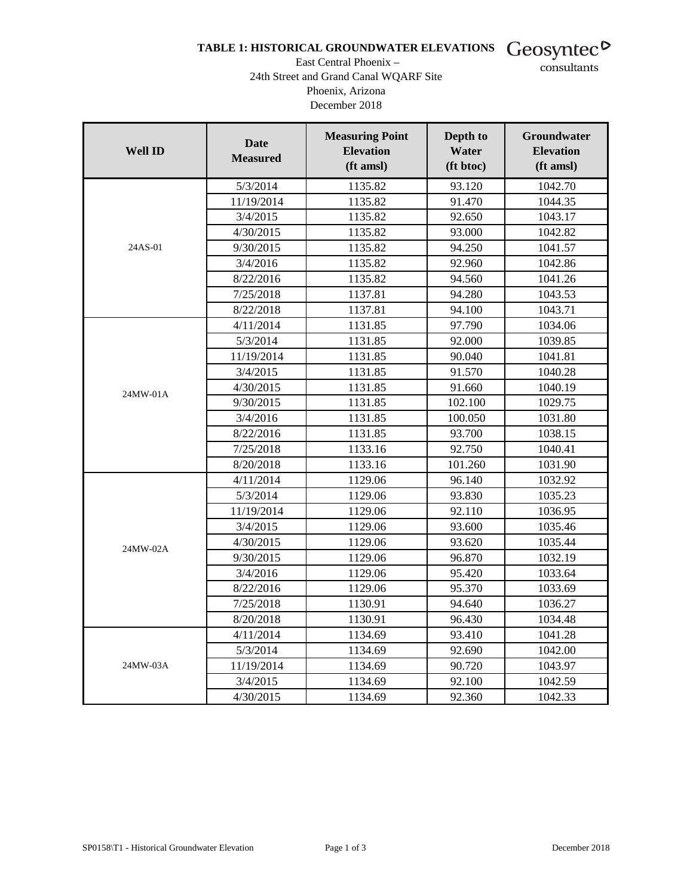## TABLE 1: HISTORICAL GROUNDWATER ELEVATIONS Geosyntec<sup>D</sup>

#### East Central Phoenix – 24th Street and Grand Canal WQARF Site Phoenix, Arizona December 2018

consultants

| <b>Well ID</b> | <b>Date</b><br><b>Measured</b> | <b>Measuring Point</b><br><b>Elevation</b><br>(ft amsl) | Depth to<br>Water<br>(ft btoc) | <b>Groundwater</b><br><b>Elevation</b><br>(ft amsl) |
|----------------|--------------------------------|---------------------------------------------------------|--------------------------------|-----------------------------------------------------|
|                | 5/3/2014                       | 1135.82                                                 | 93.120                         | 1042.70                                             |
|                | 11/19/2014                     | 1135.82                                                 | 91.470                         | 1044.35                                             |
|                | 3/4/2015                       | 1135.82                                                 | 92.650                         | 1043.17                                             |
|                | 4/30/2015                      | 1135.82                                                 | 93.000                         | 1042.82                                             |
| 24AS-01        | 9/30/2015                      | 1135.82                                                 | 94.250                         | 1041.57                                             |
|                | 3/4/2016                       | 1135.82                                                 | 92.960                         | 1042.86                                             |
|                | 8/22/2016                      | 1135.82                                                 | 94.560                         | 1041.26                                             |
|                | 7/25/2018                      | 1137.81                                                 | 94.280                         | 1043.53                                             |
|                | 8/22/2018                      | 1137.81                                                 | 94.100                         | 1043.71                                             |
|                | 4/11/2014                      | 1131.85                                                 | 97.790                         | 1034.06                                             |
|                | 5/3/2014                       | 1131.85                                                 | 92.000                         | 1039.85                                             |
|                | 11/19/2014                     | 1131.85                                                 | 90.040                         | 1041.81                                             |
|                | 3/4/2015                       | 1131.85                                                 | 91.570                         | 1040.28                                             |
| 24MW-01A       | 4/30/2015                      | 1131.85                                                 | 91.660                         | 1040.19                                             |
|                | 9/30/2015                      | 1131.85                                                 | 102.100                        | 1029.75                                             |
|                | 3/4/2016                       | 1131.85                                                 | 100.050                        | 1031.80                                             |
|                | 8/22/2016                      | 1131.85                                                 | 93.700                         | 1038.15                                             |
|                | 7/25/2018                      | 1133.16                                                 | 92.750                         | 1040.41                                             |
|                | 8/20/2018                      | 1133.16                                                 | 101.260                        | 1031.90                                             |
|                | 4/11/2014                      | 1129.06                                                 | 96.140                         | 1032.92                                             |
|                | 5/3/2014                       | 1129.06                                                 | 93.830                         | 1035.23                                             |
|                | 11/19/2014                     | 1129.06                                                 | 92.110                         | 1036.95                                             |
|                | 3/4/2015                       | 1129.06                                                 | 93.600                         | 1035.46                                             |
| 24MW-02A       | 4/30/2015                      | 1129.06                                                 | 93.620                         | 1035.44                                             |
|                | 9/30/2015                      | 1129.06                                                 | 96.870                         | 1032.19                                             |
|                | 3/4/2016                       | 1129.06                                                 | 95.420                         | 1033.64                                             |
|                | 8/22/2016                      | 1129.06                                                 | 95.370                         | 1033.69                                             |
|                | 7/25/2018                      | 1130.91                                                 | 94.640                         | 1036.27                                             |
|                | 8/20/2018                      | 1130.91                                                 | 96.430                         | 1034.48                                             |
|                | 4/11/2014                      | 1134.69                                                 | 93.410                         | 1041.28                                             |
|                | 5/3/2014                       | 1134.69                                                 | 92.690                         | 1042.00                                             |
| 24MW-03A       | 11/19/2014                     | 1134.69                                                 | 90.720                         | 1043.97                                             |
|                | 3/4/2015                       | 1134.69                                                 | 92.100                         | 1042.59                                             |
|                | 4/30/2015                      | 1134.69                                                 | 92.360                         | 1042.33                                             |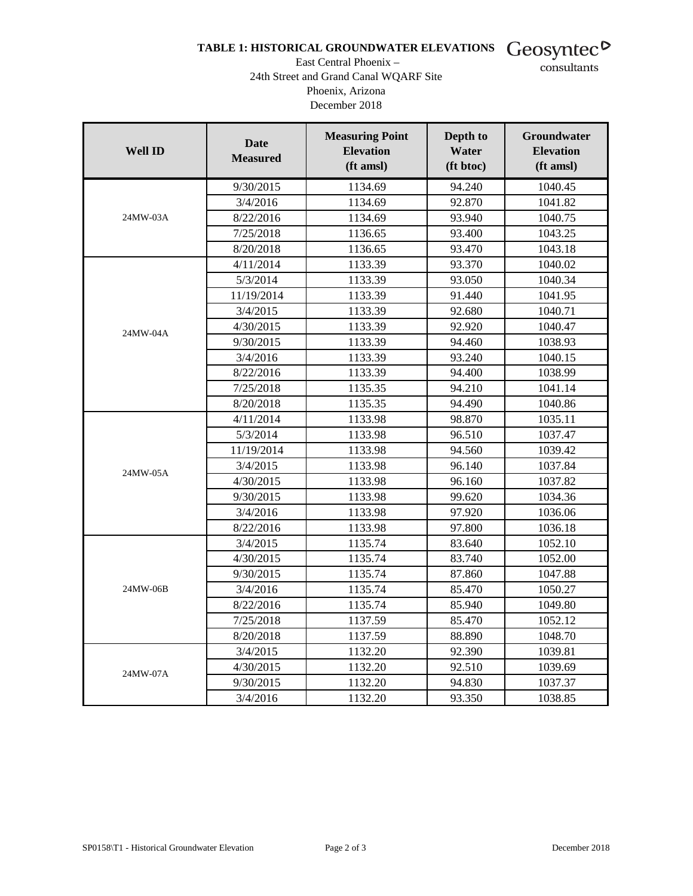## TABLE 1: HISTORICAL GROUNDWATER ELEVATIONS Geosyntec<sup>D</sup>

#### East Central Phoenix – 24th Street and Grand Canal WQARF Site Phoenix, Arizona December 2018

consultants

| <b>Well ID</b> | <b>Date</b><br><b>Measured</b> | <b>Measuring Point</b><br><b>Elevation</b><br>(ft amsl) | Depth to<br>Water<br>(ft btoc) | Groundwater<br><b>Elevation</b><br>(ft amsl) |
|----------------|--------------------------------|---------------------------------------------------------|--------------------------------|----------------------------------------------|
|                | 9/30/2015                      | 1134.69                                                 | 94.240                         | 1040.45                                      |
|                | 3/4/2016                       | 1134.69                                                 | 92.870                         | 1041.82                                      |
| 24MW-03A       | 8/22/2016                      | 1134.69                                                 | 93.940                         | 1040.75                                      |
|                | 7/25/2018                      | 1136.65                                                 | 93.400                         | 1043.25                                      |
|                | 8/20/2018                      | 1136.65                                                 | 93.470                         | 1043.18                                      |
|                | 4/11/2014                      | 1133.39                                                 | 93.370                         | 1040.02                                      |
|                | 5/3/2014                       | 1133.39                                                 | 93.050                         | 1040.34                                      |
|                | 11/19/2014                     | 1133.39                                                 | 91.440                         | 1041.95                                      |
|                | 3/4/2015                       | 1133.39                                                 | 92.680                         | 1040.71                                      |
| 24MW-04A       | 4/30/2015                      | 1133.39                                                 | 92.920                         | 1040.47                                      |
|                | 9/30/2015                      | 1133.39                                                 | 94.460                         | 1038.93                                      |
|                | 3/4/2016                       | 1133.39                                                 | 93.240                         | 1040.15                                      |
|                | 8/22/2016                      | 1133.39                                                 | 94.400                         | 1038.99                                      |
|                | 7/25/2018                      | 1135.35                                                 | 94.210                         | 1041.14                                      |
|                | 8/20/2018                      | 1135.35                                                 | 94.490                         | 1040.86                                      |
|                | 4/11/2014                      | 1133.98                                                 | 98.870                         | 1035.11                                      |
|                | 5/3/2014                       | 1133.98                                                 | 96.510                         | 1037.47                                      |
|                | 11/19/2014                     | 1133.98                                                 | 94.560                         | 1039.42                                      |
| 24MW-05A       | 3/4/2015                       | 1133.98                                                 | 96.140                         | 1037.84                                      |
|                | 4/30/2015                      | 1133.98                                                 | 96.160                         | 1037.82                                      |
|                | 9/30/2015                      | 1133.98                                                 | 99.620                         | 1034.36                                      |
|                | 3/4/2016                       | 1133.98                                                 | 97.920                         | 1036.06                                      |
|                | 8/22/2016                      | 1133.98                                                 | 97.800                         | 1036.18                                      |
|                | 3/4/2015                       | 1135.74                                                 | 83.640                         | 1052.10                                      |
|                | 4/30/2015                      | 1135.74                                                 | 83.740                         | 1052.00                                      |
|                | 9/30/2015                      | 1135.74                                                 | 87.860                         | 1047.88                                      |
| 24MW-06B       | 3/4/2016                       | 1135.74                                                 | 85.470                         | 1050.27                                      |
|                | 8/22/2016                      | 1135.74                                                 | 85.940                         | 1049.80                                      |
|                | 7/25/2018                      | 1137.59                                                 | 85.470                         | 1052.12                                      |
|                | 8/20/2018                      | 1137.59                                                 | 88.890                         | 1048.70                                      |
|                | 3/4/2015                       | 1132.20                                                 | 92.390                         | 1039.81                                      |
| 24MW-07A       | 4/30/2015                      | 1132.20                                                 | 92.510                         | 1039.69                                      |
|                | 9/30/2015                      | 1132.20                                                 | 94.830                         | 1037.37                                      |
|                | 3/4/2016                       | 1132.20                                                 | 93.350                         | 1038.85                                      |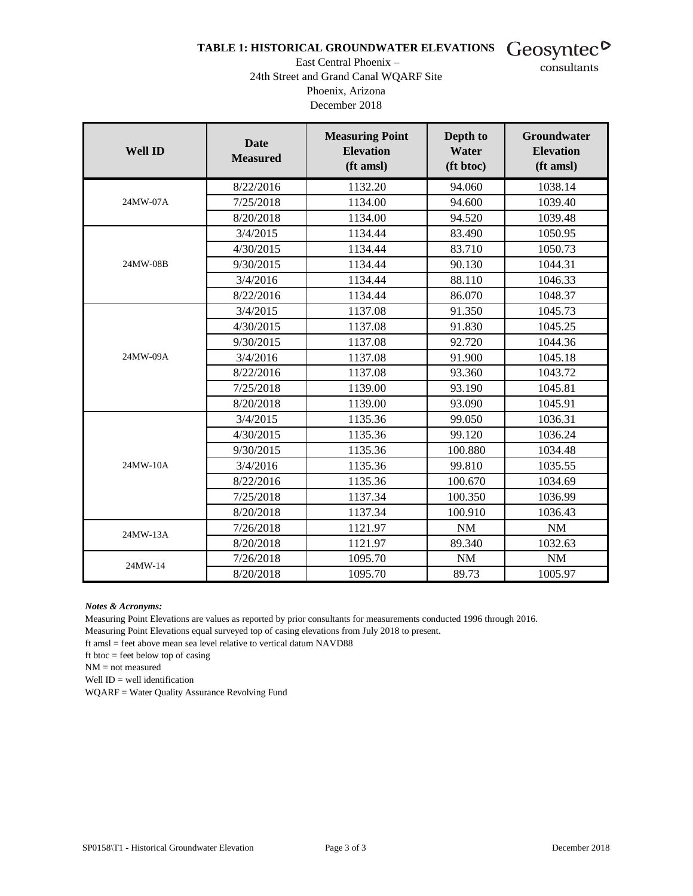## TABLE 1: HISTORICAL GROUNDWATER ELEVATIONS Geosyntec<sup>D</sup>

#### East Central Phoenix – 24th Street and Grand Canal WQARF Site Phoenix, Arizona December 2018

consultants

| <b>Well ID</b> | <b>Date</b><br><b>Measured</b> | <b>Measuring Point</b><br><b>Elevation</b><br>(ft amsl) | Depth to<br>Water<br>(ft btoc) | <b>Groundwater</b><br><b>Elevation</b><br>(ft amsl) |
|----------------|--------------------------------|---------------------------------------------------------|--------------------------------|-----------------------------------------------------|
|                | 8/22/2016                      | 1132.20                                                 | 94.060                         | 1038.14                                             |
| 24MW-07A       | 7/25/2018                      | 1134.00                                                 | 94.600                         | 1039.40                                             |
|                | 8/20/2018                      | 1134.00                                                 | 94.520                         | 1039.48                                             |
|                | 3/4/2015                       | 1134.44                                                 | 83.490                         | 1050.95                                             |
|                | 4/30/2015                      | 1134.44                                                 | 83.710                         | 1050.73                                             |
| 24MW-08B       | 9/30/2015                      | 1134.44                                                 | 90.130                         | 1044.31                                             |
|                | 3/4/2016                       | 1134.44                                                 | 88.110                         | 1046.33                                             |
|                | 8/22/2016                      | 1134.44                                                 | 86.070                         | 1048.37                                             |
|                | 3/4/2015                       | 1137.08                                                 | 91.350                         | 1045.73                                             |
|                | 4/30/2015                      | 1137.08                                                 | 91.830                         | 1045.25                                             |
|                | 9/30/2015                      | 1137.08                                                 | 92.720                         | 1044.36                                             |
| 24MW-09A       | 3/4/2016                       | 1137.08                                                 | 91.900                         | 1045.18                                             |
|                | 8/22/2016                      | 1137.08                                                 | 93.360                         | 1043.72                                             |
|                | 7/25/2018                      | 1139.00                                                 | 93.190                         | 1045.81                                             |
|                | 8/20/2018                      | 1139.00                                                 | 93.090                         | 1045.91                                             |
|                | 3/4/2015                       | 1135.36                                                 | 99.050                         | 1036.31                                             |
|                | 4/30/2015                      | 1135.36                                                 | 99.120                         | 1036.24                                             |
|                | 9/30/2015                      | 1135.36                                                 | 100.880                        | 1034.48                                             |
| 24MW-10A       | 3/4/2016                       | 1135.36                                                 | 99.810                         | 1035.55                                             |
|                | 8/22/2016                      | 1135.36                                                 | 100.670                        | 1034.69                                             |
|                | 7/25/2018                      | 1137.34                                                 | 100.350                        | 1036.99                                             |
|                | 8/20/2018                      | 1137.34                                                 | 100.910                        | 1036.43                                             |
| 24MW-13A       | 7/26/2018                      | 1121.97                                                 | NM                             | NM                                                  |
|                | 8/20/2018                      | 1121.97                                                 | 89.340                         | 1032.63                                             |
| 24MW-14        | 7/26/2018                      | 1095.70                                                 | <b>NM</b>                      | $\rm{NM}$                                           |
|                | 8/20/2018                      | 1095.70                                                 | 89.73                          | 1005.97                                             |

*Notes & Acronyms:*

Measuring Point Elevations are values as reported by prior consultants for measurements conducted 1996 through 2016.

Measuring Point Elevations equal surveyed top of casing elevations from July 2018 to present.

ft amsl = feet above mean sea level relative to vertical datum NAVD88

ft btoc = feet below top of casing

NM = not measured

Well ID = well identification

WQARF = Water Quality Assurance Revolving Fund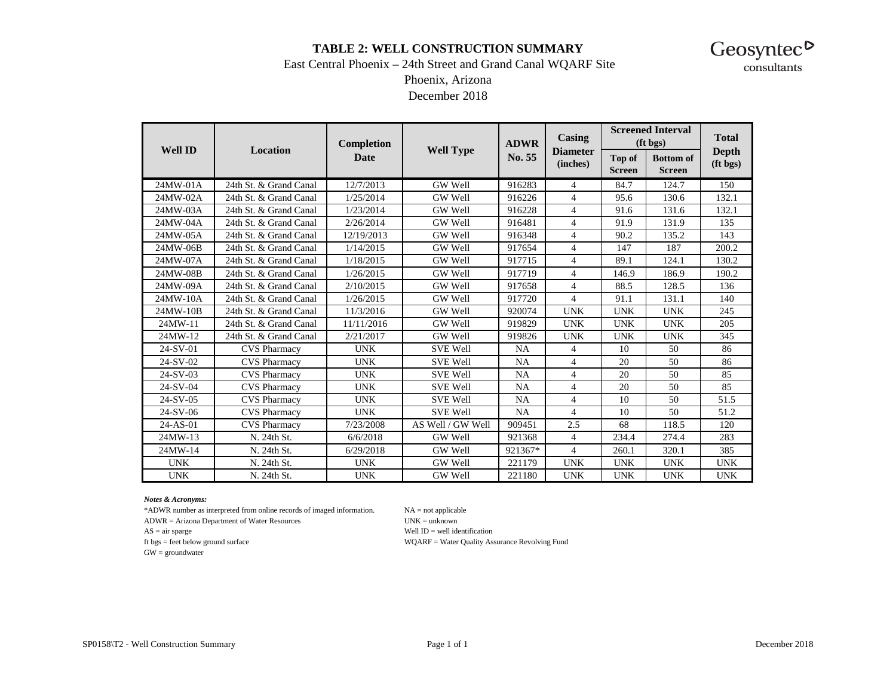#### **TABLE 2: WELL CONSTRUCTION SUMMARY**



## East Central Phoenix – 24th Street and Grand Canal WQARF Site

Phoenix, Arizona

December 2018

|                |                          | Completion  |                   | <b>ADWR</b> | Casing                      |                         | <b>Screened Interval</b><br>(f <sub>t</sub> bg <sub>s</sub> ) | <b>Total</b>             |
|----------------|--------------------------|-------------|-------------------|-------------|-----------------------------|-------------------------|---------------------------------------------------------------|--------------------------|
| <b>Well ID</b> | Location                 | <b>Date</b> | <b>Well Type</b>  | No. 55      | <b>Diameter</b><br>(inches) | Top of<br><b>Screen</b> | <b>Bottom</b> of<br><b>Screen</b>                             | <b>Depth</b><br>(ft bgs) |
| 24MW-01A       | 24th St. & Grand Canal   | 12/7/2013   | GW Well           | 916283      | $\overline{4}$              | 84.7                    | 124.7                                                         | 150                      |
| 24MW-02A       | 24th St. & Grand Canal   | 1/25/2014   | GW Well           | 916226      | $\overline{4}$              | 95.6                    | 130.6                                                         | 132.1                    |
| 24MW-03A       | 24th St. & Grand Canal   | 1/23/2014   | GW Well           | 916228      | $\overline{4}$              | 91.6                    | 131.6                                                         | 132.1                    |
| 24MW-04A       | 24th St. & Grand Canal   | 2/26/2014   | GW Well           | 916481      | $\overline{4}$              | 91.9                    | 131.9                                                         | 135                      |
| 24MW-05A       | 24th St. & Grand Canal   | 12/19/2013  | GW Well           | 916348      | $\overline{4}$              | 90.2                    | 135.2                                                         | 143                      |
| 24MW-06B       | 24th St. & Grand Canal   | 1/14/2015   | GW Well           | 917654      | $\overline{4}$              | 147                     | 187                                                           | 200.2                    |
| 24MW-07A       | 24th St. & Grand Canal   | 1/18/2015   | GW Well           | 917715      | $\overline{4}$              | 89.1                    | 124.1                                                         | 130.2                    |
| 24MW-08B       | 24th St. & Grand Canal   | 1/26/2015   | <b>GW Well</b>    | 917719      | $\overline{4}$              | 146.9                   | 186.9                                                         | 190.2                    |
| 24MW-09A       | 24th St. & Grand Canal   | 2/10/2015   | GW Well           | 917658      | $\overline{4}$              | 88.5                    | 128.5                                                         | 136                      |
| 24MW-10A       | 24th St. & Grand Canal   | 1/26/2015   | GW Well           | 917720      | $\overline{4}$              | 91.1                    | 131.1                                                         | 140                      |
| 24MW-10B       | 24th St. & Grand Canal   | 11/3/2016   | GW Well           | 920074      | <b>UNK</b>                  | <b>UNK</b>              | <b>UNK</b>                                                    | 245                      |
| 24MW-11        | 24th St. & Grand Canal   | 11/11/2016  | GW Well           | 919829      | <b>UNK</b>                  | <b>UNK</b>              | <b>UNK</b>                                                    | 205                      |
| 24MW-12        | 24th St. & Grand Canal   | 2/21/2017   | GW Well           | 919826      | <b>UNK</b>                  | <b>UNK</b>              | <b>UNK</b>                                                    | 345                      |
| 24-SV-01       | <b>CVS Pharmacy</b>      | <b>UNK</b>  | <b>SVE Well</b>   | NA          | 4                           | 10                      | 50                                                            | 86                       |
| 24-SV-02       | <b>CVS Pharmacy</b>      | <b>UNK</b>  | <b>SVE Well</b>   | NA          | $\overline{4}$              | 20                      | 50                                                            | 86                       |
| 24-SV-03       | <b>CVS Pharmacy</b>      | <b>UNK</b>  | <b>SVE Well</b>   | NA          | $\overline{4}$              | 20                      | 50                                                            | 85                       |
| 24-SV-04       | <b>CVS Pharmacy</b>      | <b>UNK</b>  | <b>SVE Well</b>   | NA          | $\overline{4}$              | 20                      | 50                                                            | 85                       |
| 24-SV-05       | <b>CVS</b> Pharmacy      | <b>UNK</b>  | <b>SVE Well</b>   | NA          | $\overline{4}$              | 10                      | 50                                                            | 51.5                     |
| 24-SV-06       | <b>CVS Pharmacy</b>      | <b>UNK</b>  | <b>SVE Well</b>   | NA          | $\overline{4}$              | 10                      | 50                                                            | 51.2                     |
| 24-AS-01       | <b>CVS Pharmacy</b>      | 7/23/2008   | AS Well / GW Well | 909451      | 2.5                         | 68                      | 118.5                                                         | 120                      |
| 24MW-13        | N. 24th St.              | 6/6/2018    | GW Well           | 921368      | $\overline{4}$              | 234.4                   | 274.4                                                         | 283                      |
| 24MW-14        | N. 24th St.<br>6/29/2018 |             | GW Well           | 921367*     | 4                           | 260.1                   | 320.1                                                         | 385                      |
| <b>UNK</b>     | N. 24th St.              | <b>UNK</b>  | GW Well           | 221179      | <b>UNK</b>                  | <b>UNK</b>              | <b>UNK</b>                                                    | <b>UNK</b>               |
| <b>UNK</b>     | N. 24th St.              | <b>UNK</b>  | GW Well           | 221180      | <b>UNK</b>                  | <b>UNK</b>              | <b>UNK</b>                                                    | <b>UNK</b>               |

*Notes & Acronyms:*

\*ADWR number as interpreted from online records of imaged information. NA = not applicable

ADWR = Arizona Department of Water Resources UNK = unknown

GW = groundwater

AS = air sparge Well ID = well identification

ft bgs = feet below ground surface WQARF = Water Quality Assurance Revolving Fund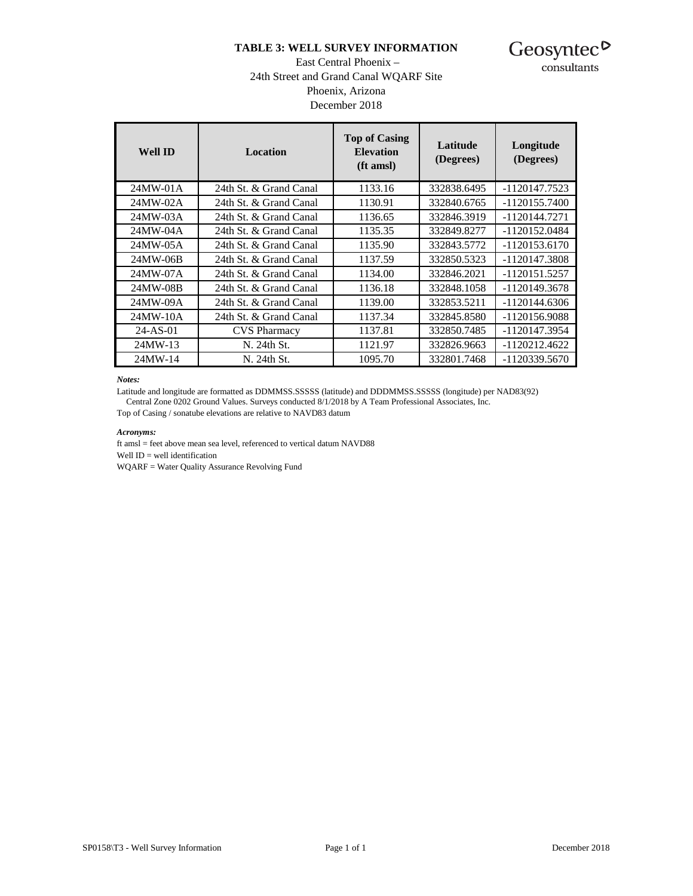#### **TABLE 3: WELL SURVEY INFORMATION**



consultants

#### East Central Phoenix – 24th Street and Grand Canal WQARF Site Phoenix, Arizona December 2018

| <b>Well ID</b> | <b>Location</b>        | <b>Top of Casing</b><br><b>Elevation</b><br>(ft amsl) | Latitude<br>(Degrees) | Longitude<br>(Degrees) |
|----------------|------------------------|-------------------------------------------------------|-----------------------|------------------------|
| 24MW-01A       | 24th St. & Grand Canal | 1133.16                                               | 332838.6495           | -1120147.7523          |
| 24MW-02A       | 24th St. & Grand Canal | 1130.91                                               | 332840.6765           | -1120155.7400          |
| 24MW-03A       | 24th St. & Grand Canal | 1136.65                                               | 332846.3919           | -1120144.7271          |
| 24MW-04A       | 24th St. & Grand Canal | 1135.35                                               | 332849.8277           | -1120152.0484          |
| 24MW-05A       | 24th St. & Grand Canal | 1135.90                                               | 332843.5772           | -1120153.6170          |
| 24MW-06B       | 24th St. & Grand Canal | 1137.59                                               | 332850.5323           | -1120147.3808          |
| 24MW-07A       | 24th St. & Grand Canal | 1134.00                                               | 332846.2021           | -1120151.5257          |
| 24MW-08B       | 24th St. & Grand Canal | 1136.18                                               | 332848.1058           | -1120149.3678          |
| 24MW-09A       | 24th St. & Grand Canal | 1139.00                                               | 332853.5211           | -1120144.6306          |
| 24MW-10A       | 24th St. & Grand Canal | 1137.34                                               | 332845.8580           | -1120156.9088          |
| $24-AS-01$     | <b>CVS</b> Pharmacy    | 1137.81                                               | 332850.7485           | -1120147.3954          |
| 24MW-13        | N. 24th St.            | 1121.97                                               | 332826.9663           | -1120212.4622          |
| 24MW-14        | N. 24th St.            | 1095.70                                               | 332801.7468           | -1120339.5670          |

#### *Notes:*

Latitude and longitude are formatted as DDMMSS.SSSSS (latitude) and DDDMMSS.SSSSS (longitude) per NAD83(92) Central Zone 0202 Ground Values. Surveys conducted 8/1/2018 by A Team Professional Associates, Inc.

Top of Casing / sonatube elevations are relative to NAVD83 datum

#### *Acronyms:*

ft amsl = feet above mean sea level, referenced to vertical datum NAVD88 Well ID = well identification WQARF = Water Quality Assurance Revolving Fund

SP0158\T3 - Well Survey Information Page 1 of 1 December 2018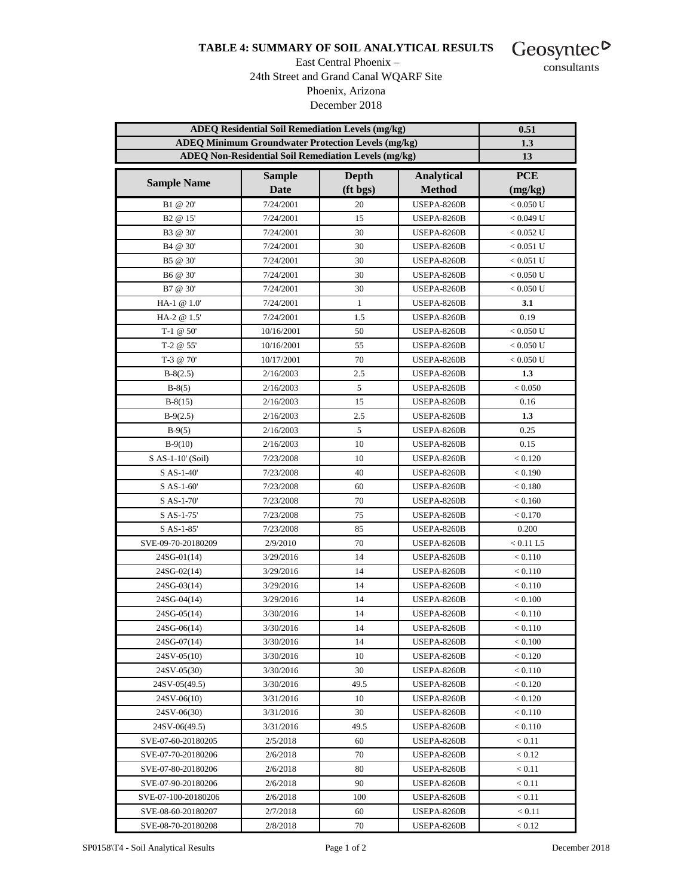#### **TABLE 4: SUMMARY OF SOIL ANALYTICAL RESULTS**



#### East Central Phoenix – 24th Street and Grand Canal WQARF Site Phoenix, Arizona December 2018

consultants

|                      | <b>ADEQ Residential Soil Remediation Levels (mg/kg)</b><br><b>ADEQ Minimum Groundwater Protection Levels (mg/kg)</b> |                   |                                    |                       |  |  |  |  |  |  |  |
|----------------------|----------------------------------------------------------------------------------------------------------------------|-------------------|------------------------------------|-----------------------|--|--|--|--|--|--|--|
|                      | ADEQ Non-Residential Soil Remediation Levels (mg/kg)                                                                 |                   |                                    | 1.3<br>13             |  |  |  |  |  |  |  |
|                      |                                                                                                                      |                   |                                    |                       |  |  |  |  |  |  |  |
| <b>Sample Name</b>   | <b>Sample</b><br><b>Date</b>                                                                                         | Depth<br>(ft bgs) | <b>Analytical</b><br><b>Method</b> | <b>PCE</b>            |  |  |  |  |  |  |  |
| B1 @ 20'             | 7/24/2001                                                                                                            | 20                | <b>USEPA-8260B</b>                 | (mg/kg)<br>< 0.050 U  |  |  |  |  |  |  |  |
| B <sub>2</sub> @ 15' | 7/24/2001                                                                                                            | 15                | <b>USEPA-8260B</b>                 | $< 0.049$ U           |  |  |  |  |  |  |  |
| B3 @ 30'             | 7/24/2001                                                                                                            | 30                | <b>USEPA-8260B</b>                 | $< 0.052$ U           |  |  |  |  |  |  |  |
| B4 @ 30'             | 7/24/2001                                                                                                            | 30                | <b>USEPA-8260B</b>                 | $< 0.051$ U           |  |  |  |  |  |  |  |
| B5 @ 30'             | 7/24/2001                                                                                                            | 30                | <b>USEPA-8260B</b>                 | $< 0.051$ U           |  |  |  |  |  |  |  |
| B6 @ 30'             | 7/24/2001                                                                                                            | 30                | <b>USEPA-8260B</b>                 | < 0.050 U             |  |  |  |  |  |  |  |
|                      |                                                                                                                      | 30                |                                    |                       |  |  |  |  |  |  |  |
| B7 @ 30'             | 7/24/2001                                                                                                            |                   | <b>USEPA-8260B</b>                 | $< 0.050 \mathrm{~U}$ |  |  |  |  |  |  |  |
| HA-1 @ 1.0'          | 7/24/2001                                                                                                            | $\mathbf{1}$      | <b>USEPA-8260B</b>                 | 3.1                   |  |  |  |  |  |  |  |
| HA-2 @ 1.5'          | 7/24/2001                                                                                                            | 1.5               | <b>USEPA-8260B</b>                 | 0.19                  |  |  |  |  |  |  |  |
| T-1 $@$ 50'          | 10/16/2001                                                                                                           | 50                | <b>USEPA-8260B</b>                 | < 0.050 U             |  |  |  |  |  |  |  |
| T-2 $@55'$           | 10/16/2001                                                                                                           | 55                | <b>USEPA-8260B</b>                 | < 0.050 U             |  |  |  |  |  |  |  |
| T-3 @ 70'            | 10/17/2001                                                                                                           | 70                | <b>USEPA-8260B</b>                 | < 0.050 U             |  |  |  |  |  |  |  |
| $B-8(2.5)$           | 2/16/2003                                                                                                            | 2.5               | <b>USEPA-8260B</b>                 | 1.3                   |  |  |  |  |  |  |  |
| $B-8(5)$             | 2/16/2003                                                                                                            | 5                 | <b>USEPA-8260B</b>                 | < 0.050               |  |  |  |  |  |  |  |
| $B-8(15)$            | 2/16/2003                                                                                                            | 15                | <b>USEPA-8260B</b>                 | 0.16                  |  |  |  |  |  |  |  |
| $B-9(2.5)$           | 2/16/2003                                                                                                            | 2.5               | <b>USEPA-8260B</b>                 | 1.3                   |  |  |  |  |  |  |  |
| $B-9(5)$             | 2/16/2003                                                                                                            | 5                 | <b>USEPA-8260B</b>                 | 0.25                  |  |  |  |  |  |  |  |
| $B-9(10)$            | 2/16/2003                                                                                                            | 10                | <b>USEPA-8260B</b>                 | 0.15                  |  |  |  |  |  |  |  |
| S AS-1-10' (Soil)    | 7/23/2008                                                                                                            | 10                | <b>USEPA-8260B</b>                 | < 0.120               |  |  |  |  |  |  |  |
| S AS-1-40'           | 7/23/2008                                                                                                            | 40                | <b>USEPA-8260B</b>                 | < 0.190               |  |  |  |  |  |  |  |
| S AS-1-60'           | 7/23/2008                                                                                                            | 60                | <b>USEPA-8260B</b>                 | < 0.180               |  |  |  |  |  |  |  |
| S AS-1-70'           | 7/23/2008                                                                                                            | 70                | <b>USEPA-8260B</b>                 | < 0.160               |  |  |  |  |  |  |  |
| S AS-1-75'           | 7/23/2008                                                                                                            | 75                | <b>USEPA-8260B</b>                 | < 0.170               |  |  |  |  |  |  |  |
| S AS-1-85'           | 7/23/2008                                                                                                            | 85                | <b>USEPA-8260B</b>                 | 0.200                 |  |  |  |  |  |  |  |
| SVE-09-70-20180209   | 2/9/2010                                                                                                             | 70                | <b>USEPA-8260B</b>                 | < 0.11 L5             |  |  |  |  |  |  |  |
| $24SG-01(14)$        | 3/29/2016                                                                                                            | 14                | <b>USEPA-8260B</b>                 | < 0.110               |  |  |  |  |  |  |  |
| $24SG-02(14)$        | 3/29/2016                                                                                                            | 14                | <b>USEPA-8260B</b>                 | < 0.110               |  |  |  |  |  |  |  |
| 24SG-03(14)          | 3/29/2016                                                                                                            | 14                | <b>USEPA-8260B</b>                 | < 0.110               |  |  |  |  |  |  |  |
| 24SG-04(14)          | 3/29/2016                                                                                                            | 14                | <b>USEPA-8260B</b>                 | < 0.100               |  |  |  |  |  |  |  |
| 24SG-05(14)          | 3/30/2016                                                                                                            | 14                | <b>USEPA-8260B</b>                 | < 0.110               |  |  |  |  |  |  |  |
| 24SG-06(14)          | 3/30/2016                                                                                                            | 14                | <b>USEPA-8260B</b>                 | < 0.110               |  |  |  |  |  |  |  |
| $24SG-07(14)$        | 3/30/2016                                                                                                            | 14                | <b>USEPA-8260B</b>                 | < 0.100               |  |  |  |  |  |  |  |
| $24SV-05(10)$        | 3/30/2016                                                                                                            | 10                | <b>USEPA-8260B</b>                 | < 0.120               |  |  |  |  |  |  |  |
| 24SV-05(30)          | 3/30/2016                                                                                                            | 30                | <b>USEPA-8260B</b>                 | < 0.110               |  |  |  |  |  |  |  |
| 24SV-05(49.5)        | 3/30/2016                                                                                                            | 49.5              | <b>USEPA-8260B</b>                 | < 0.120               |  |  |  |  |  |  |  |
| $24SV-06(10)$        | 3/31/2016                                                                                                            | 10                | <b>USEPA-8260B</b>                 | < 0.120               |  |  |  |  |  |  |  |
| 24SV-06(30)          | 3/31/2016                                                                                                            | 30                | <b>USEPA-8260B</b>                 | < 0.110               |  |  |  |  |  |  |  |
| 24SV-06(49.5)        | 3/31/2016                                                                                                            | 49.5              | <b>USEPA-8260B</b>                 | < 0.110               |  |  |  |  |  |  |  |
| SVE-07-60-20180205   | 2/5/2018                                                                                                             | 60                | <b>USEPA-8260B</b>                 | < 0.11                |  |  |  |  |  |  |  |
| SVE-07-70-20180206   | 2/6/2018                                                                                                             | 70                | USEPA-8260B                        | < 0.12                |  |  |  |  |  |  |  |
| SVE-07-80-20180206   | 2/6/2018                                                                                                             | 80                | <b>USEPA-8260B</b>                 | < 0.11                |  |  |  |  |  |  |  |
| SVE-07-90-20180206   | 2/6/2018                                                                                                             | 90                | <b>USEPA-8260B</b>                 | < 0.11                |  |  |  |  |  |  |  |
| SVE-07-100-20180206  | 2/6/2018                                                                                                             | 100               | <b>USEPA-8260B</b>                 | < 0.11                |  |  |  |  |  |  |  |
| SVE-08-60-20180207   | 2/7/2018                                                                                                             | 60                | USEPA-8260B                        | < 0.11                |  |  |  |  |  |  |  |
| SVE-08-70-20180208   | 2/8/2018                                                                                                             | 70                | <b>USEPA-8260B</b>                 | < 0.12                |  |  |  |  |  |  |  |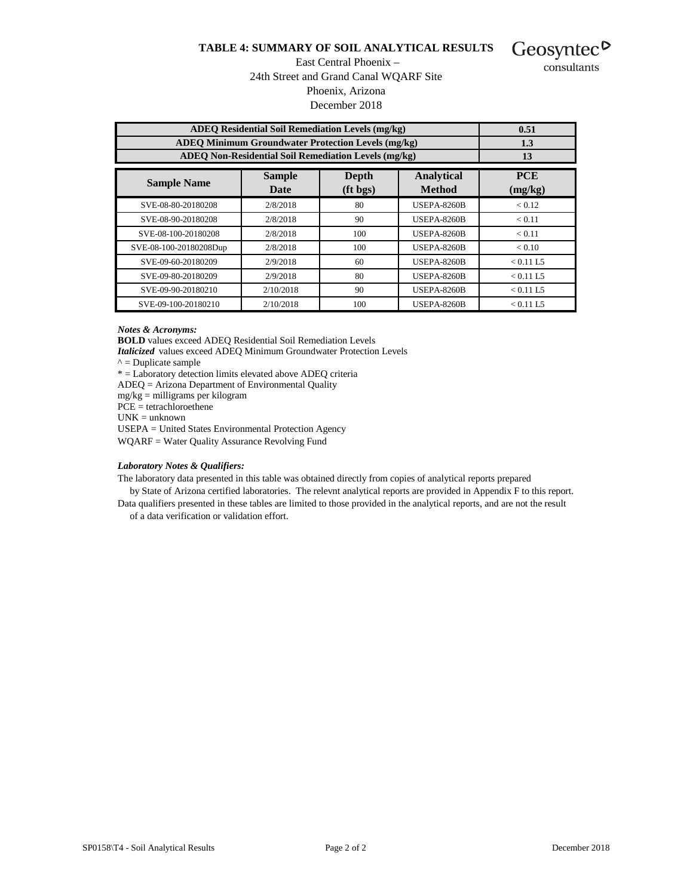#### **TABLE 4: SUMMARY OF SOIL ANALYTICAL RESULTS**

Geosyntec<sup> $\triangleright$ </sup> consultants

#### East Central Phoenix – 24th Street and Grand Canal WQARF Site Phoenix, Arizona December 2018

| <b>ADEO Residential Soil Remediation Levels (mg/kg)</b>     |                                                           |                  |                                     |           |  |  |  |  |  |  |  |  |
|-------------------------------------------------------------|-----------------------------------------------------------|------------------|-------------------------------------|-----------|--|--|--|--|--|--|--|--|
|                                                             |                                                           |                  |                                     | 0.51      |  |  |  |  |  |  |  |  |
|                                                             | <b>ADEO Minimum Groundwater Protection Levels (mg/kg)</b> |                  |                                     | 1.3       |  |  |  |  |  |  |  |  |
| <b>ADEQ Non-Residential Soil Remediation Levels (mg/kg)</b> | 13                                                        |                  |                                     |           |  |  |  |  |  |  |  |  |
| <b>Sample Name</b>                                          | <b>PCE</b><br>(mg/kg)                                     |                  |                                     |           |  |  |  |  |  |  |  |  |
| SVE-08-80-20180208                                          | Date<br>2/8/2018                                          | $(ft$ bgs)<br>80 | <b>Method</b><br><b>USEPA-8260B</b> | < 0.12    |  |  |  |  |  |  |  |  |
| SVE-08-90-20180208                                          | 2/8/2018                                                  | 90               | <b>USEPA-8260B</b>                  | < 0.11    |  |  |  |  |  |  |  |  |
| SVE-08-100-20180208                                         | 2/8/2018                                                  | 100              | <b>USEPA-8260B</b>                  | < 0.11    |  |  |  |  |  |  |  |  |
| SVE-08-100-20180208Dup                                      | 2/8/2018                                                  | 100              | <b>USEPA-8260B</b>                  | < 0.10    |  |  |  |  |  |  |  |  |
| SVE-09-60-20180209                                          | 2/9/2018                                                  | 60               | <b>USEPA-8260B</b>                  | < 0.11 L5 |  |  |  |  |  |  |  |  |
| SVE-09-80-20180209                                          | 2/9/2018                                                  | 80               | <b>USEPA-8260B</b>                  | < 0.11 L5 |  |  |  |  |  |  |  |  |
| SVE-09-90-20180210                                          | 2/10/2018                                                 | 90               | <b>USEPA-8260B</b>                  | < 0.11 L5 |  |  |  |  |  |  |  |  |
| SVE-09-100-20180210                                         | 2/10/2018                                                 | 100              | <b>USEPA-8260B</b>                  | < 0.11 L5 |  |  |  |  |  |  |  |  |

*Notes & Acronyms:*

**BOLD** values exceed ADEQ Residential Soil Remediation Levels

*Italicized* values exceed ADEQ Minimum Groundwater Protection Levels

 $\wedge$  = Duplicate sample

\* = Laboratory detection limits elevated above ADEQ criteria

ADEQ = Arizona Department of Environmental Quality

mg/kg = milligrams per kilogram

 $P\overline{CE}$  = tetrachloroethene

UNK = unknown

USEPA = United States Environmental Protection Agency

WQARF = Water Quality Assurance Revolving Fund

#### *Laboratory Notes & Qualifiers:*

The laboratory data presented in this table was obtained directly from copies of analytical reports prepared

 by State of Arizona certified laboratories. The relevnt analytical reports are provided in Appendix F to this report. Data qualifiers presented in these tables are limited to those provided in the analytical reports, and are not the result

of a data verification or validation effort.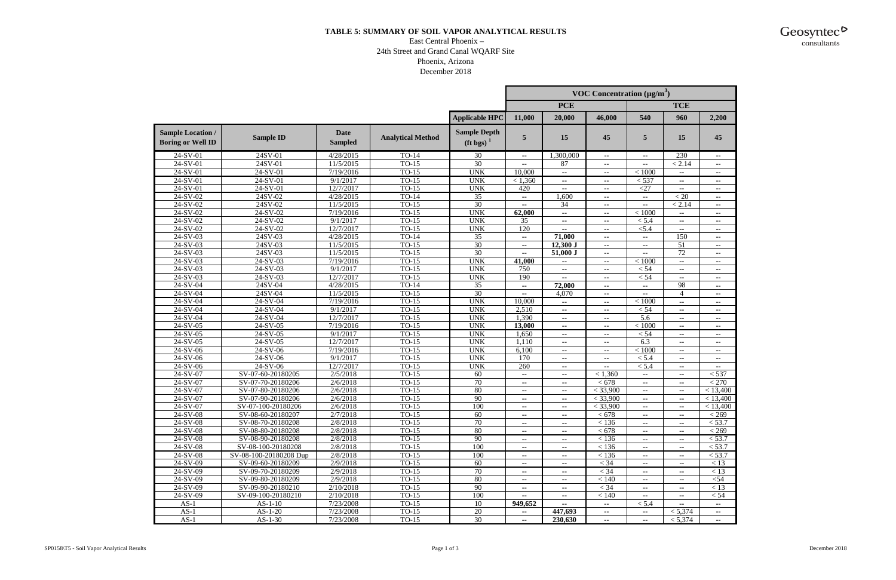### **TABLE 5: SUMMARY OF SOIL VAPOR ANALYTICAL RESULTS**

#### East Central Phoenix – 24th Street and Grand Canal WQARF Site Phoenix, Arizona December 2018

|                                                      |                                          |                               |                          |                                            |                          |                          | <b>VOC Concentration</b> ( $\mu$ g/m <sup>3</sup> ) |                          |                 |          |
|------------------------------------------------------|------------------------------------------|-------------------------------|--------------------------|--------------------------------------------|--------------------------|--------------------------|-----------------------------------------------------|--------------------------|-----------------|----------|
|                                                      |                                          |                               |                          |                                            |                          | <b>PCE</b>               |                                                     |                          | <b>TCE</b>      |          |
|                                                      |                                          |                               |                          | <b>Applicable HPC</b>                      | 11,000                   | 20,000                   | 46,000                                              | 540                      | 960             | 2,200    |
| <b>Sample Location /</b><br><b>Boring or Well ID</b> | <b>Sample ID</b>                         | <b>Date</b><br><b>Sampled</b> | <b>Analytical Method</b> | <b>Sample Depth</b><br>$(\text{ft bgs})^1$ | 5                        | 15                       | 45                                                  | 5                        | 15              | 45       |
| 24-SV-01                                             | 24SV-01                                  | 4/28/2015                     | TO-14                    | 30                                         | $- -$                    | 1,300,000                | $- -$                                               | $\overline{\phantom{a}}$ | 230             | $- -$    |
| $24-SV-01$                                           | 24SV-01                                  | $\frac{11}{5/2015}$           | $TO-15$                  | 30                                         | $\sim$ $\sim$            | 87                       | $\overline{\phantom{a}}$                            | $\overline{\phantom{a}}$ | < 2.14          | $\sim$   |
| $24-SV-01$                                           | $24-SV-01$                               | 7/19/2016                     | $TO-15$                  | <b>UNK</b>                                 | 10,000                   | н.                       | $\overline{\phantom{a}}$                            | $<1000$                  | н.              | ۰.       |
| 24-SV-01                                             | $24-SV-01$                               | 9/1/2017                      | $TO-15$                  | <b>UNK</b>                                 | < 1,360                  | ۰.                       | $\overline{\phantom{a}}$                            | < 537                    |                 | $\sim$   |
| 24-SV-01                                             | 24-SV-01                                 | 12/7/2017                     | $TO-15$                  | <b>UNK</b>                                 | 420                      | ۰.                       | $\overline{\phantom{a}}$                            | $<$ 27                   | --              | $\sim$   |
| $24-SV-02$                                           | 24SV-02<br>4/28/2015<br>$TO-14$          |                               |                          | 35                                         |                          | 1,600                    | ۰.                                                  | $\overline{\phantom{a}}$ | $\overline{20}$ | ۰.       |
| 24-SV-02                                             | 24SV-02<br>11/5/2015                     |                               | $TO-15$                  | $\overline{30}$                            | $\sim$                   | 34                       | ۰.                                                  | $\overline{\phantom{a}}$ | < 2.14          | $\sim$   |
| $24-SV-02$                                           | $24-SV-02$<br>7/19/2016<br>$TO-15$       |                               | <b>UNK</b>               | 62,000                                     | $\sim$                   | $\overline{\phantom{a}}$ | < 1000                                              | $\overline{\phantom{a}}$ | ۰.              |          |
| $24-SV-02$                                           | $24-SV-02$                               | 9/1/2017                      | $TO-15$                  | <b>UNK</b>                                 | 35                       | ۰.                       | ۰.                                                  | < 5.4                    | ۰.              | ۰.       |
| 24-SV-02                                             | 24-SV-02                                 | 12/7/2017                     | $TO-15$                  | <b>UNK</b>                                 | 120                      | --                       | ۰.                                                  | < 5.4                    | --              | ۰.       |
| $24-SV-03$                                           | 24SV-03                                  | 4/28/2015                     | $TO-14$                  | $\overline{35}$                            | $\sim$                   | 71,000                   | $\overline{\phantom{a}}$                            | ۰.                       | 150             | $\sim$   |
| $24-SV-03$                                           | 24SV-03                                  | 11/5/2015                     | $TO-15$                  | 30                                         |                          | $12,300$ J               | ۰.                                                  | $\overline{\phantom{a}}$ | 51              | $\sim$   |
| $24-SV-03$                                           | 24SV-03                                  | 11/5/2015                     | $TO-15$                  | 30                                         |                          | 51,000 J                 | ۰.                                                  | ۰.                       | 72              | ۰.       |
| $24-SV-03$                                           | $24-SV-03$                               | 7/19/2016                     | $TO-15$                  | <b>UNK</b>                                 | 41,000                   | н.                       | $\overline{\phantom{a}}$                            | < 1000                   | --              | ۰.       |
| $24-SV-03$                                           | $24-SV-03$                               | 9/1/2017                      | $TO-15$                  | <b>UNK</b>                                 | 750                      | ۰.                       | $\sim$                                              | < 54                     | --              | $\sim$   |
| 24-SV-03                                             | 24-SV-03                                 | 12/7/2017                     | $TO-15$                  | <b>UNK</b>                                 | 190                      | --                       | $\overline{\phantom{a}}$                            | $<54\,$                  | --              | ۰.       |
| $24-SV-04$                                           | 24SV-04                                  | 4/28/2015                     | $TO-14$                  | $\overline{35}$                            | $\sim$                   | 72,000                   | $\overline{\phantom{a}}$                            | ۰.                       | 98              | $\sim$   |
| $24-SV-04$                                           | 24SV-04                                  | 11/5/2015                     | $TO-15$                  | 30                                         | $\sim$                   | 4,070                    | $\overline{\phantom{a}}$                            | $\overline{\phantom{a}}$ | 4               | ۰.       |
| $24-SV-04$                                           | $24-SV-04$                               | 7/19/2016                     | $TO-15$                  | <b>UNK</b>                                 | 10,000                   | $-1$                     | ۰.                                                  | < 1000                   | $-1$            | $\sim$   |
| $24-SV-04$                                           | 24-SV-04                                 | 9/1/2017                      | TO-15                    | <b>UNK</b>                                 | 2,510                    | ۰.                       | $\sim$                                              | < 54                     | --              | $\sim$   |
| 24-SV-04                                             | 24-SV-04                                 | 12/7/2017                     | $TO-15$                  | <b>UNK</b>                                 | 1,390                    | $\sim$                   | $\overline{\phantom{a}}$                            | 5.6                      | ۰.              | ۰.       |
| $24-SV-05$                                           | $24-SV-05$                               | 7/19/2016                     | $TO-15$                  | <b>UNK</b>                                 | 13,000                   | ۰.                       | $\overline{\phantom{a}}$                            | < 1000                   | ۰.              | ۰.       |
| $24-SV-05$                                           | 24-SV-05                                 | 9/1/2017                      | $TO-15$                  | <b>UNK</b>                                 | 1,650                    | --                       | $\overline{\phantom{a}}$                            | < 54                     | --              | $\sim$   |
| $24-SV-05$                                           | $24-SV-05$                               | 12/7/2017                     | $TO-15$                  | <b>UNK</b>                                 | 1,110                    | --                       | $\overline{\phantom{a}}$                            | 6.3                      | --              | $\sim$   |
| $24-SV-06$                                           | $24-SV-06$                               | 7/19/2016                     | $TO-15$                  | <b>UNK</b>                                 | 6,100                    | н.                       | $\overline{\phantom{a}}$                            | < 1000                   | ۰.              | ۰.       |
| $24-SV-06$                                           | $24-SV-06$                               | 9/1/2017                      | $TO-15$                  | <b>UNK</b>                                 | 170                      | ۰.                       | ۰.                                                  | $\overline{5.4}$         | -−              | ۰.       |
| 24-SV-06                                             | $24-SV-06$                               | 12/7/2017                     | TO-15                    | <b>UNK</b>                                 | 260                      | ۰.                       | $\overline{\phantom{a}}$                            | < 5.4                    | --              | ۰.       |
| $24-SV-07$                                           | SV-07-60-20180205                        | 2/5/2018                      | $TO-15$                  | $\overline{60}$                            | $\sim$                   | ۰.                       | < 1,360                                             | $\overline{\phantom{a}}$ | ۰.              | < 537    |
| 24-SV-07                                             | SV-07-70-20180206                        | 2/6/2018                      | $TO-15$                  | $\overline{70}$                            | ۰.                       | ۰.                       | < 678                                               | $\sim$                   | --              | < 270    |
| $24-SV-07$                                           | SV-07-80-20180206                        | 2/6/2018                      | $TO-15$                  | 80                                         | --                       | ۰.                       | $<$ 33,900                                          | $\overline{\phantom{a}}$ | ۰.              | < 13,400 |
| $24-SV-07$                                           | SV-07-90-20180206                        | 2/6/2018                      | $TO-15$                  | 90                                         |                          | ۰.                       | $<$ 33,900                                          | $\overline{\phantom{a}}$ | ۰.              | < 13,400 |
| 24-SV-07                                             | SV-07-100-20180206                       | 2/6/2018                      | $TO-15$                  | 100                                        | $\sim$ $\sim$            | ۰.                       | $<$ 33,900                                          | $\overline{\phantom{a}}$ | ۰.              | < 13,400 |
| 24-SV-08                                             | SV-08-60-20180207                        | 2/7/2018                      | TO-15                    | 60                                         | $\sim$ $\sim$            | $\sim$ $\sim$            | < 678                                               | ۰.                       | $\sim$ $\sim$   | < 269    |
| 24-SV-08                                             | SV-08-70-20180208                        | 2/8/2018                      | $TO-15$                  | $\overline{70}$                            | $\sim$                   | ۰.                       | < 136                                               | $\sim$                   | ۰.              | < 53.7   |
| 24-SV-08                                             | SV-08-80-20180208                        | 2/8/2018                      | $TO-15$                  | 80                                         | $\sim$                   | ۰.                       | < 678                                               | $\sim$                   | ۰.              | < 269    |
| 24-SV-08                                             | SV-08-90-20180208                        | 2/8/2018                      | $TO-15$                  | $\overline{90}$                            | $\sim$                   | --                       | < 136                                               | ۰.                       | --              | < 53.7   |
| $24-SV-08$                                           | SV-08-100-20180208                       | 2/8/2018                      | $TO-15$                  | 100                                        | $\overline{\phantom{a}}$ | ۰.                       | < 136                                               | $- -$                    | ۰.              | < 53.7   |
| 24-SV-08                                             | SV-08-100-20180208 Dup                   | 2/8/2018                      | $TO-15$                  | 100                                        |                          | ۰.                       | < 136                                               | $\sim$                   | ۰.              | < 53.7   |
| 24-SV-09                                             | SV-09-60-20180209<br>2/9/2018<br>$TO-15$ |                               | 60                       | $\sim$                                     | $\sim$                   | $<$ 34                   | ۰.                                                  | $- -$                    | < 13            |          |
| 24-SV-09                                             | SV-09-70-20180209                        | 2/9/2018                      | $TO-15$                  | 70                                         | $\sim$ $\sim$            | --                       | $<$ 34                                              | $- -$                    | --              | < 13     |
| 24-SV-09                                             | SV-09-80-20180209                        | 2/9/2018                      | $TO-15$                  | 80                                         | $\overline{\phantom{a}}$ | ۰.                       | < 140                                               | $- -$                    |                 | $54$     |
| $24-SV-09$                                           | SV-09-90-20180210                        | 2/10/2018                     | $TO-15$                  | $\overline{90}$                            | $\sim$                   | $- -$                    | $<$ 34                                              | $\sim$                   |                 | < 13     |
| 24-SV-09                                             | SV-09-100-20180210                       | 2/10/2018                     | $TO-15$                  | 100                                        |                          | $- -$                    | < 140                                               | $\sim$                   |                 | < 54     |
| $AS-1$                                               | $AS-1-10$                                | 7/23/2008                     | $TO-15$                  | $\overline{10}$                            | 949,652                  | $-1$                     | $\overline{\phantom{a}}$                            | < 5.4                    | ۰.              |          |
| $AS-1$                                               | $AS-1-20$                                | 7/23/2008                     | $TO-15$                  | 20                                         | $\sim$                   | 447,693                  | $\sim$                                              | $\mathbf{u}$             | < 5,374         | $\sim$   |
| $AS-1$                                               | $AS-1-30$                                | 7/23/2008                     | $TO-15$                  | 30                                         | $\sim$                   | 230,630                  | $\sim$                                              | $\sim$                   | < 5,374         | $\sim$   |

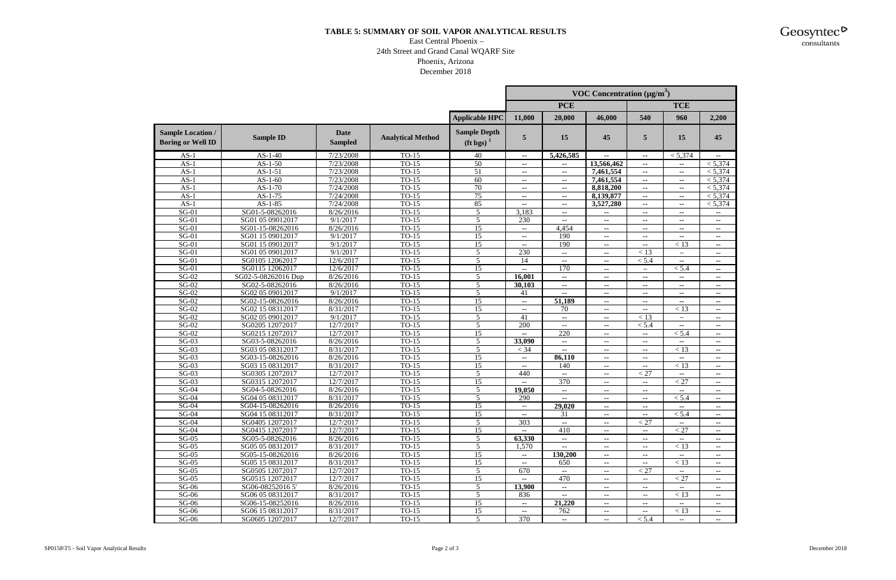### **TABLE 5: SUMMARY OF SOIL VAPOR ANALYTICAL RESULTS**

#### East Central Phoenix – 24th Street and Grand Canal WQARF Site Phoenix, Arizona December 2018

|                                                      |                     |                               |                          |                                   |                          |                          | <b>VOC Concentration</b> ( $\mu$ g/m <sup>3</sup> ) |                          |                                              |                          |
|------------------------------------------------------|---------------------|-------------------------------|--------------------------|-----------------------------------|--------------------------|--------------------------|-----------------------------------------------------|--------------------------|----------------------------------------------|--------------------------|
|                                                      |                     |                               |                          |                                   |                          | <b>PCE</b>               |                                                     |                          | <b>TCE</b>                                   |                          |
|                                                      |                     |                               |                          | <b>Applicable HPC</b>             | 11,000                   | 20,000                   | 46,000                                              | 540                      | 960                                          | 2,200                    |
| <b>Sample Location /</b><br><b>Boring or Well ID</b> | <b>Sample ID</b>    | <b>Date</b><br><b>Sampled</b> | <b>Analytical Method</b> | <b>Sample Depth</b><br>$(ft$ bgs) | 5                        | 15                       | 45                                                  | 5                        | 15                                           | 45                       |
| $AS-1$                                               | $AS-1-40$           | 7/23/2008                     | $TO-15$                  | 40                                | $\sim$                   | 5,426,585                | $\overline{\phantom{a}}$                            | $\overline{\phantom{a}}$ | < 5,374                                      | ۰.                       |
| $AS-1$                                               | $AS-1-50$           | 7/23/2008                     | TO-15                    | $\overline{50}$                   | $\sim$                   | $\overline{\phantom{a}}$ | 13,566,462                                          | $\overline{\phantom{a}}$ | $\overline{\phantom{a}}$                     | < 5,374                  |
| $AS-1$                                               | $AS-1-51$           | 7/23/2008                     | $TO-15$                  | 51                                | --                       | $\sim$                   | 7,461,554                                           | --                       | ۰.                                           | < 5,374                  |
| $AS-1$                                               | $AS-1-60$           | 7/23/2008                     | $TO-15$                  | $\overline{60}$                   | $\sim$ $\sim$            | ۰.                       | 7,461,554                                           | $\sim$                   | ۰.                                           | < 5,374                  |
| $AS-1$                                               | $AS-1-70$           | 7/24/2008                     | $TO-15$                  | $\overline{70}$                   | $\overline{\phantom{a}}$ | ۰.                       | 8,818,200                                           | $\overline{\phantom{a}}$ | ۰.                                           | < 5,374                  |
| $AS-1$                                               | $AS-1-75$           | 7/24/2008                     | $TO-15$                  | 75                                |                          | ۰.                       | 8,139,877                                           | $\overline{\phantom{a}}$ | -−                                           | < 5,374                  |
| $AS-1$                                               | $AS-1-85$           | 7/24/2008                     | $TO-15$                  | 85                                | $\sim$ $\sim$            | ۰.                       | 3,527,280                                           | $\overline{\phantom{a}}$ | ۰.                                           | < 5,374                  |
| $SG-01$                                              | SG01-5-08262016     | 8/26/2016                     | $TO-15$                  | 5                                 | 3,183                    | ۰.                       | $\overline{\phantom{a}}$                            | $\overline{\phantom{a}}$ | $\overline{\phantom{a}}$                     | $\overline{\phantom{a}}$ |
| $SG-01$                                              | SG01 05 09012017    | 9/1/2017                      | $TO-15$                  | 5                                 | 230                      | ۰.                       | ۰.                                                  | $\sim$                   |                                              | ۰.                       |
| $SG-01$                                              | SG01-15-08262016    | 8/26/2016                     | $TO-15$                  | $\overline{15}$                   | $\sim$                   | 4,454                    | $\sim$                                              | $\sim$                   | ۰.                                           | ۰.                       |
| $SG-01$                                              | SG01 15 09012017    | 9/1/2017                      | $TO-15$                  | $\overline{15}$                   | --                       | 190                      | $\overline{\phantom{a}}$                            | $\sim$                   | --                                           | ۰.                       |
| $S\overline{G-01}$                                   | SG01 15 09012017    | 9/1/2017                      | $TO-15$                  | 15                                |                          | 190                      | $\overline{\phantom{a}}$                            | $\overline{\phantom{a}}$ | < 13                                         | $\sim$                   |
| $SG-01$                                              | SG01 05 09012017    | 9/1/2017                      | $TO-15$                  | 5                                 | 230                      | $-1$                     | $\overline{\phantom{a}}$                            | < 13                     | $\overline{\phantom{a}}$                     | $\sim$                   |
| $SG-01$                                              | SG0105 12062017     | 12/6/2017                     | $TO-15$                  | 5                                 | 14                       | $-1$                     | $\overline{\phantom{a}}$                            | < 5.4                    | --                                           | ۰.                       |
| $SG-01$                                              | SG0115 12062017     | 12/6/2017                     | $TO-15$                  | 15                                | $\sim$                   | 170                      | $\overline{\phantom{a}}$                            | $\mathbf{u}$             | < 5.4                                        | $\sim$                   |
| $SG-02$                                              | SG02-5-08262016 Dup | 8/26/2016                     | $TO-15$                  | 5                                 | 16,001                   | --                       | $\sim$                                              | $\overline{\phantom{a}}$ | -−                                           | $\sim$                   |
| $SG-02$                                              | SG02-5-08262016     | 8/26/2016                     | $TO-15$                  | $\overline{5}$                    | 30,103                   | ۰.                       | $\sim$                                              | $\overline{\phantom{a}}$ | --                                           | $\sim$                   |
| $SG-02$                                              | SG02 05 09012017    | 9/1/2017                      | $TO-15$                  | 5                                 | 41                       |                          | $\sim$                                              | $\sim$                   | ۰.                                           | $\sim$                   |
| $SG-02$                                              | SG02-15-08262016    | 8/26/2016                     | $TO-15$                  | $\overline{15}$                   | $\sim$                   | 51,189                   | ۰.                                                  | $\mathbf{u}$             | ۰.                                           | $\sim$                   |
| $SG-02$                                              | SG02 15 08312017    | 8/31/2017                     | $TO-15$                  | 15                                |                          | 70                       |                                                     | $\overline{\phantom{a}}$ | < 13                                         |                          |
| $SG-02$                                              | SG02 05 09012017    | 9/1/2017                      | $TO-15$                  | 5                                 | $\sim$<br>41             |                          | $\overline{\phantom{a}}$                            | < 13                     | ۰.                                           | $\sim$                   |
| $SG-02$                                              | SG0205 12072017     | 12/7/2017                     | $TO-15$                  | $\overline{5}$                    | 200                      | $\sim$                   | $\overline{\phantom{a}}$                            | < 5.4                    |                                              | ۰.                       |
| $SG-02$                                              | SG0215 12072017     | 12/7/2017                     | $TO-15$                  | 15                                |                          | ۰.<br>220                | $\overline{\phantom{a}}$                            |                          | --<br>< 5.4                                  | ۰.                       |
| $SG-03$                                              | SG03-5-08262016     | 8/26/2016                     | $TO-15$                  | 5                                 | 33,090                   |                          | $\overline{\phantom{a}}$                            | $\overline{\phantom{a}}$ |                                              | $\sim$                   |
| $SG-03$                                              | SG03 05 08312017    | 8/31/2017                     | $TO-15$                  | 5                                 | $<$ 34                   | ۰.                       | $\sim$                                              | $\overline{\phantom{a}}$ | $\overline{\phantom{a}}$<br>$\overline{<}13$ | $\sim$                   |
| $SG-03$                                              | SG03-15-08262016    | 8/26/2016                     | $TO-15$                  | 15                                |                          | $-1$                     | ۰.                                                  | $\overline{\phantom{a}}$ |                                              | $\mathbf{u}$             |
|                                                      |                     |                               |                          |                                   | $\sim$                   | 86,110                   | ۰.                                                  | $\overline{\phantom{a}}$ | ۰.                                           | $\sim$                   |
| $SG-03$                                              | SG03 15 08312017    | 8/31/2017                     | TO-15                    | 15                                | $\sim$                   | 140                      | $\overline{\phantom{a}}$                            | $\overline{\phantom{a}}$ | < 13                                         | ۰.                       |
| $SG-03$                                              | SG0305 12072017     | 12/7/2017                     | $TO-15$                  | $\overline{5}$                    | 440                      | н.                       | $\overline{\phantom{a}}$                            | < 27                     | ۰.                                           | $\sim$                   |
| $SG-03$                                              | SG0315 12072017     | 12/7/2017                     | TO-15                    | 15                                |                          | 370                      | $\overline{\phantom{a}}$                            | $\overline{\phantom{a}}$ | < 27                                         | $\sim$                   |
| $SG-04$                                              | SG04-5-08262016     | 8/26/2016                     | $TO-15$                  | $\overline{5}$                    | 19,050                   | ۰.                       | $\sim$                                              | $\sim$                   | $\overline{\phantom{a}}$                     | $\sim$                   |
| $SG-04$                                              | SG04 05 08312017    | 8/31/2017                     | $TO-15$                  | 5                                 | 290                      |                          | ۰.                                                  | $\overline{\phantom{a}}$ | < 5.4                                        | ۰.                       |
| $SG-04$                                              | SG04-15-08262016    | 8/26/2016                     | $TO-15$                  | 15                                | ÷÷                       | 29,020                   | $\overline{\phantom{a}}$                            | $\overline{\phantom{a}}$ | ۰.                                           | $\sim$                   |
| $SG-04$                                              | SG04 15 08312017    | 8/31/2017                     | TO-15                    | 15                                | $\sim$                   | 31                       | $\overline{\phantom{a}}$                            | $\sim$                   | < 5.4                                        | $\overline{\phantom{a}}$ |
| $SG-04$                                              | SG0405 12072017     | 12/7/2017                     | $TO-15$                  | 5                                 | 303                      | $\sim$                   | --                                                  | < 27                     | $-$                                          | $\sim$                   |
| $SG-04$                                              | SG0415 12072017     | 12/7/2017                     | $TO-15$                  | $\overline{15}$                   |                          | 410                      | $\overline{\phantom{a}}$                            | $\overline{\phantom{a}}$ | < 27                                         | ۰.                       |
| $SG-05$                                              | SG05-5-08262016     | 8/26/2016                     | $TO-15$                  | 5                                 | 63,330                   | $\sim$                   | $\overline{\phantom{a}}$                            | ۰.                       |                                              | $\sim$                   |
| $SG-05$                                              | SG05 05 08312017    | 8/31/2017                     | $TO-15$                  | 5                                 | 1,570                    |                          | $\sim$                                              | $\sim$                   | < 13                                         | $\sim$                   |
| $SG-05$                                              | SG05-15-08262016    | 8/26/2016                     | $TO-15$                  | 15                                | $\sim$                   | 130,200                  | $\sim$                                              | $\sim$                   |                                              |                          |
| $SG-05$                                              | SG05 15 08312017    | 8/31/2017                     | $TO-15$                  | 15                                | $\sim$                   | 650                      | $\overline{\phantom{a}}$                            | $\overline{\phantom{a}}$ | < 13                                         | $\overline{\phantom{a}}$ |
| $SG-05$                                              | SG0505 12072017     | 12/7/2017                     | $TO-15$                  | 5                                 | 670                      | $\sim$                   | $\overline{\phantom{a}}$                            | < 27                     | $\sim$                                       | $\sim$                   |
| $SG-05$                                              | SG0515 12072017     | 12/7/2017                     | $TO-15$                  | 15                                |                          | 470                      | --                                                  | $- -$                    | $< 27\,$                                     | $\sim$                   |
| $SG-06$                                              | SG06-08252016 5'    | 8/26/2016                     | $TO-15$                  | 5                                 | 13,900                   | $\sim$                   | $\overline{\phantom{a}}$                            | --                       |                                              | $\overline{\phantom{a}}$ |
| $SG-06$                                              | SG06 05 08312017    | 8/31/2017                     | $TO-15$                  | 5                                 | 836                      | ۰.                       | $\sim$                                              | $- -$                    | < 13                                         | $\sim$                   |
| $SG-06$                                              | SG06-15-08252016    | 8/26/2016                     | $TO-15$                  | $\overline{15}$                   |                          | 21,220                   | $\overline{\phantom{a}}$                            | --                       |                                              |                          |
| $SG-06$                                              | SG06 15 08312017    | 8/31/2017                     | $TO-15$                  | 15                                | $\sim$                   | 762                      | $\overline{\phantom{a}}$                            | $\overline{\phantom{a}}$ | < 13                                         | $\sim$                   |
| $SG-06$                                              | SG0605 12072017     | 12/7/2017                     | $TO-15$                  | 5 <sup>5</sup>                    | 370                      | $\sim$                   | $\overline{\phantom{a}}$                            | < 5.4                    | $\sim$ $\sim$                                | $\sim$                   |

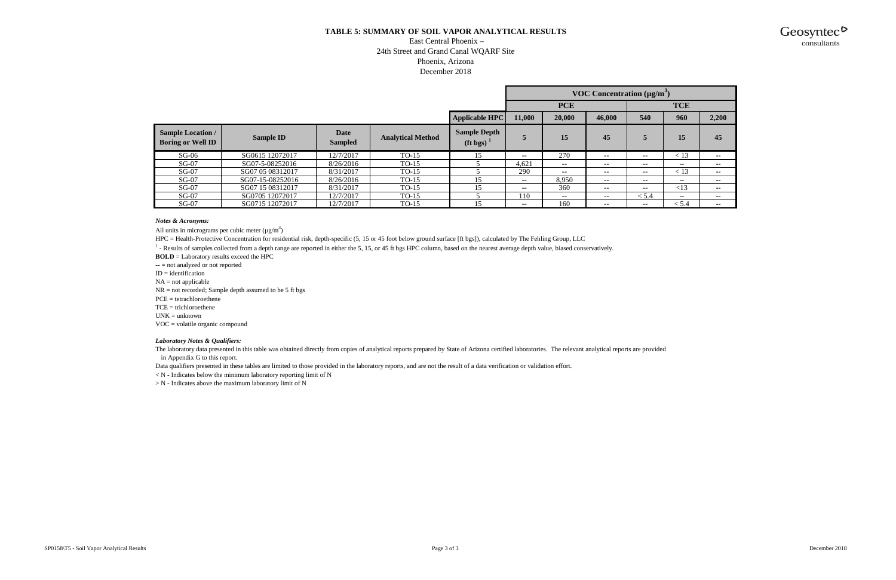#### **TABLE 5: SUMMARY OF SOIL VAPOR ANALYTICAL RESULTS**

#### East Central Phoenix – 24th Street and Grand Canal WQARF Site Phoenix, Arizona December 2018

|                                                      |                  |                        |                          |                                                |                          |        | <b>VOC Concentration</b> $(\mu g/m^3)$ |       |                          |        |
|------------------------------------------------------|------------------|------------------------|--------------------------|------------------------------------------------|--------------------------|--------|----------------------------------------|-------|--------------------------|--------|
|                                                      |                  |                        |                          |                                                | <b>PCE</b><br><b>TCE</b> |        |                                        |       |                          |        |
|                                                      |                  |                        |                          | <b>Applicable HPC</b>                          | 11,000                   | 20,000 | 46,000                                 | 540   | 960                      | 2,200  |
| <b>Sample Location /</b><br><b>Boring or Well ID</b> | <b>Sample ID</b> | Date<br><b>Sampled</b> | <b>Analytical Method</b> | <b>Sample Depth</b><br>$(ft$ bgs) <sup>1</sup> | 5                        | 15     | 45                                     | 5     | 15                       | 45     |
| $SG-06$                                              | SG0615 12072017  | 12/7/2017              | $TO-15$                  | 15                                             | $\sim$ $\sim$            | 270    | $\sim$                                 | $- -$ | < 13                     | $\sim$ |
| $SG-07$                                              | SG07-5-08252016  | 8/26/2016              | $TO-15$                  |                                                | 4.621                    | $\sim$ | $- -$                                  | $- -$ | $\overline{\phantom{m}}$ | $\sim$ |
| $SG-07$                                              | SG07 05 08312017 | 8/31/2017              | $TO-15$                  |                                                | 290                      | $\sim$ | $- -$                                  | $- -$ | < 13                     | $\sim$ |
| $SG-07$                                              | SG07-15-08252016 | 8/26/2016              | $TO-15$                  | 15                                             | --                       | 8,950  | $- -$                                  | $- -$ | $- -$                    | $\sim$ |
| $SG-07$                                              | SG07 15 08312017 | 8/31/2017              | $TO-15$                  | 15                                             | --                       | 360    | $- -$                                  | $- -$ | <13                      | $\sim$ |
| $SG-07$                                              | SG0705 12072017  | 12/7/2017              | $TO-15$                  |                                                | 110                      | $\sim$ | --                                     | < 5.4 | $\sim$ $\sim$            | $\sim$ |
| $SG-07$                                              | SG0715 12072017  | 12/7/2017              | $TO-15$                  | 15                                             | $\overline{\phantom{a}}$ | 160    | --                                     | --    | < 5.4                    | $\sim$ |

#### *Notes & Acronyms:*

All units in micrograms per cubic meter  $(\mu g/m^3)$ 

HPC = Health-Protective Concentration for residential risk, depth-specific (5, 15 or 45 foot below ground surface [ft bgs]), calculated by The Fehling Group, LLC

 $<sup>1</sup>$  - Results of samples collected from a depth range are reported in either the 5, 15, or 45 ft bgs HPC column, based on the nearest average depth value, biased conservatively.</sup>

**BOLD** = Laboratory results exceed the HPC

 $-$  = not analyzed or not reported

 $ID = identification$ 

 $NA = not applicable$ 

NR = not recorded; Sample depth assumed to be 5 ft bgs

PCE = tetrachloroethene

 $TCE = trichloroether$ 

 $UNK = unknown$ 

VOC = volatile organic compound

#### *Laboratory Notes & Qualifiers:*

The laboratory data presented in this table was obtained directly from copies of analytical reports prepared by State of Arizona certified laboratories. The relevant analytical reports are provided in Appendix G to this report.

Data qualifiers presented in these tables are limited to those provided in the laboratory reports, and are not the result of a data verification or validation effort.

 $\langle N - 1 \rangle$  - Indicates below the minimum laboratory reporting limit of N

> N - Indicates above the maximum laboratory limit of N

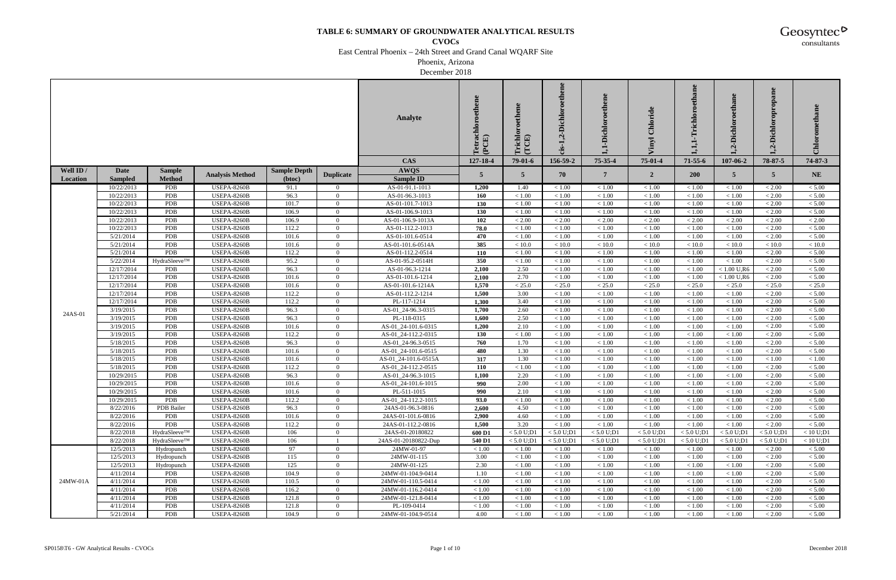**CVOCs**

East Central Phoenix – 24th Street and Grand Canal WQARF Site

Phoenix, Arizona

December 2018

|           |                        |               |                                          |                     |                            | <b>Analyte</b>                              | Tetrachloroethene<br>(PCE) | richlo<br>(TCE) | ,2-Dichloroethene<br>$25-$ | -Dichloroethen    | Chloride         | ethane<br>chlo   | $\omega$<br>Dichl.<br>$\dot{q}$ | Dichloropropane<br>Ų | Chlorometha      |
|-----------|------------------------|---------------|------------------------------------------|---------------------|----------------------------|---------------------------------------------|----------------------------|-----------------|----------------------------|-------------------|------------------|------------------|---------------------------------|----------------------|------------------|
|           |                        |               |                                          |                     |                            | <b>CAS</b>                                  | 127-18-4                   | 79-01-6         | 156-59-2                   | 75-35-4           | $75-01-4$        | $71 - 55 - 6$    | 107-06-2                        | 78-87-5              | 74-87-3          |
| Well ID / | Date                   | <b>Sample</b> | <b>Analysis Method</b>                   | <b>Sample Depth</b> | <b>Duplicate</b>           | <b>AWQS</b>                                 | $\overline{5}$             | $5^{\circ}$     | 70                         | $\overline{7}$    | $\overline{2}$   | <b>200</b>       | $5^{\circ}$                     | $5\overline{)}$      | <b>NE</b>        |
| Location  | <b>Sampled</b>         | <b>Method</b> |                                          | (btoc)              |                            | <b>Sample ID</b>                            |                            |                 |                            |                   |                  |                  |                                 |                      |                  |
|           | 10/22/2013             | PDB           | <b>USEPA-8260B</b>                       | 91.1                | $\overline{0}$             | AS-01-91.1-1013                             | 1,200                      | 1.40            | < 1.00                     | < 1.00            | < 1.00           | < 1.00           | < 1.00                          | < 2.00               | < 5.00           |
|           | 10/22/2013             | PDB           | <b>USEPA-8260B</b>                       | 96.3                | $\Omega$                   | AS-01-96.3-1013                             | 160                        | < 1.00          | < 1.00                     | < 1.00            | < 1.00           | < 1.00           | < 1.00                          | < 2.00               | $< 5.00$         |
|           | 10/22/2013             | PDB           | <b>USEPA-8260B</b>                       | 101.7               | $\overline{0}$             | AS-01-101.7-1013                            | $\overline{130}$           | < 1.00          | $<1.00$                    | < 1.00            | $<1.00$          | $<1.00\,$        | < 1.00                          | < 2.00               | $< 5.00\,$       |
|           | 10/22/2013             | PDB           | USEPA-8260B                              | 106.9               | $\overline{0}$             | AS-01-106.9-1013                            | 130                        | < 1.00          | < 1.00                     | $<1.00$           | < 1.00           | < 1.00           | < 1.00                          | < 2.00               | < 5.00           |
|           | 10/22/2013             | PDB           | <b>USEPA-8260B</b>                       | 106.9               | $\overline{0}$             | AS-01-106.9-1013A                           | $\frac{102}{ }$            | < 2.00          | $< 2.00\,$                 | < 2.00            | < 2.00           | < 2.00           | < 2.00                          | < 2.00               | ${}< 2.00$       |
|           | 10/22/2013             | PDB           | <b>USEPA-8260B</b>                       | 112.2               | $\overline{0}$             | AS-01-112.2-1013                            | 78.0                       | < 1.00          | < 1.00                     | $<1.00$           | $<1.00\,$        | < 1.00           | < 1.00                          | < 2.00               | < 5.00           |
|           | 5/21/2014              | PDB           | <b>USEPA-8260B</b>                       | 101.6               | $\overline{0}$             | AS-01-101.6-0514                            | 470                        | < 1.00          | < 1.00                     | < 1.00            | < 1.00           | < 1.00           | < 1.00                          | < 2.00               | < 5.00           |
|           | 5/21/2014              | PDB           | <b>USEPA-8260B</b>                       | 101.6               | $\overline{0}$             | AS-01-101.6-0514A                           | 385                        | < 10.0          | < 10.0                     | < 10.0            | < 10.0           | < 10.0           | < 10.0                          | < 10.0               | $<10.0$          |
|           | 5/21/2014              | PDB           | <b>USEPA-8260B</b>                       | 112.2               | $\overline{0}$             | AS-01-112.2-0514                            | <b>110</b>                 | < 1.00          | < 1.00                     | $<1.00$           | $<1.00\,$        | < 1.00           | < 1.00                          | < 2.00               | < 5.00           |
|           | 5/22/2014              | HydraSleeve™  | <b>USEPA-8260B</b>                       | 95.2                | $\overline{0}$             | AS-01-95.2-0514H                            | 350                        | < 1.00          | < 1.00                     | < 1.00            | $<1.00$          | < 1.00           | < 1.00                          | < 2.00               | < 5.00           |
|           | 12/17/2014             | PDB           | USEPA-8260B                              | 96.3                | $\Omega$                   | AS-01-96.3-1214                             | 2,100                      | 2.50            | < 1.00                     | $<1.00$           | $<1.00$          | < 1.00           | $< 1.00$ U,R $\theta$           | < 2.00               | < 5.00           |
|           | 12/17/2014             | PDB           | <b>USEPA-8260B</b>                       | 101.6               | $\overline{0}$             | AS-01-101.6-1214                            | 2,100                      | 2.70            | < 1.00                     | < 1.00            | < 1.00           | < 1.00           | $< 1.00$ U,R6                   | < 2.00               | < 5.00           |
|           | 12/17/2014             | PDB           | <b>USEPA-8260B</b>                       | 101.6               | $\overline{0}$             | AS-01-101.6-1214A                           | 1,570                      | $<25.0\,$       | $<25.0\,$                  | < 25.0            | $<25.0\,$        | $<25.0\,$        | $<25.0\,$                       | < 25.0               | < 25.0           |
|           | 12/17/2014             | PDB           | <b>USEPA-8260B</b>                       | 112.2               | $\overline{0}$             | AS-01-112.2-1214                            | 1,500                      | 3.00            | < 1.00                     | $<1.00$           | $<1.00\,$        | $<1.00\,$        | $<1.00$                         | < 2.00               | $< 5.00$         |
|           | 12/17/2014             | PDB           | USEPA-8260B                              | 112.2               | $\overline{0}$             | PL-117-1214                                 | 1,300                      | 3.40            | < 1.00                     | $<1.00$           | < 1.00           | < 1.00           | < 1.00                          | < 2.00               | < 5.00           |
| 24AS-01   | 3/19/2015              | PDB           | <b>USEPA-8260B</b>                       | 96.3                | $\overline{0}$             | AS-01_24-96.3-0315                          | 1,700                      | 2.60            | $<1.00\,$                  | $<1.00$           | $<1.00\,$        | < 1.00           | $<1.00$                         | < 2.00               | $< 5.00$         |
|           | 3/19/2015              | PDB           | <b>USEPA-8260B</b>                       | 96.3                | $\overline{0}$             | PL-118-0315                                 | 1,600                      | 2.50            | < 1.00                     | $<1.00\,$         | $<1.00\,$        | < 1.00           | < 1.00                          | < 2.00               | $< 5.00$         |
|           | 3/19/2015              | PDB           | <b>USEPA-8260B</b>                       | 101.6               | $\overline{0}$             | AS-01_24-101.6-0315                         | 1,200                      | 2.10            | < 1.00                     | $<1.00$           | $<1.00$          | < 1.00           | < 1.00                          | < 2.00               | < 5.00           |
|           | 3/19/2015              | PDB           | <b>USEPA-8260B</b>                       | 112.2               | $\overline{0}$             | AS-01_24-112.2-0315                         | 130                        | < 1.00          | < 1.00                     | < 1.00            | < 1.00           | < 1.00           | < 1.00                          | < 2.00               | < 5.00           |
|           | 5/18/2015              | PDB           | <b>USEPA-8260B</b>                       | 96.3                | $\overline{0}$             | AS-01_24-96.3-0515                          | 760<br>480                 | 1.70            | $<1.00\,$                  | $<1.00$           | $<1.00\,$        | < 1.00           | $<1.00$                         | $< 2.00\,$           | < 5.00           |
|           | 5/18/2015              | PDB           | <b>USEPA-8260B</b>                       | 101.6               | $\overline{0}$<br>$\Omega$ | AS-01_24-101.6-0515                         |                            | 1.30            | < 1.00                     | < 1.00            | < 1.00           | < 1.00<br>< 1.00 | < 1.00                          | < 2.00               | $< 5.00$         |
|           | 5/18/2015<br>5/18/2015 | PDB<br>PDB    | <b>USEPA-8260B</b><br><b>USEPA-8260B</b> | 101.6<br>112.2      | $\Omega$                   | AS-01_24-101.6-0515A<br>AS-01_24-112.2-0515 | 317<br>110                 | 1.30<br>< 1.00  | < 1.00<br>< 1.00           | $<1.00$<br>< 1.00 | < 1.00<br>< 1.00 | < 1.00           | < 1.00<br>< 1.00                | < 1.00<br>< 2.00     | < 1.00<br>< 5.00 |
|           | 10/29/2015             | PDB           | <b>USEPA-8260B</b>                       | 96.3                | $\overline{0}$             |                                             | 1,100                      | 2.20            | < 1.00                     | $<1.00$           | < 1.00           | < 1.00           | < 1.00                          | < 2.00               | < 5.00           |
|           | 10/29/2015             | <b>PDB</b>    | USEPA-8260B                              | 101.6               | $\overline{0}$             | AS-01_24-96.3-1015<br>AS-01_24-101.6-1015   | 990                        | 2.00            | < 1.00                     | < 1.00            | < 1.00           | < 1.00           | < 1.00                          | < 2.00               | < 5.00           |
|           | 10/29/2015             | PDB           | USEPA-8260B                              | 101.6               | $\overline{0}$             | PL-511-1015                                 | 990                        | 2.10            | < 1.00                     | < 1.00            | $<1.00\,$        | < 1.00           | < 1.00                          | < 2.00               | < 5.00           |
|           | 10/29/2015             | <b>PDB</b>    | USEPA-8260B                              | 112.2               | $\Omega$                   | AS-01 24-112.2-1015                         | 93.0                       | < 1.00          | < 1.00                     | < 1.00            | < 1.00           | < 1.00           | < 1.00                          | < 2.00               | $< 5.00$         |
|           | 8/22/2016              | PDB Bailer    | USEPA-8260B                              | 96.3                | $\theta$                   | 24AS-01-96.3-0816                           | 2,600                      | 4.50            | < 1.00                     | < 1.00            | < 1.00           | < 1.00           | < 1.00                          | < 2.00               | < 5.00           |
|           | 8/22/2016              | PDB           | <b>USEPA-8260B</b>                       | 101.6               | $\Omega$                   | 24AS-01-101.6-0816                          | 2,900                      | 4.60            | < 1.00                     | < 1.00            | < 1.00           | < 1.00           | < 1.00                          | < 2.00               | < 5.00           |
|           | 8/22/2016              | <b>PDB</b>    | <b>USEPA-8260B</b>                       | 112.2               | $\overline{0}$             | 24AS-01-112.2-0816                          | 1,500                      | 3.20            | < 1.00                     | < 1.00            | < 1.00           | < 1.00           | < 1.00                          | < 2.00               | < 5.00           |
|           | 8/22/2018              | HydraSleeve™  | <b>USEPA-8260B</b>                       | 106                 | $\overline{0}$             | 24AS-01-20180822                            | 600 D1                     | < 5.0 U; D1     | < 5.0 U; D1                | < 5.0 U; D1       | < 5.0 U; D1      | < 5.0 U; D1      | < 5.0 U; D1                     | < 5.0 U; D1          | < 10 U; D1       |
|           | 8/22/2018              | HydraSleeve™  | <b>USEPA-8260B</b>                       | 106                 |                            | 24AS-01-20180822-Dup                        | 540 D1                     | < 5.0 U;D1      | < 5.0 U; D1                | < 5.0 U; D1       | < 5.0 U; D1      | < 5.0 U; D1      | < 5.0 U; D1                     | < 5.0 U; D1          | < 10 U; D1       |
|           | 12/5/2013              | Hydropunch    | <b>USEPA-8260B</b>                       | 97                  | $\overline{0}$             | 24MW-01-97                                  | < 1.00                     | < 1.00          | < 1.00                     | < 1.00            | < 1.00           | < 1.00           | < 1.00                          | < 2.00               | < 5.00           |
|           | 12/5/2013              | Hydropunch    | <b>USEPA-8260B</b>                       | 115                 | $\overline{0}$             | 24MW-01-115                                 | 3.00                       | < 1.00          | < 1.00                     | $<1.00$           | < 1.00           | < 1.00           | < 1.00                          | < 2.00               | < 5.00           |
|           | 12/5/2013              | Hydropunch    | <b>USEPA-8260B</b>                       | 125                 | $\overline{0}$             | 24MW-01-125                                 | 2.30                       | < 1.00          | < 1.00                     | < 1.00            | < 1.00           | < 1.00           | < 1.00                          | < 2.00               | < 5.00           |
|           | 4/11/2014              | <b>PDB</b>    | <b>USEPA-8260B</b>                       | 104.9               | $\overline{0}$             | 24MW-01-104.9-0414                          | 1.10                       | < 1.00          | < 1.00                     | < 1.00            | < 1.00           | < 1.00           | < 1.00                          | < 2.00               | < 5.00           |
| 24MW-01A  | 4/11/2014              | PDB           | <b>USEPA-8260B</b>                       | 110.5               | $\overline{0}$             | 24MW-01-110.5-0414                          | < 1.00                     | < 1.00          | < 1.00                     | $<1.00\,$         | < 1.00           | < 1.00           | < 1.00                          | $< 2.00$             | < 5.00           |
|           | 4/11/2014              | PDB           | <b>USEPA-8260B</b>                       | 116.2               | $\overline{0}$             | 24MW-01-116.2-0414                          | < 1.00                     | < 1.00          | < 1.00                     | < 1.00            | < 1.00           | < 1.00           | < 1.00                          | < 2.00               | < 5.00           |
|           | 4/11/2014              | PDB           | <b>USEPA-8260B</b>                       | 121.8               | $\overline{0}$             | 24MW-01-121.8-0414                          | < 1.00                     | < 1.00          | < 1.00                     | < 1.00            | < 1.00           | < 1.00           | < 1.00                          | < 2.00               | < 5.00           |
|           | 4/11/2014              | PDB           | <b>USEPA-8260B</b>                       | 121.8               | $\overline{0}$             | PL-109-0414                                 | < 1.00                     | < 1.00          | < 1.00                     | $<1.00$           | < 1.00           | < 1.00           | < 1.00                          | < 2.00               | < 5.00           |
|           | 5/21/2014              | <b>PDB</b>    | <b>USEPA-8260B</b>                       | 104.9               | $\overline{0}$             | 24MW-01-104.9-0514                          | 4.00                       | $<1.00$         | < 1.00                     | $<1.00$           | $<1.00\,$        | < 1.00           | < 1.00                          | < 2.00               | < 5.00           |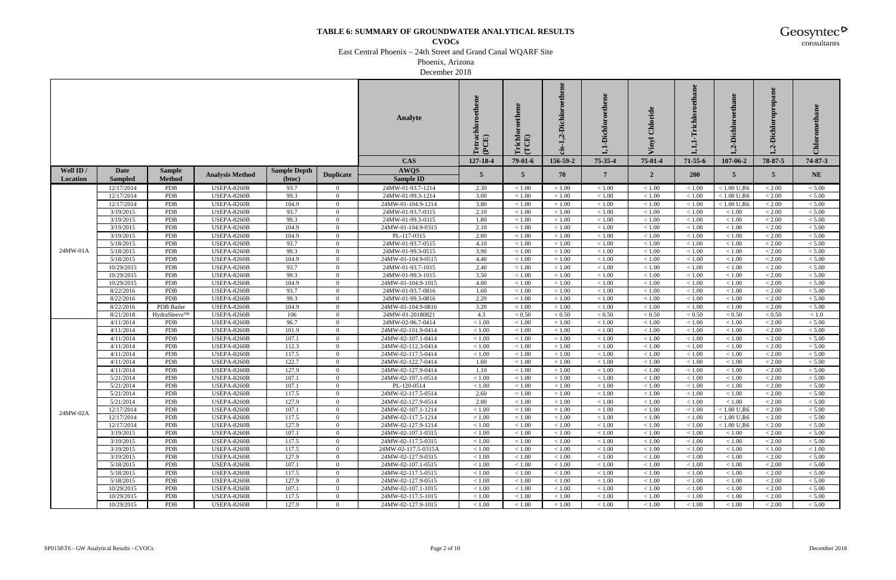**CVOCs**

East Central Phoenix – 24th Street and Grand Canal WQARF Site

Phoenix, Arizona

December 2018

|           |                |               |                        |                     |                  | Analyte             | oroethene<br>Tetrachl<br>(PCE) | richlo<br>(TCE) | -Dichloroethene<br>ઌ<br>is- | -Dichloroethen | Chloride       | thane<br>richlo | Dichl.<br>$\mathbf{\mathsf{N}}$ | Dichloropropane<br>નું | Chlorometha |
|-----------|----------------|---------------|------------------------|---------------------|------------------|---------------------|--------------------------------|-----------------|-----------------------------|----------------|----------------|-----------------|---------------------------------|------------------------|-------------|
|           |                |               |                        |                     |                  | <b>CAS</b>          | 127-18-4                       | 79-01-6         | 156-59-2                    | 75-35-4        | 75-01-4        | $71 - 55 - 6$   | 107-06-2                        | 78-87-5                | 74-87-3     |
| Well ID / | Date           | <b>Sample</b> | <b>Analysis Method</b> | <b>Sample Depth</b> |                  | <b>AWQS</b>         | 5                              | $5^{\circ}$     | 70                          | $\overline{7}$ |                | <b>200</b>      | $5^{\circ}$                     | $\overline{5}$         | <b>NE</b>   |
| Location  | <b>Sampled</b> | <b>Method</b> |                        | (btoc)              | <b>Duplicate</b> | <b>Sample ID</b>    |                                |                 |                             |                | $\overline{2}$ |                 |                                 |                        |             |
|           | 12/17/2014     | PDB           | <b>USEPA-8260B</b>     | 93.7                | $\overline{0}$   | 24MW-01-93.7-1214   | 2.30                           | < 1.00          | < 1.00                      | < 1.00         | < 1.00         | < 1.00          | $< 1.00$ U,R6                   | < 2.00                 | < 5.00      |
|           | 12/17/2014     | PDB           | USEPA-8260B            | 99.3                | $\Omega$         | 24MW-01-99.3-1214   | 3.00                           | < 1.00          | < 1.00                      | < 1.00         | < 1.00         | < 1.00          | $< 1.00$ U,R6                   | < 2.00                 | < 5.00      |
|           | 12/17/2014     | PDB           | <b>USEPA-8260B</b>     | 104.9               | $\overline{0}$   | 24MW-01-104.9-1214  | 3.80                           | < 1.00          | < 1.00                      | < 1.00         | < 1.00         | < 1.00          | $< 1.00$ U,R6                   | < 2.00                 | < 5.00      |
|           | 3/19/2015      | PDB           | USEPA-8260B            | 93.7                | $\overline{0}$   | 24MW-01-93.7-0315   | 2.10                           | < 1.00          | < 1.00                      | < 1.00         | < 1.00         | < 1.00          | < 1.00                          | < 2.00                 | < 5.00      |
|           | 3/19/2015      | PDB           | <b>USEPA-8260B</b>     | 99.3                | $\overline{0}$   | 24MW-01-99.3-0315   | 1.80                           | < 1.00          | < 1.00                      | < 1.00         | < 1.00         | < 1.00          | $<1.00\,$                       | < 2.00                 | < 5.00      |
|           | 3/19/2015      | PDB           | <b>USEPA-8260B</b>     | 104.9               | $\overline{0}$   | 24MW-01-104.9-0315  | 2.10                           | < 1.00          | < 1.00                      | < 1.00         | < 1.00         | < 1.00          | < 1.00                          | < 2.00                 | $< 5.00$    |
|           | 3/19/2015      | <b>PDB</b>    | <b>USEPA-8260B</b>     | 104.9               | $\Omega$         | PL-117-0315         | 2.00                           | < 1.00          | < 1.00                      | < 1.00         | < 1.00         | < 1.00          | < 1.00                          | < 2.00                 | < 5.00      |
|           | 5/18/2015      | PDB           | <b>USEPA-8260B</b>     | 93.7                | $\overline{0}$   | 24MW-01-93.7-0515   | 4.10                           | < 1.00          | < 1.00                      | < 1.00         | < 1.00         | < 1.00          | < 1.00                          | < 2.00                 | < 5.00      |
| 24MW-01A  | 5/18/2015      | PDB           | <b>USEPA-8260B</b>     | 99.3                | $\overline{0}$   | 24MW-01-99.3-0515   | 3.90                           | < 1.00          | < 1.00                      | < 1.00         | < 1.00         | < 1.00          | < 1.00                          | < 2.00                 | < 5.00      |
|           | 5/18/2015      | PDB           | <b>USEPA-8260B</b>     | 104.9               | $\Omega$         | 24MW-01-104.9-0515  | 4.40                           | < 1.00          | < 1.00                      | < 1.00         | < 1.00         | < 1.00          | < 1.00                          | < 2.00                 | < 5.00      |
|           | 10/29/2015     | PDB           | USEPA-8260B            | 93.7                | $\overline{0}$   | 24MW-01-93.7-1015   | 2.40                           | < 1.00          | < 1.00                      | < 1.00         | < 1.00         | < 1.00          | < 1.00                          | < 2.00                 | $< 5.00$    |
|           | 10/29/2015     | <b>PDB</b>    | USEPA-8260B            | 99.3                | $\Omega$         | 24MW-01-99.3-1015   | 3.50                           | < 1.00          | < 1.00                      | < 1.00         | < 1.00         | < 1.00          | < 1.00                          | < 2.00                 | < 5.00      |
|           | 10/29/2015     | PDB           | <b>USEPA-8260B</b>     | 104.9               | $\Omega$         | 24MW-01-104.9-1015  | 4.00                           | < 1.00          | $<1.00\,$                   | $<1.00\,$      | $<1.00\,$      | < 1.00          | < 1.00                          | $< 2.00$               | $< 5.00$    |
|           | 8/22/2016      | PDB           | USEPA-8260B            | 93.7                | $\overline{0}$   | 24MW-01-93.7-0816   | 1.60                           | < 1.00          | < 1.00                      | < 1.00         | < 1.00         | < 1.00          | < 1.00                          | < 2.00                 | < 5.00      |
|           | 8/22/2016      | PDB           | <b>USEPA-8260B</b>     | 99.3                | $\overline{0}$   | 24MW-01-99.3-0816   | 2.20                           | < 1.00          | < 1.00                      | < 1.00         | $<1.00\,$      | < 1.00          | < 1.00                          | $< 2.00$               | < 5.00      |
|           | 8/22/2016      | PDB Bailer    | <b>USEPA-8260B</b>     | 104.9               | $\overline{0}$   | 24MW-01-104.9-0816  | 3.20                           | < 1.00          | < 1.00                      | < 1.00         | < 1.00         | < 1.00          | < 1.00                          | < 2.00                 | < 5.00      |
|           | 8/21/2018      | HydraSleeve™  | <b>USEPA-8260B</b>     | 106                 | $\Omega$         | 24MW-01-20180821    | 4.3                            | < 0.50          | < 0.50                      | < 0.50         | < 0.50         | < 0.50          | < 0.50                          | < 0.50                 | < 1.0       |
|           | 4/11/2014      | <b>PDB</b>    | <b>USEPA-8260B</b>     | 96.7                | $\Omega$         | 24MW-02-96.7-0414   | < 1.00                         | < 1.00          | < 1.00                      | $<1.00\,$      | $<1.00\,$      | < 1.00          | < 1.00                          | < 2.00                 | < 5.00      |
|           | 4/11/2014      | PDB           | USEPA-8260B            | 101.9               | $\overline{0}$   | 24MW-02-101.9-0414  | < 1.00                         | < 1.00          | < 1.00                      | < 1.00         | < 1.00         | < 1.00          | < 1.00                          | < 2.00                 | < 5.00      |
|           | 4/11/2014      | PDB           | <b>USEPA-8260B</b>     | 107.1               | $\Omega$         | 24MW-02-107.1-0414  | < 1.00                         | < 1.00          | < 1.00                      | $<1.00$        | < 1.00         | < 1.00          | < 1.00                          | < 2.00                 | < 5.00      |
|           | 4/11/2014      | PDB           | <b>USEPA-8260B</b>     | 112.3               | $\overline{0}$   | 24MW-02-112.3-0414  | < 1.00                         | < 1.00          | < 1.00                      | < 1.00         | < 1.00         | < 1.00          | < 1.00                          | < 2.00                 | $< 5.00$    |
|           | 4/11/2014      | PDB           | <b>USEPA-8260B</b>     | 117.5               | $\Omega$         | 24MW-02-117.5-0414  | < 1.00                         | < 1.00          | < 1.00                      | < 1.00         | < 1.00         | < 1.00          | < 1.00                          | < 2.00                 | < 5.00      |
|           | 4/11/2014      | PDB           | <b>USEPA-8260B</b>     | 122.7               | $\Omega$         | 24MW-02-122.7-0414  | 1.60                           | < 1.00          | $<1.00\,$                   | $<1.00\,$      | $<1.00\,$      | < 1.00          | < 1.00                          | $< 2.00$               | $< 5.00$    |
|           | 4/11/2014      | PDB           | <b>USEPA-8260B</b>     | 127.9               | $\overline{0}$   | 24MW-02-127.9-0414  | 1.10                           | < 1.00          | < 1.00                      | < 1.00         | < 1.00         | < 1.00          | < 1.00                          | < 2.00                 | < 5.00      |
|           | 5/21/2014      | PDB           | <b>USEPA-8260B</b>     | 107.1               | $\overline{0}$   | 24MW-02-107.1-0514  | < 1.00                         | < 1.00          | $<1.00\,$                   | $<1.00$        | $<1.00$        | < 1.00          | $<1.00\,$                       | $< 2.00\,$             | < 5.00      |
|           | 5/21/2014      | PDB           | <b>USEPA-8260B</b>     | 107.1               | $\overline{0}$   | PL-120-0514         | < 1.00                         | < 1.00          | < 1.00                      | < 1.00         | < 1.00         | < 1.00          | < 1.00                          | < 2.00                 | $< 5.00$    |
|           | 5/21/2014      | PDB           | USEPA-8260B            | 117.5               | $\Omega$         | 24MW-02-117.5-0514  | 2.60                           | < 1.00          | < 1.00                      | < 1.00         | < 1.00         | < 1.00          | < 1.00                          | < 2.00                 | < 5.00      |
|           | 5/21/2014      | <b>PDB</b>    | <b>USEPA-8260B</b>     | 127.9               | $\Omega$         | 24MW-02-127.9-0514  | 2.00                           | < 1.00          | < 1.00                      | < 1.00         | < 1.00         | < 1.00          | < 1.00                          | < 2.00                 | < 5.00      |
| 24MW-02A  | 12/17/2014     | PDB           | <b>USEPA-8260B</b>     | 107.1               | $\overline{0}$   | 24MW-02-107.1-1214  | < 1.00                         | < 1.00          | < 1.00                      | < 1.00         | < 1.00         | < 1.00          | $< 1.00$ U,R6                   | < 2.00                 | < 5.00      |
|           | 12/17/2014     | PDB           | <b>USEPA-8260B</b>     | 117.5               | $\overline{0}$   | 24MW-02-117.5-1214  | < 1.00                         | < 1.00          | < 1.00                      | < 1.00         | < 1.00         | < 1.00          | $< 1.00$ U,R6                   | < 2.00                 | < 5.00      |
|           | 12/17/2014     | PDB           | <b>USEPA-8260B</b>     | 127.9               | $\overline{0}$   | 24MW-02-127.9-1214  | < 1.00                         | < 1.00          | < 1.00                      | < 1.00         | < 1.00         | < 1.00          | $< 1.00$ U,R6                   | < 2.00                 | < 5.00      |
|           | 3/19/2015      | PDB           | <b>USEPA-8260B</b>     | 107.1               | $\overline{0}$   | 24MW-02-107.1-0315  | < 1.00                         | < 1.00          | < 1.00                      | < 1.00         | < 1.00         | < 1.00          | < 1.00                          | < 2.00                 | < 5.00      |
|           | 3/19/2015      | PDB           | <b>USEPA-8260B</b>     | 117.5               | $\Omega$         | 24MW-02-117.5-0315  | < 1.00                         | < 1.00          | < 1.00                      | < 1.00         | < 1.00         | < 1.00          | < 1.00                          | < 2.00                 | < 5.00      |
|           | 3/19/2015      | PDB           | <b>USEPA-8260B</b>     | 117.5               | $\overline{0}$   | 24MW-02-117.5-0315A | < 1.00                         | < 1.00          | < 1.00                      | < 1.00         | < 1.00         | < 1.00          | < 1.00                          | < 1.00                 | < 1.00      |
|           | 3/19/2015      | PDB           | <b>USEPA-8260B</b>     | 127.9               | $\overline{0}$   | 24MW-02-127.9-0315  | < 1.00                         | < 1.00          | < 1.00                      | $<1.00$        | < 1.00         | < 1.00          | < 1.00                          | < 2.00                 | < 5.00      |
|           | 5/18/2015      | PDB           | <b>USEPA-8260B</b>     | 107.1               | $\overline{0}$   | 24MW-02-107.1-0515  | < 1.00                         | < 1.00          | < 1.00                      | < 1.00         | < 1.00         | < 1.00          | < 1.00                          | < 2.00                 | < 5.00      |
|           | 5/18/2015      | PDB           | <b>USEPA-8260B</b>     | 117.5               | $\overline{0}$   | 24MW-02-117.5-0515  | < 1.00                         | < 1.00          | < 1.00                      | < 1.00         | < 1.00         | < 1.00          | < 1.00                          | < 2.00                 | < 5.00      |
|           | 5/18/2015      | PDB           | <b>USEPA-8260B</b>     | 127.9               | $\overline{0}$   | 24MW-02-127.9-0515  | < 1.00                         | < 1.00          | < 1.00                      | < 1.00         | < 1.00         | < 1.00          | < 1.00                          | < 2.00                 | < 5.00      |
|           | 10/29/2015     | PDB           | <b>USEPA-8260B</b>     | 107.1               | $\overline{0}$   | 24MW-02-107.1-1015  | < 1.00                         | < 1.00          | < 1.00                      | < 1.00         | < 1.00         | < 1.00          | < 1.00                          | < 2.00                 | < 5.00      |
|           | 10/29/2015     | PDB           | <b>USEPA-8260B</b>     | 117.5               | $\mathbf{0}$     | 24MW-02-117.5-1015  | < 1.00                         | < 1.00          | < 1.00                      | < 1.00         | < 1.00         | < 1.00          | < 1.00                          | < 2.00                 | $< 5.00$    |
|           | 10/29/2015     | PDB           | <b>USEPA-8260B</b>     | 127.9               | $\overline{0}$   | 24MW-02-127.9-1015  | < 1.00                         | < 1.00          | < 1.00                      | < 1.00         | < 1.00         | < 1.00          | < 1.00                          | < 2.00                 | < 5.00      |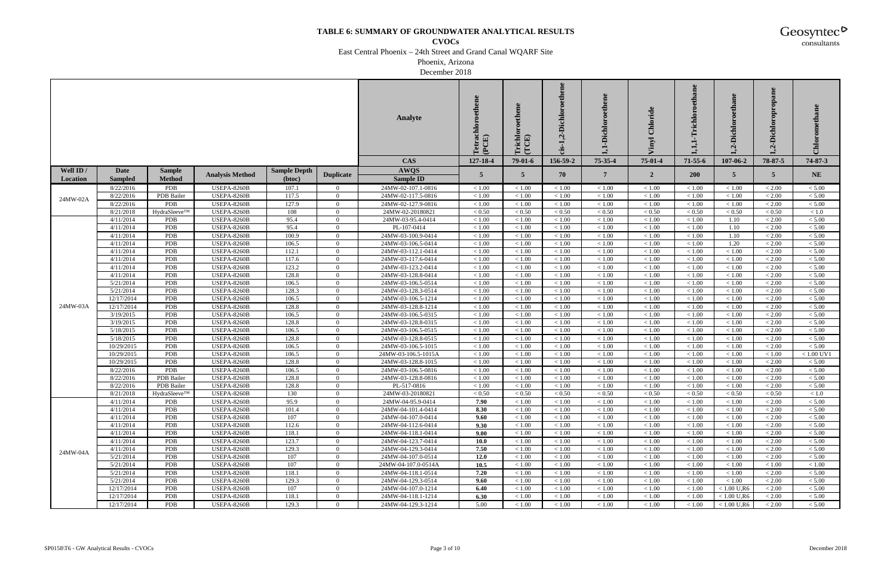**CVOCs**

East Central Phoenix – 24th Street and Grand Canal WQARF Site

Phoenix, Arizona

December 2018

|           |                        |                   |                                   |                     |                            | Analyte                                  | Tetrachloroethene<br>(PCE) | richlo<br>(TCE)  | -Dichloroethene<br>ળું<br>ūs- | $\bullet$<br>-Dichloroethen |                     | thane<br>richl   | Dichl<br>Ń       | opropane<br><b>Dichlor</b><br>ઌં | Chlorometha      |
|-----------|------------------------|-------------------|-----------------------------------|---------------------|----------------------------|------------------------------------------|----------------------------|------------------|-------------------------------|-----------------------------|---------------------|------------------|------------------|----------------------------------|------------------|
|           |                        |                   |                                   |                     |                            | <b>CAS</b>                               | 127-18-4                   | $79-01-6$        | 156-59-2                      | 75-35-4                     | 75-01-4             | $71 - 55 - 6$    | 107-06-2         | 78-87-5                          | 74-87-3          |
| Well ID / | Date                   | <b>Sample</b>     |                                   | <b>Sample Depth</b> |                            | <b>AWQS</b>                              | 5                          | $5^{\circ}$      | 70                            | $\overline{7}$              |                     | <b>200</b>       | $5^{\circ}$      | $\overline{5}$                   | <b>NE</b>        |
| Location  | <b>Sampled</b>         | <b>Method</b>     | <b>Analysis Method</b>            | (btoc)              | <b>Duplicate</b>           | Sample ID                                |                            |                  |                               |                             | $\overline{2}$      |                  |                  |                                  |                  |
|           | 8/22/2016              | PDB               | <b>USEPA-8260B</b>                | 107.1               | $\overline{0}$             | 24MW-02-107.1-0816                       | < 1.00                     | < 1.00           | < 1.00                        | < 1.00                      | < 1.00              | < 1.00           | < 1.00           | < 2.00                           | < 5.00           |
| 24MW-02A  | 8/22/2016              | PDB Bailer        | USEPA-8260B                       | 117.5               | $\Omega$                   | 24MW-02-117.5-0816                       | < 1.00                     | < 1.00           | < 1.00                        | < 1.00                      | < 1.00              | < 1.00           | < 1.00           | < 2.00                           | < 5.00           |
|           | 8/22/2016              | PDB               | <b>USEPA-8260B</b>                | 127.9               | $\overline{0}$             | 24MW-02-127.9-0816                       | < 1.00                     | < 1.00           | < 1.00                        | < 1.00                      | < 1.00              | < 1.00           | < 1.00           | < 2.00                           | < 5.00           |
|           | 8/21/2018              | HydraSleeve™      | USEPA-8260B                       | 108                 | $\overline{0}$             | 24MW-02-20180821                         | ${}< 0.50$                 | ${}< 0.50$       | < 0.50                        | ${}< 0.50$                  | ${}_{< 0.50}$       | ${}< 0.50$       | < 0.50           | < 0.50                           | < 1.0            |
|           | 4/11/2014              | <b>PDB</b>        | <b>USEPA-8260B</b>                | 95.4                | $\overline{0}$             | 24MW-03-95.4-0414                        | < 1.00                     | < 1.00           | < 1.00                        | < 1.00                      | < 1.00              | < 1.00           | 1.10             | < 2.00                           | < 5.00           |
|           | 4/11/2014              | PDB               | USEPA-8260B                       | 95.4                | $\overline{0}$             | PL-107-0414                              | < 1.00                     | < 1.00           | < 1.00                        | < 1.00                      | < 1.00              | < 1.00           | 1.10             | < 2.00                           | $< 5.00$         |
|           | 4/11/2014              | PDB               | USEPA-8260B                       | 100.9               | $\Omega$                   | 24MW-03-100.9-0414                       | < 1.00                     | < 1.00           | < 1.00                        | < 1.00                      | < 1.00              | < 1.00           | 1.10             | < 2.00                           | < 5.00           |
|           | 4/11/2014              | PDB               | <b>USEPA-8260B</b>                | 106.5               | $\overline{0}$             | 24MW-03-106.5-0414                       | < 1.00                     | < 1.00           | < 1.00                        | < 1.00                      | < 1.00              | < 1.00           | 1.20             | < 2.00                           | < 5.00           |
|           | 4/11/2014              | PDB               | USEPA-8260B                       | 112.1               | $\Omega$                   | 24MW-03-112.1-0414                       | < 1.00                     | < 1.00           | < 1.00                        | < 1.00                      | < 1.00              | < 1.00           | < 1.00           | < 2.00                           | < 5.00           |
|           | 4/11/2014              | PDB               | <b>USEPA-8260B</b>                | 117.6               | $\overline{0}$             | 24MW-03-117.6-0414                       | < 1.00                     | < 1.00           | < 1.00                        | < 1.00                      | < 1.00              | < 1.00           | < 1.00           | < 2.00                           | < 5.00           |
|           | 4/11/2014              | PDB               | USEPA-8260B                       | 123.2               | $\overline{0}$             | 24MW-03-123.2-0414                       | < 1.00                     | < 1.00           | < 1.00                        | < 1.00                      | < 1.00              | < 1.00           | < 1.00           | < 2.00                           | $< 5.00$         |
|           | 4/11/2014              | PDB               | USEPA-8260B                       | 128.8               | $\Omega$                   | 24MW-03-128.8-0414                       | < 1.00                     | < 1.00           | < 1.00                        | $<1.00$                     | < 1.00              | < 1.00           | < 1.00           | < 2.00                           | < 5.00           |
|           | 5/21/2014              | PDB               | <b>USEPA-8260B</b>                | 106.5               | $\theta$                   | 24MW-03-106.5-0514                       | < 1.00                     | < 1.00           | $<1.00\,$                     | $<1.00\,$                   | $<1.00\,$           | < 1.00           | < 1.00           | < 2.00                           | $< 5.00$         |
|           | 5/21/2014              | PDB               | USEPA-8260B                       | 128.3               | $\overline{0}$             | 24MW-03-128.3-0514                       | < 1.00                     | < 1.00           | < 1.00                        | < 1.00                      | < 1.00              | < 1.00           | < 1.00           | < 2.00                           | < 5.00           |
|           | 12/17/2014             | PDB               | <b>USEPA-8260B</b>                | 106.5               | $\overline{0}$             | 24MW-03-106.5-1214                       | < 1.00                     | < 1.00           | < 1.00                        | < 1.00                      | < 1.00              | < 1.00           | < 1.00           | < 2.00                           | < 5.00           |
| 24MW-03A  | 12/17/2014             | PDB<br>PDB        | <b>USEPA-8260B</b>                | 128.8               | $\overline{0}$<br>$\Omega$ | 24MW-03-128.8-1214                       | < 1.00                     | < 1.00           | < 1.00                        | < 1.00                      | < 1.00              | < 1.00           | < 1.00           | < 2.00                           | < 5.00           |
|           | 3/19/2015<br>3/19/2015 | PDB               | USEPA-8260B<br><b>USEPA-8260B</b> | 106.5<br>128.8      | $\theta$                   | 24MW-03-106.5-0315<br>24MW-03-128.8-0315 | < 1.00<br>< 1.00           | < 1.00<br>< 1.00 | < 1.00<br>< 1.00              | $<1.00$<br>$<1.00\,$        | < 1.00<br>$<1.00\,$ | < 1.00<br>< 1.00 | < 1.00<br>< 1.00 | < 2.00<br>< 2.00                 | < 5.00<br>< 5.00 |
|           | 5/18/2015              | PDB               | USEPA-8260B                       | 106.5               | $\overline{0}$             | 24MW-03-106.5-0515                       | < 1.00                     | < 1.00           | < 1.00                        | < 1.00                      | < 1.00              | < 1.00           | < 1.00           | < 2.00                           | < 5.00           |
|           | 5/18/2015              | PDB               | <b>USEPA-8260B</b>                | 128.8               | $\overline{0}$             | 24MW-03-128.8-0515                       | < 1.00                     | < 1.00           | < 1.00                        | $<1.00$                     | $<1.00\,$           | < 1.00           | $<1.00$          | $< 2.00\,$                       | < 5.00           |
|           | 10/29/2015             | PDB               | <b>USEPA-8260B</b>                | 106.5               | $\overline{0}$             | 24MW-03-106.5-1015                       | < 1.00                     | < 1.00           | < 1.00                        | < 1.00                      | < 1.00              | < 1.00           | < 1.00           | < 2.00                           | $< 5.00\,$       |
|           | 10/29/2015             | PDB               | <b>USEPA-8260B</b>                | 106.5               | $\Omega$                   | 24MW-03-106.5-1015A                      | < 1.00                     | < 1.00           | < 1.00                        | $<1.00$                     | < 1.00              | < 1.00           | < 1.00           | < 1.00                           | $< 1.00$ UV1     |
|           | 10/29/2015             | PDB               | <b>USEPA-8260B</b>                | 128.8               | $\theta$                   | 24MW-03-128.8-1015                       | < 1.00                     | < 1.00           | $<1.00\,$                     | $<1.00\,$                   | $<1.00\,$           | < 1.00           | < 1.00           | < 2.00                           | < 5.00           |
|           | 8/22/2016              | PDB               | <b>USEPA-8260B</b>                | 106.5               | $\overline{0}$             | 24MW-03-106.5-0816                       | < 1.00                     | < 1.00           | < 1.00                        | < 1.00                      | < 1.00              | < 1.00           | < 1.00           | < 2.00                           | < 5.00           |
|           | 8/22/2016              | <b>PDB</b> Bailer | <b>USEPA-8260B</b>                | 128.8               | $\overline{0}$             | 24MW-03-128.8-0816                       | < 1.00                     | < 1.00           | $<1.00\,$                     | $<1.00$                     | $<1.00\,$           | < 1.00           | $<1.00$          | $< 2.00\,$                       | < 5.00           |
|           | 8/22/2016              | PDB Bailer        | <b>USEPA-8260B</b>                | 128.8               | $\overline{0}$             | PL-517-0816                              | < 1.00                     | < 1.00           | < 1.00                        | < 1.00                      | < 1.00              | < 1.00           | < 1.00           | < 2.00                           | < 5.00           |
|           | 8/21/2018              | HydraSleeve™      | USEPA-8260B                       | 130                 | $\overline{0}$             | 24MW-03-20180821                         | < 0.50                     | < 0.50           | < 0.50                        | < 0.50                      | < 0.50              | < 0.50           | < 0.50           | < 0.50                           | < 1.0            |
|           | 4/11/2014              | <b>PDB</b>        | <b>USEPA-8260B</b>                | 95.9                | $\Omega$                   | 24MW-04-95.9-0414                        | 7.90                       | < 1.00           | < 1.00                        | < 1.00                      | < 1.00              | < 1.00           | < 1.00           | < 2.00                           | < 5.00           |
|           | 4/11/2014              | <b>PDB</b>        | USEPA-8260B                       | 101.4               | $\mathbf{0}$               | 24MW-04-101.4-0414                       | 8.30                       | < 1.00           | < 1.00                        | < 1.00                      | < 1.00              | < 1.00           | < 1.00           | < 2.00                           | < 5.00           |
|           | 4/11/2014              | PDB               | <b>USEPA-8260B</b>                | 107                 | $\overline{0}$             | 24MW-04-107.0-0414                       | 9.60                       | < 1.00           | < 1.00                        | < 1.00                      | < 1.00              | < 1.00           | < 1.00           | < 2.00                           | < 5.00           |
|           | 4/11/2014              | <b>PDB</b>        | <b>USEPA-8260B</b>                | 112.6               | $\overline{0}$             | 24MW-04-112.6-0414                       | 9.30                       | < 1.00           | < 1.00                        | < 1.00                      | < 1.00              | < 1.00           | < 1.00           | < 2.00                           | < 5.00           |
|           | 4/11/2014              | PDB               | <b>USEPA-8260B</b>                | 118.1               | $\overline{0}$             | 24MW-04-118.1-0414                       | 9.00                       | < 1.00           | < 1.00                        | < 1.00                      | < 1.00              | < 1.00           | < 1.00           | < 2.00                           | < 5.00           |
|           | 4/11/2014              | PDB               | <b>USEPA-8260B</b>                | 123.7               | $\theta$                   | 24MW-04-123.7-0414                       | 10.0                       | < 1.00           | < 1.00                        | < 1.00                      | < 1.00              | < 1.00           | < 1.00           | < 2.00                           | < 5.00           |
| 24MW-04A  | 4/11/2014              | <b>PDB</b>        | <b>USEPA-8260B</b>                | 129.3               | $\overline{0}$             | 24MW-04-129.3-0414                       | 7.50                       | < 1.00           | < 1.00                        | < 1.00                      | < 1.00              | < 1.00           | < 1.00           | < 2.00                           | < 5.00           |
|           | 5/21/2014              | PDB               | <b>USEPA-8260B</b>                | 107                 | $\overline{0}$             | 24MW-04-107.0-0514                       | 12.0                       | < 1.00           | < 1.00                        | < 1.00                      | < 1.00              | < 1.00           | < 1.00           | $< 2.00$                         | < 5.00           |
|           | 5/21/2014              | <b>PDB</b>        | <b>USEPA-8260B</b>                | 107                 | $\overline{0}$             | 24MW-04-107.0-0514A                      | 10.5                       | < 1.00           | < 1.00                        | < 1.00                      | < 1.00              | < 1.00           | < 1.00           | < 1.00                           | < 1.00           |
|           | 5/21/2014              | PDB               | <b>USEPA-8260B</b>                | 118.1               | $\overline{0}$             | 24MW-04-118.1-0514                       | 7.20                       | < 1.00           | < 1.00                        | < 1.00                      | < 1.00              | < 1.00           | < 1.00           | < 2.00                           | < 5.00           |
|           | 5/21/2014              | PDB               | <b>USEPA-8260B</b>                | 129.3               | $\theta$                   | 24MW-04-129.3-0514                       | 9.60                       | < 1.00           | < 1.00                        | $<1.00\,$                   | < 1.00              | < 1.00           | < 1.00           | < 2.00                           | < 5.00           |
|           | 12/17/2014             | <b>PDB</b>        | <b>USEPA-8260B</b>                | 107                 | $\overline{0}$             | 24MW-04-107.0-1214                       | 6.40                       | < 1.00           | < 1.00                        | < 1.00                      | < 1.00              | < 1.00           | $< 1.00$ U,R6    | < 2.00                           | < 5.00           |
|           | 12/17/2014             | PDB               | <b>USEPA-8260B</b>                | 118.1               | $\overline{0}$             | 24MW-04-118.1-1214                       | 6.30                       | < 1.00           | < 1.00                        | $<1.00$                     | < 1.00              | < 1.00           | $< 1.00$ U,R6    | < 2.00                           | $< 5.00$         |
|           | 12/17/2014             | PDB               | <b>USEPA-8260B</b>                | 129.3               | $\overline{0}$             | 24MW-04-129.3-1214                       | 5.00                       | < 1.00           | < 1.00                        | < 1.00                      | < 1.00              | < 1.00           | $< 1.00$ U,R6    | < 2.00                           | < 5.00           |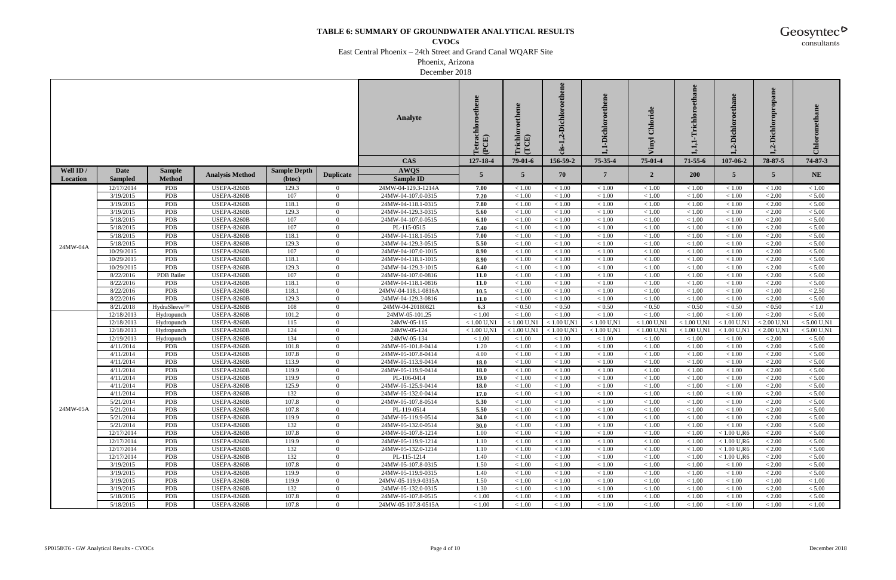**CVOCs**

East Central Phoenix – 24th Street and Grand Canal WQARF Site

Phoenix, Arizona

December 2018

|           |                        |               |                                          |                     |                            | Analyte                                  | ne<br>Tetrachloroethen<br>(PCE) | richlo<br>(TCE)  | -Dichloroethene<br>ઌ | -Dichloroethen<br>Ę | Chlorid          | thane<br>$\rm {Irichlo}$ | .-Dichl<br>$\overline{q}$ | opropane<br><b>Dichlor</b><br>$\dot{q}$ | Chlorometha      |
|-----------|------------------------|---------------|------------------------------------------|---------------------|----------------------------|------------------------------------------|---------------------------------|------------------|----------------------|---------------------|------------------|--------------------------|---------------------------|-----------------------------------------|------------------|
|           |                        |               |                                          |                     |                            | <b>CAS</b>                               | 127-18-4                        | $79-01-6$        | 156-59-2             | 75-35-4             | 75-01-4          | $71 - 55 - 6$            | 107-06-2                  | 78-87-5                                 | 74-87-3          |
| Well ID / | <b>Date</b>            | <b>Sample</b> | <b>Analysis Method</b>                   | <b>Sample Depth</b> |                            | <b>AWQS</b>                              | 5                               | 5 <sup>5</sup>   | 70                   | $\overline{7}$      | $\overline{2}$   | 200                      | $5^{\circ}$               | $\overline{5}$                          | <b>NE</b>        |
| Location  | <b>Sampled</b>         | <b>Method</b> |                                          | (btoc)              | <b>Duplicate</b>           | <b>Sample ID</b>                         |                                 |                  |                      |                     |                  |                          |                           |                                         |                  |
|           | 12/17/2014             | <b>PDB</b>    | USEPA-8260B                              | 129.3               | $\overline{0}$             | 24MW-04-129.3-1214A                      | 7.00                            | < 1.00           | < 1.00               | < 1.00              | < 1.00           | < 1.00                   | < 1.00                    | < 1.00                                  | < 1.00           |
|           | 3/19/2015              | PDB           | <b>USEPA-8260B</b>                       | 107                 | $\Omega$                   | 24MW-04-107.0-0315                       | 7.20                            | < 1.00           | < 1.00               | $<1.00$             | $<1.00\,$        | < 1.00                   | < 1.00                    | < 2.00                                  | < 5.00           |
|           | 3/19/2015              | <b>PDB</b>    | <b>USEPA-8260B</b>                       | 118.1               | $\Omega$                   | 24MW-04-118.1-0315                       | 7.80                            | < 1.00           | < 1.00               | $<1.00$             | $<1.00\,$        | < 1.00                   | < 1.00                    | < 2.00                                  | $< 5.00$         |
|           | 3/19/2015              | PDB           | <b>USEPA-8260B</b>                       | 129.3               | $\overline{0}$             | 24MW-04-129.3-0315                       | 5.60                            | < 1.00           | $<1.00$              | $<1.00$             | $<1.00$          | < 1.00                   | < 1.00                    | $< 2.00$                                | < 5.00           |
|           | 5/18/2015              | PDB           | <b>USEPA-8260B</b>                       | 107                 | $\overline{0}$             | 24MW-04-107.0-0515                       | 6.10                            | < 1.00           | < 1.00               | < 1.00              | < 1.00           | < 1.00                   | < 1.00                    | < 2.00                                  | < 5.00           |
|           | 5/18/2015              | <b>PDB</b>    | <b>USEPA-8260B</b>                       | 107                 | $\overline{0}$             | PL-115-0515                              | 7.40                            | < 1.00           | $<1.00\,$            | $<1.00$             | $<1.00\,$        | < 1.00                   | < 1.00                    | < 2.00                                  | < 5.00           |
|           | 5/18/2015              | PDB           | <b>USEPA-8260B</b>                       | 118.1               | $\theta$                   | 24MW-04-118.1-0515                       | 7.00                            | $<1.00$          | < 1.00               | $<1.00$             | $<1.00\,$        | < 1.00                   | < 1.00                    | < 2.00                                  | < 5.00           |
| 24MW-04A  | 5/18/2015              | <b>PDB</b>    | <b>USEPA-8260B</b>                       | 129.3               | $\theta$                   | 24MW-04-129.3-0515                       | 5.50                            | < 1.00           | < 1.00               | < 1.00              | < 1.00           | < 1.00                   | < 1.00                    | < 2.00                                  | < 5.00           |
|           | 10/29/2015             | PDB           | <b>USEPA-8260B</b>                       | 107                 | $\overline{0}$             | 24MW-04-107.0-1015                       | 8.90                            | < 1.00           | $<1.00$              | $<1.00$             | $<1.00$          | < 1.00                   | < 1.00                    | < 2.00                                  | < 5.00           |
|           | 10/29/2015             | PDB           | <b>USEPA-8260B</b>                       | 118.1               | $\overline{0}$             | 24MW-04-118.1-1015                       | 8.90                            | < 1.00           | < 1.00               | < 1.00              | < 1.00           | < 1.00                   | < 1.00                    | < 2.00                                  | < 5.00           |
|           | 10/29/2015             | PDB           | <b>USEPA-8260B</b>                       | 129.3               | $\overline{0}$             | 24MW-04-129.3-1015                       | 6.40                            | < 1.00           | < 1.00               | $<1.00$             | $<1.00\,$        | < 1.00                   | < 1.00                    | < 2.00                                  | < 5.00           |
|           | 8/22/2016              | PDB Bailer    | <b>USEPA-8260B</b>                       | 107                 | $\Omega$                   | 24MW-04-107.0-0816                       | 11.0                            | < 1.00           | < 1.00               | $<1.00$             | < 1.00           | < 1.00                   | $<1.00\,$                 | < 2.00                                  | $< 5.00$         |
|           | 8/22/2016              | PDB           | <b>USEPA-8260B</b>                       | 118.1               | $\Omega$                   | 24MW-04-118.1-0816                       | $11.0$                          | < 1.00           | < 1.00               | $<1.00$             | < 1.00           | < 1.00                   | < 1.00                    | < 2.00                                  | < 5.00           |
|           | 8/22/2016              | PDB           | <b>USEPA-8260B</b>                       | 118.1               | $\overline{0}$             | 24MW-04-118.1-0816A                      | 10.5                            | < 1.00           | < 1.00               | < 1.00              | < 1.00           | < 1.00                   | < 1.00                    | < 1.00                                  | < 2.50           |
|           | 8/22/2016              | PDB           | USEPA-8260B                              | 129.3               | $\overline{0}$             | 24MW-04-129.3-0816                       | 11.0                            | < 1.00           | < 1.00               | < 1.00              | < 1.00           | < 1.00                   | < 1.00                    | < 2.00                                  | < 5.00           |
|           | 8/21/2018              | HydraSleeve™  | USEPA-8260B                              | 108                 | $\overline{0}$             | 24MW-04-20180821                         | 6.3                             | $< 0.50$         | < 0.50               | < 0.50              | < 0.50           | ${}< 0.50$               | ${}< 0.50$                | < 0.50                                  | < 1.0            |
|           | 12/18/2013             | Hydropunch    | <b>USEPA-8260B</b>                       | 101.2               | $\Omega$                   | 24MW-05-101.25                           | < 1.00                          | < 1.00           | < 1.00               | $<1.00$             | < 1.00           | < 1.00                   | < 1.00                    | < 2.00                                  | $< 5.00$         |
|           | 12/18/2013             | Hydropunch    | <b>USEPA-8260B</b>                       | 115                 | $\theta$                   | 24MW-05-115                              | $< 1.00$ U,N1                   | $< 1.00$ U,N1    | $< 1.00$ U,N1        | $< 1.00$ U,N1       | $< 1.00$ U,N1    | $< 1.00$ U,N             | $< 1.00$ U,N1             | $< 2.00$ U,N1                           | $< 5.00$ U,N1    |
|           | 12/18/2013             | Hydropunch    | <b>USEPA-8260B</b>                       | 124                 | $\overline{0}$             | 24MW-05-124                              | $< 1.00$ U,N                    | $< 1.00$ U,N1    | $< 1.00$ U,N1        | $< 1.00$ U,N1       | $< 1.00$ U,N1    | $< 1.00$ U,N             | $< 1.00$ U,N1             | $< 2.00$ U,N1                           | $< 5.00$ U,N1    |
|           | 12/19/2013             | Hydropunch    | USEPA-8260B                              | 134                 | $\overline{0}$             | 24MW-05-134                              | < 1.00                          | < 1.00           | < 1.00               | < 1.00              | < 1.00           | < 1.00                   | < 1.00                    | < 2.00                                  | < 5.00           |
|           | 4/11/2014              | <b>PDB</b>    | USEPA-8260B                              | 101.8               | $\overline{0}$             | 24MW-05-101.8-0414                       | 1.20                            | < 1.00           | $<1.00\,$            | $<1.00$             | $<1.00\,$        | < 1.00                   | < 1.00                    | < 2.00                                  | < 5.00           |
|           | 4/11/2014              | PDB<br>PDB    | <b>USEPA-8260B</b>                       | 107.8               | $\overline{0}$<br>$\Omega$ | 24MW-05-107.8-0414<br>24MW-05-113.9-0414 | 4.00<br>18.0                    | < 1.00<br>< 1.00 | < 1.00<br>< 1.00     | $<1.00$<br>< 1.00   | < 1.00<br>< 1.00 | < 1.00<br>< 1.00         | < 1.00<br>< 1.00          | < 2.00<br>< 2.00                        | < 5.00           |
|           | 4/11/2014<br>4/11/2014 | PDB           | <b>USEPA-8260B</b><br><b>USEPA-8260B</b> | 113.9<br>119.9      | $\overline{0}$             | 24MW-05-119.9-0414                       | 18.0                            | < 1.00           | < 1.00               | < 1.00              | < 1.00           | < 1.00                   | < 1.00                    | < 2.00                                  | < 5.00<br>< 5.00 |
|           | 4/11/2014              | PDB           | USEPA-8260B                              | 119.9               | $\overline{0}$             | PL-106-0414                              | 19.0                            | < 1.00           | < 1.00               | < 1.00              | < 1.00           | < 1.00                   | < 1.00                    | < 2.00                                  | < 5.00           |
|           | 4/11/2014              | <b>PDB</b>    | USEPA-8260B                              | 125.9               | $\overline{0}$             | 24MW-05-125.9-0414                       | 18.0                            | < 1.00           | < 1.00               | $<1.00$             | $<1.00\,$        | < 1.00                   | < 1.00                    | < 2.00                                  | < 5.00           |
|           | 4/11/2014              | PDB           | USEPA-8260B                              | 132                 | $\overline{0}$             | 24MW-05-132.0-0414                       | 17.0                            | < 1.00           | < 1.00               | < 1.00              | < 1.00           | < 1.00                   | < 1.00                    | < 2.00                                  | < 5.00           |
|           | 5/21/2014              | <b>PDB</b>    | USEPA-8260B                              | 107.8               | $\Omega$                   | 24MW-05-107.8-0514                       | 5.30                            | < 1.00           | < 1.00               | < 1.00              | < 1.00           | < 1.00                   | < 1.00                    | < 2.00                                  | < 5.00           |
| 24MW-05A  | 5/21/2014              | PDB           | <b>USEPA-8260B</b>                       | 107.8               | $\overline{0}$             | PL-119-0514                              | 5.50                            | < 1.00           | < 1.00               | < 1.00              | < 1.00           | < 1.00                   | < 1.00                    | < 2.00                                  | < 5.00           |
|           | 5/21/2014              | <b>PDB</b>    | <b>USEPA-8260B</b>                       | 119.9               | $\overline{0}$             | 24MW-05-119.9-0514                       | 34.0                            | < 1.00           | < 1.00               | < 1.00              | < 1.00           | < 1.00                   | < 1.00                    | < 2.00                                  | < 5.00           |
|           | 5/21/2014              | <b>PDB</b>    | <b>USEPA-8260B</b>                       | 132                 | $\overline{0}$             | 24MW-05-132.0-0514                       | 30.0                            | < 1.00           | < 1.00               | < 1.00              | $<1.00\,$        | < 1.00                   | < 1.00                    | < 2.00                                  | < 5.00           |
|           | 12/17/2014             | PDB           | <b>USEPA-8260B</b>                       | 107.8               | $\overline{0}$             | 24MW-05-107.8-1214                       | 1.00                            | < 1.00           | < 1.00               | < 1.00              | < 1.00           | < 1.00                   | $< 1.00$ U,R6             | < 2.00                                  | < 5.00           |
|           | 12/17/2014             | <b>PDB</b>    | <b>USEPA-8260B</b>                       | 119.9               | $\theta$                   | 24MW-05-119.9-1214                       | 1.10                            | < 1.00           | < 1.00               | < 1.00              | < 1.00           | < 1.00                   | $< 1.00$ U,R6             | < 2.00                                  | < 5.00           |
|           | 12/17/2014             | <b>PDB</b>    | <b>USEPA-8260B</b>                       | 132                 | $\overline{0}$             | 24MW-05-132.0-1214                       | 1.10                            | < 1.00           | < 1.00               | < 1.00              | < 1.00           | < 1.00                   | $< 1.00$ U,R6             | < 2.00                                  | < 5.00           |
|           | 12/17/2014             | <b>PDB</b>    | <b>USEPA-8260B</b>                       | 132                 | $\overline{0}$             | PL-115-1214                              | 1.40                            | < 1.00           | < 1.00               | < 1.00              | < 1.00           | < 1.00                   | $< 1.00$ U,R6             | < 2.00                                  | < 5.00           |
|           | 3/19/2015              | <b>PDB</b>    | <b>USEPA-8260B</b>                       | 107.8               | $\overline{0}$             | 24MW-05-107.8-0315                       | 1.50                            | < 1.00           | < 1.00               | < 1.00              | < 1.00           | < 1.00                   | < 1.00                    | < 2.00                                  | < 5.00           |
|           | 3/19/2015              | PDB           | <b>USEPA-8260B</b>                       | 119.9               | $\overline{0}$             | 24MW-05-119.9-0315                       | 1.40                            | < 1.00           | < 1.00               | < 1.00              | < 1.00           | < 1.00                   | < 1.00                    | < 2.00                                  | < 5.00           |
|           | 3/19/2015              | <b>PDB</b>    | <b>USEPA-8260B</b>                       | 119.9               | $\Omega$                   | 24MW-05-119.9-0315A                      | 1.50                            | < 1.00           | < 1.00               | < 1.00              | < 1.00           | < 1.00                   | < 1.00                    | < 1.00                                  | < 1.00           |
|           | 3/19/2015              | PDB           | <b>USEPA-8260B</b>                       | 132                 | $\overline{0}$             | 24MW-05-132.0-0315                       | 1.30                            | < 1.00           | < 1.00               | < 1.00              | < 1.00           | < 1.00                   | < 1.00                    | < 2.00                                  | < 5.00           |
|           | 5/18/2015              | PDB           | <b>USEPA-8260B</b>                       | 107.8               | $\mathbf{0}$               | 24MW-05-107.8-0515                       | < 1.00                          | < 1.00           | < 1.00               | < 1.00              | < 1.00           | < 1.00                   | < 1.00                    | < 2.00                                  | < 5.00           |
|           | 5/18/2015              | PDB           | <b>USEPA-8260B</b>                       | 107.8               | $\overline{0}$             | 24MW-05-107.8-0515A                      | < 1.00                          | < 1.00           | $<1.00$              | $<1.00\,$           | $<1.00\,$        | < 1.00                   | < 1.00                    | < 1.00                                  | < 1.00           |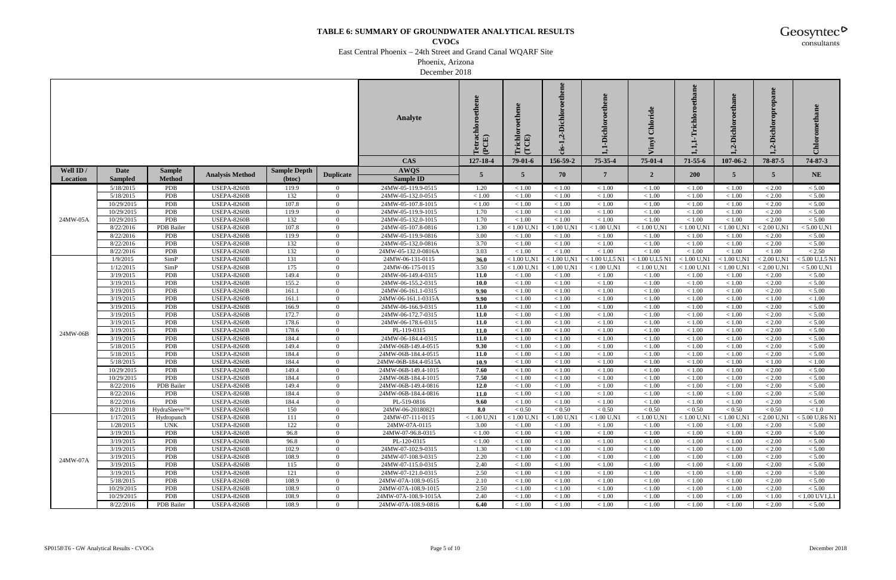**CVOCs**

East Central Phoenix – 24th Street and Grand Canal WQARF Site

Phoenix, Arizona

December 2018

|           |                |                   |                        |                     |                  | <b>Analyte</b>       | Tetrachloroethene<br>(PCE) | richlo<br>(TCE) | -Dichloroethene<br>ų<br>ūs- | -Dichloroethene  |                  | ethane<br>richlor | Dichl<br>નુ   | opropane<br><b>Dichlor</b><br>$\dot{a}$ | $_{\rm Chlo}$    |
|-----------|----------------|-------------------|------------------------|---------------------|------------------|----------------------|----------------------------|-----------------|-----------------------------|------------------|------------------|-------------------|---------------|-----------------------------------------|------------------|
|           |                |                   |                        |                     |                  | <b>CAS</b>           | 127-18-4                   | $79-01-6$       | 156-59-2                    | 75-35-4          | $75 - 01 - 4$    | $71 - 55 - 6$     | 107-06-2      | 78-87-5                                 | 74-87-3          |
| Well ID / | Date           | <b>Sample</b>     |                        | <b>Sample Depth</b> |                  | <b>AWQS</b>          |                            |                 |                             |                  |                  |                   |               |                                         |                  |
| Location  | <b>Sampled</b> | <b>Method</b>     | <b>Analysis Method</b> | (btoc)              | <b>Duplicate</b> | Sample ID            | $\overline{5}$             | $5^{\circ}$     | 70                          | $7\phantom{.0}$  | $\overline{2}$   | <b>200</b>        | 5             | 5 <sup>5</sup>                          | <b>NE</b>        |
|           | 5/18/2015      | PDB               | <b>USEPA-8260B</b>     | 119.9               | $\overline{0}$   | 24MW-05-119.9-0515   | 1.20                       | < 1.00          | < 1.00                      | < 1.00           | < 1.00           | < 1.00            | < 1.00        | < 2.00                                  | < 5.00           |
|           | 5/18/2015      | PDB               | <b>USEPA-8260B</b>     | 132                 | $\Omega$         | 24MW-05-132.0-0515   | < 1.00                     | < 1.00          | < 1.00                      | < 1.00           | < 1.00           | < 1.00            | < 1.00        | < 2.00                                  | < 5.00           |
|           | 10/29/2015     | PDB               | USEPA-8260B            | 107.8               | $\overline{0}$   | 24MW-05-107.8-1015   | < 1.00                     | < 1.00          | < 1.00                      | < 1.00           | < 1.00           | < 1.00            | < 1.00        | < 2.00                                  | $< 5.00$         |
|           | 10/29/2015     | PDB               | USEPA-8260B            | 119.9               | $\overline{0}$   | 24MW-05-119.9-1015   | 1.70                       | < 1.00          | < 1.00                      | < 1.00           | < 1.00           | < 1.00            | < 1.00        | < 2.00                                  | < 5.00           |
| 24MW-05A  | 10/29/2015     | PDB               | USEPA-8260B            | 132                 | $\overline{0}$   | 24MW-05-132.0-1015   | 1.70                       | < 1.00          | < 1.00                      | < 1.00           | < 1.00           | < 1.00            | < 1.00        | < 2.00                                  | $< 5.00$         |
|           | 8/22/2016      | PDB Bailer        | USEPA-8260B            | 107.8               | $\overline{0}$   | 24MW-05-107.8-0816   | 1.30                       | $< 1.00$ U,N1   | $< 1.00$ U,N1               | $< 1.00$ U,N1    | $< 1.00$ U,N1    | $< 1.00$ U,N1     | $< 1.00$ U,N1 | $< 2.00$ U,N1                           | $< 5.00$ U,N1    |
|           | 8/22/2016      | <b>PDB</b>        | USEPA-8260B            | 119.9               | $\Omega$         | 24MW-05-119.9-0816   | 3.00                       | < 1.00          | < 1.00                      | < 1.00           | < 1.00           | < 1.00            | < 1.00        | < 2.00                                  | < 5.00           |
|           | 8/22/2016      | PDB               | USEPA-8260B            | 132                 | $\overline{0}$   | 24MW-05-132.0-0816   | 3.70                       | < 1.00          | < 1.00                      | $<1.00\,$        | < 1.00           | < 1.00            | < 1.00        | < 2.00                                  | $< 5.00$         |
|           | 8/22/2016      | PDB               | USEPA-8260B            | 132                 | $\Omega$         | 24MW-05-132.0-0816A  | 3.03                       | < 1.00          | < 1.00                      | < 1.00           | < 1.00           | < 1.00            | < 1.00        | < 1.00                                  | < 2.50           |
|           | 1/9/2015       | SimP              | USEPA-8260B            | 131                 | $\overline{0}$   | 24MW-06-131-0115     | 36.0                       | $< 1.00$ U,N1   | $< 1.00$ U,N1               | $< 1.00$ U,L5 N1 | $< 1.00$ U,L5 N1 | $< 1.00$ U.N1     | $< 1.00$ U,N1 | $< 2.00$ U,N1                           | $< 5.00$ U,L5 N1 |
|           | 1/12/2015      | SimP              | <b>USEPA-8260B</b>     | 175                 | $\overline{0}$   | 24MW-06-175-0115     | 3.50                       | $< 1.00$ U,N1   | $< 1.00$ U,N1               | $< 1.00$ U,N1    | $< 1.00$ U,N1    | $< 1.00$ U,N1     | $< 1.00$ U,N1 | $< 2.00$ U.N1                           | $< 5.00$ U,N1    |
|           | 3/19/2015      | PDB               | USEPA-8260B            | 149.4               | $\overline{0}$   | 24MW-06-149.4-0315   | 11.0                       | < 1.00          | < 1.00                      | $<1.00\,$        | < 1.00           | < 1.00            | < 1.00        | < 2.00                                  | < 5.00           |
|           | 3/19/2015      | PDB               | <b>USEPA-8260B</b>     | 155.2               | $\Omega$         | 24MW-06-155.2-0315   | <b>10.0</b>                | < 1.00          | $<1.00\,$                   | $<1.00\,$        | < 1.00           | < 1.00            | < 1.00        | < 2.00                                  | $< 5.00\,$       |
|           | 3/19/2015      | PDB               | USEPA-8260B            | 161.1               | $\overline{0}$   | 24MW-06-161.1-0315   | 9.90                       | < 1.00          | < 1.00                      | < 1.00           | < 1.00           | < 1.00            | < 1.00        | < 2.00                                  | < 5.00           |
|           | 3/19/2015      | PDB               | <b>USEPA-8260B</b>     | 161.1               | $\overline{0}$   | 24MW-06-161.1-0315A  | 9.90                       | < 1.00          | < 1.00                      | < 1.00           | < 1.00           | < 1.00            | < 1.00        | < 1.00                                  | < 1.00           |
|           | 3/19/2015      | PDB               | <b>USEPA-8260B</b>     | 166.9               | $\overline{0}$   | 24MW-06-166.9-0315   | 11.0                       | < 1.00          | < 1.00                      | < 1.00           | < 1.00           | < 1.00            | < 1.00        | < 2.00                                  | $< 5.00$         |
|           | 3/19/2015      | PDB               | USEPA-8260B            | 172.7               | $\Omega$         | 24MW-06-172.7-0315   | 11.0                       | < 1.00          | < 1.00                      | < 1.00           | < 1.00           | < 1.00            | < 1.00        | < 2.00                                  | < 5.00           |
|           | 3/19/2015      | PDB               | <b>USEPA-8260B</b>     | 178.6               | $\Omega$         | 24MW-06-178.6-0315   | 11.0                       | < 1.00          | < 1.00                      | $<1.00\,$        | < 1.00           | < 1.00            | < 1.00        | < 2.00                                  | $< 5.00$         |
| 24MW-06B  | 3/19/2015      | PDB               | USEPA-8260B            | 178.6               | $\overline{0}$   | PL-119-0315          | 11.0                       | < 1.00          | < 1.00                      | < 1.00           | < 1.00           | < 1.00            | < 1.00        | < 2.00                                  | < 5.00           |
|           | 3/19/2015      | PDB               | <b>USEPA-8260B</b>     | 184.4               | $\overline{0}$   | 24MW-06-184.4-0315   | 11.0                       | < 1.00          | $<1.00\,$                   | $<1.00\,$        | $<1.00$          | < 1.00            | < 1.00        | $< 2.00$                                | $< 5.00$         |
|           | 5/18/2015      | PDB               | <b>USEPA-8260B</b>     | 149.4               | $\overline{0}$   | 24MW-06B-149.4-0515  | 9.30                       | $<1.00$         | $<1.00$                     | $<1.00\,$        | < 1.00           | < 1.00            | < 1.00        | < 2.00                                  | $< 5.00$         |
|           | 5/18/2015      | PDB               | USEPA-8260B            | 184.4               | $\Omega$         | 24MW-06B-184.4-0515  | 11.0                       | < 1.00          | < 1.00                      | < 1.00           | < 1.00           | < 1.00            | < 1.00        | < 2.00                                  | $< 5.00$         |
|           | 5/18/2015      | PDB               | <b>USEPA-8260B</b>     | 184.4               | $\Omega$         | 24MW-06B-184.4-0515A | 10.9                       | < 1.00          | $<1.00\,$                   | $<1.00\,$        | $<1.00\,$        | < 1.00            | < 1.00        | < 1.00                                  | $<1.00\,$        |
|           | 10/29/2015     | PDB               | USEPA-8260B            | 149.4               | $\overline{0}$   | 24MW-06B-149.4-1015  | 7.60                       | < 1.00          | < 1.00                      | < 1.00           | < 1.00           | < 1.00            | < 1.00        | < 2.00                                  | < 5.00           |
|           | 10/29/2015     | PDB               | <b>USEPA-8260B</b>     | 184.4               | $\overline{0}$   | 24MW-06B-184.4-1015  | 7.50                       | $<1.00$         | $<1.00\,$                   | $<1.00\,$        | $<1.00$          | < 1.00            | $<1.00\,$     | $< 2.00$                                | $< 5.00$         |
|           | 8/22/2016      | <b>PDB</b> Bailer | <b>USEPA-8260B</b>     | 149.4               | $\overline{0}$   | 24MW-06B-149.4-0816  | 12.0                       | < 1.00          | < 1.00                      | < 1.00           | < 1.00           | < 1.00            | < 1.00        | < 2.00                                  | $< 5.00$         |
|           | 8/22/2016      | PDB               | USEPA-8260B            | 184.4               | $\Omega$         | 24MW-06B-184.4-0816  | 11.0                       | < 1.00          | < 1.00                      | < 1.00           | < 1.00           | < 1.00            | < 1.00        | < 2.00                                  | < 5.00           |
|           | 8/22/2016      | <b>PDB</b>        | <b>USEPA-8260B</b>     | 184.4               | $\Omega$         | PL-519-0816          | 9.60                       | < 1.00          | < 1.00                      | < 1.00           | < 1.00           | < 1.00            | < 1.00        | < 2.00                                  | $< 5.00$         |
|           | 8/21/2018      | HydraSleeve™      | USEPA-8260B            | 150                 | $\bf{0}$         | 24MW-06-20180821     | 8.0                        | ${}< 0.50$      | < 0.50                      | ${}_{< 0.50}$    | < 0.50           | < 0.50            | ${}_{< 0.50}$ | < 0.50                                  | < 1.0            |
|           | 1/17/2015      | Hydropunch        | <b>USEPA-8260B</b>     | 111                 | $\overline{0}$   | 24MW-07-111-0115     | $< 1.00$ U,N1              | $< 1.00$ U,N1   | $< 1.00$ U,N1               | $< 1.00$ U,N1    | $< 1.00$ U,N1    | $< 1.00$ U,N1     | $< 1.00$ U,N. | $< 2.00$ U,N1                           | $< 5.00$ U,R6 N1 |
|           | 1/28/2015      | <b>UNK</b>        | <b>USEPA-8260B</b>     | 122                 | $\overline{0}$   | 24MW-07A-0115        | 3.00                       | < 1.00          | < 1.00                      | < 1.00           | < 1.00           | < 1.00            | < 1.00        | < 2.00                                  | < 5.00           |
|           | 3/19/2015      | PDB               | <b>USEPA-8260B</b>     | 96.8                | $\overline{0}$   | 24MW-07-96.8-0315    | < 1.00                     | < 1.00          | < 1.00                      | < 1.00           | < 1.00           | < 1.00            | < 1.00        | < 2.00                                  | < 5.00           |
|           | 3/19/2015      | PDB               | <b>USEPA-8260B</b>     | 96.8                | $\Omega$         | PL-120-0315          | < 1.00                     | < 1.00          | < 1.00                      | $<1.00\,$        | < 1.00           | < 1.00            | < 1.00        | < 2.00                                  | < 5.00           |
|           | 3/19/2015      | PDB               | <b>USEPA-8260B</b>     | 102.9               | $\overline{0}$   | 24MW-07-102.9-0315   | 1.30                       | < 1.00          | < 1.00                      | < 1.00           | < 1.00           | < 1.00            | < 1.00        | < 2.00                                  | < 5.00           |
| 24MW-07A  | 3/19/2015      | PDB               | <b>USEPA-8260B</b>     | 108.9               | $\overline{0}$   | 24MW-07-108.9-0315   | 2.20                       | < 1.00          | $<1.00\,$                   | $<1.00\,$        | < 1.00           | < 1.00            | < 1.00        | $< 2.00$                                | $< 5.00$         |
|           | 3/19/2015      | <b>PDB</b>        | <b>USEPA-8260B</b>     | 115                 | $\overline{0}$   | 24MW-07-115.0-0315   | 2.40                       | < 1.00          | < 1.00                      | < 1.00           | < 1.00           | < 1.00            | < 1.00        | < 2.00                                  | < 5.00           |
|           | 3/19/2015      | PDB               | <b>USEPA-8260B</b>     | 121                 | $\overline{0}$   | 24MW-07-121.0-0315   | 2.50                       | < 1.00          | < 1.00                      | < 1.00           | < 1.00           | < 1.00            | < 1.00        | < 2.00                                  | < 5.00           |
|           | 5/18/2015      | PDB               | <b>USEPA-8260B</b>     | 108.9               | $\Omega$         | 24MW-07A-108.9-0515  | 2.10                       | < 1.00          | < 1.00                      | $<1.00\,$        | < 1.00           | < 1.00            | < 1.00        | < 2.00                                  | < 5.00           |
|           | 10/29/2015     | PDB               | <b>USEPA-8260B</b>     | 108.9               | $\overline{0}$   | 24MW-07A-108.9-1015  | 2.50                       | < 1.00          | < 1.00                      | < 1.00           | < 1.00           | < 1.00            | < 1.00        | < 2.00                                  | < 5.00           |
|           | 10/29/2015     | PDB               | <b>USEPA-8260B</b>     | 108.9               | $\mathbf{0}$     | 24MW-07A-108.9-1015A | 2.40                       | < 1.00          | < 1.00                      | < 1.00           | < 1.00           | < 1.00            | < 1.00        | < 1.00                                  | $< 1.00$ UV1,L1  |
|           | 8/22/2016      | PDB Bailer        | <b>USEPA-8260B</b>     | 108.9               | $\overline{0}$   | 24MW-07A-108.9-0816  | 6.40                       | < 1.00          | < 1.00                      | < 1.00           | < 1.00           | < 1.00            | < 1.00        | < 2.00                                  | < 5.00           |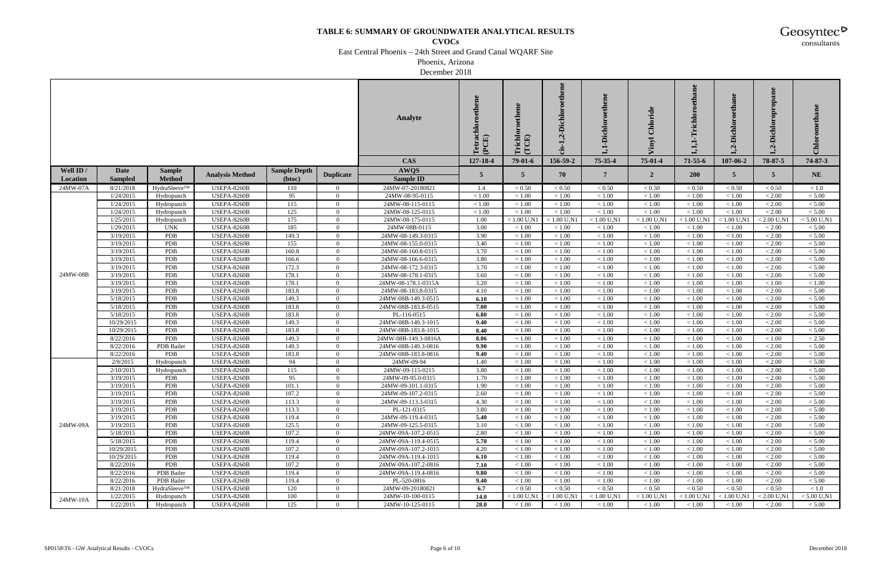**CVOCs**

East Central Phoenix – 24th Street and Grand Canal WQARF Site

Phoenix, Arizona

December 2018

|           |                          |               |                                   |                     |                            | <b>Analyte</b>                             | Tetrachloroethene<br>(PCE) | richlo<br>(TCE)  | -Dichloroethene<br>Ņ<br>cis-1. | -Dichloroethene     |                     | ethane<br>richlor | Dichl<br>નુ      | opropane<br>Dichlor<br>$\dot{a}$ | Chlorometha        |
|-----------|--------------------------|---------------|-----------------------------------|---------------------|----------------------------|--------------------------------------------|----------------------------|------------------|--------------------------------|---------------------|---------------------|-------------------|------------------|----------------------------------|--------------------|
|           |                          |               |                                   |                     |                            | <b>CAS</b>                                 | 127-18-4                   | $79-01-6$        | 156-59-2                       | 75-35-4             | $75 - 01 - 4$       | $71 - 55 - 6$     | 107-06-2         | 78-87-5                          | 74-87-3            |
| Well ID / | Date                     | <b>Sample</b> |                                   | <b>Sample Depth</b> |                            | <b>AWQS</b>                                |                            |                  |                                | $7\phantom{.0}$     |                     | <b>200</b>        |                  |                                  |                    |
| Location  | <b>Sampled</b>           | <b>Method</b> | <b>Analysis Method</b>            | (btoc)              | <b>Duplicate</b>           | Sample ID                                  | 5                          | 5 <sup>5</sup>   | 70                             |                     | $\overline{2}$      |                   | 5                | 5                                | <b>NE</b>          |
| 24MW-07A  | 8/21/2018                | HydraSleeve™  | <b>USEPA-8260B</b>                | 110                 | $\overline{0}$             | 24MW-07-20180821                           | 1.4                        | < 0.50           | < 0.50                         | ${}_{< 0.50}$       | < 0.50              | < 0.50            | < 0.50           | < 0.50                           | < 1.0              |
|           | 1/24/2015                | Hydropunch    | <b>USEPA-8260B</b>                | 95                  | $\Omega$                   | 24MW-08-95-0115                            | < 1.00                     | < 1.00           | < 1.00                         | < 1.00              | < 1.00              | < 1.00            | < 1.00           | < 2.00                           | < 5.00             |
|           | 1/24/2015                | Hydropunch    | <b>USEPA-8260B</b>                | 115                 | $\overline{0}$             | 24MW-08-115-0115                           | < 1.00                     | < 1.00           | < 1.00                         | < 1.00              | < 1.00              | < 1.00            | < 1.00           | < 2.00                           | $< 5.00$           |
|           | 1/24/2015                | Hydropunch    | USEPA-8260B                       | 125                 | $\overline{0}$             | 24MW-08-125-0115                           | < 1.00                     | < 1.00           | < 1.00                         | < 1.00              | < 1.00              | < 1.00            | < 1.00           | < 2.00                           | < 5.00             |
|           | 1/25/2015                | Hydropunch    | USEPA-8260B                       | 175                 | $\overline{0}$             | 24MW-08-175-0115                           | 1.00                       | $< 1.00$ U,N1    | $< 1.00$ U,N1                  | $< 1.00$ U,N1       | $< 1.00$ U,N1       | $< 1.00$ U,N1     | $< 1.00$ U,N1    | $< 2.00$ U.N1                    | $< 5.00$ U,N1      |
|           | 1/29/2015                | <b>UNK</b>    | USEPA-8260B                       | 185                 | $\overline{0}$             | 24MW-08B-0115                              | 3.00                       | < 1.00           | < 1.00                         | $<1.00\,$           | < 1.00              | < 1.00            | < 1.00           | < 2.00                           | < 5.00             |
|           | 3/19/2015                | <b>PDB</b>    | USEPA-8260B                       | 149.3               | $\Omega$                   | 24MW-08-149.3-0315                         | 3.90                       | < 1.00           | < 1.00                         | < 1.00              | < 1.00              | < 1.00            | < 1.00           | < 2.00                           | < 5.00             |
|           | 3/19/2015                | PDB           | USEPA-8260B                       | 155                 | $\overline{0}$             | 24MW-08-155.0-0315                         | 3.40                       | < 1.00           | < 1.00                         | < 1.00              | < 1.00              | < 1.00            | < 1.00           | < 2.00                           | $< 5.00$           |
|           | 3/19/2015                | PDB           | USEPA-8260B                       | 160.8               | $\overline{0}$             | 24MW-08-160.8-0315                         | 3.70                       | < 1.00           | < 1.00                         | < 1.00              | < 1.00              | < 1.00            | < 1.00           | < 2.00                           | < 5.00             |
|           | 3/19/2015                | PDB           | <b>USEPA-8260B</b>                | 166.6               | $\overline{0}$             | 24MW-08-166.6-0315                         | 3.80                       | < 1.00           | < 1.00                         | < 1.00              | < 1.00              | < 1.00            | < 1.00           | < 2.00                           | $< 5.00$           |
|           | 3/19/2015                | PDB           | <b>USEPA-8260B</b>                | 172.3               | $\overline{0}$             | 24MW-08-172.3-0315                         | 3.70                       | < 1.00           | < 1.00                         | $<1.00\,$           | < 1.00              | < 1.00            | < 1.00           | < 2.00                           | $< 5.00$           |
| 24MW-08B  | 3/19/2015                | <b>PDB</b>    | USEPA-8260B                       | 178.1               | $\Omega$                   | 24MW-08-178.1-0315                         | 3.60                       | < 1.00           | < 1.00                         | $<1.00\,$           | < 1.00              | < 1.00            | < 1.00           | < 2.00                           | < 5.00             |
|           | 3/19/2015                | PDB           | USEPA-8260B                       | 178.1               | $\overline{0}$             | 24MW-08-178.1-0315A                        | 3.20                       | < 1.00           | $<1.00\,$                      | $<1.00\,$           | < 1.00              | < 1.00            | < 1.00           | < 1.00                           | $<1.00\,$          |
|           | 3/19/2015                | PDB           | USEPA-8260B                       | 183.8               | $\overline{0}$             | 24MW-08-183.8-0315                         | 4.10                       | < 1.00           | < 1.00                         | < 1.00              | < 1.00              | < 1.00            | < 1.00           | < 2.00                           | < 5.00             |
|           | 5/18/2015                | PDB           | USEPA-8260B                       | 149.3               | $\overline{0}$             | 24MW-08B-149.3-0515                        | 6.10                       | < 1.00           | < 1.00                         | < 1.00              | < 1.00              | < 1.00            | < 1.00           | $< 2.00$                         | < 5.00             |
|           | 5/18/2015                | PDB           | <b>USEPA-8260B</b>                | 183.8               | $\overline{0}$             | 24MW-08B-183.8-0515                        | 7.00                       | < 1.00           | < 1.00                         | < 1.00              | < 1.00              | < 1.00            | < 1.00           | < 2.00                           | $< 5.00$           |
|           | 5/18/2015                | PDB           | USEPA-8260B                       | 183.8               | $\Omega$                   | PL-116-0515                                | 6.80                       | < 1.00           | < 1.00                         | < 1.00              | < 1.00              | < 1.00            | < 1.00           | < 2.00                           | < 5.00             |
|           | 10/29/2015<br>10/29/2015 | PDB<br>PDB    | <b>USEPA-8260B</b><br>USEPA-8260B | 149.3<br>183.8      | $\Omega$<br>$\overline{0}$ | 24MW-08B-149.3-1015<br>24MW-08B-183.8-1015 | 9.40                       | < 1.00<br>< 1.00 | < 1.00                         | $<1.00\,$<br>< 1.00 | $<1.00\,$<br>< 1.00 | < 1.00<br>< 1.00  | < 1.00           | < 2.00<br>< 2.00                 | $< 5.00$<br>< 5.00 |
|           | 8/22/2016                | PDB           | <b>USEPA-8260B</b>                | 149.3               | $\overline{0}$             | 24MW-08B-149.3-0816A                       | 8.40<br>8.06               | < 1.00           | < 1.00<br>$<1.00\,$            | $<1.00\,$           | $<1.00$             | < 1.00            | < 1.00<br>< 1.00 | $<1.00$                          | < 2.50             |
|           | 8/22/2016                | PDB Bailer    | <b>USEPA-8260B</b>                | 149.3               | $\overline{0}$             | 24MW-08B-149.3-0816                        | 9.90                       | $<1.00$          | $<1.00$                        | $<1.00\,$           | < 1.00              | < 1.00            | < 1.00           | < 2.00                           | $< 5.00$           |
|           | 8/22/2016                | PDB           | USEPA-8260B                       | 183.8               | $\Omega$                   | 24MW-08B-183.8-0816                        | 9.40                       | < 1.00           | < 1.00                         | < 1.00              | < 1.00              | < 1.00            | < 1.00           | < 2.00                           | $< 5.00$           |
|           | 2/9/2015                 | Hydropunch    | <b>USEPA-8260B</b>                | 94                  | $\Omega$                   | 24MW-09-94                                 | 1.40                       | < 1.00           | $<1.00\,$                      | $<1.00\,$           | $<1.00\,$           | < 1.00            | < 1.00           | < 2.00                           | $< 5.00\,$         |
|           | 2/10/2015                | Hydropunch    | USEPA-8260B                       | 115                 | $\overline{0}$             | 24MW-09-115-0215                           | 3.80                       | < 1.00           | < 1.00                         | < 1.00              | < 1.00              | < 1.00            | < 1.00           | < 2.00                           | < 5.00             |
|           | 3/19/2015                | PDB           | <b>USEPA-8260B</b>                | 95                  | $\overline{0}$             | 24MW-09-95.0-0315                          | 1.70                       | $<1.00$          | $<1.00\,$                      | $<1.00\,$           | $<1.00$             | < 1.00            | $<1.00\,$        | $< 2.00$                         | < 5.00             |
|           | 3/19/2015                | <b>PDB</b>    | <b>USEPA-8260B</b>                | 101.1               | $\overline{0}$             | 24MW-09-101.1-0315                         | 1.90                       | < 1.00           | < 1.00                         | < 1.00              | < 1.00              | < 1.00            | < 1.00           | < 2.00                           | $< 5.00$           |
|           | 3/19/2015                | <b>PDB</b>    | <b>USEPA-8260B</b>                | 107.2               | $\Omega$                   | 24MW-09-107.2-0315                         | 2.60                       | < 1.00           | < 1.00                         | < 1.00              | < 1.00              | < 1.00            | < 1.00           | < 2.00                           | < 5.00             |
|           | 3/19/2015                | <b>PDB</b>    | <b>USEPA-8260B</b>                | 113.3               | $\Omega$                   | 24MW-09-113.3-0315                         | 4.30                       | < 1.00           | < 1.00                         | < 1.00              | < 1.00              | < 1.00            | < 1.00           | < 2.00                           | $< 5.00$           |
|           | 3/19/2015                | <b>PDB</b>    | <b>USEPA-8260B</b>                | 113.3               | $\mathbf{0}$               | PL-121-0315                                | 3.80                       | < 1.00           | < 1.00                         | < 1.00              | < 1.00              | < 1.00            | < 1.00           | < 2.00                           | < 5.00             |
|           | 3/19/2015                | PDB           | <b>USEPA-8260B</b>                | 119.4               | $\overline{0}$             | 24MW-09-119.4-0315                         | 5.40                       | < 1.00           | < 1.00                         | < 1.00              | < 1.00              | < 1.00            | < 1.00           | < 2.00                           | $< 5.00$           |
| 24MW-09A  | 3/19/2015                | <b>PDB</b>    | <b>USEPA-8260B</b>                | 125.5               | $\overline{0}$             | 24MW-09-125.5-0315                         | 3.10                       | < 1.00           | < 1.00                         | $<1.00$             | < 1.00              | < 1.00            | < 1.00           | < 2.00                           | < 5.00             |
|           | 5/18/2015                | PDB           | <b>USEPA-8260B</b>                | 107.2               | $\overline{0}$             | 24MW-09A-107.2-0515                        | 2.80                       | < 1.00           | < 1.00                         | < 1.00              | < 1.00              | < 1.00            | < 1.00           | < 2.00                           | < 5.00             |
|           | 5/18/2015                | PDB           | <b>USEPA-8260B</b>                | 119.4               | $\Omega$                   | 24MW-09A-119.4-0515                        | 5.70                       | < 1.00           | $<1.00\,$                      | $<1.00\,$           | < 1.00              | < 1.00            | < 1.00           | < 2.00                           | < 5.00             |
|           | 10/29/2015               | <b>PDB</b>    | <b>USEPA-8260B</b>                | 107.2               | $\overline{0}$             | 24MW-09A-107.2-1015                        | 4.20                       | < 1.00           | < 1.00                         | < 1.00              | < 1.00              | < 1.00            | < 1.00           | < 2.00                           | < 5.00             |
|           | 10/29/2015               | PDB           | <b>USEPA-8260B</b>                | 119.4               | $\overline{0}$             | 24MW-09A-119.4-1015                        | 6.10                       | < 1.00           | < 1.00                         | $<1.00\,$           | < 1.00              | < 1.00            | < 1.00           | $< 2.00$                         | $< 5.00$           |
|           | 8/22/2016                | PDB           | <b>USEPA-8260B</b>                | 107.2               | $\overline{0}$             | 24MW-09A-107.2-0816                        | 7.10                       | < 1.00           | < 1.00                         | < 1.00              | < 1.00              | < 1.00            | < 1.00           | < 2.00                           | < 5.00             |
|           | 8/22/2016                | PDB Bailer    | <b>USEPA-8260B</b>                | 119.4               | $\overline{0}$             | 24MW-09A-119.4-0816                        | 9.80                       | < 1.00           | < 1.00                         | < 1.00              | < 1.00              | < 1.00            | < 1.00           | < 2.00                           | < 5.00             |
|           | 8/22/2016                | PDB Bailer    | <b>USEPA-8260B</b>                | 119.4               | $\Omega$                   | PL-520-0816                                | 9.40                       | < 1.00           | $<1.00\,$                      | $<1.00\,$           | < 1.00              | < 1.00            | < 1.00           | < 2.00                           | < 5.00             |
|           | 8/21/2018                | HydraSleeve™  | <b>USEPA-8260B</b>                | 120                 | $\overline{0}$             | 24MW-09-20180821                           | 6.7                        | < 0.50           | ${}< 0.50$                     | < 0.50              | ${}_{< 0.50}$       | ${}< 0.50$        | < 0.50           | ${}< 0.50$                       | < 1.0              |
| 24MW-10A  | 1/22/2015                | Hydropunch    | <b>USEPA-8260B</b>                | 100                 | $\mathbf{0}$               | 24MW-10-100-0115                           | 14.0                       | $< 1.00$ U,N1    | $< 1.00$ U,N1                  | $< 1.00$ U,N1       | $< 1.00$ U,N1       | $< 1.00$ U,N1     | $< 1.00$ U,N.    | $< 2.00$ U,N                     | $< 5.00$ U,N1      |
|           | 1/22/2015                | Hydropunch    | <b>USEPA-8260B</b>                | 125                 | $\overline{0}$             | 24MW-10-125-0115                           | 28.0                       | < 1.00           | < 1.00                         | < 1.00              | < 1.00              | < 1.00            | < 1.00           | < 2.00                           | < 5.00             |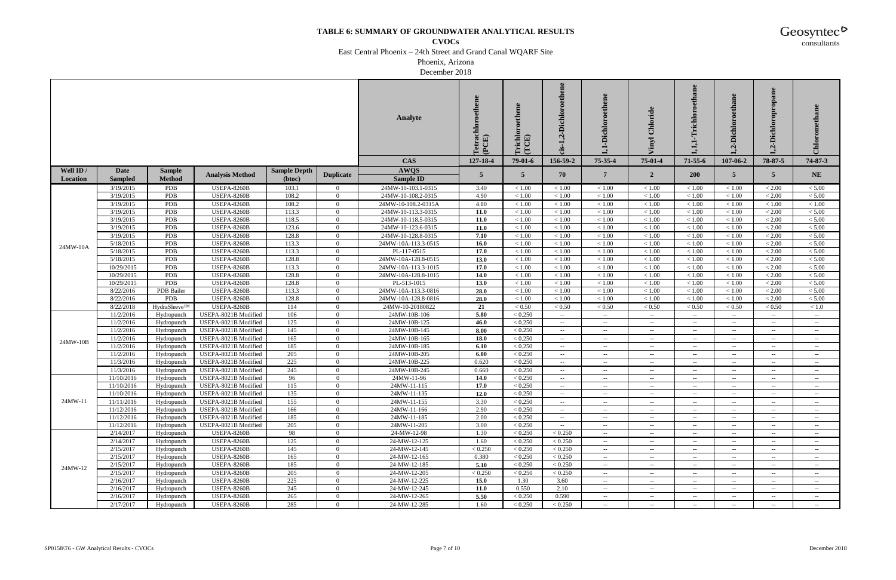**CVOCs**

East Central Phoenix – 24th Street and Grand Canal WQARF Site

Phoenix, Arizona

December 2018

|           |                        |                          |                                              |                     |                            | <b>Analyte</b>               | Tetrachloroethene<br>(PCE) | richlo<br>(TCE)    | ,2-Dichloroethene<br>cis-1.                             | -Dichloroethene<br>H                                                            | Chloride                                             | thane<br>richlor                                              | .-Dichl<br>Ń                           | Dichloropropane<br>નું                               | Chlorometha                                              |
|-----------|------------------------|--------------------------|----------------------------------------------|---------------------|----------------------------|------------------------------|----------------------------|--------------------|---------------------------------------------------------|---------------------------------------------------------------------------------|------------------------------------------------------|---------------------------------------------------------------|----------------------------------------|------------------------------------------------------|----------------------------------------------------------|
|           |                        |                          |                                              |                     |                            | <b>CAS</b>                   | 127-18-4                   | $79-01-6$          | 156-59-2                                                | 75-35-4                                                                         | 75-01-4                                              | $71 - 55 - 6$                                                 | 107-06-2                               | 78-87-5                                              | 74-87-3                                                  |
| Well ID / | Date                   | <b>Sample</b>            |                                              | <b>Sample Depth</b> |                            | <b>AWQS</b>                  | 5                          |                    |                                                         | 7                                                                               |                                                      |                                                               |                                        | $\overline{5}$                                       |                                                          |
| Location  | <b>Sampled</b>         | <b>Method</b>            | <b>Analysis Method</b>                       | (btoc)              | <b>Duplicate</b>           | <b>Sample ID</b>             |                            | $5^{\circ}$        | 70                                                      |                                                                                 | $\overline{2}$                                       | <b>200</b>                                                    | $5^{\circ}$                            |                                                      | <b>NE</b>                                                |
|           | 3/19/2015              | PDB                      | USEPA-8260B                                  | 103.1               | $\overline{0}$             | 24MW-10-103.1-0315           | 3.40                       | < 1.00             | < 1.00                                                  | < 1.00                                                                          | < 1.00                                               | < 1.00                                                        | < 1.00                                 | < 2.00                                               | < 5.00                                                   |
|           | 3/19/2015              | PDB                      | USEPA-8260B                                  | 108.2               | $\Omega$                   | 24MW-10-108.2-0315           | 4.90                       | < 1.00             | < 1.00                                                  | < 1.00                                                                          | < 1.00                                               | < 1.00                                                        | < 1.00                                 | < 2.00                                               | < 5.00                                                   |
|           | 3/19/2015              | PDB                      | <b>USEPA-8260B</b>                           | 108.2               | $\overline{0}$             | 24MW-10-108.2-0315A          | 4.80                       | < 1.00             | < 1.00                                                  | < 1.00                                                                          | < 1.00                                               | < 1.00                                                        | < 1.00                                 | < 1.00                                               | < 1.00                                                   |
|           | 3/19/2015              | PDB                      | USEPA-8260B                                  | 113.3               | $\overline{0}$             | 24MW-10-113.3-0315           | 11.0                       | < 1.00             | < 1.00                                                  | < 1.00                                                                          | < 1.00                                               | < 1.00                                                        | < 1.00                                 | < 2.00                                               | < 5.00                                                   |
|           | 3/19/2015              | PDB                      | <b>USEPA-8260B</b>                           | 118.5               | $\overline{0}$             | 24MW-10-118.5-0315           | 11.0                       | < 1.00             | < 1.00                                                  | $<1.00$                                                                         | < 1.00                                               | < 1.00                                                        | < 1.00                                 | < 2.00                                               | < 5.00                                                   |
|           | 3/19/2015              | PDB                      | USEPA-8260B                                  | 123.6               | $\overline{0}$             | 24MW-10-123.6-0315           | 11.0                       | < 1.00             | < 1.00                                                  | < 1.00                                                                          | < 1.00                                               | < 1.00                                                        | < 1.00                                 | < 2.00                                               | < 5.00                                                   |
|           | 3/19/2015              | PDB                      | USEPA-8260B                                  | 128.8               | $\Omega$                   | 24MW-10-128.8-0315           | 7.10                       | < 1.00             | < 1.00                                                  | < 1.00                                                                          | < 1.00                                               | < 1.00                                                        | < 1.00                                 | < 2.00                                               | < 5.00                                                   |
| 24MW-10A  | 5/18/2015              | PDB                      | <b>USEPA-8260B</b>                           | 113.3               | $\overline{0}$             | 24MW-10A-113.3-0515          | 16.0                       | < 1.00             | < 1.00                                                  | < 1.00                                                                          | < 1.00                                               | < 1.00                                                        | < 1.00                                 | < 2.00                                               | < 5.00                                                   |
|           | 5/18/2015              | PDB                      | <b>USEPA-8260B</b>                           | 113.3               | $\Omega$                   | PL-117-0515                  | 17.0                       | < 1.00             | < 1.00                                                  | < 1.00                                                                          | < 1.00                                               | < 1.00                                                        | < 1.00                                 | < 2.00                                               | < 5.00                                                   |
|           | 5/18/2015              | PDB                      | <b>USEPA-8260B</b>                           | 128.8               | $\overline{0}$             | 24MW-10A-128.8-0515          | 13.0                       | < 1.00             | < 1.00                                                  | < 1.00                                                                          | < 1.00                                               | < 1.00                                                        | < 1.00                                 | < 2.00                                               | < 5.00                                                   |
|           | 10/29/2015             | PDB                      | USEPA-8260B                                  | 113.3               | $\overline{0}$             | 24MW-10A-113.3-1015          | 17.0                       | < 1.00             | < 1.00                                                  | < 1.00                                                                          | < 1.00                                               | < 1.00                                                        | < 1.00                                 | < 2.00                                               | < 5.00                                                   |
|           | 10/29/2015             | PDB                      | USEPA-8260B                                  | 128.8               | $\overline{0}$             | 24MW-10A-128.8-1015          | 14.0                       | < 1.00             | < 1.00                                                  | $<1.00$                                                                         | < 1.00                                               | < 1.00                                                        | < 1.00                                 | < 2.00                                               | < 5.00                                                   |
|           | 10/29/2015             | PDB                      | <b>USEPA-8260B</b>                           | 128.8               | $\theta$                   | PL-513-1015                  | 13.0                       | < 1.00             | < 1.00                                                  | $<1.00\,$                                                                       | $<1.00\,$                                            | < 1.00                                                        | < 1.00                                 | < 2.00                                               | < 5.00                                                   |
|           | 8/22/2016              | PDB Bailer               | <b>USEPA-8260B</b>                           | 113.3               | $\overline{0}$             | 24MW-10A-113.3-0816          | 28.0                       | < 1.00             | < 1.00                                                  | < 1.00                                                                          | < 1.00                                               | < 1.00                                                        | < 1.00                                 | < 2.00                                               | < 5.00                                                   |
|           | 8/22/2016              | PDB                      | <b>USEPA-8260B</b>                           | 128.8               | $\overline{0}$             | 24MW-10A-128.8-0816          | 28.0                       | < 1.00             | < 1.00                                                  | < 1.00                                                                          | < 1.00                                               | < 1.00                                                        | < 1.00                                 | < 2.00                                               | < 5.00                                                   |
|           | 8/22/2018              | HydraSleeve™             | <b>USEPA-8260B</b>                           | 114                 | $\overline{0}$             | 24MW-10-20180822             | 21                         | < 0.50             | < 0.50                                                  | < 0.50                                                                          | < 0.50                                               | < 0.50                                                        | < 0.50                                 | < 0.50                                               | < 1.0                                                    |
|           | 11/2/2016              | Hydropunch               | USEPA-8021B Modified                         | 106                 | $\Omega$                   | 24MW-10B-106                 | 5.80                       | < 0.250            | $\overline{\phantom{m}}$                                | $\overline{\phantom{a}}$                                                        | $--$                                                 | $\sim$                                                        | $--$                                   | $\sim$                                               | $\sim$                                                   |
|           | 11/2/2016              | Hydropunch               | USEPA-8021B Modified                         | 125                 | $\Omega$                   | 24MW-10B-125                 | 46.0                       | < 0.250            | $\mathcal{L}_{\mathcal{F}}$                             | $\hspace{0.05cm} -\hspace{0.05cm} -\hspace{0.05cm}$                             | $\overline{\phantom{a}}$                             | $\hspace{0.05cm} -\hspace{0.05cm} -\hspace{0.05cm}$           | $- -$                                  | $\sim$ $\sim$                                        | $\sim$                                                   |
|           | 11/2/2016              | Hydropunch               | USEPA-8021B Modified                         | 145                 | $\overline{0}$             | 24MW-10B-145                 | 8.00                       | < 0.250            | $\hspace{0.1mm}-\hspace{0.1mm}-\hspace{0.1mm}$          | $\hspace{0.05cm} -\hspace{0.05cm} -\hspace{0.05cm}$                             | $\overline{\phantom{a}}$                             | $\sim$ $-$                                                    | $- -$                                  | $\hspace{0.1mm}-\hspace{0.1mm}-\hspace{0.1mm}$       | $\hspace{0.1mm}-\hspace{0.1mm}-\hspace{0.1mm}$           |
| 24MW-10B  | 11/2/2016              | Hydropunch               | USEPA-8021B Modified                         | 165<br>185          | $\overline{0}$             | 24MW-10B-165                 | 18.0                       | < 0.250<br>< 0.250 | $- -$                                                   | $\hspace{0.05cm} -\hspace{0.05cm} -\hspace{0.05cm}$                             | $\overline{\phantom{a}}$                             | $\hspace{0.05cm} -\hspace{0.05cm} -\hspace{0.05cm}$           | $\sim$ $\sim$                          | $\sim$                                               | $\hspace{0.1mm}-\hspace{0.1mm}-\hspace{0.1mm}$           |
|           | 11/2/2016<br>11/2/2016 | Hydropunch               | USEPA-8021B Modified<br>USEPA-8021B Modified | 205                 | $\overline{0}$<br>$\Omega$ | 24MW-10B-185<br>24MW-10B-205 | 6.10<br>6.00               | < 0.250            | $\sim$                                                  | $\overline{\phantom{a}}$                                                        | $\overline{\phantom{a}}$                             | $\sim$                                                        | $\overline{\phantom{a}}$               | $\hspace{0.1mm}-\hspace{0.1mm}-\hspace{0.1mm}$       | $\sim$                                                   |
|           | 11/3/2016              | Hydropunch<br>Hydropunch | USEPA-8021B Modified                         | 225                 | $\Omega$                   | 24MW-10B-225                 | 0.620                      | < 0.250            | $\overline{\phantom{m}}$<br>$\mathcal{L}_{\mathcal{F}}$ | $\overline{\phantom{a}}$<br>$\hspace{0.05cm} -\hspace{0.05cm} -\hspace{0.05cm}$ | $\overline{\phantom{a}}$<br>$\overline{\phantom{a}}$ | $\sim$<br>$\hspace{0.05cm} -\hspace{0.05cm} -\hspace{0.05cm}$ | $\overline{\phantom{m}}$<br>$\sim$ $-$ | $\overline{\phantom{m}}$<br>$\overline{\phantom{a}}$ | $\sim$<br>$\hspace{0.1mm}-\hspace{0.1mm}-\hspace{0.1mm}$ |
|           | 11/3/2016              | Hydropunch               | USEPA-8021B Modified                         | 245                 | $\overline{0}$             | 24MW-10B-245                 | 0.660                      | < 0.250            | $\mathbf{u}$                                            | $\hspace{0.05cm} -\hspace{0.05cm} -\hspace{0.05cm}$                             | $\overline{\phantom{a}}$                             | $\sim$ $-$                                                    | $- -$                                  | $\overline{\phantom{a}}$                             | $\hspace{0.1mm}-\hspace{0.1mm}-\hspace{0.1mm}$           |
|           | 11/10/2016             | Hydropunch               | USEPA-8021B Modified                         | 96                  | $\overline{0}$             | 24MW-11-96                   | 14.0                       | < 0.250            | $\sim$ $-$                                              | $\hspace{0.05cm} -\hspace{0.05cm} -\hspace{0.05cm}$                             | $\overline{\phantom{a}}$                             | $\sim$ $\sim$                                                 | $- -$                                  | $\overline{\phantom{a}}$                             | $\hspace{0.1mm}-\hspace{0.1mm}-\hspace{0.1mm}$           |
|           | 11/10/2016             | Hydropunch               | USEPA-8021B Modified                         | 115                 | $\overline{0}$             | 24MW-11-115                  | 17.0                       | < 0.250            | $\mathcal{L}_{\mathcal{F}}$                             | $\hspace{0.05cm} -\hspace{0.05cm} -\hspace{0.05cm}$                             | $- -$                                                | $\hspace{0.05cm} -\hspace{0.05cm} -\hspace{0.05cm}$           | $\sim$ $-$                             | $\sim$ $\sim$                                        | $\hspace{0.1mm}-\hspace{0.1mm}-\hspace{0.1mm}$           |
|           | 11/10/2016             | Hydropunch               | USEPA-8021B Modified                         | 135                 | $\overline{0}$             | 24MW-11-135                  | 12.0                       | < 0.250            | $\overline{\phantom{m}}$                                | $\overline{\phantom{a}}$                                                        | $\overline{\phantom{a}}$                             | $\overline{\phantom{a}}$                                      | $\overline{\phantom{m}}$               | $\sim$ $\sim$                                        | $\sim$                                                   |
| 24MW-11   | 11/11/2016             | Hydropunch               | USEPA-8021B Modified                         | 155                 | $\Omega$                   | 24MW-11-155                  | 3.30                       | < 0.250            | $\mathcal{L}_{\mathcal{F}}$                             |                                                                                 | $\overline{\phantom{a}}$                             |                                                               |                                        |                                                      |                                                          |
|           | 11/12/2016             | Hydropunch               | USEPA-8021B Modified                         | 166                 | $\mathbf{0}$               | 24MW-11-166                  | 2.90                       | < 0.250            | $\sim$ $-$                                              | $\sim$                                                                          | $\overline{\phantom{a}}$                             | $\sim$                                                        |                                        | $\mathbf{u}$                                         |                                                          |
|           | 11/12/2016             | Hydropunch               | USEPA-8021B Modified                         | 185                 | $\overline{0}$             | 24MW-11-185                  | 2.00                       | < 0.250            | $\sim$ $-$                                              | $\sim$                                                                          | $-  \,$                                              | $\sim$                                                        | $\sim$                                 | $\sim$                                               | $\sim$ $-$                                               |
|           | 11/12/2016             | Hydropunch               | USEPA-8021B Modified                         | 205                 | $\overline{0}$             | 24MW-11-205                  | 3.00                       | < 0.250            | $\sim$ $-$                                              | $\sim$                                                                          | $\overline{\phantom{a}}$                             | $\sim$                                                        | $\overline{\phantom{m}}$               | $- -$                                                | $\sim$                                                   |
|           | 2/14/2017              | Hydropunch               | <b>USEPA-8260B</b>                           | 98                  | $\overline{0}$             | 24-MW-12-98                  | 1.30                       | < 0.250            | < 0.250                                                 | $\sim$                                                                          | $\overline{\phantom{a}}$                             | $\sim$                                                        | $\overline{\phantom{m}}$               | $\sim$                                               | $\sim$                                                   |
|           | 2/14/2017              | Hydropunch               | <b>USEPA-8260B</b>                           | 125                 | $\overline{0}$             | 24-MW-12-125                 | 1.60                       | < 0.250            | ${}< 0.250$                                             | $\sim$                                                                          | $\overline{\phantom{a}}$                             | $\hspace{0.05cm} -\hspace{0.05cm} -\hspace{0.05cm}$           |                                        |                                                      |                                                          |
|           | 2/15/2017              | Hydropunch               | <b>USEPA-8260B</b>                           | 145                 | $\mathbf{0}$               | 24-MW-12-145                 | < 0.250                    | < 0.250            | < 0.250                                                 | $\sim$                                                                          | $\sim$                                               | $\sim$                                                        | $\sim$                                 | $\mathbf{u}$                                         | $\sim$                                                   |
|           | 2/15/2017              | Hydropunch               | <b>USEPA-8260B</b>                           | 165                 | $\mathbf{0}$               | 24-MW-12-165                 | 0.380                      | < 0.250            | < 0.250                                                 | $\sim$                                                                          | $-  \,$                                              | $\sim$                                                        | $\sim$ $-$                             | $\sim$                                               | $\sim$                                                   |
| 24MW-12   | 2/15/2017              | Hydropunch               | <b>USEPA-8260B</b>                           | 185                 | $\bf{0}$                   | 24-MW-12-185                 | 5.10                       | < 0.250            | < 0.250                                                 | $\sim$                                                                          | $\overline{\phantom{a}}$                             | $\sim$                                                        | $\sim$                                 | $\overline{\phantom{a}}$                             | $\sim$                                                   |
|           | 2/15/2017              | Hydropunch               | <b>USEPA-8260B</b>                           | 205                 | $\overline{0}$             | 24-MW-12-205                 | < 0.250                    | < 0.250            | < 0.250                                                 | $\overline{\phantom{a}}$                                                        | $\overline{\phantom{a}}$                             | $\sim$                                                        | $\overline{\phantom{m}}$               | $\hspace{0.05cm}$                                    | $\sim$                                                   |
|           | 2/16/2017              | Hydropunch               | <b>USEPA-8260B</b>                           | 225                 | $\overline{0}$             | 24-MW-12-225                 | 15.0                       | 1.30               | 3.60                                                    |                                                                                 | $\overline{\phantom{a}}$                             | $\hspace{0.05cm} -\hspace{0.05cm} -\hspace{0.05cm}$           |                                        |                                                      |                                                          |
|           | 2/16/2017              | Hydropunch               | <b>USEPA-8260B</b>                           | 245                 | $\mathbf{0}$               | 24-MW-12-245                 | 11.0                       | 0.550              | 2.10                                                    | $\sim$                                                                          | $\sim$                                               | $\sim$                                                        | $\sim$ $\sim$                          | $\mathbf{u}$                                         | $\sim$                                                   |
|           | 2/16/2017              | Hydropunch               | <b>USEPA-8260B</b>                           | 265                 | $\mathbf{0}$               | 24-MW-12-265                 | 5.50                       | < 0.250            | 0.590                                                   | $\sim$                                                                          | $\sim$                                               | $\sim$                                                        | $\sim$                                 | $\sim$                                               | $\sim$                                                   |
|           | 2/17/2017              | Hydropunch               | <b>USEPA-8260B</b>                           | 285                 | $\overline{0}$             | 24-MW-12-285                 | 1.60                       | < 0.250            | < 0.250                                                 | $\overline{\phantom{a}}$                                                        | $\sim$                                               | $\overline{\phantom{a}}$                                      | $\sim$                                 | $\overline{\phantom{m}}$                             | $\sim$                                                   |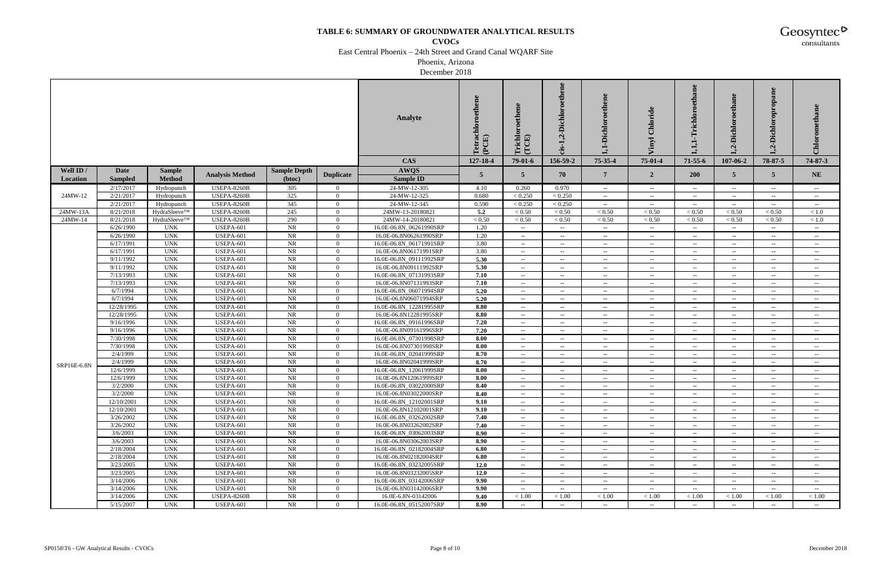**CVOCs**

East Central Phoenix – 24th Street and Grand Canal WQARF Site

Phoenix, Arizona

December 2018

|             |                      |                          |                                      |                     |                                  | <b>Analyte</b>                                    | $\frac{1}{\rm (PCE)}$ | richlo<br>(TCE)<br>⊨     | Dichloroethene<br>ù<br>cis-                           | 1,1-Dichloroethene                                  | $\mathbf{d}$<br>Chlori<br>lyni | thane<br>$\rm {Trichlo}$<br>H.                      | $\omega$<br>-Dichl<br>$\mathbf{v}$ | Dichloropropane<br>$\dot{q}$                          | $Ch$ loi                                       |
|-------------|----------------------|--------------------------|--------------------------------------|---------------------|----------------------------------|---------------------------------------------------|-----------------------|--------------------------|-------------------------------------------------------|-----------------------------------------------------|--------------------------------|-----------------------------------------------------|------------------------------------|-------------------------------------------------------|------------------------------------------------|
|             |                      |                          |                                      |                     |                                  | <b>CAS</b>                                        | 127-18-4              | $79-01-6$                | 156-59-2                                              | 75-35-4                                             | 75-01-4                        | 71-55-6                                             | 107-06-2                           | 78-87-5                                               | 74-87-3                                        |
| Well ID /   | Date                 | <b>Sample</b>            |                                      | <b>Sample Depth</b> |                                  | <b>AWQS</b>                                       |                       |                          |                                                       |                                                     |                                |                                                     |                                    |                                                       |                                                |
| Location    | <b>Sampled</b>       | <b>Method</b>            | <b>Analysis Method</b>               | (btoc)              | <b>Duplicate</b>                 | <b>Sample ID</b>                                  | $\overline{5}$        | 5                        | 70                                                    | $7\phantom{.0}$                                     | $\overline{2}$                 | <b>200</b>                                          | 5                                  | $\overline{5}$                                        | <b>NE</b>                                      |
|             | 2/17/2017            | Hydropunch               | <b>USEPA-8260B</b>                   | 305                 | $\mathbf{0}$                     | 24-MW-12-305                                      | 4.10                  | 0.260                    | 0.970                                                 | $\overline{\phantom{a}}$                            | $- -$                          | $\sim$                                              | $\sim$                             | $\hspace{0.1mm}-\hspace{0.1mm}-\hspace{0.1mm}$        | $\sim$ $-$                                     |
| 24MW-12     | 2/21/2017            | Hydropunch               | USEPA-8260B                          | 325                 | $\overline{0}$                   | 24-MW-12-325                                      | 0.680                 | < 0.250                  | < 0.250                                               | $\sim$                                              | $- -$                          | $\hspace{0.05cm} -\hspace{0.05cm} -\hspace{0.05cm}$ | $\sim$                             | $\hspace{0.1mm}-\hspace{0.1mm}-\hspace{0.1mm}$        | $\sim$                                         |
|             | 2/21/2017            | Hydropunch               | <b>USEPA-8260B</b>                   | $\overline{345}$    | $\overline{0}$                   | 24-MW-12-345                                      | 0.590                 | < 0.250                  | < 0.250                                               | $\sim$                                              | $- -$                          | $\sim$                                              | $\sim$                             | $\overline{\phantom{a}}$                              | $\sim$ $-$                                     |
| 24MW-13A    | 8/21/2018            | HydraSleeve™             | <b>USEPA-8260B</b>                   | 245                 | $\overline{0}$                   | 24MW-13-20180821                                  | 5.2                   | ${}< 0.50$               | ${}_{< 0.50}$                                         | < 0.50                                              | < 0.50                         | < 0.50                                              | < 0.50                             | < 0.50                                                | < 1.0                                          |
| 24MW-14     | 8/21/2018            | HydraSleeve™             | <b>USEPA-8260B</b>                   | 290                 | $\bf{0}$                         | 24MW-14-20180821                                  | < 0.50                | < 0.50                   | < 0.50                                                | < 0.50                                              | < 0.50                         | < 0.50                                              | < 0.50                             | < 0.50                                                | < 1.0                                          |
|             | 6/26/1990            | <b>UNK</b>               | <b>USEPA-601</b>                     | <b>NR</b>           | $\overline{0}$                   | 16.0E-06.8N_06261990SRP                           | 1.20                  | $\sim$ $\sim$            | $\mathcal{L}_{\mathcal{F}}$                           | $\sim$                                              | $\sim$                         | $\sim$                                              | $- -$ .                            | $\sim$                                                | $\sim$                                         |
|             | 6/26/1990            | <b>UNK</b>               | USEPA-601                            | NR                  | $\overline{0}$                   | 16.0E-06.8N06261990SRP                            | 1.20                  | $\sim$                   | $\hspace{0.1mm}-\hspace{0.1mm}-\hspace{0.1mm}$        | $\hspace{0.05cm} -\hspace{0.05cm} -\hspace{0.05cm}$ | $- -$                          | $\sim$ $-$                                          | $\sim$                             | $\hspace{0.05cm} -\hspace{0.05cm} -\hspace{0.05cm}$   | $\sim$ $-$                                     |
|             | 6/17/1991            | <b>UNK</b>               | USEPA-601                            | NR                  | $\overline{0}$                   | 16.0E-06.8N_06171991SRP                           | 3.80                  | $\sim$                   | $\sim$                                                | $\hspace{0.05cm} -\hspace{0.05cm} -\hspace{0.05cm}$ | $\sim$                         | $\sim$ $-$                                          | $\sim$ $-$                         | $\overline{\phantom{a}}$                              | $\sim$                                         |
|             | 6/17/1991            | <b>UNK</b>               | USEPA-601                            | NR                  | $\overline{0}$                   | 16.0E-06.8N06171991SRP                            | 3.80                  | $\sim$                   | $\hspace{0.1mm}-\hspace{0.1mm}-\hspace{0.1mm}$        | $\hspace{0.05cm} -\hspace{0.05cm} -\hspace{0.05cm}$ | $\sim$                         | $\sim$ $-$                                          | $\sim$ $-$                         | $\hspace{0.05cm} -\hspace{0.05cm} -\hspace{0.05cm}$   | $\hspace{0.1mm}-\hspace{0.1mm}-\hspace{0.1mm}$ |
|             | 9/11/1992            | <b>UNK</b>               | USEPA-601                            | NR                  | $\bf{0}$                         | 16.0E-06.8N 09111992SRP                           | 5.30                  | $--$                     | $\sim$                                                | $\overline{\phantom{a}}$                            | $--$                           | $\sim$                                              | $--$                               | $\sim$                                                | $\sim$                                         |
|             | 9/11/1992            | <b>UNK</b>               | <b>USEPA-601</b>                     | <b>NR</b>           | $\overline{0}$                   | 16.0E-06.8N09111992SRP                            | 5.30                  | $\sim$                   | $\hspace{0.05cm} - \hspace{0.05cm} - \hspace{0.05cm}$ | $\overline{\phantom{a}}$                            | $\sim$                         | $\hspace{0.05cm} -\hspace{0.05cm} -\hspace{0.05cm}$ | $\sim$ $\sim$                      | $\hspace{0.1mm}-\hspace{0.1mm}-\hspace{0.1mm}$        | $\hspace{0.1mm}-\hspace{0.1mm}-\hspace{0.1mm}$ |
|             | 7/13/1993            | <b>UNK</b>               | <b>USEPA-601</b>                     | NR                  | $\overline{0}$                   | 16.0E-06.8N_07131993SRP                           | 7.10                  | $\sim$                   | $\hspace{0.05cm} - \hspace{0.05cm} - \hspace{0.05cm}$ | $\hspace{0.05cm} -\hspace{0.05cm} -\hspace{0.05cm}$ | $- -$                          | $\hspace{0.05cm} -\hspace{0.05cm} -\hspace{0.05cm}$ | $\sim$                             | $\hspace{0.1mm}-\hspace{0.1mm}-\hspace{0.1mm}$        | $\sim$                                         |
|             | 7/13/1993            | <b>UNK</b>               | <b>USEPA-601</b>                     | <b>NR</b>           | $\overline{0}$                   | 16.0E-06.8N07131993SRP                            | 7.10                  | $\sim$                   | $\sim$                                                | $\overline{\phantom{a}}$                            | $--$                           | $\sim$                                              | $\overline{\phantom{m}}$           | $\sim$                                                | $--$                                           |
|             | 6/7/1994             | <b>UNK</b>               | USEPA-601                            | NR                  | $\overline{0}$                   | 16.0E-06.8N_06071994SRP                           | 5.20                  | $--$                     | $\sim$ $-$                                            | $\sim$ $\sim$                                       | $- -$                          | $\sim$ $\sim$                                       | $\overline{\phantom{m}}$           | $\overline{\phantom{m}}$                              | $\sim$ $-$                                     |
|             | 6/7/1994             | <b>UNK</b>               | USEPA-601                            | NR                  | $\overline{0}$                   | 16.0E-06.8N06071994SRP                            | 5.20                  | $--$                     | $\sim$                                                | $\overline{\phantom{a}}$                            | $--$                           | $- -$ .                                             | $--$                               | $\sim$                                                | $- -$                                          |
|             | 12/28/1995           | <b>UNK</b>               | <b>USEPA-601</b>                     | NR                  | $\overline{0}$                   | 16.0E-06.8N_12281995SRP                           | 8.80                  | $--$                     | $\sim$                                                | $\hspace{0.05cm} -\hspace{0.05cm} -\hspace{0.05cm}$ | $- -$                          | $\hspace{0.05cm} -\hspace{0.05cm} -\hspace{0.05cm}$ | $\sim$ $-$                         | $\sim$                                                | $\sim$ $-$                                     |
|             | 12/28/1995           | <b>UNK</b>               | USEPA-601                            | NR                  | $\overline{0}$                   | 16.0E-06.8N12281995SRP                            | 8.80                  | $\sim$                   | $\sim$ $-$                                            | $\hspace{0.05cm} -\hspace{0.05cm} -\hspace{0.05cm}$ | $--$                           | $\hspace{0.05cm} -\hspace{0.05cm} -\hspace{0.05cm}$ | $--$                               | $\hspace{0.1mm}-\hspace{0.1mm}-\hspace{0.1mm}$        | $\sim$                                         |
|             | 9/16/1996            | <b>UNK</b>               | <b>USEPA-601</b>                     | NR                  | $\overline{0}$                   | 16.0E-06.8N 09161996SRP                           | 7.20                  | $\sim$                   | $\sim$                                                | $\overline{\phantom{a}}$                            | $--$                           | $\hspace{0.05cm} -\hspace{0.05cm} -\hspace{0.05cm}$ | $\sim$ $-$                         | $\sim$                                                | $\overline{\phantom{a}}$                       |
|             | 9/16/1996            | <b>UNK</b>               | USEPA-601                            | NR                  | $\overline{0}$                   | 16.0E-06.8N09161996SRP                            | 7.20                  | $\sim$                   | $\sim$ $-$                                            | $\hspace{0.05cm} -\hspace{0.05cm} -\hspace{0.05cm}$ | $\sim$                         | $\hspace{0.05cm} -\hspace{0.05cm} -\hspace{0.05cm}$ | $\sim$ $-$                         | $\sim$ $\sim$                                         | $\hspace{0.1mm}-\hspace{0.1mm}-\hspace{0.1mm}$ |
|             | 7/30/1998            | <b>UNK</b>               | USEPA-601                            | NR                  | $\bf{0}$                         | 16.0E-06.8N 07301998SRP                           | 8.00                  | $--$                     | $\sim$                                                | $\overline{\phantom{a}}$                            | $--$                           | $\sim$                                              | $\sim$                             | $\sim$                                                | $\sim$                                         |
|             | 7/30/1998            | <b>UNK</b>               | USEPA-601                            | <b>NR</b>           | $\overline{0}$                   | 16.0E-06.8N07301998SRP                            | 8.00                  | $\sim$                   | $\overline{\phantom{a}}$                              | $\hspace{0.05cm} -\hspace{0.05cm} -\hspace{0.05cm}$ | $\sim$                         | $\hspace{0.05cm} -\hspace{0.05cm} -\hspace{0.05cm}$ | $\sim$ $-$                         | $\sim$                                                | $\hspace{0.1mm}-\hspace{0.1mm}-\hspace{0.1mm}$ |
|             | 2/4/1999             | <b>UNK</b>               | USEPA-601                            | NR                  | $\overline{0}$                   | 16.0E-06.8N_02041999SRP                           | 8.70                  | $\sim$                   | $\sim$ $-$                                            | $\hspace{0.05cm} -\hspace{0.05cm} -\hspace{0.05cm}$ | $\sim$                         | $\hspace{0.05cm} -\hspace{0.05cm} -\hspace{0.05cm}$ | $--$                               | $\hspace{0.05cm} - \hspace{0.05cm} - \hspace{0.05cm}$ | $\sim$                                         |
| SRP16E-6.8N | 2/4/1999             | <b>UNK</b>               | <b>USEPA-601</b>                     | NR                  | $\overline{0}$                   | 16.0E-06.8N02041999SRP                            | 8.70                  | $\sim$                   | $\sim$                                                | $\hspace{0.05cm} -\hspace{0.05cm} -\hspace{0.05cm}$ | $\sim$ $-$                     | $\hspace{0.05cm} -\hspace{0.05cm} -\hspace{0.05cm}$ | $\sim$ $-$                         | $- -$                                                 | $- -$                                          |
|             | 12/6/1999            | <b>UNK</b>               | USEPA-601                            | NR                  | $\overline{0}$                   | 16.0E-06.8N_12061999SRP                           | 8.00                  | $--$                     | $\sim$ $-$                                            | $\hspace{0.05cm} -\hspace{0.05cm} -\hspace{0.05cm}$ | $\sim$                         | $\hspace{0.05cm} -\hspace{0.05cm} -\hspace{0.05cm}$ | $\overline{\phantom{a}}$           | $\sim$                                                | $\sim$ $-$                                     |
|             | 12/6/1999            | <b>UNK</b>               | USEPA-601                            | NR                  | $\overline{0}$                   | 16.0E-06.8N12061999SRP                            | 8.00                  | $--$                     | $\sim$                                                | $\overline{\phantom{a}}$                            | $--$                           | $\sim$                                              | $\sim$                             | $\sim$                                                | $\sim$ $-$                                     |
|             | 3/2/2000             | <b>UNK</b>               | USEPA-601                            | $\rm NR$            | $\overline{0}$                   | 16.0E-06.8N 03022000SRP                           | 8.40                  | $\overline{\phantom{a}}$ | $\sim$                                                | $\hspace{0.05cm} -\hspace{0.05cm} -\hspace{0.05cm}$ | $\sim$ $-$                     | $\hspace{0.05cm} -\hspace{0.05cm} -\hspace{0.05cm}$ | $\sim$ $\sim$                      | $\sim$                                                | $\sim$ $-$                                     |
|             | 3/2/2000             | <b>UNK</b>               | <b>USEPA-601</b>                     | <b>NR</b>           | $\overline{0}$                   | 16.0E-06.8N03022000SRP                            | 8.40                  | $\overline{\phantom{a}}$ | $\sim$                                                | $\sim$                                              | $- -$                          | $\hspace{0.05cm} -\hspace{0.05cm} -\hspace{0.05cm}$ | $\sim$ $-$                         | $\sim$                                                | $\hspace{0.1mm}-\hspace{0.1mm}-\hspace{0.1mm}$ |
|             | 12/10/200            | <b>UNK</b>               | <b>USEPA-601</b>                     | NR                  | $\Omega$                         | 16.0E-06.8N_12102001SRP                           | 9.10                  | $\sim$ $\sim$            | $- -$                                                 | $\sim$ $\sim$                                       | $- -$                          | $\sim$ $\sim$                                       | $\sim$ $-$                         | $- -$                                                 | $\sim$                                         |
|             | 12/10/2001           | <b>UNK</b>               | <b>USEPA-601</b>                     | NR                  | $\overline{0}$                   | 16.0E-06.8N12102001SRP                            | 9.10                  | $\overline{\phantom{a}}$ | $\overline{\phantom{m}}$                              | $\sim$                                              | $\mathbf{u}$                   | $\sim$                                              | $\sim$ $\sim$                      | $\sim$                                                |                                                |
|             | 3/26/2002            | <b>UNK</b>               | <b>USEPA-601</b>                     | NR                  | $\Omega$                         | 16.0E-06.8N 03262002SRP<br>16.0E-06.8N03262002SRP | 7.40                  | $--$                     | $\mathbf{u}$                                          | $\sim$                                              | $\sim$                         | $\sim$                                              | $--$                               | $\mathbf{u}$                                          | $\sim$                                         |
|             | 3/26/2002            | <b>UNK</b>               | <b>USEPA-601</b>                     | NR                  | $\overline{0}$                   |                                                   | 7.40                  | $\sim$                   | $\sim$                                                | $\sim$                                              | $\sim$                         | $\hspace{0.05cm} -\hspace{0.05cm} -\hspace{0.05cm}$ | $--$                               | $\sim$                                                | $\sim$ $-$                                     |
|             | 3/6/2003<br>3/6/2003 | <b>UNK</b><br><b>UNK</b> | <b>USEPA-601</b>                     | NR<br>NR            | $\overline{0}$<br>$\overline{0}$ | 16.0E-06.8N_03062003SRP<br>16.0E-06.8N03062003SRP | 8.90<br>8.90          | $- -$                    | $\sim$ $-$                                            | $\sim$                                              | $\sim$                         | $\sim$                                              | $\sim$                             | $\hspace{0.1mm}-\hspace{0.1mm}-\hspace{0.1mm}$        | $\sim$                                         |
|             | 2/18/2004            | <b>UNK</b>               | <b>USEPA-601</b><br><b>USEPA-601</b> | NR                  | $\overline{0}$                   |                                                   | 6.80                  | $ -$                     | $--$                                                  | $\sim$ $\sim$                                       | $--$                           | $- -$                                               | $-  \,$                            | $- -$                                                 | $\sim$ $-$                                     |
|             | 2/18/2004            | <b>UNK</b>               | USEPA-601                            | NR                  | $\overline{0}$                   | 16.0E-06.8N_02182004SRP<br>16.0E-06.8N02182004SRP | 6.80                  | $\overline{\phantom{a}}$ |                                                       | $\sim$                                              | $\sim$ $-$                     | $\hspace{0.05cm} -\hspace{0.05cm} -\hspace{0.05cm}$ | $\sim$ $\sim$                      |                                                       | $\sim$ $-$                                     |
|             | 3/23/2005            | <b>UNK</b>               | <b>USEPA-601</b>                     | NR                  | $\overline{0}$                   | 16.0E-06.8N 03232005SRP                           | 12.0                  | $\sim$<br>$- -$          | $\rightarrow$<br>$\sim$                               | $\sim$                                              | $\sim$<br>$-  \,$              | $\sim$<br>$\sim$                                    | $\sim$<br>$- -$                    | $\sim$<br>$\sim$                                      | $\sim$ $-$<br>$\sim$ $-$                       |
|             | 3/23/2005            | <b>UNK</b>               | <b>USEPA-601</b>                     | NR                  | $\overline{0}$                   | 16.0E-06.8N03232005SRP                            | 12.0                  | $- -$                    | $\sim$                                                | $\sim$<br>$\sim$                                    | $-  \,$                        | $\sim$                                              | $\sim$                             | $\hspace{0.1mm}-\hspace{0.1mm}-\hspace{0.1mm}$        | $\sim$                                         |
|             | 3/14/2006            | <b>UNK</b>               | <b>USEPA-601</b>                     | NR                  | $\overline{0}$                   | 16.0E-06.8N 03142006SRP                           | 9.90                  | $\sim$                   | $\hspace{0.05cm} - \hspace{0.05cm} - \hspace{0.05cm}$ | $\overline{\phantom{a}}$                            | $- -$                          | $- -$ .                                             | $\overline{\phantom{a}}$           | $\overline{\phantom{m}}$                              | $--$                                           |
|             | 3/14/2006            | <b>UNK</b>               | <b>USEPA-601</b>                     | NR                  | $\overline{0}$                   | 16.0E-06.8N03142006SRP                            | 9.90                  | $\sim$                   | $\overline{\phantom{a}}$                              | $\hspace{0.05cm} -\hspace{0.05cm} -\hspace{0.05cm}$ | $\mathbf{u}$                   | $\sim$                                              | $--$                               | $\sim$                                                |                                                |
|             | 3/14/2006            | <b>UNK</b>               | USEPA-8260B                          | NR                  | $\overline{0}$                   | 16.0E-6.8N-03142006                               | 9.40                  | < 1.00                   | < 1.00                                                | < 1.00                                              | < 1.00                         | < 1.00                                              | < 1.00                             | < 1.00                                                | < 1.00                                         |
|             | 5/15/2007            | <b>UNK</b>               | <b>USEPA-601</b>                     | <b>NR</b>           | $\overline{0}$                   | 16.0E-06.8N 05152007SRP                           | 8.90                  | $\sim$ $\sim$            | $\sim$                                                | $\sim$                                              | $\sim$                         | $\sim$                                              | $\sim$ $-$                         | $\sim$                                                | $\sim$ $-$                                     |
|             |                      |                          |                                      |                     |                                  |                                                   |                       |                          |                                                       |                                                     |                                |                                                     |                                    |                                                       |                                                |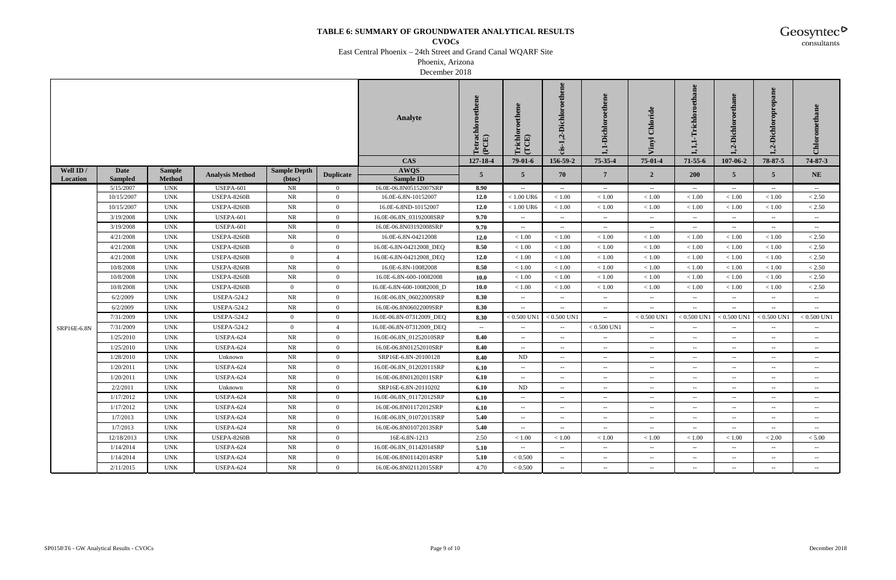**CVOCs**

East Central Phoenix – 24th Street and Grand Canal WQARF Site

Phoenix, Arizona

December 2018

|             |                         |                           |                                        |                     |                                  | <b>Analyte</b>                                | Tetrachloroethene<br>(PCE) | <b>Trichlor</b><br>(TCE)                 | ,2-Dichloroethene<br>$cis-1$                  | ,1-Dichloroethene        | Chloride<br>lvut.        | Trichloroethane<br>Ļ                                | $\bullet$<br>2-Dichl     | Dichloropropane<br>ù     | Chloromethane            |
|-------------|-------------------------|---------------------------|----------------------------------------|---------------------|----------------------------------|-----------------------------------------------|----------------------------|------------------------------------------|-----------------------------------------------|--------------------------|--------------------------|-----------------------------------------------------|--------------------------|--------------------------|--------------------------|
|             |                         |                           |                                        |                     |                                  | <b>CAS</b>                                    | 127-18-4                   | $79-01-6$                                | 156-59-2                                      | 75-35-4                  | 75-01-4                  | $71 - 55 - 6$                                       | 107-06-2                 | 78-87-5                  | 74-87-3                  |
| Well ID /   | Date                    | <b>Sample</b>             | <b>Analysis Method</b>                 | <b>Sample Depth</b> | <b>Duplicate</b>                 | AWQS                                          | 5 <sup>5</sup>             | $\overline{5}$                           | 70                                            | $7\phantom{.0}$          | $\overline{2}$           | <b>200</b>                                          | 5                        | 5 <sup>5</sup>           | <b>NE</b>                |
| Location    | <b>Sampled</b>          | <b>Method</b>             |                                        | (btoc)              |                                  | Sample ID                                     |                            |                                          |                                               |                          |                          |                                                     |                          |                          |                          |
|             | 5/15/2007<br>10/15/2007 | <b>UNK</b><br><b>UNK</b>  | <b>USEPA-601</b><br><b>USEPA-8260B</b> | NR<br>NR            | $\overline{0}$<br>$\overline{0}$ | 16.0E-06.8N05152007SRP<br>16.0E-6.8N-10152007 | 8.90<br>12.0               | $\overline{\phantom{m}}$<br>$< 1.00$ UR6 | $- -$<br>$<1.00$                              | $-\,$<br>$<1.00\,$       | $\sim$<br>$<1.00\,$      | $--$<br>< 1.00                                      | $--$<br>$<1.00\,$        | $- -$<br>< 1.00          | $\rightarrow$<br>< 2.50  |
|             | 10/15/2007              | $\ensuremath{\text{UNK}}$ | <b>USEPA-8260B</b>                     | <b>NR</b>           | $\overline{0}$                   | 16.0E-6.8ND-10152007                          | 12.0                       | $<1.00$ UR6                              | $<1.00$                                       | < 1.00                   | < 1.00                   | $<1.00$                                             | $<1.00\,$                | $<1.00$                  | < 2.50                   |
|             | 3/19/2008               | <b>UNK</b>                | <b>USEPA-601</b>                       | NR                  | $\overline{0}$                   | 16.0E-06.8N_03192008SRP                       | 9.70                       | $\sim$                                   | $\sim$ $-$                                    | $\overline{\phantom{m}}$ | $\sim$ $-$               | $\hspace{0.05cm} -\hspace{0.05cm} -\hspace{0.05cm}$ | $\sim$                   | $\sim$                   | $- -$                    |
|             | 3/19/2008               | $\ensuremath{\text{UNK}}$ | <b>USEPA-601</b>                       | NR                  | $\overline{0}$                   | 16.0E-06.8N03192008SRP                        | 9.70                       | $\overline{\phantom{m}}$                 | $\overline{\phantom{a}}$                      | $\overline{\phantom{a}}$ | $-$                      | $\overline{\phantom{m}}$                            | $\overline{\phantom{a}}$ | --                       | $\sim$                   |
|             | 4/21/2008               | <b>UNK</b>                | <b>USEPA-8260B</b>                     | <b>NR</b>           | $\mathbf{0}$                     | 16.0E-6.8N-04212008                           | 12.0                       | < 1.00                                   | < 1.00                                        | < 1.00                   | $<1.00\,$                | < 1.00                                              | < 1.00                   | < 1.00                   | < 2.50                   |
|             | 4/21/2008               | <b>UNK</b>                | <b>USEPA-8260B</b>                     | $\overline{0}$      | $\overline{0}$                   | 16.0E-6.8N-04212008_DEQ                       | 8.50                       | $<1.00$                                  | < 1.00                                        | < 1.00                   | $<1.00\,$                | < 1.00                                              | $<1.00\,$                | $<1.00$                  | $< 2.50$                 |
|             | 4/21/2008               | <b>UNK</b>                | <b>USEPA-8260B</b>                     | $\overline{0}$      | $\overline{4}$                   | 16.0E-6.8N-04212008_DEQ                       | 12.0                       | < 1.00                                   | < 1.00                                        | < 1.00                   | < 1.00                   | < 1.00                                              | < 1.00                   | < 1.00                   | < 2.50                   |
|             | 10/8/2008               | <b>UNK</b>                | <b>USEPA-8260B</b>                     | NR                  | $\overline{0}$                   | 16.0E-6.8N-10082008                           | 8.50                       | $<1.00$                                  | < 1.00                                        | $<1.00\,$                | $<1.00\,$                | $<1.00$                                             | $<1.00$                  | < 1.00                   | < 2.50                   |
|             | 10/8/2008               | $\ensuremath{\text{UNK}}$ | <b>USEPA-8260B</b>                     | <b>NR</b>           | $\overline{0}$                   | 16.0E-6.8N-600-10082008                       | 10.0                       | $<1.00\,$                                | < 1.00                                        | $<1.00\,$                | $<1.00$                  | $<1.00$                                             | $<1.00\,$                | < 1.00                   | < 2.50                   |
|             | 10/8/2008               | <b>UNK</b>                | <b>USEPA-8260B</b>                     | $\overline{0}$      | $\overline{0}$                   | 16.0E-6.8N-600-10082008_D                     | 10.0                       | $<1.00$                                  | $<1.00$                                       | $<1.00$                  | < 1.00                   | < 1.00                                              | $<1.00\,$                | $<1.00$                  | < 2.50                   |
|             | 6/2/2009                | <b>UNK</b>                | <b>USEPA-524.2</b>                     | NR                  | $\overline{0}$                   | 16.0E-06.8N_06022009SRP                       | 8.30                       | $\sim$                                   | $\sim$                                        | $\overline{\phantom{a}}$ | $\sim$                   | $\overline{\phantom{m}}$                            | $--$                     | $--$                     | $\sim$                   |
|             | 6/2/2009                | <b>UNK</b>                | <b>USEPA-524.2</b>                     | <b>NR</b>           | $\mathbf{0}$                     | 16.0E-06.8N06022009SRP                        | 8.30                       | $\sim$                                   | $\mathord{\hspace{1pt}\text{--}\hspace{1pt}}$ | $-\,$                    | $\sim$                   | $- -$                                               | $\sim$                   | $\sim$                   | $- -$                    |
|             | 7/31/2009               | <b>UNK</b>                | <b>USEPA-524.2</b>                     | $\overline{0}$      | $\overline{0}$                   | 16.0E-06.8N-07312009_DEQ                      | 8.30                       | $< 0.500$ UN1                            | $< 0.500$ UN1                                 | $\overline{\phantom{m}}$ | $< 0.500$ UN1            | $< 0.500$ UN1                                       | $< 0.500$ UN1            | $< 0.500$ UN1            | $< 0.500$ UN1            |
| SRP16E-6.8N | 7/31/2009               | <b>UNK</b>                | <b>USEPA-524.2</b>                     | $\overline{0}$      | $\overline{4}$                   | 16.0E-06.8N-07312009_DEQ                      | $- -$ .                    | $\sim$                                   | $\sim$                                        | $< 0.500$ UN1            | $\sim$                   | $\sim$ $\sim$                                       | $- -$                    | $\sim$                   | $\rightarrow$            |
|             | 1/25/2010               | <b>UNK</b>                | USEPA-624                              | <b>NR</b>           | $\overline{0}$                   | 16.0E-06.8N_01252010SRP                       | 8.40                       | $\sim$ $-$                               | $\mathbf{u}$                                  | $\sim$ $\sim$            | $\sim$                   | $\sim$ $\sim$                                       | $\overline{\phantom{a}}$ | $\overline{a}$           | $\sim$                   |
|             | 1/25/2010               | <b>UNK</b>                | <b>USEPA-624</b>                       | <b>NR</b>           | $\overline{0}$                   | 16.0E-06.8N01252010SRP                        | 8.40                       | $\sim$                                   | $\sim$                                        | $\overline{\phantom{a}}$ | $\sim$                   | $\sim$                                              | $\sim$                   | $\sim$                   | $\rightarrow$            |
|             | 1/28/2010               | <b>UNK</b>                | Unknown                                | NR                  | $\overline{0}$                   | SRP16E-6.8N-20100128                          | 8.40                       | ND                                       | $\sim$                                        | $\overline{\phantom{m}}$ | $\sim$                   | $\mathcal{L}_{\mathcal{F}}$                         | $\overline{\phantom{a}}$ | $- -$ .                  | $\rightarrow$            |
|             | 1/20/2011               | $\ensuremath{\text{UNK}}$ | USEPA-624                              | <b>NR</b>           | $\overline{0}$                   | 16.0E-06.8N_01202011SRP                       | 6.10                       | $\sim$ $-$                               | $\overline{\phantom{a}}$                      | $\overline{\phantom{a}}$ | $--$                     | $\sim$ $\sim$                                       | $\overline{\phantom{a}}$ | $\sim$                   | $\sim$ $-$               |
|             | 1/20/2011               | <b>UNK</b>                | USEPA-624                              | <b>NR</b>           | $\overline{0}$                   | 16.0E-06.8N01202011SRP                        | 6.10                       | $\sim$                                   | $\mathord{\hspace{1pt}\text{--}\hspace{1pt}}$ | $\overline{\phantom{a}}$ | $\sim$                   | $\overline{\phantom{m}}$                            | $--$                     | $--$                     | $\sim$                   |
|             | 2/2/2011                | <b>UNK</b>                | Unknown                                | <b>NR</b>           | $\overline{0}$                   | SRP16E-6.8N-20110202                          | 6.10                       | ND                                       | $\sim$ $\sim$                                 | $\overline{\phantom{a}}$ | $\sim$                   | $\overline{\phantom{a}}$                            | $\overline{\phantom{a}}$ | $\overline{\phantom{a}}$ | $\sim$                   |
|             | 1/17/2012               | <b>UNK</b>                | USEPA-624                              | <b>NR</b>           | $\overline{0}$                   | 16.0E-06.8N_01172012SRP                       | 6.10                       | $\sim$                                   | $\sim$ $\sim$                                 | $\overline{\phantom{a}}$ | $\sim$                   | $\hspace{0.05cm} -\hspace{0.05cm} -\hspace{0.05cm}$ | $\sim$                   | $\overline{\phantom{m}}$ | $\overline{\phantom{m}}$ |
|             | 1/17/2012               | <b>UNK</b>                | <b>USEPA-624</b>                       | NR                  | $\mathbf{0}$                     | 16.0E-06.8N01172012SRP                        | 6.10                       | $--$                                     | $\sim$                                        | $\overline{\phantom{a}}$ | $\overline{\phantom{m}}$ | $\overline{\phantom{a}}$                            | $- -$                    |                          | $\sim$                   |
|             | 1/7/2013                | <b>UNK</b>                | USEPA-624                              | NR                  | $\overline{0}$                   | 16.0E-06.8N_01072013SRP                       | 5.40                       | $- -$ .                                  | $\sim$                                        | $\overline{\phantom{a}}$ | $- -$ .                  | $\sim$                                              | $\sim$                   | $\sim$                   | $\sim$                   |
|             | 1/7/2013                | $\ensuremath{\text{UNK}}$ | <b>USEPA-624</b>                       | <b>NR</b>           | $\bf{0}$                         | 16.0E-06.8N01072013SRP                        | 5.40                       | $\sim$                                   | $\sim$                                        | $\overline{\phantom{m}}$ | $\sim$ $-$               | $\sim$                                              | $\sim$                   | $\sim$ $\sim$            | $\sim$ $\sim$            |
|             | 12/18/2013              | UNK                       | <b>USEPA-8260B</b>                     | <b>NR</b>           | $\overline{0}$                   | 16E-6.8N-1213                                 | 2.50                       | < 1.00                                   | < 1.00                                        | $<1.00$                  | < 1.00                   | < 1.00                                              | < 1.00                   | < 2.00                   | < 5.00                   |
|             | 1/14/2014               | $\ensuremath{\text{UNK}}$ | <b>USEPA-624</b>                       | <b>NR</b>           | $\overline{0}$                   | 16.0E-06.8N_01142014SRP                       | 5.10                       | $\sim$                                   | $\overline{\phantom{a}}$                      | $\overline{\phantom{a}}$ | $\sim$                   | $\sim$                                              | $- -$ .                  | $\sim$                   | $\sim$                   |
|             | 1/14/2014               | <b>UNK</b>                | USEPA-624                              | <b>NR</b>           | $\overline{0}$                   | 16.0E-06.8N01142014SRP                        | 5.10                       | < 0.500                                  | $\overline{\phantom{a}}$                      | $\overline{\phantom{m}}$ | $\sim$                   | $\sim$                                              | $\sim$                   | $\sim$                   | $- -$                    |
|             | 2/11/2015               | UNK                       | USEPA-624                              | NR                  | $\overline{0}$                   | 16.0E-06.8N02112015SRP                        | 4.70                       | < 0.500                                  | $\sim$ $\sim$                                 | $\sim$                   | $\sim$                   | $--$                                                | $--$                     | $- -$                    | $\overline{\phantom{a}}$ |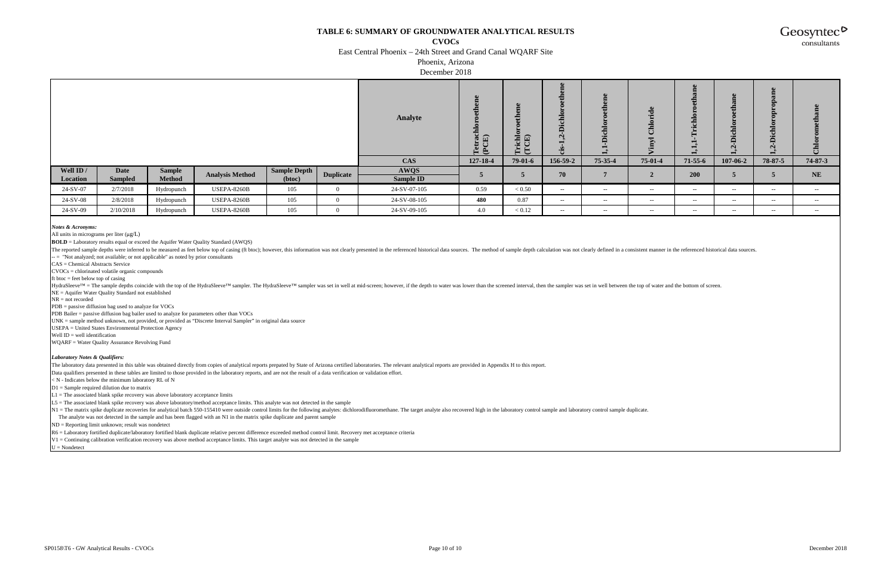**CVOCs**

East Central Phoenix – 24th Street and Grand Canal WQARF Site

Phoenix, Arizona

December 2018

|           |                |               |                        |                     |                  | Analyte      | e<br>Tetracl<br>(PCE) | Trichlon<br>(TCE) | eme<br>Ð<br>$\bullet$<br>Dichlor<br>$\mathbf{z}$<br>$\blacksquare$<br>si. | ്ധ<br>ہ<br>ب | $\mathbf{e}$<br>--<br>$\blacksquare$<br>-<br>-- | $\bullet$<br>- | ◠<br>$\sim$    | e<br>opai<br>$\mathbf{e}$<br>$\bullet$<br>Ξ<br>ರ<br>ã<br>$\mathbf{N}$<br>┙ | ്ധ<br>ට්   |
|-----------|----------------|---------------|------------------------|---------------------|------------------|--------------|-----------------------|-------------------|---------------------------------------------------------------------------|--------------|-------------------------------------------------|----------------|----------------|----------------------------------------------------------------------------|------------|
|           |                |               |                        |                     |                  | <b>CAS</b>   | 127-18-4              | 79-01-6           | 156-59-2                                                                  | 75-35-4      | $75-01-4$                                       | $71-55-6$      | $107 - 06 - 2$ | 78-87-5                                                                    | 74-87-3    |
| Well ID / | <b>Date</b>    | <b>Sample</b> | <b>Analysis Method</b> | <b>Sample Depth</b> | <b>Duplicate</b> | <b>AWQS</b>  |                       |                   | 70                                                                        |              |                                                 | 200            |                |                                                                            | <b>NE</b>  |
| Location  | <b>Sampled</b> | <b>Method</b> |                        | (btoc)              |                  | Sample ID    |                       |                   |                                                                           |              |                                                 |                |                | $\mathbf{E}$                                                               |            |
| 24-SV-07  | 2/7/2018       | Hydropunch    | <b>USEPA-8260B</b>     | 105                 |                  | 24-SV-07-105 | 0.59                  | < 0.50            | $\sim$ $-$                                                                | $\sim$ $-$   | $\sim$ $-$                                      | $\sim$ $-$     | $\sim$ $-$     | $\sim$ $-$                                                                 | $\sim$ $-$ |
| 24-SV-08  | 2/8/2018       | Hydropunch    | <b>USEPA-8260B</b>     | 105                 |                  | 24-SV-08-105 | 480                   | 0.87              | $\sim$ $-$                                                                | $- -$        | $\sim$ $-$                                      | $\sim$ $\sim$  | $\sim$ $-$     | $\sim$ $-$                                                                 | $\sim$ $-$ |
| 24-SV-09  | 2/10/2018      | Hydropunch    | <b>USEPA-8260B</b>     | 105                 |                  | 24-SV-09-105 | 4.0                   | < 0.12            | $\sim$ $-$                                                                | $- -$        | $\sim$ $-$                                      | $- -$          | $\sim$ $-$     | $-  \sim$                                                                  | $\sim$ $-$ |

*Notes & Acronyms:*

All units in micrograms per liter  $(\mu g/L)$ 

HydraSleeve™ = The sample depths coincide with the top of the HydraSleeve™ sampler. The HydraSleeve™ sampler was set in well at mid-screen; however, if the depth to water was lower than the screened interval, then the sam NE = Aquifer Water Quality Standard not established

 $NR = not recorded$ 

**BOLD** = Laboratory results equal or exceed the Aquifer Water Quality Standard (AWQS)

The reported sample depths were inferred to be measured as feet below top of casing (ft btoc); however, this information was not clearly presented in the referenced historical data sources. The method of sample depth calcu -  $=$  "Not analyzed; not available; or not applicable" as noted by prior consultants

CAS = Chemical Abstracts Service

CVOCs = chlorinated volatile organic compounds

ft btoc  $=$  feet below top of casing

N1 = The matrix spike duplicate recoveries for analytical batch 550-155410 were outside control limits for the following analytes: dichlorodifluoromethane. The target analyte also recovered high in the laboratory control s The analyte was not detected in the sample and has been flagged with an N1 in the matrix spike duplicate and parent sample

PDB = passive diffusion bag used to analyze for VOCs

PDB Bailer = passive diffusion bag bailer used to analyze for parameters other than VOCs

UNK = sample method unknown, not provided, or provided as "Discrete Interval Sampler" in original data source

USEPA = United States Environmental Protection Agency

Well  $ID = well$  identification

WQARF = Water Quality Assurance Revolving Fund

#### *Laboratory Notes & Qualifiers:*

The laboratory data presented in this table was obtained directly from copies of analytical reports prepated by State of Arizona certified laboratories. The relevant analytical reports are provided in Appendix H to this re

Data qualifiers presented in these tables are limited to those provided in the laboratory reports, and are not the result of a data verification or validation effort.

< N - Indicates below the minimum laboratory RL of N

D1 = Sample required dilution due to matrix

 $L1 =$ The associated blank spike recovery was above laboratory acceptance limits

L5 = The associated blank spike recovery was above laboratory/method acceptance limits. This analyte was not detected in the sample

ND = Reporting limit unknown; result was nondetect

R6 = Laboratory fortified duplicate/laboratory fortified blank duplicate relative percent difference exceeded method control limit. Recovery met acceptance criteria

V1 = Continuing calibration verification recovery was above method acceptance limits. This target analyte was not detected in the sample

 $U = \text{Nondetect}$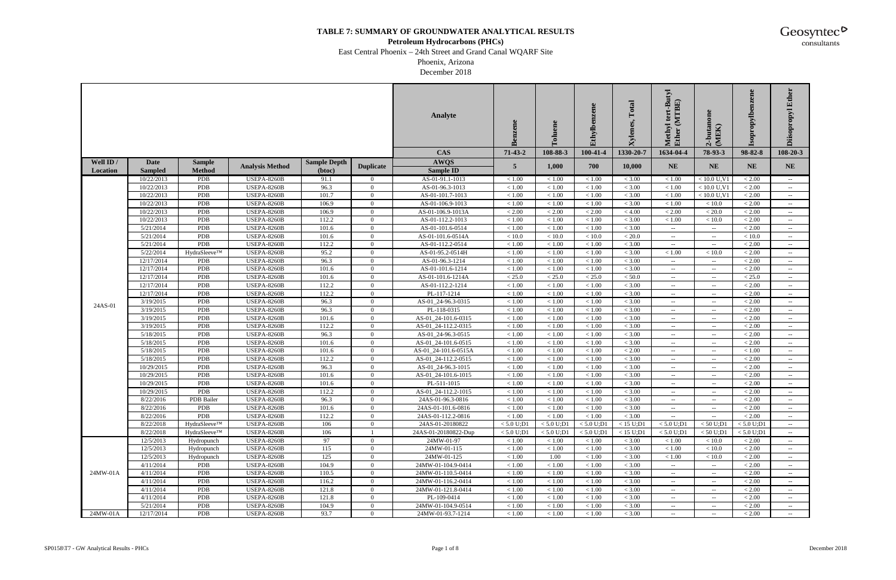#### **Petroleum Hydrocarbons (PHCs)**

East Central Phoenix – 24th Street and Grand Canal WQARF Site

Phoenix, Arizona December 2018

| <b>CAS</b><br>108-20-3<br>$71-43-2$<br>108-88-3<br>100-41-4<br>1330-20-7<br>1634-04-4<br>78-93-3<br>98-82-8<br>Well ID /<br><b>Date</b><br><b>AWQS</b><br><b>Sample Depth</b><br><b>Sample</b><br><b>Analysis Method</b><br><b>Duplicate</b><br>5<br>1,000<br>700<br>10,000<br><b>NE</b><br><b>NE</b><br><b>NE</b><br><b>NE</b><br><b>Sample ID</b><br><b>Sampled</b><br><b>Method</b><br>(btoc)<br>Location<br>10/22/2013<br><b>PDB</b><br><b>USEPA-8260B</b><br>91.1<br>AS-01-91.1-1013<br>< 1.00<br>< 3.00<br>$< 10.0$ U.V1<br>< 2.00<br>< 1.00<br>< 1.00<br>< 1.00<br>$\overline{0}$<br>$\sim$ $-$<br>96.3<br>10/22/2013<br>PDB<br><b>USEPA-8260B</b><br>< 1.00<br>< 3.00<br>$< 10.0$ U.V1<br>$< 2.00$<br>$\Omega$<br>AS-01-96.3-1013<br>< 1.00<br>< 1.00<br>< 1.00<br>$\sim$ $-$<br>PDB<br>10/22/2013<br><b>USEPA-8260B</b><br>101.7<br>AS-01-101.7-1013<br>< 1.00<br>< 1.00<br>< 1.00<br>< 3.00<br>$< 10.0$ U,V1<br>< 2.00<br>$\overline{0}$<br>< 1.00<br>$\sim$ $-$<br>PDB<br><b>USEPA-8260B</b><br>106.9<br>AS-01-106.9-1013<br>$<1.00\,$<br>< 3.00<br>< 2.00<br>10/22/2013<br>$\overline{0}$<br>< 1.00<br>< 1.00<br>< 1.00<br>< 10.0<br>$\sim$ $-$<br>10/22/2013<br>PDB<br>106.9<br>$< 2.00\,$<br>< 2.00<br>< 2.00<br>< 4.00<br><b>USEPA-8260B</b><br>$\Omega$<br>AS-01-106.9-1013A<br>$< 2.00$<br>< 20.0<br>< 2.00<br>$\sim$ $-$<br>10/22/2013<br>PDB<br><b>USEPA-8260B</b><br>112.2<br>$\overline{0}$<br>AS-01-112.2-1013<br>< 1.00<br>< 3.00<br>< 2.00<br>< 1.00<br>< 1.00<br>< 1.00<br>< 10.0<br>$\sim$ $-$<br>5/21/2014<br>PDB<br><b>USEPA-8260B</b><br>101.6<br>$\overline{0}$<br>AS-01-101.6-0514<br>< 1.00<br>< 3.00<br>< 2.00<br>< 1.00<br>< 1.00<br>$\sim$<br>$--$<br>$\sim$<br>5/21/2014<br>PDB<br><b>USEPA-8260B</b><br>101.6<br>$\overline{0}$<br>AS-01-101.6-0514A<br>< 10.0<br>< 10.0<br>< 10.0<br>< 20.0<br>< 10.0<br>$\sim$ $-$<br>$\sim$<br>$\sim$<br>PDB<br>112.2<br>5/21/2014<br><b>USEPA-8260B</b><br>$\Omega$<br>AS-01-112.2-0514<br>$<1.00\,$<br>< 1.00<br>< 3.00<br>$< 2.00$<br>< 1.00<br>$\overline{\phantom{m}}$<br>5/22/2014<br>HydraSleeve™<br><b>USEPA-8260B</b><br>95.2<br>$<1.00\,$<br>< 1.00<br>< 3.00<br>< 2.00<br>$\overline{0}$<br>AS-01-95.2-0514H<br>< 1.00<br>< 1.00<br>${}< 10.0$<br>$\hspace{0.1mm}-\hspace{0.1mm}-\hspace{0.1mm}$<br>12/17/2014<br>PDB<br><b>USEPA-8260B</b><br>96.3<br>$\overline{0}$<br>AS-01-96.3-1214<br>< 1.00<br>< 1.00<br>< 3.00<br>< 2.00<br>< 1.00<br>$\hspace{0.1mm}-\hspace{0.1mm}-\hspace{0.1mm}$<br>$\sim$ $\sim$<br>$\sim$<br><b>PDB</b><br><b>USEPA-8260B</b><br>101.6<br>$\theta$<br>AS-01-101.6-1214<br>$<1.00\,$<br>< 2.00<br>12/17/2014<br>< 1.00<br>< 1.00<br>< 3.00<br>$\sim$ $\sim$<br>$\sim$ $\sim$<br>12/17/2014<br><b>PDB</b><br><b>USEPA-8260B</b><br>AS-01-101.6-1214A<br>$<25.0\,$<br>< 25.0<br>< 25.0<br>< 25.0<br>101.6<br>$\overline{0}$<br>< 50.0<br>$\sim$<br>$\sim$ $-$<br>$\sim$<br>PDB<br><b>USEPA-8260B</b><br>112.2<br>$\overline{0}$<br>AS-01-112.2-1214<br>$<1.00\,$<br>< 3.00<br>$< 2.00$<br>12/17/2014<br>< 1.00<br>< 1.00<br>$\overline{\phantom{a}}$<br>$\mathcal{L}_{\mathcal{F}}$<br>$\sim$<br>12/17/2014<br>PDB<br><b>USEPA-8260B</b><br>112.2<br>PL-117-1214<br>$<1.00\,$<br>< 3.00<br>< 2.00<br>$\overline{0}$<br>< 1.00<br>< 1.00<br>$\sim$ $-$<br>$\sim$<br>$\sim$<br><b>PDB</b><br>96.3<br>3/19/2015<br><b>USEPA-8260B</b><br>$\Omega$<br>AS-01_24-96.3-0315<br>$<1.00\,$<br>< 1.00<br>< 3.00<br>< 2.00<br>< 1.00<br>$\overline{\phantom{m}}$<br>24AS-01<br>96.3<br>PDB<br><b>USEPA-8260B</b><br>PL-118-0315<br>$<1.00\,$<br>< 3.00<br>$< 2.00$<br>3/19/2015<br>$\overline{0}$<br>< 1.00<br>< 1.00<br>$\mathcal{L}_{\mathcal{F}}$<br><b>PDB</b><br>101.6<br>$<1.00\,$<br>< 3.00<br>< 2.00<br><b>USEPA-8260B</b><br>$\Omega$<br>AS-01_24-101.6-0315<br>< 1.00<br>3/19/2015<br>< 1.00<br>$\overline{\phantom{a}}$<br>$\mathcal{L}_{\mathcal{F}}$<br>$\hspace{0.1mm}-\hspace{0.1mm}-\hspace{0.1mm}$<br>3/19/2015<br><b>PDB</b><br><b>USEPA-8260B</b><br>112.2<br>$\overline{0}$<br>AS-01_24-112.2-0315<br>$<1.00\,$<br>< 1.00<br>< 3.00<br>< 2.00<br>< 1.00<br>$\sim$ $\sim$<br>$\sim$ $\sim$<br>$\sim$<br>96.3<br>AS-01_24-96.3-0515<br>$<1.00\,$<br>< 3.00<br>< 2.00<br>PDB<br><b>USEPA-8260B</b><br>$\overline{0}$<br>< 1.00<br>< 1.00<br>5/18/2015<br>$\sim$<br>$\sim$<br>$\sim$<br>5/18/2015<br>PDB<br><b>USEPA-8260B</b><br>AS-01_24-101.6-0515<br>< 2.00<br>101.6<br>$\overline{0}$<br>< 1.00<br>< 1.00<br>< 1.00<br>< 3.00<br>$\sim$ $-$<br>$\sim$ $\sim$<br>$\sim$ $-$<br>5/18/2015<br>PDB<br><b>USEPA-8260B</b><br>101.6<br>$\overline{0}$<br>AS-01_24-101.6-0515A<br>< 1.00<br>< 1.00<br>< 1.00<br>$< 2.00$<br>< 1.00<br>$\sim$ $-$<br>$\sim$<br>$\rightarrow$<br>112.2<br>PDB<br>$<1.00$<br>< 3.00<br>< 2.00<br>5/18/2015<br><b>USEPA-8260B</b><br>$\Omega$<br>AS-01_24-112.2-0515<br>$<1.00\,$<br>< 1.00<br>$\mathcal{L}_{\mathcal{F}}$<br>$--$<br>$--$<br>PDB<br>96.3<br>$\overline{0}$<br>$<1.00\,$<br>< 3.00<br>$< 2.00$<br>10/29/2015<br><b>USEPA-8260B</b><br>AS-01_24-96.3-1015<br>< 1.00<br>< 1.00<br>$--$<br>$\mathcal{L}_{\mathcal{F}}$<br>$- -$<br>PDB<br>$<1.00\,$<br>< 3.00<br>< 2.00<br>10/29/2015<br><b>USEPA-8260B</b><br>101.6<br>$\overline{0}$<br>AS-01_24-101.6-1015<br>< 1.00<br>< 1.00<br>$\sim$<br>$\overline{\phantom{a}}$<br>$- -$<br>PL-511-1015<br>10/29/2015<br><b>PDB</b><br><b>USEPA-8260B</b><br>101.6<br>$\overline{0}$<br>$<1.00\,$<br>< 1.00<br>< 1.00<br>< 3.00<br>< 2.00<br>$\sim$ $-$<br>$\sim$<br>$\hspace{0.1mm}-\hspace{0.1mm}-\hspace{0.1mm}$<br>112.2<br>AS-01_24-112.2-1015<br>10/29/2015<br><b>PDB</b><br><b>USEPA-8260B</b><br>$\Omega$<br>< 1.00<br>< 1.00<br>< 3.00<br>< 2.00<br>< 1.00<br>$--$<br>$\mathcal{L}_{\mathcal{F}}$<br>$\hspace{0.1mm}-\hspace{0.1mm}-\hspace{0.1mm}$<br>8/22/2016<br>PDB Bailer<br>96.3<br>$<1.00\,$<br>$< 3.00\,$<br>< 2.00<br><b>USEPA-8260B</b><br>$\overline{0}$<br>24AS-01-96.3-0816<br>< 1.00<br>< 1.00<br>$--$<br>$\mathcal{L}_{\mathcal{F}}$<br>$\sim$<br>8/22/2016<br>< 3.00<br>< 2.00<br><b>PDB</b><br>USEPA-8260B<br>101.6<br>$\Omega$<br>< 1.00<br>< 1.00<br>< 1.00<br>24AS-01-101.6-0816<br>8/22/2016<br><b>PDB</b><br><b>USEPA-8260B</b><br>112.2<br>$\Omega$<br>24AS-01-112.2-0816<br>< 1.00<br>< 1.00<br>< 1.00<br>< 3.00<br>< 2.00<br>$\overline{\phantom{m}}$<br>8/22/2018<br>HydraSleeve™<br><b>USEPA-8260B</b><br>106<br>< 5.0 U; D1<br>< 5.0 U; D1<br>< 5.0 U; D1<br>$< 15$ U;D1<br>< 5.0 U; D1<br>< 50 U;D1<br>< 5.0 U; D1<br>24AS-01-20180822<br>$\overline{0}$<br>8/22/2018<br>HydraSleeve™<br>106<br>< 5.0 U; D1<br><b>USEPA-8260B</b><br>24AS-01-20180822-Dup<br>< 5.0 U; D1<br>< 5.0 U;D1<br>< 15 U;D1<br>< 5.0 U; D1<br>< 50 U;D1<br>< 5.0 U; D1<br>97<br>12/5/2013<br><b>USEPA-8260B</b><br>$\overline{0}$<br>24MW-01-97<br>< 1.00<br>< 3.00<br>< 2.00<br>Hydropunch<br>< 1.00<br>< 1.00<br>< 1.00<br>< 10.0<br>12/5/2013<br><b>USEPA-8260B</b><br>115<br>$\overline{0}$<br>24MW-01-115<br>< 1.00<br>< 3.00<br>< 2.00<br>Hydropunch<br>< 1.00<br>< 1.00<br>< 1.00<br>< 10.0<br>125<br>12/5/2013<br><b>USEPA-8260B</b><br>$\overline{0}$<br>24MW-01-125<br>< 1.00<br>1.00<br>< 1.00<br>< 3.00<br>< 1.00<br>< 10.0<br>< 2.00<br>Hydropunch<br>$\sim$ $-$<br>4/11/2014<br><b>PDB</b><br><b>USEPA-8260B</b><br>104.9<br>$\overline{0}$<br>24MW-01-104.9-0414<br>< 1.00<br>< 1.00<br>< 3.00<br>< 2.00<br>< 1.00<br>$\sim$<br>$\sim$ $-$<br>$\sim$<br>24MW-01A<br>4/11/2014<br>PDB<br><b>USEPA-8260B</b><br>< 3.00<br>110.5<br>$\overline{0}$<br>24MW-01-110.5-0414<br>< 1.00<br>< 1.00<br>< 1.00<br>< 2.00<br>$\sim$ $-$<br>$\sim$<br>$\sim$<br>4/11/2014<br>PDB<br><b>USEPA-8260B</b><br>116.2<br>< 3.00<br>< 2.00<br>$\overline{0}$<br>24MW-01-116.2-0414<br>< 1.00<br>< 1.00<br>< 1.00<br>$--$<br>$\sim$<br>PDB<br>121.8<br>24MW-01-121.8-0414<br>< 1.00<br>< 3.00<br>< 2.00<br>4/11/2014<br><b>USEPA-8260B</b><br>$\overline{0}$<br>< 1.00<br>< 1.00<br>$\sim$<br>$\sim$ $\sim$<br>4/11/2014<br><b>PDB</b><br><b>USEPA-8260B</b><br>121.8<br>$\overline{0}$<br>< 3.00<br>< 2.00<br>PL-109-0414<br>< 1.00<br>< 1.00<br>< 1.00<br>$- -$ .<br>$\sim$ $\sim$<br>$--$<br>5/21/2014<br><b>PDB</b><br><b>USEPA-8260B</b><br>104.9<br>$\overline{0}$<br>24MW-01-104.9-0514<br>< 1.00<br>< 1.00<br>< 1.00<br>< 3.00<br>< 2.00<br>$\sim$ $\sim$<br>$\overline{\phantom{a}}$<br>24MW-01A<br><b>USEPA-8260B</b><br>12/17/2014<br>PDB<br>93.7<br>$\mathbf{0}$<br>24MW-01-93.7-1214<br>< 1.00<br>< 1.00<br>< 1.00<br>< 3.00<br>< 2.00<br>$\sim$ $-$<br>$\sim$ $\sim$<br>$\sim$ $-$ |  |  |  | <b>Analyte</b> | Benzene | ಕ | Ethylbenzene | Total<br>Xylenes. | tert-Butyl<br>(MTBE)<br>Methyl<br>Ether | 2-butanon<br>(MEK) | ene<br>ropylb. | Ether<br><b>Diisopropyl</b> |
|------------------------------------------------------------------------------------------------------------------------------------------------------------------------------------------------------------------------------------------------------------------------------------------------------------------------------------------------------------------------------------------------------------------------------------------------------------------------------------------------------------------------------------------------------------------------------------------------------------------------------------------------------------------------------------------------------------------------------------------------------------------------------------------------------------------------------------------------------------------------------------------------------------------------------------------------------------------------------------------------------------------------------------------------------------------------------------------------------------------------------------------------------------------------------------------------------------------------------------------------------------------------------------------------------------------------------------------------------------------------------------------------------------------------------------------------------------------------------------------------------------------------------------------------------------------------------------------------------------------------------------------------------------------------------------------------------------------------------------------------------------------------------------------------------------------------------------------------------------------------------------------------------------------------------------------------------------------------------------------------------------------------------------------------------------------------------------------------------------------------------------------------------------------------------------------------------------------------------------------------------------------------------------------------------------------------------------------------------------------------------------------------------------------------------------------------------------------------------------------------------------------------------------------------------------------------------------------------------------------------------------------------------------------------------------------------------------------------------------------------------------------------------------------------------------------------------------------------------------------------------------------------------------------------------------------------------------------------------------------------------------------------------------------------------------------------------------------------------------------------------------------------------------------------------------------------------------------------------------------------------------------------------------------------------------------------------------------------------------------------------------------------------------------------------------------------------------------------------------------------------------------------------------------------------------------------------------------------------------------------------------------------------------------------------------------------------------------------------------------------------------------------------------------------------------------------------------------------------------------------------------------------------------------------------------------------------------------------------------------------------------------------------------------------------------------------------------------------------------------------------------------------------------------------------------------------------------------------------------------------------------------------------------------------------------------------------------------------------------------------------------------------------------------------------------------------------------------------------------------------------------------------------------------------------------------------------------------------------------------------------------------------------------------------------------------------------------------------------------------------------------------------------------------------------------------------------------------------------------------------------------------------------------------------------------------------------------------------------------------------------------------------------------------------------------------------------------------------------------------------------------------------------------------------------------------------------------------------------------------------------------------------------------------------------------------------------------------------------------------------------------------------------------------------------------------------------------------------------------------------------------------------------------------------------------------------------------------------------------------------------------------------------------------------------------------------------------------------------------------------------------------------------------------------------------------------------------------------------------------------------------------------------------------------------------------------------------------------------------------------------------------------------------------------------------------------------------------------------------------------------------------------------------------------------------------------------------------------------------------------------------------------------------------------------------------------------------------------------------------------------------------------------------------------------------------------------------------------------------------------------------------------------------------------------------------------------------------------------------------------------------------------------------------------------------------------------------------------------------------------------------------------------------------------------------------------------------------------------------------------------------------------------------------------------------------------------------------------------------------------------------------------------------------------------------------------------------------------------------------------------------------------------------------------------------------------------------------------------------------------------------------------------------------------------------------------------------------------------------------------------------------------------------------------------------------------------------------------------------------------------------------------------------------------------------------------------------------------------------------------------------------------------------------------------------------------------------------------------------------------------------------------------------------------------------------------------------------------------------------------------------------------------------------------------------------------------------------------------------------------------------------------------------------------------------------------------------------------------------------------------------------------------------------------------------------------------------------------------------------------------------------------------------------------------------------------------------------------------------------------------------------------------------------------------------------------------------------------------------------------------------|--|--|--|----------------|---------|---|--------------|-------------------|-----------------------------------------|--------------------|----------------|-----------------------------|
|                                                                                                                                                                                                                                                                                                                                                                                                                                                                                                                                                                                                                                                                                                                                                                                                                                                                                                                                                                                                                                                                                                                                                                                                                                                                                                                                                                                                                                                                                                                                                                                                                                                                                                                                                                                                                                                                                                                                                                                                                                                                                                                                                                                                                                                                                                                                                                                                                                                                                                                                                                                                                                                                                                                                                                                                                                                                                                                                                                                                                                                                                                                                                                                                                                                                                                                                                                                                                                                                                                                                                                                                                                                                                                                                                                                                                                                                                                                                                                                                                                                                                                                                                                                                                                                                                                                                                                                                                                                                                                                                                                                                                                                                                                                                                                                                                                                                                                                                                                                                                                                                                                                                                                                                                                                                                                                                                                                                                                                                                                                                                                                                                                                                                                                                                                                                                                                                                                                                                                                                                                                                                                                                                                                                                                                                                                                                                                                                                                                                                                                                                                                                                                                                                                                                                                                                                                                                                                                                                                                                                                                                                                                                                                                                                                                                                                                                                                                                                                                                                                                                                                                                                                                                                                                                                                                                                                                                                                                                                                                                                                                                                                                                                                                                                                                                                                                                                                                                                                                                                                            |  |  |  |                |         |   |              |                   |                                         |                    |                |                             |
|                                                                                                                                                                                                                                                                                                                                                                                                                                                                                                                                                                                                                                                                                                                                                                                                                                                                                                                                                                                                                                                                                                                                                                                                                                                                                                                                                                                                                                                                                                                                                                                                                                                                                                                                                                                                                                                                                                                                                                                                                                                                                                                                                                                                                                                                                                                                                                                                                                                                                                                                                                                                                                                                                                                                                                                                                                                                                                                                                                                                                                                                                                                                                                                                                                                                                                                                                                                                                                                                                                                                                                                                                                                                                                                                                                                                                                                                                                                                                                                                                                                                                                                                                                                                                                                                                                                                                                                                                                                                                                                                                                                                                                                                                                                                                                                                                                                                                                                                                                                                                                                                                                                                                                                                                                                                                                                                                                                                                                                                                                                                                                                                                                                                                                                                                                                                                                                                                                                                                                                                                                                                                                                                                                                                                                                                                                                                                                                                                                                                                                                                                                                                                                                                                                                                                                                                                                                                                                                                                                                                                                                                                                                                                                                                                                                                                                                                                                                                                                                                                                                                                                                                                                                                                                                                                                                                                                                                                                                                                                                                                                                                                                                                                                                                                                                                                                                                                                                                                                                                                                            |  |  |  |                |         |   |              |                   |                                         |                    |                |                             |
|                                                                                                                                                                                                                                                                                                                                                                                                                                                                                                                                                                                                                                                                                                                                                                                                                                                                                                                                                                                                                                                                                                                                                                                                                                                                                                                                                                                                                                                                                                                                                                                                                                                                                                                                                                                                                                                                                                                                                                                                                                                                                                                                                                                                                                                                                                                                                                                                                                                                                                                                                                                                                                                                                                                                                                                                                                                                                                                                                                                                                                                                                                                                                                                                                                                                                                                                                                                                                                                                                                                                                                                                                                                                                                                                                                                                                                                                                                                                                                                                                                                                                                                                                                                                                                                                                                                                                                                                                                                                                                                                                                                                                                                                                                                                                                                                                                                                                                                                                                                                                                                                                                                                                                                                                                                                                                                                                                                                                                                                                                                                                                                                                                                                                                                                                                                                                                                                                                                                                                                                                                                                                                                                                                                                                                                                                                                                                                                                                                                                                                                                                                                                                                                                                                                                                                                                                                                                                                                                                                                                                                                                                                                                                                                                                                                                                                                                                                                                                                                                                                                                                                                                                                                                                                                                                                                                                                                                                                                                                                                                                                                                                                                                                                                                                                                                                                                                                                                                                                                                                                            |  |  |  |                |         |   |              |                   |                                         |                    |                |                             |
|                                                                                                                                                                                                                                                                                                                                                                                                                                                                                                                                                                                                                                                                                                                                                                                                                                                                                                                                                                                                                                                                                                                                                                                                                                                                                                                                                                                                                                                                                                                                                                                                                                                                                                                                                                                                                                                                                                                                                                                                                                                                                                                                                                                                                                                                                                                                                                                                                                                                                                                                                                                                                                                                                                                                                                                                                                                                                                                                                                                                                                                                                                                                                                                                                                                                                                                                                                                                                                                                                                                                                                                                                                                                                                                                                                                                                                                                                                                                                                                                                                                                                                                                                                                                                                                                                                                                                                                                                                                                                                                                                                                                                                                                                                                                                                                                                                                                                                                                                                                                                                                                                                                                                                                                                                                                                                                                                                                                                                                                                                                                                                                                                                                                                                                                                                                                                                                                                                                                                                                                                                                                                                                                                                                                                                                                                                                                                                                                                                                                                                                                                                                                                                                                                                                                                                                                                                                                                                                                                                                                                                                                                                                                                                                                                                                                                                                                                                                                                                                                                                                                                                                                                                                                                                                                                                                                                                                                                                                                                                                                                                                                                                                                                                                                                                                                                                                                                                                                                                                                                                            |  |  |  |                |         |   |              |                   |                                         |                    |                |                             |
|                                                                                                                                                                                                                                                                                                                                                                                                                                                                                                                                                                                                                                                                                                                                                                                                                                                                                                                                                                                                                                                                                                                                                                                                                                                                                                                                                                                                                                                                                                                                                                                                                                                                                                                                                                                                                                                                                                                                                                                                                                                                                                                                                                                                                                                                                                                                                                                                                                                                                                                                                                                                                                                                                                                                                                                                                                                                                                                                                                                                                                                                                                                                                                                                                                                                                                                                                                                                                                                                                                                                                                                                                                                                                                                                                                                                                                                                                                                                                                                                                                                                                                                                                                                                                                                                                                                                                                                                                                                                                                                                                                                                                                                                                                                                                                                                                                                                                                                                                                                                                                                                                                                                                                                                                                                                                                                                                                                                                                                                                                                                                                                                                                                                                                                                                                                                                                                                                                                                                                                                                                                                                                                                                                                                                                                                                                                                                                                                                                                                                                                                                                                                                                                                                                                                                                                                                                                                                                                                                                                                                                                                                                                                                                                                                                                                                                                                                                                                                                                                                                                                                                                                                                                                                                                                                                                                                                                                                                                                                                                                                                                                                                                                                                                                                                                                                                                                                                                                                                                                                                            |  |  |  |                |         |   |              |                   |                                         |                    |                |                             |
|                                                                                                                                                                                                                                                                                                                                                                                                                                                                                                                                                                                                                                                                                                                                                                                                                                                                                                                                                                                                                                                                                                                                                                                                                                                                                                                                                                                                                                                                                                                                                                                                                                                                                                                                                                                                                                                                                                                                                                                                                                                                                                                                                                                                                                                                                                                                                                                                                                                                                                                                                                                                                                                                                                                                                                                                                                                                                                                                                                                                                                                                                                                                                                                                                                                                                                                                                                                                                                                                                                                                                                                                                                                                                                                                                                                                                                                                                                                                                                                                                                                                                                                                                                                                                                                                                                                                                                                                                                                                                                                                                                                                                                                                                                                                                                                                                                                                                                                                                                                                                                                                                                                                                                                                                                                                                                                                                                                                                                                                                                                                                                                                                                                                                                                                                                                                                                                                                                                                                                                                                                                                                                                                                                                                                                                                                                                                                                                                                                                                                                                                                                                                                                                                                                                                                                                                                                                                                                                                                                                                                                                                                                                                                                                                                                                                                                                                                                                                                                                                                                                                                                                                                                                                                                                                                                                                                                                                                                                                                                                                                                                                                                                                                                                                                                                                                                                                                                                                                                                                                                            |  |  |  |                |         |   |              |                   |                                         |                    |                |                             |
|                                                                                                                                                                                                                                                                                                                                                                                                                                                                                                                                                                                                                                                                                                                                                                                                                                                                                                                                                                                                                                                                                                                                                                                                                                                                                                                                                                                                                                                                                                                                                                                                                                                                                                                                                                                                                                                                                                                                                                                                                                                                                                                                                                                                                                                                                                                                                                                                                                                                                                                                                                                                                                                                                                                                                                                                                                                                                                                                                                                                                                                                                                                                                                                                                                                                                                                                                                                                                                                                                                                                                                                                                                                                                                                                                                                                                                                                                                                                                                                                                                                                                                                                                                                                                                                                                                                                                                                                                                                                                                                                                                                                                                                                                                                                                                                                                                                                                                                                                                                                                                                                                                                                                                                                                                                                                                                                                                                                                                                                                                                                                                                                                                                                                                                                                                                                                                                                                                                                                                                                                                                                                                                                                                                                                                                                                                                                                                                                                                                                                                                                                                                                                                                                                                                                                                                                                                                                                                                                                                                                                                                                                                                                                                                                                                                                                                                                                                                                                                                                                                                                                                                                                                                                                                                                                                                                                                                                                                                                                                                                                                                                                                                                                                                                                                                                                                                                                                                                                                                                                                            |  |  |  |                |         |   |              |                   |                                         |                    |                |                             |
|                                                                                                                                                                                                                                                                                                                                                                                                                                                                                                                                                                                                                                                                                                                                                                                                                                                                                                                                                                                                                                                                                                                                                                                                                                                                                                                                                                                                                                                                                                                                                                                                                                                                                                                                                                                                                                                                                                                                                                                                                                                                                                                                                                                                                                                                                                                                                                                                                                                                                                                                                                                                                                                                                                                                                                                                                                                                                                                                                                                                                                                                                                                                                                                                                                                                                                                                                                                                                                                                                                                                                                                                                                                                                                                                                                                                                                                                                                                                                                                                                                                                                                                                                                                                                                                                                                                                                                                                                                                                                                                                                                                                                                                                                                                                                                                                                                                                                                                                                                                                                                                                                                                                                                                                                                                                                                                                                                                                                                                                                                                                                                                                                                                                                                                                                                                                                                                                                                                                                                                                                                                                                                                                                                                                                                                                                                                                                                                                                                                                                                                                                                                                                                                                                                                                                                                                                                                                                                                                                                                                                                                                                                                                                                                                                                                                                                                                                                                                                                                                                                                                                                                                                                                                                                                                                                                                                                                                                                                                                                                                                                                                                                                                                                                                                                                                                                                                                                                                                                                                                                            |  |  |  |                |         |   |              |                   |                                         |                    |                |                             |
|                                                                                                                                                                                                                                                                                                                                                                                                                                                                                                                                                                                                                                                                                                                                                                                                                                                                                                                                                                                                                                                                                                                                                                                                                                                                                                                                                                                                                                                                                                                                                                                                                                                                                                                                                                                                                                                                                                                                                                                                                                                                                                                                                                                                                                                                                                                                                                                                                                                                                                                                                                                                                                                                                                                                                                                                                                                                                                                                                                                                                                                                                                                                                                                                                                                                                                                                                                                                                                                                                                                                                                                                                                                                                                                                                                                                                                                                                                                                                                                                                                                                                                                                                                                                                                                                                                                                                                                                                                                                                                                                                                                                                                                                                                                                                                                                                                                                                                                                                                                                                                                                                                                                                                                                                                                                                                                                                                                                                                                                                                                                                                                                                                                                                                                                                                                                                                                                                                                                                                                                                                                                                                                                                                                                                                                                                                                                                                                                                                                                                                                                                                                                                                                                                                                                                                                                                                                                                                                                                                                                                                                                                                                                                                                                                                                                                                                                                                                                                                                                                                                                                                                                                                                                                                                                                                                                                                                                                                                                                                                                                                                                                                                                                                                                                                                                                                                                                                                                                                                                                                            |  |  |  |                |         |   |              |                   |                                         |                    |                |                             |
|                                                                                                                                                                                                                                                                                                                                                                                                                                                                                                                                                                                                                                                                                                                                                                                                                                                                                                                                                                                                                                                                                                                                                                                                                                                                                                                                                                                                                                                                                                                                                                                                                                                                                                                                                                                                                                                                                                                                                                                                                                                                                                                                                                                                                                                                                                                                                                                                                                                                                                                                                                                                                                                                                                                                                                                                                                                                                                                                                                                                                                                                                                                                                                                                                                                                                                                                                                                                                                                                                                                                                                                                                                                                                                                                                                                                                                                                                                                                                                                                                                                                                                                                                                                                                                                                                                                                                                                                                                                                                                                                                                                                                                                                                                                                                                                                                                                                                                                                                                                                                                                                                                                                                                                                                                                                                                                                                                                                                                                                                                                                                                                                                                                                                                                                                                                                                                                                                                                                                                                                                                                                                                                                                                                                                                                                                                                                                                                                                                                                                                                                                                                                                                                                                                                                                                                                                                                                                                                                                                                                                                                                                                                                                                                                                                                                                                                                                                                                                                                                                                                                                                                                                                                                                                                                                                                                                                                                                                                                                                                                                                                                                                                                                                                                                                                                                                                                                                                                                                                                                                            |  |  |  |                |         |   |              |                   |                                         |                    |                |                             |
|                                                                                                                                                                                                                                                                                                                                                                                                                                                                                                                                                                                                                                                                                                                                                                                                                                                                                                                                                                                                                                                                                                                                                                                                                                                                                                                                                                                                                                                                                                                                                                                                                                                                                                                                                                                                                                                                                                                                                                                                                                                                                                                                                                                                                                                                                                                                                                                                                                                                                                                                                                                                                                                                                                                                                                                                                                                                                                                                                                                                                                                                                                                                                                                                                                                                                                                                                                                                                                                                                                                                                                                                                                                                                                                                                                                                                                                                                                                                                                                                                                                                                                                                                                                                                                                                                                                                                                                                                                                                                                                                                                                                                                                                                                                                                                                                                                                                                                                                                                                                                                                                                                                                                                                                                                                                                                                                                                                                                                                                                                                                                                                                                                                                                                                                                                                                                                                                                                                                                                                                                                                                                                                                                                                                                                                                                                                                                                                                                                                                                                                                                                                                                                                                                                                                                                                                                                                                                                                                                                                                                                                                                                                                                                                                                                                                                                                                                                                                                                                                                                                                                                                                                                                                                                                                                                                                                                                                                                                                                                                                                                                                                                                                                                                                                                                                                                                                                                                                                                                                                                            |  |  |  |                |         |   |              |                   |                                         |                    |                |                             |
|                                                                                                                                                                                                                                                                                                                                                                                                                                                                                                                                                                                                                                                                                                                                                                                                                                                                                                                                                                                                                                                                                                                                                                                                                                                                                                                                                                                                                                                                                                                                                                                                                                                                                                                                                                                                                                                                                                                                                                                                                                                                                                                                                                                                                                                                                                                                                                                                                                                                                                                                                                                                                                                                                                                                                                                                                                                                                                                                                                                                                                                                                                                                                                                                                                                                                                                                                                                                                                                                                                                                                                                                                                                                                                                                                                                                                                                                                                                                                                                                                                                                                                                                                                                                                                                                                                                                                                                                                                                                                                                                                                                                                                                                                                                                                                                                                                                                                                                                                                                                                                                                                                                                                                                                                                                                                                                                                                                                                                                                                                                                                                                                                                                                                                                                                                                                                                                                                                                                                                                                                                                                                                                                                                                                                                                                                                                                                                                                                                                                                                                                                                                                                                                                                                                                                                                                                                                                                                                                                                                                                                                                                                                                                                                                                                                                                                                                                                                                                                                                                                                                                                                                                                                                                                                                                                                                                                                                                                                                                                                                                                                                                                                                                                                                                                                                                                                                                                                                                                                                                                            |  |  |  |                |         |   |              |                   |                                         |                    |                |                             |
|                                                                                                                                                                                                                                                                                                                                                                                                                                                                                                                                                                                                                                                                                                                                                                                                                                                                                                                                                                                                                                                                                                                                                                                                                                                                                                                                                                                                                                                                                                                                                                                                                                                                                                                                                                                                                                                                                                                                                                                                                                                                                                                                                                                                                                                                                                                                                                                                                                                                                                                                                                                                                                                                                                                                                                                                                                                                                                                                                                                                                                                                                                                                                                                                                                                                                                                                                                                                                                                                                                                                                                                                                                                                                                                                                                                                                                                                                                                                                                                                                                                                                                                                                                                                                                                                                                                                                                                                                                                                                                                                                                                                                                                                                                                                                                                                                                                                                                                                                                                                                                                                                                                                                                                                                                                                                                                                                                                                                                                                                                                                                                                                                                                                                                                                                                                                                                                                                                                                                                                                                                                                                                                                                                                                                                                                                                                                                                                                                                                                                                                                                                                                                                                                                                                                                                                                                                                                                                                                                                                                                                                                                                                                                                                                                                                                                                                                                                                                                                                                                                                                                                                                                                                                                                                                                                                                                                                                                                                                                                                                                                                                                                                                                                                                                                                                                                                                                                                                                                                                                                            |  |  |  |                |         |   |              |                   |                                         |                    |                |                             |
|                                                                                                                                                                                                                                                                                                                                                                                                                                                                                                                                                                                                                                                                                                                                                                                                                                                                                                                                                                                                                                                                                                                                                                                                                                                                                                                                                                                                                                                                                                                                                                                                                                                                                                                                                                                                                                                                                                                                                                                                                                                                                                                                                                                                                                                                                                                                                                                                                                                                                                                                                                                                                                                                                                                                                                                                                                                                                                                                                                                                                                                                                                                                                                                                                                                                                                                                                                                                                                                                                                                                                                                                                                                                                                                                                                                                                                                                                                                                                                                                                                                                                                                                                                                                                                                                                                                                                                                                                                                                                                                                                                                                                                                                                                                                                                                                                                                                                                                                                                                                                                                                                                                                                                                                                                                                                                                                                                                                                                                                                                                                                                                                                                                                                                                                                                                                                                                                                                                                                                                                                                                                                                                                                                                                                                                                                                                                                                                                                                                                                                                                                                                                                                                                                                                                                                                                                                                                                                                                                                                                                                                                                                                                                                                                                                                                                                                                                                                                                                                                                                                                                                                                                                                                                                                                                                                                                                                                                                                                                                                                                                                                                                                                                                                                                                                                                                                                                                                                                                                                                                            |  |  |  |                |         |   |              |                   |                                         |                    |                |                             |
|                                                                                                                                                                                                                                                                                                                                                                                                                                                                                                                                                                                                                                                                                                                                                                                                                                                                                                                                                                                                                                                                                                                                                                                                                                                                                                                                                                                                                                                                                                                                                                                                                                                                                                                                                                                                                                                                                                                                                                                                                                                                                                                                                                                                                                                                                                                                                                                                                                                                                                                                                                                                                                                                                                                                                                                                                                                                                                                                                                                                                                                                                                                                                                                                                                                                                                                                                                                                                                                                                                                                                                                                                                                                                                                                                                                                                                                                                                                                                                                                                                                                                                                                                                                                                                                                                                                                                                                                                                                                                                                                                                                                                                                                                                                                                                                                                                                                                                                                                                                                                                                                                                                                                                                                                                                                                                                                                                                                                                                                                                                                                                                                                                                                                                                                                                                                                                                                                                                                                                                                                                                                                                                                                                                                                                                                                                                                                                                                                                                                                                                                                                                                                                                                                                                                                                                                                                                                                                                                                                                                                                                                                                                                                                                                                                                                                                                                                                                                                                                                                                                                                                                                                                                                                                                                                                                                                                                                                                                                                                                                                                                                                                                                                                                                                                                                                                                                                                                                                                                                                                            |  |  |  |                |         |   |              |                   |                                         |                    |                |                             |
|                                                                                                                                                                                                                                                                                                                                                                                                                                                                                                                                                                                                                                                                                                                                                                                                                                                                                                                                                                                                                                                                                                                                                                                                                                                                                                                                                                                                                                                                                                                                                                                                                                                                                                                                                                                                                                                                                                                                                                                                                                                                                                                                                                                                                                                                                                                                                                                                                                                                                                                                                                                                                                                                                                                                                                                                                                                                                                                                                                                                                                                                                                                                                                                                                                                                                                                                                                                                                                                                                                                                                                                                                                                                                                                                                                                                                                                                                                                                                                                                                                                                                                                                                                                                                                                                                                                                                                                                                                                                                                                                                                                                                                                                                                                                                                                                                                                                                                                                                                                                                                                                                                                                                                                                                                                                                                                                                                                                                                                                                                                                                                                                                                                                                                                                                                                                                                                                                                                                                                                                                                                                                                                                                                                                                                                                                                                                                                                                                                                                                                                                                                                                                                                                                                                                                                                                                                                                                                                                                                                                                                                                                                                                                                                                                                                                                                                                                                                                                                                                                                                                                                                                                                                                                                                                                                                                                                                                                                                                                                                                                                                                                                                                                                                                                                                                                                                                                                                                                                                                                                            |  |  |  |                |         |   |              |                   |                                         |                    |                |                             |
|                                                                                                                                                                                                                                                                                                                                                                                                                                                                                                                                                                                                                                                                                                                                                                                                                                                                                                                                                                                                                                                                                                                                                                                                                                                                                                                                                                                                                                                                                                                                                                                                                                                                                                                                                                                                                                                                                                                                                                                                                                                                                                                                                                                                                                                                                                                                                                                                                                                                                                                                                                                                                                                                                                                                                                                                                                                                                                                                                                                                                                                                                                                                                                                                                                                                                                                                                                                                                                                                                                                                                                                                                                                                                                                                                                                                                                                                                                                                                                                                                                                                                                                                                                                                                                                                                                                                                                                                                                                                                                                                                                                                                                                                                                                                                                                                                                                                                                                                                                                                                                                                                                                                                                                                                                                                                                                                                                                                                                                                                                                                                                                                                                                                                                                                                                                                                                                                                                                                                                                                                                                                                                                                                                                                                                                                                                                                                                                                                                                                                                                                                                                                                                                                                                                                                                                                                                                                                                                                                                                                                                                                                                                                                                                                                                                                                                                                                                                                                                                                                                                                                                                                                                                                                                                                                                                                                                                                                                                                                                                                                                                                                                                                                                                                                                                                                                                                                                                                                                                                                                            |  |  |  |                |         |   |              |                   |                                         |                    |                |                             |
|                                                                                                                                                                                                                                                                                                                                                                                                                                                                                                                                                                                                                                                                                                                                                                                                                                                                                                                                                                                                                                                                                                                                                                                                                                                                                                                                                                                                                                                                                                                                                                                                                                                                                                                                                                                                                                                                                                                                                                                                                                                                                                                                                                                                                                                                                                                                                                                                                                                                                                                                                                                                                                                                                                                                                                                                                                                                                                                                                                                                                                                                                                                                                                                                                                                                                                                                                                                                                                                                                                                                                                                                                                                                                                                                                                                                                                                                                                                                                                                                                                                                                                                                                                                                                                                                                                                                                                                                                                                                                                                                                                                                                                                                                                                                                                                                                                                                                                                                                                                                                                                                                                                                                                                                                                                                                                                                                                                                                                                                                                                                                                                                                                                                                                                                                                                                                                                                                                                                                                                                                                                                                                                                                                                                                                                                                                                                                                                                                                                                                                                                                                                                                                                                                                                                                                                                                                                                                                                                                                                                                                                                                                                                                                                                                                                                                                                                                                                                                                                                                                                                                                                                                                                                                                                                                                                                                                                                                                                                                                                                                                                                                                                                                                                                                                                                                                                                                                                                                                                                                                            |  |  |  |                |         |   |              |                   |                                         |                    |                |                             |
|                                                                                                                                                                                                                                                                                                                                                                                                                                                                                                                                                                                                                                                                                                                                                                                                                                                                                                                                                                                                                                                                                                                                                                                                                                                                                                                                                                                                                                                                                                                                                                                                                                                                                                                                                                                                                                                                                                                                                                                                                                                                                                                                                                                                                                                                                                                                                                                                                                                                                                                                                                                                                                                                                                                                                                                                                                                                                                                                                                                                                                                                                                                                                                                                                                                                                                                                                                                                                                                                                                                                                                                                                                                                                                                                                                                                                                                                                                                                                                                                                                                                                                                                                                                                                                                                                                                                                                                                                                                                                                                                                                                                                                                                                                                                                                                                                                                                                                                                                                                                                                                                                                                                                                                                                                                                                                                                                                                                                                                                                                                                                                                                                                                                                                                                                                                                                                                                                                                                                                                                                                                                                                                                                                                                                                                                                                                                                                                                                                                                                                                                                                                                                                                                                                                                                                                                                                                                                                                                                                                                                                                                                                                                                                                                                                                                                                                                                                                                                                                                                                                                                                                                                                                                                                                                                                                                                                                                                                                                                                                                                                                                                                                                                                                                                                                                                                                                                                                                                                                                                                            |  |  |  |                |         |   |              |                   |                                         |                    |                |                             |
|                                                                                                                                                                                                                                                                                                                                                                                                                                                                                                                                                                                                                                                                                                                                                                                                                                                                                                                                                                                                                                                                                                                                                                                                                                                                                                                                                                                                                                                                                                                                                                                                                                                                                                                                                                                                                                                                                                                                                                                                                                                                                                                                                                                                                                                                                                                                                                                                                                                                                                                                                                                                                                                                                                                                                                                                                                                                                                                                                                                                                                                                                                                                                                                                                                                                                                                                                                                                                                                                                                                                                                                                                                                                                                                                                                                                                                                                                                                                                                                                                                                                                                                                                                                                                                                                                                                                                                                                                                                                                                                                                                                                                                                                                                                                                                                                                                                                                                                                                                                                                                                                                                                                                                                                                                                                                                                                                                                                                                                                                                                                                                                                                                                                                                                                                                                                                                                                                                                                                                                                                                                                                                                                                                                                                                                                                                                                                                                                                                                                                                                                                                                                                                                                                                                                                                                                                                                                                                                                                                                                                                                                                                                                                                                                                                                                                                                                                                                                                                                                                                                                                                                                                                                                                                                                                                                                                                                                                                                                                                                                                                                                                                                                                                                                                                                                                                                                                                                                                                                                                                            |  |  |  |                |         |   |              |                   |                                         |                    |                |                             |
|                                                                                                                                                                                                                                                                                                                                                                                                                                                                                                                                                                                                                                                                                                                                                                                                                                                                                                                                                                                                                                                                                                                                                                                                                                                                                                                                                                                                                                                                                                                                                                                                                                                                                                                                                                                                                                                                                                                                                                                                                                                                                                                                                                                                                                                                                                                                                                                                                                                                                                                                                                                                                                                                                                                                                                                                                                                                                                                                                                                                                                                                                                                                                                                                                                                                                                                                                                                                                                                                                                                                                                                                                                                                                                                                                                                                                                                                                                                                                                                                                                                                                                                                                                                                                                                                                                                                                                                                                                                                                                                                                                                                                                                                                                                                                                                                                                                                                                                                                                                                                                                                                                                                                                                                                                                                                                                                                                                                                                                                                                                                                                                                                                                                                                                                                                                                                                                                                                                                                                                                                                                                                                                                                                                                                                                                                                                                                                                                                                                                                                                                                                                                                                                                                                                                                                                                                                                                                                                                                                                                                                                                                                                                                                                                                                                                                                                                                                                                                                                                                                                                                                                                                                                                                                                                                                                                                                                                                                                                                                                                                                                                                                                                                                                                                                                                                                                                                                                                                                                                                                            |  |  |  |                |         |   |              |                   |                                         |                    |                |                             |
|                                                                                                                                                                                                                                                                                                                                                                                                                                                                                                                                                                                                                                                                                                                                                                                                                                                                                                                                                                                                                                                                                                                                                                                                                                                                                                                                                                                                                                                                                                                                                                                                                                                                                                                                                                                                                                                                                                                                                                                                                                                                                                                                                                                                                                                                                                                                                                                                                                                                                                                                                                                                                                                                                                                                                                                                                                                                                                                                                                                                                                                                                                                                                                                                                                                                                                                                                                                                                                                                                                                                                                                                                                                                                                                                                                                                                                                                                                                                                                                                                                                                                                                                                                                                                                                                                                                                                                                                                                                                                                                                                                                                                                                                                                                                                                                                                                                                                                                                                                                                                                                                                                                                                                                                                                                                                                                                                                                                                                                                                                                                                                                                                                                                                                                                                                                                                                                                                                                                                                                                                                                                                                                                                                                                                                                                                                                                                                                                                                                                                                                                                                                                                                                                                                                                                                                                                                                                                                                                                                                                                                                                                                                                                                                                                                                                                                                                                                                                                                                                                                                                                                                                                                                                                                                                                                                                                                                                                                                                                                                                                                                                                                                                                                                                                                                                                                                                                                                                                                                                                                            |  |  |  |                |         |   |              |                   |                                         |                    |                |                             |
|                                                                                                                                                                                                                                                                                                                                                                                                                                                                                                                                                                                                                                                                                                                                                                                                                                                                                                                                                                                                                                                                                                                                                                                                                                                                                                                                                                                                                                                                                                                                                                                                                                                                                                                                                                                                                                                                                                                                                                                                                                                                                                                                                                                                                                                                                                                                                                                                                                                                                                                                                                                                                                                                                                                                                                                                                                                                                                                                                                                                                                                                                                                                                                                                                                                                                                                                                                                                                                                                                                                                                                                                                                                                                                                                                                                                                                                                                                                                                                                                                                                                                                                                                                                                                                                                                                                                                                                                                                                                                                                                                                                                                                                                                                                                                                                                                                                                                                                                                                                                                                                                                                                                                                                                                                                                                                                                                                                                                                                                                                                                                                                                                                                                                                                                                                                                                                                                                                                                                                                                                                                                                                                                                                                                                                                                                                                                                                                                                                                                                                                                                                                                                                                                                                                                                                                                                                                                                                                                                                                                                                                                                                                                                                                                                                                                                                                                                                                                                                                                                                                                                                                                                                                                                                                                                                                                                                                                                                                                                                                                                                                                                                                                                                                                                                                                                                                                                                                                                                                                                                            |  |  |  |                |         |   |              |                   |                                         |                    |                |                             |
|                                                                                                                                                                                                                                                                                                                                                                                                                                                                                                                                                                                                                                                                                                                                                                                                                                                                                                                                                                                                                                                                                                                                                                                                                                                                                                                                                                                                                                                                                                                                                                                                                                                                                                                                                                                                                                                                                                                                                                                                                                                                                                                                                                                                                                                                                                                                                                                                                                                                                                                                                                                                                                                                                                                                                                                                                                                                                                                                                                                                                                                                                                                                                                                                                                                                                                                                                                                                                                                                                                                                                                                                                                                                                                                                                                                                                                                                                                                                                                                                                                                                                                                                                                                                                                                                                                                                                                                                                                                                                                                                                                                                                                                                                                                                                                                                                                                                                                                                                                                                                                                                                                                                                                                                                                                                                                                                                                                                                                                                                                                                                                                                                                                                                                                                                                                                                                                                                                                                                                                                                                                                                                                                                                                                                                                                                                                                                                                                                                                                                                                                                                                                                                                                                                                                                                                                                                                                                                                                                                                                                                                                                                                                                                                                                                                                                                                                                                                                                                                                                                                                                                                                                                                                                                                                                                                                                                                                                                                                                                                                                                                                                                                                                                                                                                                                                                                                                                                                                                                                                                            |  |  |  |                |         |   |              |                   |                                         |                    |                |                             |
|                                                                                                                                                                                                                                                                                                                                                                                                                                                                                                                                                                                                                                                                                                                                                                                                                                                                                                                                                                                                                                                                                                                                                                                                                                                                                                                                                                                                                                                                                                                                                                                                                                                                                                                                                                                                                                                                                                                                                                                                                                                                                                                                                                                                                                                                                                                                                                                                                                                                                                                                                                                                                                                                                                                                                                                                                                                                                                                                                                                                                                                                                                                                                                                                                                                                                                                                                                                                                                                                                                                                                                                                                                                                                                                                                                                                                                                                                                                                                                                                                                                                                                                                                                                                                                                                                                                                                                                                                                                                                                                                                                                                                                                                                                                                                                                                                                                                                                                                                                                                                                                                                                                                                                                                                                                                                                                                                                                                                                                                                                                                                                                                                                                                                                                                                                                                                                                                                                                                                                                                                                                                                                                                                                                                                                                                                                                                                                                                                                                                                                                                                                                                                                                                                                                                                                                                                                                                                                                                                                                                                                                                                                                                                                                                                                                                                                                                                                                                                                                                                                                                                                                                                                                                                                                                                                                                                                                                                                                                                                                                                                                                                                                                                                                                                                                                                                                                                                                                                                                                                                            |  |  |  |                |         |   |              |                   |                                         |                    |                |                             |
|                                                                                                                                                                                                                                                                                                                                                                                                                                                                                                                                                                                                                                                                                                                                                                                                                                                                                                                                                                                                                                                                                                                                                                                                                                                                                                                                                                                                                                                                                                                                                                                                                                                                                                                                                                                                                                                                                                                                                                                                                                                                                                                                                                                                                                                                                                                                                                                                                                                                                                                                                                                                                                                                                                                                                                                                                                                                                                                                                                                                                                                                                                                                                                                                                                                                                                                                                                                                                                                                                                                                                                                                                                                                                                                                                                                                                                                                                                                                                                                                                                                                                                                                                                                                                                                                                                                                                                                                                                                                                                                                                                                                                                                                                                                                                                                                                                                                                                                                                                                                                                                                                                                                                                                                                                                                                                                                                                                                                                                                                                                                                                                                                                                                                                                                                                                                                                                                                                                                                                                                                                                                                                                                                                                                                                                                                                                                                                                                                                                                                                                                                                                                                                                                                                                                                                                                                                                                                                                                                                                                                                                                                                                                                                                                                                                                                                                                                                                                                                                                                                                                                                                                                                                                                                                                                                                                                                                                                                                                                                                                                                                                                                                                                                                                                                                                                                                                                                                                                                                                                                            |  |  |  |                |         |   |              |                   |                                         |                    |                |                             |
|                                                                                                                                                                                                                                                                                                                                                                                                                                                                                                                                                                                                                                                                                                                                                                                                                                                                                                                                                                                                                                                                                                                                                                                                                                                                                                                                                                                                                                                                                                                                                                                                                                                                                                                                                                                                                                                                                                                                                                                                                                                                                                                                                                                                                                                                                                                                                                                                                                                                                                                                                                                                                                                                                                                                                                                                                                                                                                                                                                                                                                                                                                                                                                                                                                                                                                                                                                                                                                                                                                                                                                                                                                                                                                                                                                                                                                                                                                                                                                                                                                                                                                                                                                                                                                                                                                                                                                                                                                                                                                                                                                                                                                                                                                                                                                                                                                                                                                                                                                                                                                                                                                                                                                                                                                                                                                                                                                                                                                                                                                                                                                                                                                                                                                                                                                                                                                                                                                                                                                                                                                                                                                                                                                                                                                                                                                                                                                                                                                                                                                                                                                                                                                                                                                                                                                                                                                                                                                                                                                                                                                                                                                                                                                                                                                                                                                                                                                                                                                                                                                                                                                                                                                                                                                                                                                                                                                                                                                                                                                                                                                                                                                                                                                                                                                                                                                                                                                                                                                                                                                            |  |  |  |                |         |   |              |                   |                                         |                    |                |                             |
|                                                                                                                                                                                                                                                                                                                                                                                                                                                                                                                                                                                                                                                                                                                                                                                                                                                                                                                                                                                                                                                                                                                                                                                                                                                                                                                                                                                                                                                                                                                                                                                                                                                                                                                                                                                                                                                                                                                                                                                                                                                                                                                                                                                                                                                                                                                                                                                                                                                                                                                                                                                                                                                                                                                                                                                                                                                                                                                                                                                                                                                                                                                                                                                                                                                                                                                                                                                                                                                                                                                                                                                                                                                                                                                                                                                                                                                                                                                                                                                                                                                                                                                                                                                                                                                                                                                                                                                                                                                                                                                                                                                                                                                                                                                                                                                                                                                                                                                                                                                                                                                                                                                                                                                                                                                                                                                                                                                                                                                                                                                                                                                                                                                                                                                                                                                                                                                                                                                                                                                                                                                                                                                                                                                                                                                                                                                                                                                                                                                                                                                                                                                                                                                                                                                                                                                                                                                                                                                                                                                                                                                                                                                                                                                                                                                                                                                                                                                                                                                                                                                                                                                                                                                                                                                                                                                                                                                                                                                                                                                                                                                                                                                                                                                                                                                                                                                                                                                                                                                                                                            |  |  |  |                |         |   |              |                   |                                         |                    |                |                             |
|                                                                                                                                                                                                                                                                                                                                                                                                                                                                                                                                                                                                                                                                                                                                                                                                                                                                                                                                                                                                                                                                                                                                                                                                                                                                                                                                                                                                                                                                                                                                                                                                                                                                                                                                                                                                                                                                                                                                                                                                                                                                                                                                                                                                                                                                                                                                                                                                                                                                                                                                                                                                                                                                                                                                                                                                                                                                                                                                                                                                                                                                                                                                                                                                                                                                                                                                                                                                                                                                                                                                                                                                                                                                                                                                                                                                                                                                                                                                                                                                                                                                                                                                                                                                                                                                                                                                                                                                                                                                                                                                                                                                                                                                                                                                                                                                                                                                                                                                                                                                                                                                                                                                                                                                                                                                                                                                                                                                                                                                                                                                                                                                                                                                                                                                                                                                                                                                                                                                                                                                                                                                                                                                                                                                                                                                                                                                                                                                                                                                                                                                                                                                                                                                                                                                                                                                                                                                                                                                                                                                                                                                                                                                                                                                                                                                                                                                                                                                                                                                                                                                                                                                                                                                                                                                                                                                                                                                                                                                                                                                                                                                                                                                                                                                                                                                                                                                                                                                                                                                                                            |  |  |  |                |         |   |              |                   |                                         |                    |                |                             |
|                                                                                                                                                                                                                                                                                                                                                                                                                                                                                                                                                                                                                                                                                                                                                                                                                                                                                                                                                                                                                                                                                                                                                                                                                                                                                                                                                                                                                                                                                                                                                                                                                                                                                                                                                                                                                                                                                                                                                                                                                                                                                                                                                                                                                                                                                                                                                                                                                                                                                                                                                                                                                                                                                                                                                                                                                                                                                                                                                                                                                                                                                                                                                                                                                                                                                                                                                                                                                                                                                                                                                                                                                                                                                                                                                                                                                                                                                                                                                                                                                                                                                                                                                                                                                                                                                                                                                                                                                                                                                                                                                                                                                                                                                                                                                                                                                                                                                                                                                                                                                                                                                                                                                                                                                                                                                                                                                                                                                                                                                                                                                                                                                                                                                                                                                                                                                                                                                                                                                                                                                                                                                                                                                                                                                                                                                                                                                                                                                                                                                                                                                                                                                                                                                                                                                                                                                                                                                                                                                                                                                                                                                                                                                                                                                                                                                                                                                                                                                                                                                                                                                                                                                                                                                                                                                                                                                                                                                                                                                                                                                                                                                                                                                                                                                                                                                                                                                                                                                                                                                                            |  |  |  |                |         |   |              |                   |                                         |                    |                |                             |
|                                                                                                                                                                                                                                                                                                                                                                                                                                                                                                                                                                                                                                                                                                                                                                                                                                                                                                                                                                                                                                                                                                                                                                                                                                                                                                                                                                                                                                                                                                                                                                                                                                                                                                                                                                                                                                                                                                                                                                                                                                                                                                                                                                                                                                                                                                                                                                                                                                                                                                                                                                                                                                                                                                                                                                                                                                                                                                                                                                                                                                                                                                                                                                                                                                                                                                                                                                                                                                                                                                                                                                                                                                                                                                                                                                                                                                                                                                                                                                                                                                                                                                                                                                                                                                                                                                                                                                                                                                                                                                                                                                                                                                                                                                                                                                                                                                                                                                                                                                                                                                                                                                                                                                                                                                                                                                                                                                                                                                                                                                                                                                                                                                                                                                                                                                                                                                                                                                                                                                                                                                                                                                                                                                                                                                                                                                                                                                                                                                                                                                                                                                                                                                                                                                                                                                                                                                                                                                                                                                                                                                                                                                                                                                                                                                                                                                                                                                                                                                                                                                                                                                                                                                                                                                                                                                                                                                                                                                                                                                                                                                                                                                                                                                                                                                                                                                                                                                                                                                                                                                            |  |  |  |                |         |   |              |                   |                                         |                    |                |                             |
|                                                                                                                                                                                                                                                                                                                                                                                                                                                                                                                                                                                                                                                                                                                                                                                                                                                                                                                                                                                                                                                                                                                                                                                                                                                                                                                                                                                                                                                                                                                                                                                                                                                                                                                                                                                                                                                                                                                                                                                                                                                                                                                                                                                                                                                                                                                                                                                                                                                                                                                                                                                                                                                                                                                                                                                                                                                                                                                                                                                                                                                                                                                                                                                                                                                                                                                                                                                                                                                                                                                                                                                                                                                                                                                                                                                                                                                                                                                                                                                                                                                                                                                                                                                                                                                                                                                                                                                                                                                                                                                                                                                                                                                                                                                                                                                                                                                                                                                                                                                                                                                                                                                                                                                                                                                                                                                                                                                                                                                                                                                                                                                                                                                                                                                                                                                                                                                                                                                                                                                                                                                                                                                                                                                                                                                                                                                                                                                                                                                                                                                                                                                                                                                                                                                                                                                                                                                                                                                                                                                                                                                                                                                                                                                                                                                                                                                                                                                                                                                                                                                                                                                                                                                                                                                                                                                                                                                                                                                                                                                                                                                                                                                                                                                                                                                                                                                                                                                                                                                                                                            |  |  |  |                |         |   |              |                   |                                         |                    |                |                             |
|                                                                                                                                                                                                                                                                                                                                                                                                                                                                                                                                                                                                                                                                                                                                                                                                                                                                                                                                                                                                                                                                                                                                                                                                                                                                                                                                                                                                                                                                                                                                                                                                                                                                                                                                                                                                                                                                                                                                                                                                                                                                                                                                                                                                                                                                                                                                                                                                                                                                                                                                                                                                                                                                                                                                                                                                                                                                                                                                                                                                                                                                                                                                                                                                                                                                                                                                                                                                                                                                                                                                                                                                                                                                                                                                                                                                                                                                                                                                                                                                                                                                                                                                                                                                                                                                                                                                                                                                                                                                                                                                                                                                                                                                                                                                                                                                                                                                                                                                                                                                                                                                                                                                                                                                                                                                                                                                                                                                                                                                                                                                                                                                                                                                                                                                                                                                                                                                                                                                                                                                                                                                                                                                                                                                                                                                                                                                                                                                                                                                                                                                                                                                                                                                                                                                                                                                                                                                                                                                                                                                                                                                                                                                                                                                                                                                                                                                                                                                                                                                                                                                                                                                                                                                                                                                                                                                                                                                                                                                                                                                                                                                                                                                                                                                                                                                                                                                                                                                                                                                                                            |  |  |  |                |         |   |              |                   |                                         |                    |                |                             |
|                                                                                                                                                                                                                                                                                                                                                                                                                                                                                                                                                                                                                                                                                                                                                                                                                                                                                                                                                                                                                                                                                                                                                                                                                                                                                                                                                                                                                                                                                                                                                                                                                                                                                                                                                                                                                                                                                                                                                                                                                                                                                                                                                                                                                                                                                                                                                                                                                                                                                                                                                                                                                                                                                                                                                                                                                                                                                                                                                                                                                                                                                                                                                                                                                                                                                                                                                                                                                                                                                                                                                                                                                                                                                                                                                                                                                                                                                                                                                                                                                                                                                                                                                                                                                                                                                                                                                                                                                                                                                                                                                                                                                                                                                                                                                                                                                                                                                                                                                                                                                                                                                                                                                                                                                                                                                                                                                                                                                                                                                                                                                                                                                                                                                                                                                                                                                                                                                                                                                                                                                                                                                                                                                                                                                                                                                                                                                                                                                                                                                                                                                                                                                                                                                                                                                                                                                                                                                                                                                                                                                                                                                                                                                                                                                                                                                                                                                                                                                                                                                                                                                                                                                                                                                                                                                                                                                                                                                                                                                                                                                                                                                                                                                                                                                                                                                                                                                                                                                                                                                                            |  |  |  |                |         |   |              |                   |                                         |                    |                |                             |
|                                                                                                                                                                                                                                                                                                                                                                                                                                                                                                                                                                                                                                                                                                                                                                                                                                                                                                                                                                                                                                                                                                                                                                                                                                                                                                                                                                                                                                                                                                                                                                                                                                                                                                                                                                                                                                                                                                                                                                                                                                                                                                                                                                                                                                                                                                                                                                                                                                                                                                                                                                                                                                                                                                                                                                                                                                                                                                                                                                                                                                                                                                                                                                                                                                                                                                                                                                                                                                                                                                                                                                                                                                                                                                                                                                                                                                                                                                                                                                                                                                                                                                                                                                                                                                                                                                                                                                                                                                                                                                                                                                                                                                                                                                                                                                                                                                                                                                                                                                                                                                                                                                                                                                                                                                                                                                                                                                                                                                                                                                                                                                                                                                                                                                                                                                                                                                                                                                                                                                                                                                                                                                                                                                                                                                                                                                                                                                                                                                                                                                                                                                                                                                                                                                                                                                                                                                                                                                                                                                                                                                                                                                                                                                                                                                                                                                                                                                                                                                                                                                                                                                                                                                                                                                                                                                                                                                                                                                                                                                                                                                                                                                                                                                                                                                                                                                                                                                                                                                                                                                            |  |  |  |                |         |   |              |                   |                                         |                    |                |                             |
|                                                                                                                                                                                                                                                                                                                                                                                                                                                                                                                                                                                                                                                                                                                                                                                                                                                                                                                                                                                                                                                                                                                                                                                                                                                                                                                                                                                                                                                                                                                                                                                                                                                                                                                                                                                                                                                                                                                                                                                                                                                                                                                                                                                                                                                                                                                                                                                                                                                                                                                                                                                                                                                                                                                                                                                                                                                                                                                                                                                                                                                                                                                                                                                                                                                                                                                                                                                                                                                                                                                                                                                                                                                                                                                                                                                                                                                                                                                                                                                                                                                                                                                                                                                                                                                                                                                                                                                                                                                                                                                                                                                                                                                                                                                                                                                                                                                                                                                                                                                                                                                                                                                                                                                                                                                                                                                                                                                                                                                                                                                                                                                                                                                                                                                                                                                                                                                                                                                                                                                                                                                                                                                                                                                                                                                                                                                                                                                                                                                                                                                                                                                                                                                                                                                                                                                                                                                                                                                                                                                                                                                                                                                                                                                                                                                                                                                                                                                                                                                                                                                                                                                                                                                                                                                                                                                                                                                                                                                                                                                                                                                                                                                                                                                                                                                                                                                                                                                                                                                                                                            |  |  |  |                |         |   |              |                   |                                         |                    |                |                             |
|                                                                                                                                                                                                                                                                                                                                                                                                                                                                                                                                                                                                                                                                                                                                                                                                                                                                                                                                                                                                                                                                                                                                                                                                                                                                                                                                                                                                                                                                                                                                                                                                                                                                                                                                                                                                                                                                                                                                                                                                                                                                                                                                                                                                                                                                                                                                                                                                                                                                                                                                                                                                                                                                                                                                                                                                                                                                                                                                                                                                                                                                                                                                                                                                                                                                                                                                                                                                                                                                                                                                                                                                                                                                                                                                                                                                                                                                                                                                                                                                                                                                                                                                                                                                                                                                                                                                                                                                                                                                                                                                                                                                                                                                                                                                                                                                                                                                                                                                                                                                                                                                                                                                                                                                                                                                                                                                                                                                                                                                                                                                                                                                                                                                                                                                                                                                                                                                                                                                                                                                                                                                                                                                                                                                                                                                                                                                                                                                                                                                                                                                                                                                                                                                                                                                                                                                                                                                                                                                                                                                                                                                                                                                                                                                                                                                                                                                                                                                                                                                                                                                                                                                                                                                                                                                                                                                                                                                                                                                                                                                                                                                                                                                                                                                                                                                                                                                                                                                                                                                                                            |  |  |  |                |         |   |              |                   |                                         |                    |                |                             |
|                                                                                                                                                                                                                                                                                                                                                                                                                                                                                                                                                                                                                                                                                                                                                                                                                                                                                                                                                                                                                                                                                                                                                                                                                                                                                                                                                                                                                                                                                                                                                                                                                                                                                                                                                                                                                                                                                                                                                                                                                                                                                                                                                                                                                                                                                                                                                                                                                                                                                                                                                                                                                                                                                                                                                                                                                                                                                                                                                                                                                                                                                                                                                                                                                                                                                                                                                                                                                                                                                                                                                                                                                                                                                                                                                                                                                                                                                                                                                                                                                                                                                                                                                                                                                                                                                                                                                                                                                                                                                                                                                                                                                                                                                                                                                                                                                                                                                                                                                                                                                                                                                                                                                                                                                                                                                                                                                                                                                                                                                                                                                                                                                                                                                                                                                                                                                                                                                                                                                                                                                                                                                                                                                                                                                                                                                                                                                                                                                                                                                                                                                                                                                                                                                                                                                                                                                                                                                                                                                                                                                                                                                                                                                                                                                                                                                                                                                                                                                                                                                                                                                                                                                                                                                                                                                                                                                                                                                                                                                                                                                                                                                                                                                                                                                                                                                                                                                                                                                                                                                                            |  |  |  |                |         |   |              |                   |                                         |                    |                |                             |
|                                                                                                                                                                                                                                                                                                                                                                                                                                                                                                                                                                                                                                                                                                                                                                                                                                                                                                                                                                                                                                                                                                                                                                                                                                                                                                                                                                                                                                                                                                                                                                                                                                                                                                                                                                                                                                                                                                                                                                                                                                                                                                                                                                                                                                                                                                                                                                                                                                                                                                                                                                                                                                                                                                                                                                                                                                                                                                                                                                                                                                                                                                                                                                                                                                                                                                                                                                                                                                                                                                                                                                                                                                                                                                                                                                                                                                                                                                                                                                                                                                                                                                                                                                                                                                                                                                                                                                                                                                                                                                                                                                                                                                                                                                                                                                                                                                                                                                                                                                                                                                                                                                                                                                                                                                                                                                                                                                                                                                                                                                                                                                                                                                                                                                                                                                                                                                                                                                                                                                                                                                                                                                                                                                                                                                                                                                                                                                                                                                                                                                                                                                                                                                                                                                                                                                                                                                                                                                                                                                                                                                                                                                                                                                                                                                                                                                                                                                                                                                                                                                                                                                                                                                                                                                                                                                                                                                                                                                                                                                                                                                                                                                                                                                                                                                                                                                                                                                                                                                                                                                            |  |  |  |                |         |   |              |                   |                                         |                    |                |                             |
|                                                                                                                                                                                                                                                                                                                                                                                                                                                                                                                                                                                                                                                                                                                                                                                                                                                                                                                                                                                                                                                                                                                                                                                                                                                                                                                                                                                                                                                                                                                                                                                                                                                                                                                                                                                                                                                                                                                                                                                                                                                                                                                                                                                                                                                                                                                                                                                                                                                                                                                                                                                                                                                                                                                                                                                                                                                                                                                                                                                                                                                                                                                                                                                                                                                                                                                                                                                                                                                                                                                                                                                                                                                                                                                                                                                                                                                                                                                                                                                                                                                                                                                                                                                                                                                                                                                                                                                                                                                                                                                                                                                                                                                                                                                                                                                                                                                                                                                                                                                                                                                                                                                                                                                                                                                                                                                                                                                                                                                                                                                                                                                                                                                                                                                                                                                                                                                                                                                                                                                                                                                                                                                                                                                                                                                                                                                                                                                                                                                                                                                                                                                                                                                                                                                                                                                                                                                                                                                                                                                                                                                                                                                                                                                                                                                                                                                                                                                                                                                                                                                                                                                                                                                                                                                                                                                                                                                                                                                                                                                                                                                                                                                                                                                                                                                                                                                                                                                                                                                                                                            |  |  |  |                |         |   |              |                   |                                         |                    |                |                             |
|                                                                                                                                                                                                                                                                                                                                                                                                                                                                                                                                                                                                                                                                                                                                                                                                                                                                                                                                                                                                                                                                                                                                                                                                                                                                                                                                                                                                                                                                                                                                                                                                                                                                                                                                                                                                                                                                                                                                                                                                                                                                                                                                                                                                                                                                                                                                                                                                                                                                                                                                                                                                                                                                                                                                                                                                                                                                                                                                                                                                                                                                                                                                                                                                                                                                                                                                                                                                                                                                                                                                                                                                                                                                                                                                                                                                                                                                                                                                                                                                                                                                                                                                                                                                                                                                                                                                                                                                                                                                                                                                                                                                                                                                                                                                                                                                                                                                                                                                                                                                                                                                                                                                                                                                                                                                                                                                                                                                                                                                                                                                                                                                                                                                                                                                                                                                                                                                                                                                                                                                                                                                                                                                                                                                                                                                                                                                                                                                                                                                                                                                                                                                                                                                                                                                                                                                                                                                                                                                                                                                                                                                                                                                                                                                                                                                                                                                                                                                                                                                                                                                                                                                                                                                                                                                                                                                                                                                                                                                                                                                                                                                                                                                                                                                                                                                                                                                                                                                                                                                                                            |  |  |  |                |         |   |              |                   |                                         |                    |                |                             |
|                                                                                                                                                                                                                                                                                                                                                                                                                                                                                                                                                                                                                                                                                                                                                                                                                                                                                                                                                                                                                                                                                                                                                                                                                                                                                                                                                                                                                                                                                                                                                                                                                                                                                                                                                                                                                                                                                                                                                                                                                                                                                                                                                                                                                                                                                                                                                                                                                                                                                                                                                                                                                                                                                                                                                                                                                                                                                                                                                                                                                                                                                                                                                                                                                                                                                                                                                                                                                                                                                                                                                                                                                                                                                                                                                                                                                                                                                                                                                                                                                                                                                                                                                                                                                                                                                                                                                                                                                                                                                                                                                                                                                                                                                                                                                                                                                                                                                                                                                                                                                                                                                                                                                                                                                                                                                                                                                                                                                                                                                                                                                                                                                                                                                                                                                                                                                                                                                                                                                                                                                                                                                                                                                                                                                                                                                                                                                                                                                                                                                                                                                                                                                                                                                                                                                                                                                                                                                                                                                                                                                                                                                                                                                                                                                                                                                                                                                                                                                                                                                                                                                                                                                                                                                                                                                                                                                                                                                                                                                                                                                                                                                                                                                                                                                                                                                                                                                                                                                                                                                                            |  |  |  |                |         |   |              |                   |                                         |                    |                |                             |
|                                                                                                                                                                                                                                                                                                                                                                                                                                                                                                                                                                                                                                                                                                                                                                                                                                                                                                                                                                                                                                                                                                                                                                                                                                                                                                                                                                                                                                                                                                                                                                                                                                                                                                                                                                                                                                                                                                                                                                                                                                                                                                                                                                                                                                                                                                                                                                                                                                                                                                                                                                                                                                                                                                                                                                                                                                                                                                                                                                                                                                                                                                                                                                                                                                                                                                                                                                                                                                                                                                                                                                                                                                                                                                                                                                                                                                                                                                                                                                                                                                                                                                                                                                                                                                                                                                                                                                                                                                                                                                                                                                                                                                                                                                                                                                                                                                                                                                                                                                                                                                                                                                                                                                                                                                                                                                                                                                                                                                                                                                                                                                                                                                                                                                                                                                                                                                                                                                                                                                                                                                                                                                                                                                                                                                                                                                                                                                                                                                                                                                                                                                                                                                                                                                                                                                                                                                                                                                                                                                                                                                                                                                                                                                                                                                                                                                                                                                                                                                                                                                                                                                                                                                                                                                                                                                                                                                                                                                                                                                                                                                                                                                                                                                                                                                                                                                                                                                                                                                                                                                            |  |  |  |                |         |   |              |                   |                                         |                    |                |                             |
|                                                                                                                                                                                                                                                                                                                                                                                                                                                                                                                                                                                                                                                                                                                                                                                                                                                                                                                                                                                                                                                                                                                                                                                                                                                                                                                                                                                                                                                                                                                                                                                                                                                                                                                                                                                                                                                                                                                                                                                                                                                                                                                                                                                                                                                                                                                                                                                                                                                                                                                                                                                                                                                                                                                                                                                                                                                                                                                                                                                                                                                                                                                                                                                                                                                                                                                                                                                                                                                                                                                                                                                                                                                                                                                                                                                                                                                                                                                                                                                                                                                                                                                                                                                                                                                                                                                                                                                                                                                                                                                                                                                                                                                                                                                                                                                                                                                                                                                                                                                                                                                                                                                                                                                                                                                                                                                                                                                                                                                                                                                                                                                                                                                                                                                                                                                                                                                                                                                                                                                                                                                                                                                                                                                                                                                                                                                                                                                                                                                                                                                                                                                                                                                                                                                                                                                                                                                                                                                                                                                                                                                                                                                                                                                                                                                                                                                                                                                                                                                                                                                                                                                                                                                                                                                                                                                                                                                                                                                                                                                                                                                                                                                                                                                                                                                                                                                                                                                                                                                                                                            |  |  |  |                |         |   |              |                   |                                         |                    |                |                             |
|                                                                                                                                                                                                                                                                                                                                                                                                                                                                                                                                                                                                                                                                                                                                                                                                                                                                                                                                                                                                                                                                                                                                                                                                                                                                                                                                                                                                                                                                                                                                                                                                                                                                                                                                                                                                                                                                                                                                                                                                                                                                                                                                                                                                                                                                                                                                                                                                                                                                                                                                                                                                                                                                                                                                                                                                                                                                                                                                                                                                                                                                                                                                                                                                                                                                                                                                                                                                                                                                                                                                                                                                                                                                                                                                                                                                                                                                                                                                                                                                                                                                                                                                                                                                                                                                                                                                                                                                                                                                                                                                                                                                                                                                                                                                                                                                                                                                                                                                                                                                                                                                                                                                                                                                                                                                                                                                                                                                                                                                                                                                                                                                                                                                                                                                                                                                                                                                                                                                                                                                                                                                                                                                                                                                                                                                                                                                                                                                                                                                                                                                                                                                                                                                                                                                                                                                                                                                                                                                                                                                                                                                                                                                                                                                                                                                                                                                                                                                                                                                                                                                                                                                                                                                                                                                                                                                                                                                                                                                                                                                                                                                                                                                                                                                                                                                                                                                                                                                                                                                                                            |  |  |  |                |         |   |              |                   |                                         |                    |                |                             |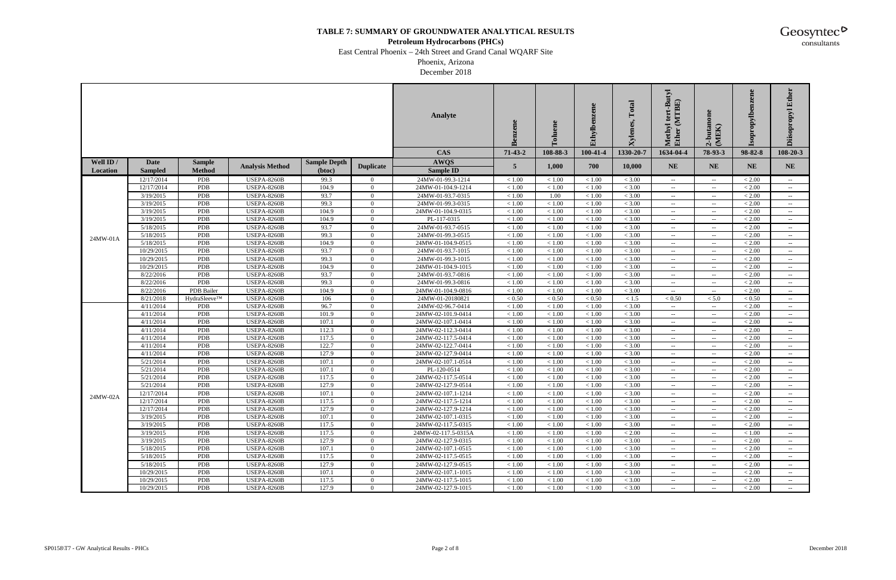#### **Petroleum Hydrocarbons (PHCs)**

East Central Phoenix – 24th Street and Grand Canal WQARF Site

Phoenix, Arizona December 2018

|           |                |                   |                        |                     |                                  | <b>Analyte</b>      | Benzene           | ene<br>ತ         | Ethylbenzene     | Total<br>Kylenes, | tert-Butyl<br>(MTBE)<br>Methyl<br>Ether        | 2-butanon<br>(MEK)          | ne<br>ropylb | Ether<br><b>Diisopropyl</b>                    |
|-----------|----------------|-------------------|------------------------|---------------------|----------------------------------|---------------------|-------------------|------------------|------------------|-------------------|------------------------------------------------|-----------------------------|--------------|------------------------------------------------|
|           |                |                   |                        |                     |                                  | <b>CAS</b>          | $71-43-2$         | 108-88-3         | 100-41-4         | 1330-20-7         | 1634-04-4                                      | 78-93-3                     | 98-82-8      | $108 - 20 - 3$                                 |
| Well ID / | <b>Date</b>    | <b>Sample</b>     |                        | <b>Sample Depth</b> |                                  | <b>AWQS</b>         |                   |                  |                  |                   |                                                |                             |              |                                                |
| Location  | <b>Sampled</b> | <b>Method</b>     | <b>Analysis Method</b> | (btoc)              | <b>Duplicate</b>                 | <b>Sample ID</b>    | 5                 | 1,000            | 700              | 10,000            | <b>NE</b>                                      | <b>NE</b>                   | <b>NE</b>    | <b>NE</b>                                      |
|           | 12/17/2014     | PDB               | <b>USEPA-8260B</b>     | 99.3                | $\overline{0}$                   | 24MW-01-99.3-1214   | < 1.00            | < 1.00           | < 1.00           | < 3.00            | $- -$ .                                        | $\sim$                      | < 2.00       | $- -$ .                                        |
|           | 12/17/2014     | PDB               | <b>USEPA-8260B</b>     | 104.9               | $\Omega$                         | 24MW-01-104.9-1214  | < 1.00            | < 1.00           | < 1.00           | < 3.00            | $\sim$                                         | $\sim$ $\sim$               | < 2.00       |                                                |
|           | 3/19/2015      | PDB               | <b>USEPA-8260B</b>     | 93.7                | $\Omega$                         | 24MW-01-93.7-0315   | < 1.00            | 1.00             | < 1.00           | < 3.00            | $\sim$ $-$                                     | $\sim$ $\sim$               | < 2.00       | $\sim$ $-$                                     |
|           | 3/19/2015      | PDB               | <b>USEPA-8260B</b>     | 99.3                | $\Omega$                         | 24MW-01-99.3-0315   | < 1.00            | < 1.00           | < 1.00           | < 3.00            | $\sim$ $-$                                     | $\sim$ $\sim$               | < 2.00       | $\hspace{0.1mm}-\hspace{0.1mm}-\hspace{0.1mm}$ |
|           | 3/19/2015      | PDB               | <b>USEPA-8260B</b>     | 104.9               | $\overline{0}$                   | 24MW-01-104.9-0315  | < 1.00            | < 1.00           | < 1.00           | < 3.00            | $-  \,$                                        | $\sim$ $\sim$               | < 2.00       | $\sim$                                         |
|           | 3/19/2015      | <b>PDB</b>        | <b>USEPA-8260B</b>     | 104.9               | $\overline{0}$                   | PL-117-0315         | < 1.00            | < 1.00           | < 1.00           | < 3.00            | $\sim$ $-$                                     | $\sim$                      | < 2.00       | $\hspace{0.1mm}-\hspace{0.1mm}-\hspace{0.1mm}$ |
|           | 5/18/2015      | PDB               | <b>USEPA-8260B</b>     | 93.7                | $\overline{0}$                   | 24MW-01-93.7-0515   | < 1.00            | < 1.00           | < 1.00           | < 3.00            | $\sim$                                         | $\overline{\phantom{a}}$    | < 2.00       | $\sim$                                         |
| 24MW-01A  | 5/18/2015      | PDB               | <b>USEPA-8260B</b>     | 99.3                | $\overline{0}$                   | 24MW-01-99.3-0515   | < 1.00            | < 1.00           | < 1.00           | < 3.00            | $\sim$                                         | $\sim$                      | < 2.00       | $- -$                                          |
|           | 5/18/2015      | PDB               | <b>USEPA-8260B</b>     | 104.9               | $\overline{0}$                   | 24MW-01-104.9-0515  | < 1.00            | < 1.00           | < 1.00           | < 3.00            | $\sim$ $-$                                     | $\sim$                      | < 2.00       | $\hspace{0.1mm}-\hspace{0.1mm}-\hspace{0.1mm}$ |
|           | 10/29/2015     | PDB               | USEPA-8260B            | 93.7                | $\overline{0}$                   | 24MW-01-93.7-1015   | $<1.00\,$         | < 1.00           | < 1.00           | < 3.00            | $\sim$                                         | $\sim$                      | < 2.00       | $\sim$                                         |
|           | 10/29/2015     | <b>PDB</b>        | <b>USEPA-8260B</b>     | 99.3                | $\overline{0}$                   | 24MW-01-99.3-1015   | < 1.00            | < 1.00           | < 1.00           | < 3.00            | $\sim$ $-$                                     | $\sim$ $\sim$               | < 2.00       | $\hspace{0.1mm}-\hspace{0.1mm}-\hspace{0.1mm}$ |
|           | 10/29/2015     | PDB               | <b>USEPA-8260B</b>     | 104.9               | $\overline{0}$                   | 24MW-01-104.9-1015  | < 1.00            | < 1.00           | < 1.00           | < 3.00            | $--$                                           | $--$                        | < 2.00       | $\sim$                                         |
|           | 8/22/2016      | PDB               | <b>USEPA-8260B</b>     | 93.7                | $\Omega$                         | 24MW-01-93.7-0816   | < 1.00            | < 1.00           | < 1.00           | < 3.00            | $\sim$ $\sim$                                  | $\sim$ $\sim$               | < 2.00       | $- -$                                          |
|           | 8/22/2016      | PDB               | <b>USEPA-8260B</b>     | 99.3                | $\Omega$                         | 24MW-01-99.3-0816   | < 1.00            | < 1.00           | < 1.00           | < 3.00            | $\sim$                                         | $\sim$ $\sim$               | < 2.00       | $\hspace{0.1mm}-\hspace{0.1mm}-\hspace{0.1mm}$ |
|           | 8/22/2016      | PDB Bailer        | <b>USEPA-8260B</b>     | 104.9               | $\Omega$                         | 24MW-01-104.9-0816  | $<1.00\,$         | < 1.00           | < 1.00           | < 3.00            | $\sim$                                         | $\sim$                      | < 2.00       | $\sim$                                         |
|           | 8/21/2018      | HydraSleeve™      | <b>USEPA-8260B</b>     | 106                 | $\overline{0}$                   | 24MW-01-20180821    | < 0.50            | < 0.50           | < 0.50           | < 1.5             | < 0.50                                         | < 5.0                       | < 0.50       | $\sim$                                         |
|           | 4/11/2014      | PDB               | <b>USEPA-8260B</b>     | 96.7                | $\overline{0}$                   | 24MW-02-96.7-0414   | < 1.00            | < 1.00           | < 1.00           | < 3.00            | $--$                                           | $\sim$                      | < 2.00       | $- -$                                          |
|           | 4/11/2014      | PDB               | <b>USEPA-8260B</b>     | 101.9               | $\overline{0}$                   | 24MW-02-101.9-0414  | < 1.00            | < 1.00           | < 1.00           | < 3.00            | $\sim$ $-$                                     | $\sim$                      | < 2.00       | $\sim$ $-$                                     |
|           | 4/11/2014      | PDB               | USEPA-8260B            | 107.1               | $\Omega$                         | 24MW-02-107.1-0414  | $<1.00\,$         | < 1.00           | < 1.00           | < 3.00            | $\sim$ $-$                                     | $\mathcal{L}_{\mathcal{F}}$ | < 2.00       | $\hspace{0.1mm}-\hspace{0.1mm}-\hspace{0.1mm}$ |
|           | 4/11/2014      | PDB               | USEPA-8260B            | 112.3               | $\overline{0}$                   | 24MW-02-112.3-0414  | < 1.00            | < 1.00           | < 1.00           | $< 3.00\,$        | $-  \,$                                        | $\sim$                      | < 2.00       | $\sim$                                         |
|           | 4/11/2014      | PDB               | <b>USEPA-8260B</b>     | 117.5               | $\overline{0}$                   | 24MW-02-117.5-0414  | < 1.00            | < 1.00           | < 1.00           | < 3.00            | $\sim$ $-$                                     | $\sim$ $\sim$               | < 2.00       | $\hspace{0.1mm}-\hspace{0.1mm}-\hspace{0.1mm}$ |
|           | 4/11/2014      | PDB               | <b>USEPA-8260B</b>     | 122.7               | $\overline{0}$                   | 24MW-02-122.7-0414  | < 1.00            | < 1.00           | < 1.00           | < 3.00            | $--$                                           | $\sim$ $\sim$               | < 2.00       | $\sim$                                         |
|           | 4/11/2014      | PDB               | <b>USEPA-8260B</b>     | 127.9               | $\overline{0}$                   | 24MW-02-127.9-0414  | < 1.00            | < 1.00           | < 1.00           | < 3.00            | $\sim$ $-$                                     | $\sim$                      | < 2.00       | $\sim$ $-$                                     |
|           | 5/21/2014      | PDB               | <b>USEPA-8260B</b>     | 107.1               | $\Omega$                         | 24MW-02-107.1-0514  | < 1.00            | < 1.00           | < 1.00           | < 3.00            | $\sim$ $-$                                     | $\sim$                      | < 2.00       | $\hspace{0.1mm}-\hspace{0.1mm}-\hspace{0.1mm}$ |
|           | 5/21/2014      | PDB               | USEPA-8260B            | 107.1               | $\overline{0}$                   | PL-120-0514         | $<1.00\,$         | < 1.00           | < 1.00           | < 3.00            | $\sim$                                         | $\sim$                      | < 2.00       | $\sim$                                         |
|           | 5/21/2014      | <b>PDB</b>        | <b>USEPA-8260B</b>     | 117.5               | $\overline{0}$                   | 24MW-02-117.5-0514  | < 1.00            | < 1.00           | < 1.00           | < 3.00            | $\sim$ $-$                                     | $\sim$                      | < 2.00       | $\sim$                                         |
|           | 5/21/2014      | PDB               | <b>USEPA-8260B</b>     | 127.9               | $\overline{0}$                   | 24MW-02-127.9-0514  | < 1.00            | < 1.00           | < 1.00           | < 3.00            | $--$                                           | $\sim$                      | < 2.00       | $--$                                           |
| 24MW-02A  | 12/17/2014     | PDB               | <b>USEPA-8260B</b>     | 107.1               | $\overline{0}$                   | 24MW-02-107.1-1214  | < 1.00            | < 1.00           | < 1.00           | < 3.00            | $\sim$ $-$                                     | $\overline{\phantom{a}}$    | < 2.00       | $\sim$                                         |
|           | 12/17/2014     | <b>PDB</b>        | <b>USEPA-8260B</b>     | 117.5               | $\Omega$                         | 24MW-02-117.5-1214  | < 1.00            | < 1.00           | < 1.00           | < 3.00            | $\sim$ $-$                                     | $\sim$                      | < 2.00       | $\sim$                                         |
|           | 12/17/2014     | PDB               | <b>USEPA-8260B</b>     | 127.9               | $\overline{0}$                   | 24MW-02-127.9-1214  | $<1.00\,$         | $<1.00\,$        | $<1.00\,$        | $<3.00$           |                                                |                             | < 2.00       |                                                |
|           | 3/19/2015      | <b>PDB</b>        | <b>USEPA-8260B</b>     | 107.1               | $\overline{0}$                   | 24MW-02-107.1-0315  | < 1.00            | < 1.00           | < 1.00           | < 3.00            | $\hspace{0.1mm}-\hspace{0.1mm}-\hspace{0.1mm}$ | $--$                        | < 2.00       | $- -$                                          |
|           | 3/19/2015      | <b>PDB</b>        | <b>USEPA-8260B</b>     | 117.5               | $\overline{0}$                   | 24MW-02-117.5-0315  | < 1.00            | < 1.00           | < 1.00           | < 3.00            | $--$                                           | $\sim$                      | < 2.00       |                                                |
|           | 3/19/2015      | PDB<br>PDB        | <b>USEPA-8260B</b>     | 117.5<br>127.9      | $\overline{0}$<br>$\overline{0}$ | 24MW-02-117.5-0315A | < 1.00<br>$<1.00$ | < 1.00<br>< 1.00 | < 1.00<br>< 1.00 | < 2.00<br>< 3.00  | $\sim$                                         | $\sim$                      | < 1.00       | $\hspace{0.05cm} \ldots$                       |
|           | 3/19/2015      |                   | <b>USEPA-8260B</b>     |                     |                                  | 24MW-02-127.9-0315  |                   |                  |                  |                   | $--$                                           | $\sim$                      | $< 2.00$     |                                                |
|           | 5/18/2015      | PDB               | <b>USEPA-8260B</b>     | 107.1               | $\overline{0}$                   | 24MW-02-107.1-0515  | $<1.00$           | < 1.00           | < 1.00           | < 3.00            | $\sim$ $-$                                     | $\sim$                      | $< 2.00\,$   | $\sim$                                         |
|           | 5/18/2015      | PDB               | USEPA-8260B            | 117.5               | $\overline{0}$                   | 24MW-02-117.5-0515  | < 1.00            | < 1.00           | < 1.00           | < 3.00            | $\sim$ $-$                                     | $\sim$ $-$                  | < 2.00       | $\sim$                                         |
|           | 5/18/2015      | PDB               | <b>USEPA-8260B</b>     | 127.9               | $\overline{0}$                   | 24MW-02-127.9-0515  | < 1.00            | < 1.00           | < 1.00           | < 3.00            | $--$                                           | $\sim$                      | $< 2.00$     |                                                |
|           | 10/29/2015     | PDB<br><b>PDB</b> | <b>USEPA-8260B</b>     | 107.1               | $\overline{0}$                   | 24MW-02-107.1-1015  | < 1.00            | < 1.00           | < 1.00           | < 3.00            | $\sim$ $-$                                     | $\sim$                      | < 2.00       | $\hspace{0.05cm} \ldots$                       |
|           | 10/29/2015     |                   | <b>USEPA-8260B</b>     | 117.5               | $\overline{0}$                   | 24MW-02-117.5-1015  | $<1.00\,$         | < 1.00           | < 1.00           | < 3.00            |                                                | $\sim$                      | < 2.00       |                                                |
|           | 10/29/2015     | PDB               | <b>USEPA-8260B</b>     | 127.9               | $\overline{0}$                   | 24MW-02-127.9-1015  | < 1.00            | < 1.00           | < 1.00           | < 3.00            | $\sim$                                         | $\sim$ $\sim$               | < 2.00       | $\sim$                                         |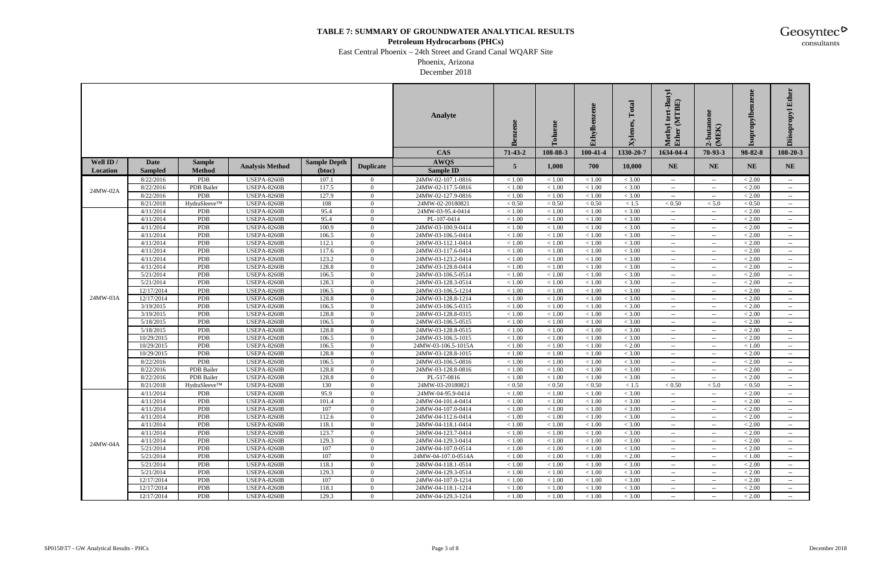#### **Petroleum Hydrocarbons (PHCs)**

East Central Phoenix – 24th Street and Grand Canal WQARF Site

Phoenix, Arizona December 2018

|           |                         |                          |                                          |                     |                            | <b>Analyte</b>                           | Benzene          | ಕ                | Ethylben         | Total<br>kylenes, | utyl<br>(MTBE)<br>lethyl<br><b>Ether</b>       | 2-butanon<br>(MEK)                 | ene<br>ropylb    | Ether<br><b>Diisopropyl</b>                    |
|-----------|-------------------------|--------------------------|------------------------------------------|---------------------|----------------------------|------------------------------------------|------------------|------------------|------------------|-------------------|------------------------------------------------|------------------------------------|------------------|------------------------------------------------|
|           |                         |                          |                                          |                     |                            | <b>CAS</b>                               | $71-43-2$        | 108-88-3         | 100-41-4         | 1330-20-7         | 1634-04-4                                      | 78-93-3                            | 98-82-8          | $108 - 20 - 3$                                 |
| Well ID / | <b>Date</b>             | <b>Sample</b>            | <b>Analysis Method</b>                   | <b>Sample Depth</b> | <b>Duplicate</b>           | <b>AWQS</b>                              | 5                | 1,000            | 700              | 10,000            | <b>NE</b>                                      | <b>NE</b>                          | <b>NE</b>        | <b>NE</b>                                      |
| Location  | <b>Sampled</b>          | <b>Method</b>            |                                          | (btoc)              |                            | <b>Sample ID</b>                         |                  |                  |                  |                   |                                                |                                    |                  |                                                |
|           | 8/22/2016               | PDB                      | <b>USEPA-8260B</b>                       | 107.1               | $\overline{0}$             | 24MW-02-107.1-0816                       | < 1.00           | < 1.00           | < 1.00           | < 3.00            | $\sim$                                         | $\mathcal{L}(\mathcal{L})$         | < 2.00           | $- -$                                          |
| 24MW-02A  | 8/22/2016               | PDB Bailer               | <b>USEPA-8260B</b>                       | 117.5               | $\Omega$                   | 24MW-02-117.5-0816                       | < 1.00           | < 1.00           | < 1.00           | < 3.00            | $--$                                           | $\sim$ $\sim$                      | < 2.00           |                                                |
|           | 8/22/2016               | PDB                      | <b>USEPA-8260B</b>                       | 127.9               | $\overline{0}$             | 24MW-02-127.9-0816                       | < 1.00           | < 1.00           | < 1.00           | < 3.00            |                                                | $\sim$ $\sim$                      | < 2.00           |                                                |
|           | 8/21/2018               | HydraSleeve™             | <b>USEPA-8260B</b>                       | 108                 | $\overline{0}$             | 24MW-02-20180821                         | $< 0.50$         | < 0.50           | < 0.50           | < 1.5             | < 0.50                                         | < 5.0                              | < 0.50           | $\hspace{0.1mm}-\hspace{0.1mm}-\hspace{0.1mm}$ |
|           | 4/11/2014               | <b>PDB</b>               | <b>USEPA-8260B</b>                       | 95.4                | $\Omega$                   | 24MW-03-95.4-0414                        | < 1.00           | < 1.00           | < 1.00           | < 3.00            | $\sim$ $\sim$                                  | $\sim$                             | < 2.00           | $\overline{\phantom{a}}$                       |
|           | 4/11/2014               | PDB                      | <b>USEPA-8260B</b>                       | 95.4                | $\overline{0}$             | $\overline{PL}$ -107-0414                | < 1.00           | < 1.00           | < 1.00           | < 3.00            | $\sim$ $-$                                     | $\sim$                             | < 2.00           | $- -$                                          |
|           | 4/11/2014               | PDB                      | <b>USEPA-8260B</b>                       | 100.9               | $\overline{0}$             | 24MW-03-100.9-0414                       | $<1.00\,$        | < 1.00           | < 1.00           | < 3.00            | $--$                                           | $\overline{\phantom{a}}$           | $< 2.00$         | $--$                                           |
|           | 4/11/2014               | PDB                      | <b>USEPA-8260B</b>                       | 106.5               | $\overline{0}$             | 24MW-03-106.5-0414                       | $<1.00\,$        | < 1.00           | < 1.00           | < 3.00            | $\sim$ $\sim$                                  | $\sim$                             | $< 2.00$         | $\sim$ $-$                                     |
|           | 4/11/2014               | <b>PDB</b>               | <b>USEPA-8260B</b>                       | 112.1               | $\overline{0}$             | 24MW-03-112.1-0414                       | $<1.00\,$        | < 1.00           | < 1.00           | < 3.00            | $\sim$ $\sim$                                  | $\sim$                             | < 2.00           | $\hspace{0.1mm}-\hspace{0.1mm}-\hspace{0.1mm}$ |
|           | 4/11/2014               | PDB                      | <b>USEPA-8260B</b>                       | 117.6               | $\Omega$                   | 24MW-03-117.6-0414                       | $<1.00\,$        | < 1.00           | < 1.00           | < 3.00            | $--$                                           | $\mathcal{L}_{\mathcal{F}}$        | < 2.00           | $\hspace{0.1mm}-\hspace{0.1mm}-\hspace{0.1mm}$ |
|           | 4/11/2014               | PDB                      | <b>USEPA-8260B</b>                       | 123.2               | $\Omega$                   | 24MW-03-123.2-0414                       | < 1.00           | < 1.00           | < 1.00           | < 3.00            | $--$                                           | $\sim$ $\sim$                      | < 2.00           | $- -$                                          |
|           | 4/11/2014               | <b>PDB</b>               | <b>USEPA-8260B</b>                       | 128.8               | $\overline{0}$             | 24MW-03-128.8-0414                       | $<1.00\,$        | < 1.00           | < 1.00           | < 3.00            | $\sim$ $\sim$                                  | $\sim$ $\sim$                      | $< 2.00$         | $\overline{\phantom{a}}$                       |
|           | 5/21/2014               | PDB                      | <b>USEPA-8260B</b><br><b>USEPA-8260B</b> | 106.5               | $\overline{0}$             | 24MW-03-106.5-0514                       | $<1.00\,$        | < 1.00           | < 1.00           | < 3.00            | $\sim$ $-$                                     | $\sim$                             | < 2.00           | $\sim$ $-$                                     |
|           | 5/21/2014<br>12/17/2014 | <b>PDB</b><br><b>PDB</b> | <b>USEPA-8260B</b>                       | 128.3<br>106.5      | $\overline{0}$<br>$\Omega$ | 24MW-03-128.3-0514<br>24MW-03-106.5-1214 | < 1.00<br>< 1.00 | < 1.00<br>< 1.00 | < 1.00           | < 3.00<br>< 3.00  | $\sim$ $-$                                     | $\sim$                             | < 2.00<br>< 2.00 | $\rightarrow$                                  |
| 24MW-03A  |                         |                          |                                          |                     | $\Omega$                   |                                          | < 1.00           |                  | < 1.00           | < 3.00            | $--$                                           | $\mathcal{L}_{\mathcal{F}}$        | < 2.00           | $\sim$                                         |
|           | 12/17/2014<br>3/19/2015 | PDB<br>PDB               | <b>USEPA-8260B</b><br><b>USEPA-8260B</b> | 128.8<br>106.5      | $\overline{0}$             | 24MW-03-128.8-1214<br>24MW-03-106.5-0315 | $<1.00\,$        | < 1.00<br>< 1.00 | < 1.00<br>< 1.00 | < 3.00            | $--$<br>$\sim$ $\sim$                          | $\sim$<br>$\overline{\phantom{a}}$ | < 2.00           | $\sim$ $-$                                     |
|           | 3/19/2015               | PDB                      | <b>USEPA-8260B</b>                       | 128.8               | $\overline{0}$             | 24MW-03-128.8-0315                       | $<1.00\,$        | < 1.00           | < 1.00           | < 3.00            | $\sim$ $\sim$                                  | $\mathcal{L}_{\mathcal{F}}$        | < 2.00           | $\hspace{0.1mm}-\hspace{0.1mm}-\hspace{0.1mm}$ |
|           | 5/18/2015               | <b>PDB</b>               | <b>USEPA-8260B</b>                       | 106.5               | $\overline{0}$             | 24MW-03-106.5-0515                       | $<1.00\,$        | < 1.00           | < 1.00           | < 3.00            | $ -$                                           | $\sim$                             | < 2.00           | $\hspace{0.1mm}-\hspace{0.1mm}-\hspace{0.1mm}$ |
|           | 5/18/2015               | PDB                      | <b>USEPA-8260B</b>                       | 128.8               | $\overline{0}$             | 24MW-03-128.8-0515                       | $<1.00\,$        | < 1.00           | < 1.00           | < 3.00            | $\sim$                                         | $\overline{\phantom{a}}$           | < 2.00           | $--$                                           |
|           | 10/29/2015              | PDB                      | <b>USEPA-8260B</b>                       | 106.5               | $\Omega$                   | 24MW-03-106.5-1015                       | < 1.00           | < 1.00           | < 1.00           | < 3.00            | $--$                                           | $\sim$ $\sim$                      | < 2.00           | $- -$                                          |
|           | 10/29/2015              | PDB                      | <b>USEPA-8260B</b>                       | 106.5               | $\Omega$                   | 24MW-03-106.5-1015A                      | $<1.00\,$        | < 1.00           | < 1.00           | $< 2.00$          | $--$                                           | $\sim$ $\sim$                      | < 1.00           | $--$                                           |
|           | 10/29/2015              | PDB                      | <b>USEPA-8260B</b>                       | 128.8               | $\overline{0}$             | 24MW-03-128.8-1015                       | $<1.00\,$        | < 1.00           | < 1.00           | < 3.00            |                                                | $\sim$                             | $< 2.00$         |                                                |
|           | 8/22/2016               | PDB                      | <b>USEPA-8260B</b>                       | 106.5               | $\overline{0}$             | 24MW-03-106.5-0816                       | < 1.00           | < 1.00           | < 1.00           | < 3.00            | $\sim$ $\sim$                                  | $\sim$                             | < 2.00           | $\hspace{0.1mm}-\hspace{0.1mm}-\hspace{0.1mm}$ |
|           | 8/22/2016               | PDB Bailer               | <b>USEPA-8260B</b>                       | 128.8               | $\Omega$                   | 24MW-03-128.8-0816                       | < 1.00           | < 1.00           | < 1.00           | < 3.00            | $--$                                           | $\mathcal{L}_{\mathcal{F}}$        | < 2.00           | $\hspace{0.1mm}-\hspace{0.1mm}-\hspace{0.1mm}$ |
|           | 8/22/2016               | PDB Bailer               | <b>USEPA-8260B</b>                       | 128.8               | $\Omega$                   | PL-517-0816                              | < 1.00           | < 1.00           | < 1.00           | < 3.00            | $--$                                           | $\sim$                             | < 2.00           | $\hspace{0.05cm} \ldots$                       |
|           | 8/21/2018               | HydraSleeve™             | <b>USEPA-8260B</b>                       | 130                 | $\overline{0}$             | 24MW-03-20180821                         | $< 0.50$         | < 0.50           | < 0.50           | < 1.5             | < 0.50                                         | < 5.0                              | < 0.50           | $\hspace{0.1mm}-\hspace{0.1mm}-\hspace{0.1mm}$ |
|           | 4/11/2014               | <b>PDB</b>               | <b>USEPA-8260B</b>                       | 95.9                | $\overline{0}$             | 24MW-04-95.9-0414                        | $<1.00\,$        | < 1.00           | < 1.00           | < 3.00            | $--$                                           | $\mathcal{L}_{\mathcal{F}}$        | < 2.00           | $\sim$ $-$                                     |
|           | 4/11/2014               | <b>PDB</b>               | <b>USEPA-8260B</b>                       | 101.4               | $\overline{0}$             | 24MW-04-101.4-0414                       | < 1.00           | < 1.00           | < 1.00           | < 3.00            | $\sim$ $-$                                     | $\sim$                             | < 2.00           | $\rightarrow$                                  |
|           | 4/11/2014               | PDB                      | <b>USEPA-8260B</b>                       | 107                 | $\mathbf{0}$               | 24MW-04-107.0-0414                       | $<1.00\,$        | $<1.00\,$        | $<1.00\,$        | $<3.00$           |                                                |                                    | $< 2.00$         |                                                |
|           | 4/11/2014               | PDB                      | <b>USEPA-8260B</b>                       | 112.6               | $\overline{0}$             | 24MW-04-112.6-0414                       | < 1.00           | < 1.00           | < 1.00           | < 3.00            | $--$                                           | $\sim$ $\sim$                      | < 2.00           | $\sim$                                         |
|           | 4/11/2014               | PDB                      | <b>USEPA-8260B</b>                       | 118.1               | $\overline{0}$             | 24MW-04-118.1-0414                       | < 1.00           | < 1.00           | < 1.00           | < 3.00            | $\sim$ $-$                                     | $\sim$                             | < 2.00           | $\sim$                                         |
|           | 4/11/2014               | PDB                      | <b>USEPA-8260B</b>                       | 123.7               | $\overline{0}$             | 24MW-04-123.7-0414                       | $<1.00$          | < 1.00           | < 1.00           | < 3.00            | $--$                                           | $\sim$                             | < 2.00           |                                                |
| 24MW-04A  | 4/11/2014               | <b>PDB</b>               | <b>USEPA-8260B</b>                       | 129.3               | $\overline{0}$             | 24MW-04-129.3-0414                       | $<1.00\,$        | < 1.00           | < 1.00           | < 3.00            | $\hspace{0.1mm}-\hspace{0.1mm}-\hspace{0.1mm}$ | $\sim$                             | < 2.00           |                                                |
|           | 5/21/2014               | <b>PDB</b>               | <b>USEPA-8260B</b>                       | 107                 | $\overline{0}$             | 24MW-04-107.0-0514                       | $<1.00$          | < 1.00           | < 1.00           | < 3.00            | $- -$                                          | $\mathcal{L}_{\mathcal{F}}$        | < 2.00           |                                                |
|           | 5/21/2014               | PDB                      | <b>USEPA-8260B</b>                       | 107                 | $\overline{0}$             | 24MW-04-107.0-0514A                      | < 1.00           | < 1.00           | < 1.00           | < 2.00            | $\sim$ $-$                                     | $\sim$                             | < 1.00           | $\hspace{0.05cm} \ldots$                       |
|           | 5/21/2014               | <b>PDB</b>               | <b>USEPA-8260B</b>                       | 118.1               | $\overline{0}$             | 24MW-04-118.1-0514                       | $<1.00$          | < 1.00           | < 1.00           | < 3.00            | $\sim$ $-$                                     | $\sim$                             | < 2.00           | $\sim$                                         |
|           | 5/21/2014               | PDB                      | <b>USEPA-8260B</b>                       | 129.3               | $\mathbf{0}$               | 24MW-04-129.3-0514                       | $<1.00$          | < 1.00           | < 1.00           | < 3.00            | $--$                                           | $\sim$                             | $< 2.00$         |                                                |
|           | 12/17/2014              | PDB                      | <b>USEPA-8260B</b>                       | 107                 | $\overline{0}$             | 24MW-04-107.0-1214                       | < 1.00           | < 1.00           | < 1.00           | < 3.00            | $\sim$                                         | $\overline{\phantom{a}}$           | < 2.00           | $\hspace{0.05cm} \ldots$                       |
|           | 12/17/2014              | PDB                      | <b>USEPA-8260B</b>                       | 118.1               | $\overline{0}$             | 24MW-04-118.1-1214                       | < 1.00           | < 1.00           | < 1.00           | < 3.00            | $--$                                           | $\sim$ $\sim$                      | $< 2.00$         |                                                |
|           | 12/17/2014              | PDB                      | <b>USEPA-8260B</b>                       | 129.3               | $\overline{0}$             | 24MW-04-129.3-1214                       | < 1.00           | < 1.00           | < 1.00           | < 3.00            | $--$                                           | $\sim$ $\sim$                      | < 2.00           | $-  \,$                                        |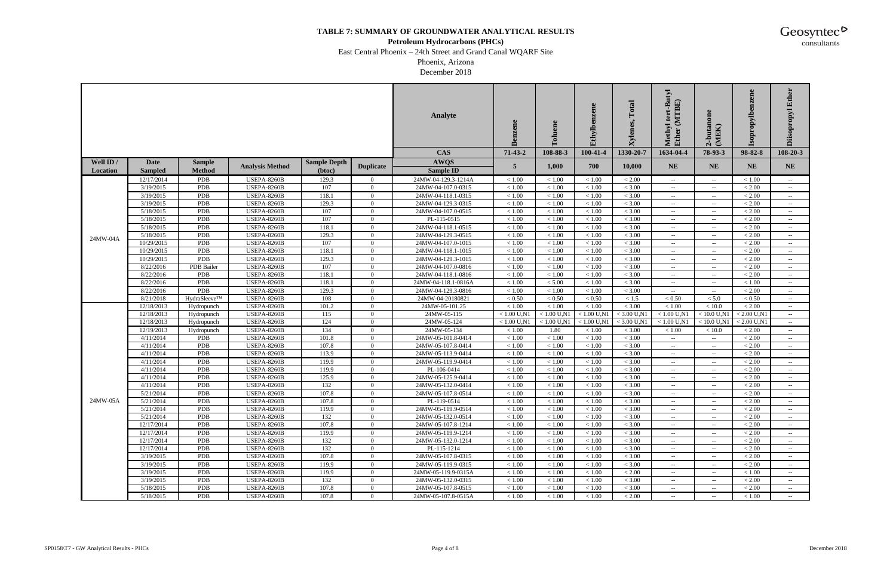#### **Petroleum Hydrocarbons (PHCs)**

East Central Phoenix – 24th Street and Grand Canal WQARF Site

Phoenix, Arizona December 2018

|           |                        |               |                                          |                     |                            | Analyte                                  | Benzene             | ene<br>ō         | Ethylbenzene        | Total<br><b>Xylenes,</b> | -Butyl<br>(MTBE)<br>Methyl<br>Ether | 2-butanon<br>(MEK)                                   | ne<br>ropylb.<br>dos | Ether<br><b>Diisopropyl</b>                    |
|-----------|------------------------|---------------|------------------------------------------|---------------------|----------------------------|------------------------------------------|---------------------|------------------|---------------------|--------------------------|-------------------------------------|------------------------------------------------------|----------------------|------------------------------------------------|
|           |                        |               |                                          |                     |                            | <b>CAS</b>                               | $71 - 43 - 2$       | 108-88-3         | 100-41-4            | 1330-20-7                | 1634-04-4                           | 78-93-3                                              | 98-82-8              | 108-20-3                                       |
| Well ID / | Date                   | <b>Sample</b> |                                          | <b>Sample Depth</b> |                            | <b>AWQS</b>                              | 5                   | 1,000            | 700                 | 10,000                   | <b>NE</b>                           | <b>NE</b>                                            | <b>NE</b>            | <b>NE</b>                                      |
| Location  | <b>Sampled</b>         | <b>Method</b> | <b>Analysis Method</b>                   | (btoc)              | <b>Duplicate</b>           | <b>Sample ID</b>                         |                     |                  |                     |                          |                                     |                                                      |                      |                                                |
|           | 12/17/2014             | PDB           | <b>USEPA-8260B</b>                       | 129.3               | $\Omega$                   | 24MW-04-129.3-1214A                      | < 1.00              | $<1.00$          | < 1.00              | < 2.00                   | $- -$ .                             | $\sim$                                               | < 1.00               | $--$                                           |
|           | 3/19/2015              | PDB           | <b>USEPA-8260B</b>                       | 107                 | $\Omega$                   | 24MW-04-107.0-0315                       | $<1.00\,$           | < 1.00           | < 1.00              | < 3.00                   | $--$                                | $\overline{\phantom{a}}$                             | < 2.00               |                                                |
|           | 3/19/2015              | PDB           | <b>USEPA-8260B</b>                       | 118.1               | $\Omega$                   | 24MW-04-118.1-0315                       | $<1.00\,$           | < 1.00           | < 1.00              | < 3.00                   | $\sim$                              | $- -$                                                | < 2.00               | $\sim$                                         |
|           | 3/19/2015              | PDB           | <b>USEPA-8260B</b>                       | 129.3               | $\Omega$                   | 24MW-04-129.3-0315                       | $<1.00\,$           | < 1.00           | < 1.00              | < 3.00                   | $\sim$ $-$                          | $\overline{\phantom{a}}$                             | < 2.00               | $\mathcal{L}_{\mathcal{F}}$                    |
|           | 5/18/2015              | PDB           | <b>USEPA-8260B</b>                       | 107                 | $\overline{0}$             | 24MW-04-107.0-0515                       | < 1.00              | < 1.00           | $<1.00\,$           | < 3.00                   | $\sim$ $-$                          | $\overline{\phantom{a}}$                             | < 2.00               | $\hspace{0.1mm}-\hspace{0.1mm}-\hspace{0.1mm}$ |
|           | 5/18/2015              | PDB           | <b>USEPA-8260B</b>                       | 107                 | $\Omega$                   | PL-115-0515                              | $<1.00\,$           | < 1.00           | < 1.00              | < 3.00                   | $\sim$ $-$                          | $\overline{\phantom{a}}$                             | < 2.00               | $\rightarrow$                                  |
|           | 5/18/2015              | PDB           | <b>USEPA-8260B</b>                       | 118.1               | $\Omega$                   | 24MW-04-118.1-0515                       | $<1.00$             | < 1.00           | < 1.00              | < 3.00                   | $\sim$                              | $\overline{\phantom{a}}$                             | < 2.00               | $\sim$                                         |
| 24MW-04A  | 5/18/2015              | PDB           | <b>USEPA-8260B</b>                       | 129.3               | $\Omega$                   | 24MW-04-129.3-0515                       | $<1.00\,$           | < 1.00           | < 1.00              | < 3.00                   | $\sim$                              | $\overline{\phantom{a}}$                             | < 2.00               | $\hspace{0.05cm} \ldots$                       |
|           | 10/29/2015             | PDB           | <b>USEPA-8260B</b>                       | 107                 | $\Omega$                   | 24MW-04-107.0-1015                       | $<1.00\,$           | < 1.00           | < 1.00              | < 3.00                   | $- -$                               | $\overline{\phantom{a}}$                             | < 2.00               | $\hspace{0.1mm}-\hspace{0.1mm}-\hspace{0.1mm}$ |
|           | 10/29/2015             | PDB           | <b>USEPA-8260B</b>                       | 118.1               | $\overline{0}$             | 24MW-04-118.1-1015                       | $<1.00$             | < 1.00           | $<1.00\,$           | $< 3.00\,$               | $-  \,$                             | $\overline{\phantom{a}}$                             | $< 2.00$             | $\sim$                                         |
|           | 10/29/2015             | PDB           | <b>USEPA-8260B</b>                       | 129.3               | $\overline{0}$             | 24MW-04-129.3-1015                       | $<1.00\,$           | < 1.00           | < 1.00              | < 3.00                   | $\sim$                              | $\sim$                                               | < 2.00               | $\rightarrow$                                  |
|           | 8/22/2016              | PDB Bailer    | <b>USEPA-8260B</b>                       | 107                 | $\Omega$                   | 24MW-04-107.0-0816                       | $<1.00$             | < 1.00           | < 1.00              | < 3.00                   | $- -$ .                             | $\overline{\phantom{a}}$                             | < 2.00               | $\sim$                                         |
|           | 8/22/2016              | PDB           | <b>USEPA-8260B</b>                       | 118.1               | $\Omega$                   | 24MW-04-118.1-0816                       | < 1.00              | < 1.00           | < 1.00              | < 3.00                   | $\sim$ $-$                          | $\overline{\phantom{a}}$                             | < 2.00               | $\sim$ $-$                                     |
|           | 8/22/2016              | PDB           | <b>USEPA-8260B</b>                       | 118.1               | $\Omega$                   | 24MW-04-118.1-0816A                      | $<1.00\,$           | < 5.00           | < 1.00              | < 3.00                   | $\sim$ $-$                          | $\overline{\phantom{a}}$                             | < 1.00               | $\hspace{0.1mm}-\hspace{0.1mm}-\hspace{0.1mm}$ |
|           | 8/22/2016              | PDB           | <b>USEPA-8260B</b>                       | 129.3               | $\overline{0}$             | 24MW-04-129.3-0816                       | < 1.00              | < 1.00           | < 1.00              | < 3.00                   | $\sim$ $-$                          | $\sim$                                               | < 2.00               | $\sim$                                         |
|           | 8/21/2018              | HydraSleeve™  | <b>USEPA-8260B</b>                       | 108                 | $\overline{0}$             | 24MW-04-20180821                         | < 0.50              | < 0.50           | ${}< 0.50$          | < 1.5                    | < 0.50                              | < 5.0                                                | < 0.50               | $\sim$                                         |
|           | 12/18/2013             | Hydropunch    | <b>USEPA-8260B</b>                       | 101.2               | $\Omega$                   | 24MW-05-101.25                           | $<1.00\,$           | < 1.00           | $<1.00\,$           | < 3.00                   | < 1.00                              | < 10.0                                               | $< 2.00$             | $--$                                           |
|           | 12/18/2013             | Hydropunch    | <b>USEPA-8260B</b>                       | 115                 | $\Omega$                   | 24MW-05-115                              | $< 1.00$ U,N1       | $< 1.00$ U,N1    | $< 1.00$ U,N1       | $<$ 3.00 U,N1            | $< 1.00$ U,N1                       | $< 10.0$ U,N1                                        | $< 2.00$ U,N1        | $\sim$ $-$                                     |
|           | 12/18/2013             | Hydropunch    | <b>USEPA-8260B</b>                       | 124                 | $\Omega$                   | 24MW-05-124                              | $< 1.00$ U.N1       | $< 1.00$ U,N1    | $< 1.00$ U,N1       | $<$ 3.00 U,N1            | $< 1.00$ U,N1                       | $< 10.0$ U,N1                                        | $< 2.00$ U,N1        | $\hspace{0.1mm}-\hspace{0.1mm}-\hspace{0.1mm}$ |
|           | 12/19/2013             | Hydropunch    | <b>USEPA-8260B</b>                       | 134                 | $\overline{0}$             | 24MW-05-134                              | < 1.00              | 1.80             | < 1.00              | < 3.00                   | < 1.00                              | < 10.0                                               | < 2.00               | $\sim$                                         |
|           | 4/11/2014              | PDB           | <b>USEPA-8260B</b>                       | 101.8               | $\Omega$                   | 24MW-05-101.8-0414                       | < 1.00              | < 1.00           | < 1.00              | < 3.00                   | $\sim$ $-$                          | $\sim$ $\sim$                                        | < 2.00               | $\sim$                                         |
|           | 4/11/2014              | PDB           | <b>USEPA-8260B</b>                       | 107.8               | $\Omega$                   | 24MW-05-107.8-0414                       | $<1.00\,$           | < 1.00           | < 1.00              | < 3.00                   | $\sim$                              | $\sim$ $\sim$                                        | < 2.00               |                                                |
|           | 4/11/2014              | PDB           | <b>USEPA-8260B</b>                       | 113.9               | $\Omega$                   | 24MW-05-113.9-0414                       | < 1.00              | < 1.00           | < 1.00              | < 3.00                   | $\sim$                              | $\overline{\phantom{a}}$                             | < 2.00               | $\hspace{0.05cm} \ldots$                       |
|           | 4/11/2014              | PDB           | <b>USEPA-8260B</b>                       | 119.9               | $\Omega$                   | 24MW-05-119.9-0414                       | < 1.00              | < 1.00           | < 1.00              | < 3.00                   | $\sim$ $-$                          | $\overline{\phantom{a}}$                             | < 2.00               | $\hspace{0.1mm}-\hspace{0.1mm}-\hspace{0.1mm}$ |
|           | 4/11/2014              | PDB           | <b>USEPA-8260B</b>                       | 119.9               | $\overline{0}$<br>$\Omega$ | PL-106-0414                              | < 1.00              | < 1.00           | $<1.00\,$           | < 3.00                   | $\sim$ $-$                          | $\overline{\phantom{a}}$                             | < 2.00               | $\hspace{0.1mm}-\hspace{0.1mm}-\hspace{0.1mm}$ |
|           | 4/11/2014<br>4/11/2014 | PDB<br>PDB    | <b>USEPA-8260B</b>                       | 125.9<br>132        | $\Omega$                   | 24MW-05-125.9-0414<br>24MW-05-132.0-0414 | < 1.00              | < 1.00<br>< 1.00 | < 1.00<br>$<1.00\,$ | < 3.00                   | $\sim$                              | $\overline{\phantom{a}}$                             | < 2.00<br>< 2.00     | $\sim$                                         |
|           | 5/21/2014              | PDB           | <b>USEPA-8260B</b><br><b>USEPA-8260B</b> | 107.8               | $\Omega$                   | 24MW-05-107.8-0514                       | $<1.00\,$<br>< 1.00 | < 1.00           | < 1.00              | < 3.00<br>< 3.00         | $\sim$<br>$\overline{\phantom{a}}$  | $\overline{\phantom{a}}$<br>$\overline{\phantom{a}}$ | < 2.00               | $--$<br>$\sim$                                 |
| 24MW-05A  | 5/21/2014              | <b>PDB</b>    | <b>USEPA-8260B</b>                       | 107.8               | $\Omega$                   | PL-119-0514                              | < 1.00              | < 1.00           | < 1.00              | < 3.00                   | $\sim$ $-$                          | $\overline{\phantom{a}}$                             | < 2.00               | $\sim$                                         |
|           | 5/21/2014              | PDB           | <b>USEPA-8260B</b>                       | 119.9               | $\overline{0}$             | 24MW-05-119.9-0514                       | $<1.00\,$           | $<1.00\,$        | $<1.00$             | $< 3.00$                 |                                     |                                                      | < 2.00               |                                                |
|           | 5/21/2014              | <b>PDB</b>    | <b>USEPA-8260B</b>                       | 132                 | $\Omega$                   | 24MW-05-132.0-0514                       | < 1.00              | < 1.00           | < 1.00              | < 3.00                   | $\sim$                              | $\overline{\phantom{a}}$                             | < 2.00               | $- -$                                          |
|           | 12/17/2014             | PDB           | <b>USEPA-8260B</b>                       | 107.8               | $\overline{0}$             | 24MW-05-107.8-1214                       | < 1.00              | < 1.00           | < 1.00              | < 3.00                   | $- -$ .                             | $\overline{\phantom{a}}$                             | < 2.00               |                                                |
|           | 12/17/2014             | PDB           | <b>USEPA-8260B</b>                       | 119.9               | $\overline{0}$             | 24MW-05-119.9-1214                       | < 1.00              | < 1.00           | $<1.00$             | < 3.00                   | $\sim$                              | $\overline{\phantom{a}}$                             | < 2.00               |                                                |
|           | 12/17/2014             | PDB           | <b>USEPA-8260B</b>                       | 132                 | $\Omega$                   | 24MW-05-132.0-1214                       | $<1.00$             | $<1.00$          | $<1.00\,$           | < 3.00                   | $\overline{\phantom{a}}$            | $\overline{\phantom{a}}$                             | $< 2.00$             |                                                |
|           | 12/17/2014             | PDB           | <b>USEPA-8260B</b>                       | 132                 | $\overline{0}$             | PL-115-1214                              | $<1.00$             | < 1.00           | < 1.00              | < 3.00                   | $\sim$ $-$                          | $\overline{\phantom{a}}$                             | $< 2.00$             | $\sim$                                         |
|           | 3/19/2015              | PDB           | <b>USEPA-8260B</b>                       | 107.8               | $\overline{0}$             | 24MW-05-107.8-0315                       | < 1.00              | < 1.00           | < 1.00              | < 3.00                   | $\sim$                              | $\sim$                                               | < 2.00               | $\sim$                                         |
|           | 3/19/2015              | PDB           | <b>USEPA-8260B</b>                       | 119.9               | $\overline{0}$             | 24MW-05-119.9-0315                       | < 1.00              | < 1.00           | < 1.00              | < 3.00                   | $\sim$ $-$                          | $\overline{\phantom{a}}$                             | < 2.00               |                                                |
|           | 3/19/2015              | PDB           | <b>USEPA-8260B</b>                       | 119.9               | $\Omega$                   | 24MW-05-119.9-0315A                      | < 1.00              | < 1.00           | < 1.00              | < 2.00                   | $\sim$ $-$                          | $\overline{\phantom{a}}$                             | < 1.00               | $\hspace{0.05cm} \ldots$                       |
|           | 3/19/2015              | PDB           | <b>USEPA-8260B</b>                       | 132                 | $\Omega$                   | 24MW-05-132.0-0315                       | < 1.00              | < 1.00           | $<1.00\,$           | < 3.00                   | $\sim$ $\sim$                       | $\overline{\phantom{a}}$                             | < 2.00               |                                                |
|           | 5/18/2015              | PDB           | <b>USEPA-8260B</b>                       | 107.8               | $\overline{0}$             | 24MW-05-107.8-0515                       | $<1.00$             | < 1.00           | < 1.00              | < 3.00                   | $\sim$ $-$                          | $\sim$ $-$                                           | $< 2.00$             | $\sim$                                         |
|           | 5/18/2015              | <b>PDB</b>    | <b>USEPA-8260B</b>                       | 107.8               | $\overline{0}$             | 24MW-05-107.8-0515A                      | < 1.00              | < 1.00           | < 1.00              | < 2.00                   | $\sim$                              | $\sim$                                               | < 1.00               | $\sim$                                         |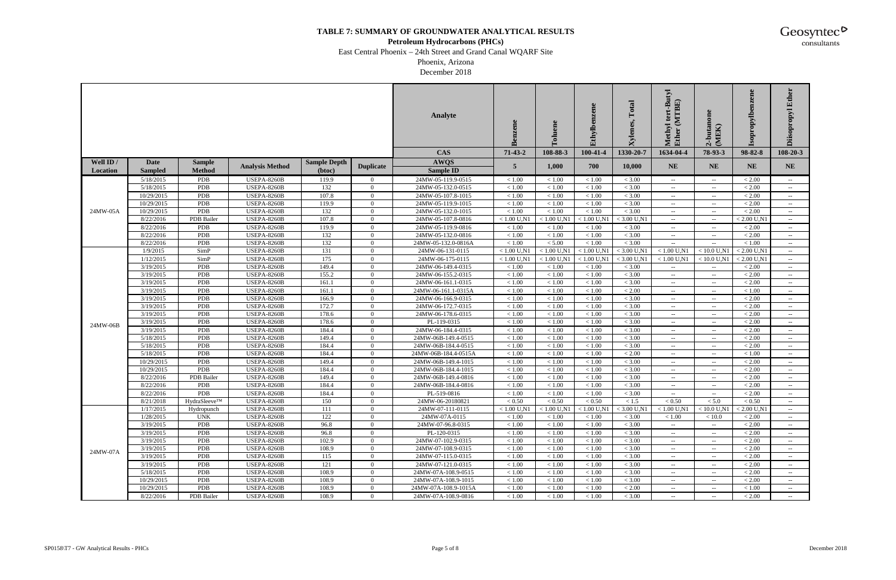#### **Petroleum Hydrocarbons (PHCs)**

East Central Phoenix – 24th Street and Grand Canal WQARF Site

Phoenix, Arizona December 2018

|           |                        |               |                                          |                     |                                  | Analyte                                   | ≃                        | $\overline{\bullet}$ | Ethylbe          | Total<br>Xylenes. | $\mathbf{u}$<br>(MTBE)<br>lethyl<br>Methy<br>Ether | 2-butanon<br>(MEK)                                                                                         | ene<br>enz<br>ropylb. | Ether<br>kdondos<br>ä                          |
|-----------|------------------------|---------------|------------------------------------------|---------------------|----------------------------------|-------------------------------------------|--------------------------|----------------------|------------------|-------------------|----------------------------------------------------|------------------------------------------------------------------------------------------------------------|-----------------------|------------------------------------------------|
|           |                        |               |                                          |                     |                                  | <b>CAS</b>                                | $71-43-2$                | 108-88-3             | 100-41-4         | 1330-20-7         | 1634-04-4                                          | 78-93-3                                                                                                    | 98-82-8               | $108 - 20 - 3$                                 |
| Well ID / | <b>Date</b>            | <b>Sample</b> |                                          | <b>Sample Depth</b> |                                  | <b>AWQS</b>                               |                          |                      |                  |                   | <b>NE</b>                                          |                                                                                                            | <b>NE</b>             |                                                |
| Location  | <b>Sampled</b>         | <b>Method</b> | <b>Analysis Method</b>                   | (btoc)              | <b>Duplicate</b>                 | <b>Sample ID</b>                          | 5                        | 1,000                | 700              | 10,000            |                                                    | NE.                                                                                                        |                       | <b>NE</b>                                      |
|           | 5/18/2015              | <b>PDB</b>    | <b>USEPA-8260B</b>                       | 119.9               | $\overline{0}$                   | 24MW-05-119.9-0515                        | < 1.00                   | < 1.00               | < 1.00           | < 3.00            | $\sim$                                             | $\mathcal{L}(\mathcal{L})$                                                                                 | < 2.00                | $\sim$                                         |
|           | 5/18/2015              | PDB           | <b>USEPA-8260B</b>                       | 132                 | $\overline{0}$                   | 24MW-05-132.0-0515                        | $<1.00$                  | < 1.00               | < 1.00           | < 3.00            | $- -$                                              | $\sim$ $-$                                                                                                 | < 2.00                | $- -$ .                                        |
|           | 10/29/2015             | PDB           | <b>USEPA-8260B</b>                       | 107.8               | $\Omega$                         | 24MW-05-107.8-1015                        | < 1.00                   | < 1.00               | < 1.00           | < 3.00            | $\sim$ $-$                                         | $\overline{\phantom{a}}$                                                                                   | < 2.00                | $\hspace{0.1mm}-\hspace{0.1mm}-\hspace{0.1mm}$ |
|           | 10/29/2015             | PDB           | <b>USEPA-8260B</b>                       | 119.9               | $\Omega$                         | 24MW-05-119.9-1015                        | $<1.00\,$                | < 1.00               | < 1.00           | $< 3.00\,$        | $- -$                                              | $\overline{\phantom{a}}$                                                                                   | $< 2.00$              | $\overline{\phantom{a}}$                       |
| 24MW-05A  | 10/29/2015             | PDB           | <b>USEPA-8260B</b>                       | 132                 | $\overline{0}$                   | 24MW-05-132.0-1015                        | < 1.00                   | < 1.00               | < 1.00           | < 3.00            | $-  \,$                                            | $\overline{\phantom{a}}$                                                                                   | < 2.00                | $ -$                                           |
|           | 8/22/2016              | PDB Bailer    | <b>USEPA-8260B</b>                       | 107.8               | $\overline{0}$                   | 24MW-05-107.8-0816                        | $< 1.00$ U,N1            | $< 1.00$ U,N1        | $< 1.00$ U,N1    | $<$ 3.00 U,N1     | $\sim$ $-$                                         | $\overline{\phantom{a}}$                                                                                   | $< 2.00$ U,N1         | $\sim$ $-$                                     |
|           | 8/22/2016              | <b>PDB</b>    | <b>USEPA-8260B</b>                       | 119.9               | $\overline{0}$                   | 24MW-05-119.9-0816                        | $<1.00\,$                | < 1.00               | < 1.00           | $< 3.00\,$        | $- -$                                              | $\sim$                                                                                                     | < 2.00                | $\sim$                                         |
|           | 8/22/2016              | PDB           | <b>USEPA-8260B</b>                       | 132                 | $\overline{0}$                   | 24MW-05-132.0-0816                        | $<1.00\,$                | < 1.00               | < 1.00           | < 3.00            | $\sim$                                             | $\hspace{0.05cm} -\hspace{0.05cm} -\hspace{0.05cm}$                                                        | < 2.00                | $\hspace{0.1mm}-\hspace{0.1mm}-\hspace{0.1mm}$ |
|           | 8/22/2016              | PDB           | <b>USEPA-8260B</b>                       | 132                 | $\Omega$                         | 24MW-05-132.0-0816A                       | $<1.00\,$                | < 5.00               | < 1.00           | < 3.00            |                                                    | $\sim$                                                                                                     | $<1.00\,$             | $\overline{\phantom{a}}$                       |
|           | 1/9/2015               | SimP          | <b>USEPA-8260B</b>                       | 131                 | $\overline{0}$                   | 24MW-06-131-0115                          | $< 1.00$ U,N1            | $< 1.00$ U,N1        | $< 1.00$ U,N1    | $<$ 3.00 U,N1     | $< 1.00$ U,N1                                      | $< 10.0$ U,N1                                                                                              | $< 2.00$ U,N1         | $ -$                                           |
|           | 1/12/2015              | SimP          | <b>USEPA-8260B</b>                       | 175                 | $\overline{0}$                   | 24MW-06-175-0115                          | $< 1.00$ U,N1            | $< 1.00$ U,N1        | $< 1.00$ U,N1    | $<$ 3.00 U,N1     | $< 1.00$ U,N1                                      | $< 10.0$ U.N1                                                                                              | $< 2.00$ U,N1         | $\sim$ $-$                                     |
|           | 3/19/2015              | <b>PDB</b>    | <b>USEPA-8260B</b>                       | 149.4               | $\overline{0}$                   | 24MW-06-149.4-0315                        | $<1.00\,$                | < 1.00               | < 1.00           | < 3.00            |                                                    | $\sim$ $\sim$                                                                                              | < 2.00                |                                                |
|           | 3/19/2015              | <b>PDB</b>    | <b>USEPA-8260B</b>                       | 155.2               | $\Omega$                         | 24MW-06-155.2-0315                        | < 1.00                   | < 1.00               | < 1.00           | < 3.00            | $\sim$                                             | $\hspace{0.05cm} -\hspace{0.05cm} -\hspace{0.05cm}$                                                        | < 2.00                | $\hspace{0.1mm}-\hspace{0.1mm}-\hspace{0.1mm}$ |
|           | 3/19/2015              | PDB           | <b>USEPA-8260B</b>                       | 161.1               | $\Omega$                         | 24MW-06-161.1-0315                        | $<1.00\,$                | < 1.00               | < 1.00           | < 3.00            | $--$                                               | $\sim$                                                                                                     | < 2.00                |                                                |
|           | 3/19/2015              | PDB           | USEPA-8260B                              | 161.1               | $\overline{0}$                   | 24MW-06-161.1-0315A                       | $<1.00\,$                | < 1.00               | < 1.00           | ${}< 2.00$        | $- -$                                              | $\overline{\phantom{a}}$                                                                                   | < 1.00                | $ -$                                           |
|           | 3/19/2015              | PDB           | USEPA-8260B                              | 166.9               | $\overline{0}$                   | 24MW-06-166.9-0315                        | $<1.00\,$                | < 1.00               | < 1.00           | $< 3.00\,$        | $- -$                                              | $\sim$                                                                                                     | < 2.00                | $\sim$                                         |
|           | 3/19/2015              | PDB           | <b>USEPA-8260B</b>                       | 172.7               | $\overline{0}$                   | 24MW-06-172.7-0315                        | $<1.00\,$                | < 1.00               | < 1.00           | $< 3.00\,$        |                                                    | $\sim$                                                                                                     | < 2.00                |                                                |
|           | 3/19/2015              | PDB           | <b>USEPA-8260B</b>                       | 178.6               | $\overline{0}$                   | 24MW-06-178.6-0315                        | $<1.00\,$                | < 1.00               | < 1.00           | < 3.00            | $\sim$                                             | $\hspace{0.05cm} -\hspace{0.05cm} -\hspace{0.05cm}$                                                        | < 2.00                | $\sim$                                         |
| 24MW-06B  | 3/19/2015              | PDB           | <b>USEPA-8260B</b>                       | 178.6               | $\theta$                         | PL-119-0315                               | $<1.00\,$                | < 1.00               | < 1.00           | < 3.00            | $--$                                               | $\sim$                                                                                                     | $< 2.00$              | $\overline{\phantom{a}}$                       |
|           | 3/19/2015              | PDB           | USEPA-8260B                              | 184.4               | $\overline{0}$                   | 24MW-06-184.4-0315                        | $<1.00\,$                | $<1.00$              | < 1.00           | < 3.00            | $- -$                                              | $\overline{\phantom{a}}$                                                                                   | < 2.00                | $- -$ .                                        |
|           | 5/18/2015              | PDB           | <b>USEPA-8260B</b>                       | 149.4               | $\overline{0}$                   | 24MW-06B-149.4-0515                       | $<1.00\,$                | < 1.00               | < 1.00           | < 3.00            | $\sim$                                             | $\sim$ $\sim$                                                                                              | $< 2.00$              | $\sim$                                         |
|           | 5/18/2015              | PDB           | <b>USEPA-8260B</b>                       | 184.4               | $\overline{0}$                   | 24MW-06B-184.4-0515                       | $<1.00\,$                | < 1.00               | < 1.00           | $< 3.00\,$        | $\overline{\phantom{a}}$                           | $\sim$ $\sim$                                                                                              | < 2.00                |                                                |
|           | 5/18/2015              | PDB           | <b>USEPA-8260B</b>                       | 184.4               | $\overline{0}$                   | 24MW-06B-184.4-0515A                      | < 1.00                   | < 1.00               | < 1.00           | < 2.00            | $\sim$                                             | $\hspace{0.05cm} -\hspace{0.05cm} -\hspace{0.05cm}$                                                        | < 1.00                | $\sim$                                         |
|           | 10/29/2015             | PDB           | <b>USEPA-8260B</b>                       | 149.4               | $\Omega$                         | 24MW-06B-149.4-1015                       | $<1.00\,$                | < 1.00               | < 1.00           | $< 3.00\,$        | $- -$                                              | $\overline{\phantom{a}}$                                                                                   | $< 2.00$              | $\overline{\phantom{a}}$                       |
|           | 10/29/2015             | <b>PDB</b>    | <b>USEPA-8260B</b>                       | 184.4               | $\overline{0}$                   | 24MW-06B-184.4-1015                       | $<1.00\,$                | < 1.00               | < 1.00           | < 3.00            | $- -$                                              | $\overline{\phantom{a}}$                                                                                   | $< 2.00$              | $- -$ .                                        |
|           | 8/22/2016              | PDB Bailer    | <b>USEPA-8260B</b>                       | 149.4               | $\overline{0}$                   | 24MW-06B-149.4-0816                       | < 1.00                   | < 1.00               | < 1.00           | < 3.00            | $\sim$                                             | $\sim$                                                                                                     | < 2.00                | $\sim$                                         |
|           | 8/22/2016              | PDB           | <b>USEPA-8260B</b>                       | 184.4               | $\overline{0}$                   | 24MW-06B-184.4-0816                       | $<1.00\,$                | < 1.00               | < 1.00           | $< 3.00\,$        | $- -$                                              | $\sim$                                                                                                     | < 2.00                |                                                |
|           | 8/22/2016              | PDB           | <b>USEPA-8260B</b>                       | 184.4               | $\overline{0}$                   | PL-519-0816                               | < 1.00                   | < 1.00               | < 1.00           | < 3.00            | $- -$                                              | $\hspace{0.05cm} -\hspace{0.05cm} -\hspace{0.05cm}$                                                        | < 2.00                | $- -$                                          |
|           | 8/21/2018              | HydraSleeve™  | <b>USEPA-8260B</b>                       | 150                 | $\Omega$                         | 24MW-06-20180821                          | $< 0.50$                 | < 0.50               | ${}< 0.50$       | < 1.5             | < 0.50                                             | < 5.0                                                                                                      | < 0.50                | $- -$ .                                        |
|           | 1/17/2015              | Hydropunch    | <b>USEPA-8260B</b>                       | $111\,$             | $\Omega$                         | 24MW-07-111-0115                          | $< 1.00 \ \mathrm{U,N1}$ | $< 1.00$ U,N1        | $< 1.00$ U,N1    | $<$ 3.00 U,N1     | $< 1.00$ U,N1                                      | $<$ 10.0 U,N1                                                                                              | $< 2.00$ U,N1         |                                                |
|           | 1/28/2015              | <b>UNK</b>    | <b>USEPA-8260B</b>                       | 122                 | $\overline{0}$                   | 24MW-07A-0115                             | < 1.00                   | < 1.00               | < 1.00           | < 3.00            | < 1.00                                             | < 10.0                                                                                                     | < 2.00                | $--$                                           |
|           | 3/19/2015              | PDB<br>PDB    | <b>USEPA-8260B</b>                       | 96.8                | $\overline{0}$<br>$\overline{0}$ | 24MW-07-96.8-0315                         | < 1.00<br>< 1.00         | < 1.00               | < 1.00           | < 3.00<br>< 3.00  | $\sim$                                             | $\sim$ $-$                                                                                                 | < 2.00<br>< 2.00      |                                                |
|           | 3/19/2015              |               | <b>USEPA-8260B</b>                       | 96.8                |                                  | PL-120-0315                               |                          | < 1.00               | < 1.00           |                   | $\sim$ $-$                                         | $\overline{\phantom{a}}$                                                                                   |                       |                                                |
|           | 3/19/2015              | PDB           | <b>USEPA-8260B</b>                       | 102.9               | $\overline{0}$                   | 24MW-07-102.9-0315                        | $<1.00\,$                | < 1.00               | < 1.00           | < 3.00            | $\sim$ $-$                                         | $\sim$ $\sim$                                                                                              | < 2.00                |                                                |
| 24MW-07A  | 3/19/2015<br>3/19/2015 | PDB<br>PDB    | <b>USEPA-8260B</b><br><b>USEPA-8260B</b> | 108.9               | $\overline{0}$<br>$\mathbf{0}$   | 24MW-07-108.9-0315                        | < 1.00                   | < 1.00               | < 1.00           | < 3.00            | $\sim$                                             | $\overline{\phantom{a}}$                                                                                   | < 2.00<br>< 2.00      | $ -$                                           |
|           |                        | PDB           |                                          | 115                 | $\overline{0}$                   | 24MW-07-115.0-0315                        | $<1.00\,$                | < 1.00               | < 1.00           | < 3.00            | $\sim$                                             | $\sim$                                                                                                     |                       | $--$                                           |
|           | 3/19/2015<br>5/18/2015 | PDB           | <b>USEPA-8260B</b><br><b>USEPA-8260B</b> | 121<br>108.9        | $\overline{0}$                   | 24MW-07-121.0-0315<br>24MW-07A-108.9-0515 | < 1.00<br>< 1.00         | < 1.00<br>< 1.00     | < 1.00<br>< 1.00 | < 3.00<br>< 3.00  | $--$                                               | $\overline{\phantom{a}}$                                                                                   | < 2.00<br>< 2.00      |                                                |
|           | 10/29/2015             | PDB           | <b>USEPA-8260B</b>                       | 108.9               | $\overline{0}$                   | 24MW-07A-108.9-1015                       | < 1.00                   | < 1.00               | < 1.00           | < 3.00            | $\sim$ $-$<br>$\sim$ $-$                           | $\hspace{0.05cm} -\hspace{0.05cm} -\hspace{0.05cm}$<br>$\hspace{0.05cm} -\hspace{0.05cm} -\hspace{0.05cm}$ | < 2.00                | $\sim$ $\sim$                                  |
|           | 10/29/2015             | PDB           | <b>USEPA-8260B</b>                       | 108.9               | $\overline{0}$                   | 24MW-07A-108.9-1015A                      | < 1.00                   | < 1.00               | < 1.00           | < 2.00            | $\sim$                                             | $\mathcal{L}=\mathcal{L}$                                                                                  | < 1.00                |                                                |
|           | 8/22/2016              | PDB Bailer    | <b>USEPA-8260B</b>                       | 108.9               | $\overline{0}$                   | 24MW-07A-108.9-0816                       | $<1.00\,$                | < 1.00               | < 1.00           | < 3.00            | $\sim$                                             | $\sim$ $-$                                                                                                 | < 2.00                | $\sim$ $\sim$                                  |
|           |                        |               |                                          |                     |                                  |                                           |                          |                      |                  |                   |                                                    |                                                                                                            |                       |                                                |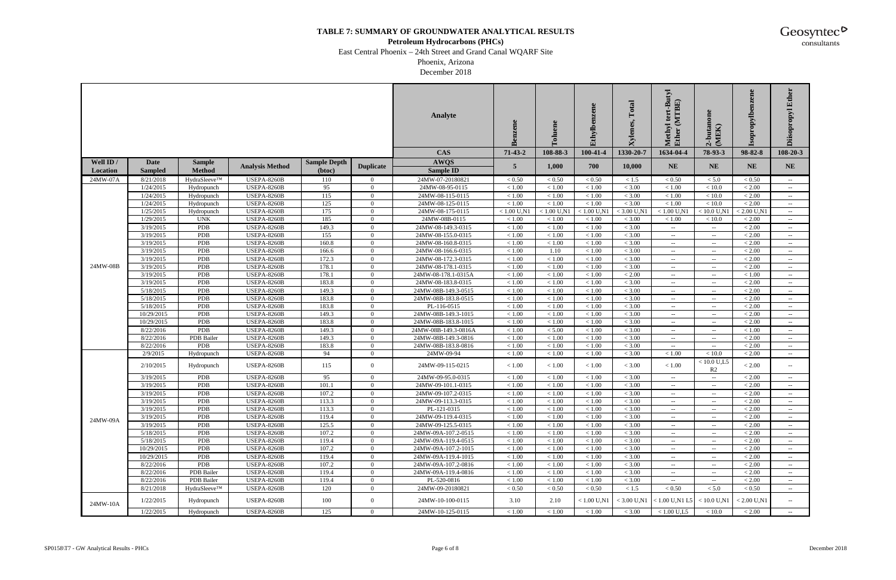#### **Petroleum Hydrocarbons (PHCs)**

East Central Phoenix – 24th Street and Grand Canal WQARF Site

Phoenix, Arizona December 2018

|           |                |               |                        |                     |                  | Analyte              | Benzene       | oluene        | Ethylbenzene  | Total<br>Xylenes. | tert-Butyl<br>(MTBE)<br>lethyl<br>Methy<br>Ether | 2-butanon<br>(MEK)          | ene<br>ropylbenze<br>$\overline{\text{sol}}$ | Ether<br>Diisopropyl     |
|-----------|----------------|---------------|------------------------|---------------------|------------------|----------------------|---------------|---------------|---------------|-------------------|--------------------------------------------------|-----------------------------|----------------------------------------------|--------------------------|
|           |                |               |                        |                     |                  | <b>CAS</b>           | $71-43-2$     | 108-88-3      | 100-41-4      | 1330-20-7         | 1634-04-4                                        | 78-93-3                     | 98-82-8                                      | 108-20-3                 |
| Well ID / | Date           | <b>Sample</b> |                        | <b>Sample Depth</b> |                  | <b>AWQS</b>          |               |               | 700           |                   |                                                  | <b>NE</b>                   |                                              |                          |
| Location  | <b>Sampled</b> | <b>Method</b> | <b>Analysis Method</b> | (btoc)              | <b>Duplicate</b> | <b>Sample ID</b>     | 5             | 1,000         |               | 10,000            | <b>NE</b>                                        |                             | <b>NE</b>                                    | <b>NE</b>                |
| 24MW-07A  | 8/21/2018      | HydraSleeve™  | <b>USEPA-8260B</b>     | 110                 | $\overline{0}$   | 24MW-07-20180821     | < 0.50        | ${}_{< 0.50}$ | ${}< 0.50$    | < 1.5             | < 0.50                                           | < 5.0                       | ${}_{< 0.50}$                                | $\sim$                   |
|           | 1/24/2015      | Hydropunch    | USEPA-8260B            | 95                  | $\Omega$         | 24MW-08-95-0115      | < 1.00        | < 1.00        | < 1.00        | < 3.00            | < 1.00                                           | < 10.0                      | < 2.00                                       | $\sim$                   |
|           | 1/24/2015      | Hydropunch    | <b>USEPA-8260B</b>     | 115                 | $\overline{0}$   | 24MW-08-115-0115     | $<1.00\,$     | $<1.00$       | < 1.00        | < 3.00            | < 1.00                                           | < 10.0                      | $< 2.00$                                     |                          |
|           | 1/24/2015      | Hydropunch    | <b>USEPA-8260B</b>     | 125                 | $\Omega$         | 24MW-08-125-0115     | < 1.00        | < 1.00        | < 1.00        | < 3.00            | < 1.00                                           | < 10.0                      | < 2.00                                       | $\sim$                   |
|           | 1/25/2015      | Hydropunch    | <b>USEPA-8260B</b>     | 175                 | $\Omega$         | 24MW-08-175-0115     | $< 1.00$ U,N1 | $< 1.00$ U,N1 | $< 1.00$ U,N1 | $<$ 3.00 U,N1     | $< 1.00$ U,N1                                    | $< 10.0$ U,N1               | $< 2.00$ U,N1                                | $\sim$ $-$               |
|           | 1/29/2015      | <b>UNK</b>    | <b>USEPA-8260B</b>     | 185                 | $\overline{0}$   | 24MW-08B-0115        | < 1.00        | < 1.00        | < 1.00        | < 3.00            | < 1.00                                           | < 10.0                      | < 2.00                                       | $\sim$                   |
|           | 3/19/2015      | PDB           | <b>USEPA-8260B</b>     | 149.3               | $\Omega$         | 24MW-08-149.3-0315   | $<1.00\,$     | < 1.00        | < 1.00        | < 3.00            | $\sim$                                           | $\sim$ $\sim$               | < 2.00                                       | $\sim$                   |
|           | 3/19/2015      | PDB           | <b>USEPA-8260B</b>     | 155                 | $\Omega$         | 24MW-08-155.0-0315   | $<1.00\,$     | < 1.00        | < 1.00        | < 3.00            |                                                  | $- -$                       | < 2.00                                       |                          |
|           | 3/19/2015      | PDB           | <b>USEPA-8260B</b>     | 160.8               | $\Omega$         | 24MW-08-160.8-0315   | $<1.00\,$     | < 1.00        | < 1.00        | < 3.00            | $\sim$ $\sim$                                    | $\overline{\phantom{a}}$    | < 2.00                                       | $\sim$                   |
|           | 3/19/2015      | PDB           | <b>USEPA-8260B</b>     | 166.6               | $\Omega$         | 24MW-08-166.6-0315   | $<1.00$       | 1.10          | < 1.00        | < 3.00            | $\overline{\phantom{a}}$                         | $\overline{\phantom{a}}$    | < 2.00                                       | $\overline{\phantom{a}}$ |
|           | 3/19/2015      | PDB           | <b>USEPA-8260B</b>     | 172.3               | $\overline{0}$   | 24MW-08-172.3-0315   | < 1.00        | < 1.00        | < 1.00        | < 3.00            | $\sim$                                           | $\sim$ $\sim$               | < 2.00                                       | $\sim$                   |
| 24MW-08B  | 3/19/2015      | PDB           | <b>USEPA-8260B</b>     | 178.1               | $\overline{0}$   | 24MW-08-178.1-0315   | $<1.00\,$     | < 1.00        | < 1.00        | < 3.00            | $\sim$ $-$                                       | $\mathcal{L}=\mathcal{L}$   | < 2.00                                       | $ -$                     |
|           | 3/19/2015      | PDB           | <b>USEPA-8260B</b>     | 178.1               | $\overline{0}$   | 24MW-08-178.1-0315A  | $<1.00$       | $<1.00$       | < 1.00        | $< 2.00$          | $--$                                             | $\overline{\phantom{a}}$    | < 1.00                                       |                          |
|           | 3/19/2015      | PDB           | <b>USEPA-8260B</b>     | 183.8               | $\Omega$         | 24MW-08-183.8-0315   | $<1.00\,$     | < 1.00        | < 1.00        | < 3.00            | $\sim$ $-$                                       | $\overline{\phantom{a}}$    | < 2.00                                       | $\sim$ $\sim$            |
|           | 5/18/2015      | PDB           | <b>USEPA-8260B</b>     | 149.3               | $\Omega$         | 24MW-08B-149.3-0515  | $<1.00$       | < 1.00        | < 1.00        | < 3.00            | $\sim$ $\sim$                                    | $\mathcal{L}_{\mathcal{F}}$ | < 2.00                                       | $\sim$ $\sim$            |
|           | 5/18/2015      | PDB           | USEPA-8260B            | 183.8               | $\overline{0}$   | 24MW-08B-183.8-0515  | < 1.00        | < 1.00        | < 1.00        | < 3.00            | $\sim$                                           | $\overline{\phantom{a}}$    | < 2.00                                       | $\sim$                   |
|           | 5/18/2015      | PDB           | <b>USEPA-8260B</b>     | 183.8               | $\overline{0}$   | PL-116-0515          | $<1.00\,$     | < 1.00        | < 1.00        | < 3.00            | $\sim$ $-$                                       | $\overline{\phantom{a}}$    | < 2.00                                       | $\sim$                   |
|           | 10/29/2015     | PDB           | USEPA-8260B            | 149.3               | $\overline{0}$   | 24MW-08B-149.3-1015  | $<1.00$       | < 1.00        | < 1.00        | < 3.00            | $- -$                                            | $\overline{\phantom{a}}$    | < 2.00                                       | $\sim$ $\sim$            |
|           | 10/29/2015     | PDB           | <b>USEPA-8260B</b>     | 183.8               | $\Omega$         | 24MW-08B-183.8-1015  | $<1.00\,$     | < 1.00        | < 1.00        | < 3.00            | $\sim$ $-$                                       | $\overline{\phantom{a}}$    | $< 2.00$                                     | $ -$                     |
|           | 8/22/2016      | PDB           | <b>USEPA-8260B</b>     | 149.3               | $\Omega$         | 24MW-08B-149.3-0816A | $<1.00\,$     | < 5.00        | < 1.00        | < 3.00            | $\sim$ $\sim$                                    | $\mathcal{L}_{\mathcal{F}}$ | < 1.00                                       | $\overline{\phantom{a}}$ |
|           | 8/22/2016      | PDB Bailer    | <b>USEPA-8260B</b>     | 149.3               | $\overline{0}$   | 24MW-08B-149.3-0816  | $<1.00\,$     | < 1.00        | < 1.00        | $< 3.00\,$        | $-  \,$                                          | $\sim$ $\sim$               | < 2.00                                       | $\sim$                   |
|           | 8/22/2016      | <b>PDB</b>    | <b>USEPA-8260B</b>     | 183.8               | $\overline{0}$   | 24MW-08B-183.8-0816  | $<1.00\,$     | < 1.00        | < 1.00        | < 3.00            | $\sim$ $-$                                       | $\sim$ $\sim$               | < 2.00                                       |                          |
|           | 2/9/2015       | Hydropunch    | <b>USEPA-8260B</b>     | 94                  | $\Omega$         | 24MW-09-94           | < 1.00        | < 1.00        | < 1.00        | < 3.00            | < 1.00                                           | < 10.0                      | $< 2.00$                                     | $\sim$<br>$ -$           |
|           |                |               |                        |                     |                  |                      |               |               |               |                   |                                                  | $< 10.0$ U,L5               |                                              |                          |
|           | 2/10/2015      | Hydropunch    | <b>USEPA-8260B</b>     | 115                 | $\overline{0}$   | 24MW-09-115-0215     | < 1.00        | < 1.00        | < 1.00        | < 3.00            | < 1.00                                           | R <sub>2</sub>              | < 2.00                                       | $\sim$                   |
|           | 3/19/2015      | PDB           | <b>USEPA-8260B</b>     | 95                  | $\overline{0}$   | 24MW-09-95.0-0315    | $<1.00\,$     | < 1.00        | < 1.00        | $< 3.00\,$        | $  \,$                                           | $\sim$ $\sim$               | < 2.00                                       | $-  \,$                  |
|           | 3/19/2015      | PDB           | <b>USEPA-8260B</b>     | 101.1               | $\overline{0}$   | 24MW-09-101.1-0315   | < 1.00        | < 1.00        | < 1.00        | < 3.00            | $\sim$ $-$                                       | $\sim$ $\sim$               | < 2.00                                       | $ -$                     |
|           | 3/19/2015      | PDB           | USEPA-8260B            | 107.2               | $\Omega$         | 24MW-09-107.2-0315   | $<1.00\,$     | $<1.00$       | < 1.00        | < 3.00            | $--$                                             | $\overline{\phantom{a}}$    | $< 2.00$                                     | $\overline{\phantom{a}}$ |
|           | 3/19/2015      | <b>PDB</b>    | USEPA-8260B            | 113.3               | $\Omega$         | 24MW-09-113.3-0315   | < 1.00        | < 1.00        | < 1.00        | < 3.00            | $--$                                             | $\overline{\phantom{a}}$    | < 2.00                                       | $\sim$                   |
|           | 3/19/2015      | PDB           | <b>USEPA-8260B</b>     | 113.3               | $\overline{0}$   | PL-121-0315          | $<1.00$       | $<1.00$       | $<1.00$       | < 3.00            |                                                  |                             | $<2.00$                                      |                          |
| 24MW-09A  | 3/19/2015      | PDB           | <b>USEPA-8260B</b>     | 119.4               | $\overline{0}$   | 24MW-09-119.4-0315   | < 1.00        | < 1.00        | < 1.00        | < 3.00            | $\sim$                                           | $\sim$                      | < 2.00                                       |                          |
|           | 3/19/2015      | PDB           | <b>USEPA-8260B</b>     | 125.5               | $\overline{0}$   | 24MW-09-125.5-0315   | < 1.00        | < 1.00        | < 1.00        | < 3.00            | $\sim$ $-$                                       | $\overline{\phantom{a}}$    | < 2.00                                       | $--$                     |
|           | 5/18/2015      | PDB           | <b>USEPA-8260B</b>     | 107.2               | $\overline{0}$   | 24MW-09A-107.2-0515  | $<1.00$       | $<1.00$       | $<1.00$       | < 3.00            | $\sim$ $\sim$                                    | $\overline{\phantom{a}}$    | ${}< 2.00$                                   |                          |
|           | 5/18/2015      | PDB           | <b>USEPA-8260B</b>     | 119.4               | $\overline{0}$   | 24MW-09A-119.4-0515  | < 1.00        | < 1.00        | < 1.00        | < 3.00            | $- -$ .                                          | $\overline{\phantom{a}}$    | ${}< 2.00$                                   |                          |
|           | 10/29/2015     | PDB           | <b>USEPA-8260B</b>     | 107.2               | $\overline{0}$   | 24MW-09A-107.2-1015  | $<1.00$       | < 1.00        | < 1.00        | < 3.00            | $--$                                             | $\mathcal{L}=\mathcal{L}$   | < 2.00                                       |                          |
|           | 10/29/2015     | PDB           | <b>USEPA-8260B</b>     | 119.4               | $\overline{0}$   | 24MW-09A-119.4-1015  | $<1.00$       | < 1.00        | < 1.00        | < 3.00            | $\sim$ $-$                                       | $\sim$                      | < 2.00                                       |                          |
|           | 8/22/2016      | PDB           | <b>USEPA-8260B</b>     | 107.2               | $\overline{0}$   | 24MW-09A-107.2-0816  | < 1.00        | < 1.00        | < 1.00        | < 3.00            | $\sim$ $-$                                       | $\overline{\phantom{a}}$    | < 2.00                                       | $--$                     |
|           | 8/22/2016      | PDB Bailer    | <b>USEPA-8260B</b>     | 119.4               | $\overline{0}$   | 24MW-09A-119.4-0816  | $<1.00$       | $<1.00$       | < 1.00        | < 3.00            | $\sim$                                           | $\overline{\phantom{a}}$    | ${}< 2.00$                                   |                          |
|           | 8/22/2016      | PDB Bailer    | <b>USEPA-8260B</b>     | 119.4               | $\overline{0}$   | PL-520-0816          | < 1.00        | < 1.00        | < 1.00        | < 3.00            |                                                  | $\overline{\phantom{a}}$    | < 2.00                                       |                          |
|           | 8/21/2018      | HydraSleeve™  | <b>USEPA-8260B</b>     | 120                 | $\overline{0}$   | 24MW-09-20180821     | $< 0.50$      | < 0.50        | ${}_{< 0.50}$ | $<1.5$            | < 0.50                                           | < 5.0                       | ${}< 0.50$                                   | $ -$                     |
| 24MW-10A  | 1/22/2015      | Hydropunch    | <b>USEPA-8260B</b>     | 100                 | $\overline{0}$   | 24MW-10-100-0115     | 3.10          | 2.10          | $< 1.00$ U.N1 | $<$ 3.00 U,N1     | $< 1.00$ U,N1 L5                                 | $< 10.0$ U.N1               | $< 2.00$ U,N1                                | $\sim$                   |
|           | 1/22/2015      | Hydropunch    | <b>USEPA-8260B</b>     | 125                 | $\mathbf{0}$     | 24MW-10-125-0115     | $<1.00$       | $<1.00$       | $<1.00$       | < 3.00            | $< 1.00$ U,L5                                    | < 10.0                      | < 2.00                                       | $\sim$ $\sim$            |
|           |                |               |                        |                     |                  |                      |               |               |               |                   |                                                  |                             |                                              |                          |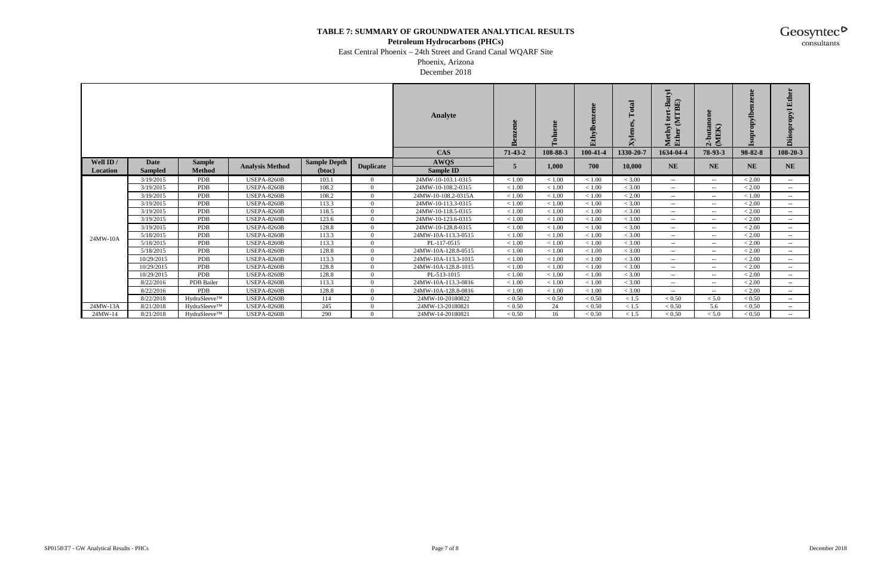#### **Petroleum Hydrocarbons (PHCs)**

East Central Phoenix – 24th Street and Grand Canal WQARF Site

Phoenix, Arizona December 2018

|                       |                               |                                |                        |                               |                  | <b>Analyte</b>                  | ൶       | ಕ        | <b>Pe</b><br>ja.<br>Ethylb | Total<br>$\mathbf{y}$ ler | $\mathbf{E}$<br>I'BE)<br>≏<br>$\mathbf{E}$ | -butan<br>(MEK)<br>$\mathbf{v}$       | ω<br>ΣÓ   | 臼<br>⋝<br>Ô   |
|-----------------------|-------------------------------|--------------------------------|------------------------|-------------------------------|------------------|---------------------------------|---------|----------|----------------------------|---------------------------|--------------------------------------------|---------------------------------------|-----------|---------------|
|                       |                               |                                |                        |                               |                  | <b>CAS</b>                      | 71-43-2 | 108-88-3 | 100-41-4                   | 1330-20-7                 | 1634-04-4                                  | 78-93-3                               | 98-82-8   | 108-20-3      |
| Well ID /<br>Location | <b>Date</b><br><b>Sampled</b> | <b>Sample</b><br><b>Method</b> | <b>Analysis Method</b> | <b>Sample Depth</b><br>(btoc) | <b>Duplicate</b> | <b>AWQS</b><br><b>Sample ID</b> | 5       | 1,000    | 700                        | 10,000                    | <b>NE</b>                                  | <b>NE</b>                             | <b>NE</b> | <b>NE</b>     |
|                       | 3/19/2015                     | <b>PDB</b>                     | <b>USEPA-8260B</b>     | 103.1                         | 0                | 24MW-10-103.1-0315              | < 1.00  | < 1.00   | < 1.00                     | < 3.00                    | $- -$ .                                    | $--$                                  | < 2.00    | $--$          |
|                       | 3/19/2015                     | <b>PDB</b>                     | <b>USEPA-8260B</b>     | 108.2                         | $\Omega$         | 24MW-10-108.2-0315              | < 1.00  | < 1.00   | < 1.00                     | < 3.00                    | $--$                                       | $--$                                  | < 2.00    | $--$          |
|                       | 3/19/2015                     | <b>PDB</b>                     | <b>USEPA-8260B</b>     | 108.2                         | $\Omega$         | 24MW-10-108.2-0315A             | < 1.00  | < 1.00   | < 1.00                     | < 2.00                    | $-  \,$                                    | $--$                                  | < 1.00    | $--$          |
|                       | 3/19/2015                     | <b>PDB</b>                     | <b>USEPA-8260B</b>     | 113.3                         | $\Omega$         | 24MW-10-113.3-0315              | < 1.00  | < 1.00   | < 1.00                     | < 3.00                    | $\sim$ $\sim$                              | $--$                                  | < 2.00    | $--$          |
|                       | 3/19/2015                     | <b>PDB</b>                     | <b>USEPA-8260B</b>     | 118.5                         | $\Omega$         | 24MW-10-118.5-0315              | < 1.00  | < 1.00   | < 1.00                     | < 3.00                    | $-  \,$                                    | $--$                                  | < 2.00    | $--$          |
|                       | 3/19/2015                     | <b>PDB</b>                     | <b>USEPA-8260B</b>     | 123.6                         | $\Omega$         | 24MW-10-123.6-0315              | < 1.00  | < 1.00   | < 1.00                     | < 3.00                    | $\sim$ $-$                                 | $--$                                  | < 2.00    | $--$          |
|                       | 3/19/2015                     | <b>PDB</b>                     | USEPA-8260B            | 128.8                         | $\Omega$         | 24MW-10-128.8-0315              | < 1.00  | < 1.00   | < 1.00                     | < 3.00                    | $\sim$ $-$                                 | $\overline{\phantom{a}}$              | < 2.00    |               |
| 24MW-10A              | 5/18/2015                     | <b>PDB</b>                     | <b>USEPA-8260B</b>     | 113.3                         | $\Omega$         | 24MW-10A-113.3-0515             | < 1.00  | < 1.00   | < 1.00                     | < 3.00                    | $\sim$ $-$                                 | $\sim$ $\sim$                         | < 2.00    | $\sim$ $\sim$ |
|                       | 5/18/2015                     | <b>PDB</b>                     | <b>USEPA-8260B</b>     | 113.3                         | $\Omega$         | PL-117-0515                     | < 1.00  | < 1.00   | < 1.00                     | < 3.00                    | $  \,$                                     | $\sim$ $\sim$                         | < 2.00    |               |
|                       | 5/18/2015                     | <b>PDB</b>                     | <b>USEPA-8260B</b>     | 128.8                         | $\Omega$         | 24MW-10A-128.8-0515             | < 1.00  | < 1.00   | < 1.00                     | < 3.00                    | $- -$                                      | $\sim$ $\sim$                         | < 2.00    | $ -$          |
|                       | 10/29/2015                    | <b>PDB</b>                     | <b>USEPA-8260B</b>     | 113.3                         | $\Omega$         | 24MW-10A-113.3-1015             | < 1.00  | < 1.00   | < 1.00                     | < 3.00                    | $\sim$ $-$                                 | $\sim$ $\sim$                         | < 2.00    | $-  \,$       |
|                       | 10/29/2015                    | <b>PDB</b>                     | <b>USEPA-8260B</b>     | 128.8                         | $\Omega$         | 24MW-10A-128.8-1015             | < 1.00  | < 1.00   | < 1.00                     | < 3.00                    | $\sim$ $-$                                 | $- -$                                 | < 2.00    | $\sim$        |
|                       | 10/29/2015                    | <b>PDB</b>                     | <b>USEPA-8260B</b>     | 128.8                         | $\Omega$         | PL-513-1015                     | < 1.00  | < 1.00   | < 1.00                     | < 3.00                    | $-  \sim$                                  | $\hspace{0.05cm}$ – $\hspace{0.05cm}$ | < 2.00    | $-  \,$       |
|                       | 8/22/2016                     | <b>PDB</b> Bailer              | <b>USEPA-8260B</b>     | 113.3                         | $\Omega$         | 24MW-10A-113.3-0816             | < 1.00  | < 1.00   | < 1.00                     | < 3.00                    | $-  \sim$                                  | $\sim$                                | < 2.00    | $-  \,$       |
|                       | 8/22/2016                     | <b>PDB</b>                     | <b>USEPA-8260B</b>     | 128.8                         | $\Omega$         | 24MW-10A-128.8-0816             | < 1.00  | < 1.00   | < 1.00                     | < 3.00                    | $-  \sim$                                  | $\sim$                                | < 2.00    | $- -$         |
|                       | 8/22/2018                     | HydraSleeve™                   | <b>USEPA-8260B</b>     | 114                           | $\Omega$         | 24MW-10-20180822                | < 0.50  | < 0.50   | < 0.50                     | < 1.5                     | < 0.50                                     | < 5.0                                 | < 0.50    | $-  \,$       |
| 24MW-13A              | 8/21/2018                     | HydraSleeve™                   | <b>USEPA-8260B</b>     | 245                           | $\Omega$         | 24MW-13-20180821                | < 0.50  | 24       | < 0.50                     | < 1.5                     | < 0.50                                     | 5.6                                   | < 0.50    | $--$          |
| 24MW-14               | 8/21/2018                     | HydraSleeve™                   | <b>USEPA-8260B</b>     | 290                           | 0                | 24MW-14-20180821                | < 0.50  | 16       | < 0.50                     | < 1.5                     | < 0.50                                     | < 5.0                                 | < 0.50    | $--$          |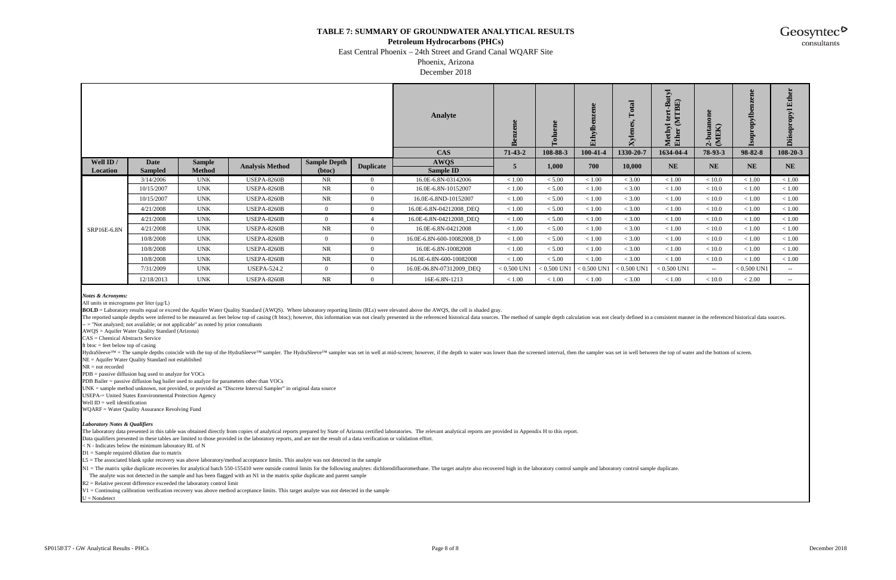#### **Petroleum Hydrocarbons (PHCs)**

East Central Phoenix – 24th Street and Grand Canal WQARF Site

Phoenix, Arizona December 2018

The reported sample depths were inferred to be measured as feet below top of casing (ft btoc); however, this information was not clearly presented in the referenced historical data sources. The method of sample depth calcu -- = "Not analyzed; not available; or not applicable" as noted by prior consultants

HydraSleeve™ = The sample depths coincide with the top of the HydraSleeve™ sampler. The HydraSleeve™ sampler was set in well at mid-screen; however, if the depth to water was lower than the screened interval, then the sam NE = Aquifer Water Quality Standard not established

*Notes & Acronyms:*

All units in micrograms per liter (μg/L)

**BOLD** = Laboratory results equal or exceed the Aquifer Water Quality Standard (AWQS). Where laboratory reporting limits (RLs) were elevated above the AWQS, the cell is shaded gray.

N1 = The matrix spike duplicate recoveries for analytical batch 550-155410 were outside control limits for the following analytes: dichlorodifluoromethane. The target analyte also recovered high in the laboratory control s The analyte was not detected in the sample and has been flagged with an N1 in the matrix spike duplicate and parent sample

|                       |                 |                                |                        |                               |                  | Analyte                   | ene<br>Benz   | ene<br>$\bar{c}$<br>⊷ | æ<br>Ethylbe  | $\rm Total$<br>Xylenes | $\overline{\mathbf{E}}$<br>BE<br>≃<br>Eth | one<br>-butane<br>(MEK) | ⋗<br>◓        | 囙<br>$\sum$<br>ä |
|-----------------------|-----------------|--------------------------------|------------------------|-------------------------------|------------------|---------------------------|---------------|-----------------------|---------------|------------------------|-------------------------------------------|-------------------------|---------------|------------------|
|                       |                 |                                |                        |                               |                  | <b>CAS</b>                | $71-43-2$     | 108-88-3              | 100-41-4      | 1330-20-7              | 1634-04-4                                 | 78-93-3                 | 98-82-8       | $108 - 20 - 3$   |
| Well ID /<br>Location | Date<br>Sampled | <b>Sample</b><br><b>Method</b> | <b>Analysis Method</b> | <b>Sample Depth</b><br>(btoc) | <b>Duplicate</b> | <b>AWQS</b><br>Sample ID  | 5             | 1,000                 | 700           | 10,000                 | <b>NE</b>                                 | <b>NE</b>               | <b>NE</b>     | <b>NE</b>        |
|                       | 3/14/2006       | <b>UNK</b>                     | <b>USEPA-8260B</b>     | NR.                           | $\Omega$         | 16.0E-6.8N-03142006       | < 1.00        | < 5.00                | < 1.00        | < 3.00                 | < 1.00                                    | < 10.0                  | < 1.00        | < 1.00           |
|                       | 10/15/2007      | <b>UNK</b>                     | <b>USEPA-8260B</b>     | <b>NR</b>                     |                  | 16.0E-6.8N-10152007       | < 1.00        | < 5.00                | < 1.00        | < 3.00                 | < 1.00                                    | < 10.0                  | < 1.00        | < 1.00           |
|                       | 10/15/2007      | UNK                            | <b>USEPA-8260B</b>     | <b>NR</b>                     | $\Omega$         | 16.0E-6.8ND-10152007      | < 1.00        | < 5.00                | < 1.00        | < 3.00                 | < 1.00                                    | < 10.0                  | < 1.00        | < 1.00           |
|                       | 4/21/2008       | <b>UNK</b>                     | <b>USEPA-8260B</b>     | $\overline{0}$                | $\Omega$         | 16.0E-6.8N-04212008_DEQ   | < 1.00        | < 5.00                | < 1.00        | < 3.00                 | < 1.00                                    | < 10.0                  | < 1.00        | < 1.00           |
|                       | 4/21/2008       | <b>UNK</b>                     | <b>USEPA-8260B</b>     | $\overline{0}$                |                  | 16.0E-6.8N-04212008_DEQ   | < 1.00        | < 5.00                | < 1.00        | < 3.00                 | $<1.00$                                   | < 10.0                  | < 1.00        | < 1.00           |
| SRP16E-6.8N           | 4/21/2008       | <b>UNK</b>                     | <b>USEPA-8260B</b>     | NR                            | $\Omega$         | 16.0E-6.8N-04212008       | $<1.00\,$     | < 5.00                | < 1.00        | < 3.00                 | $<1.00\,$                                 | < 10.0                  | < 1.00        | < 1.00           |
|                       | 10/8/2008       | <b>UNK</b>                     | <b>USEPA-8260B</b>     | $\overline{0}$                | $\Omega$         | 16.0E-6.8N-600-10082008_D | < 1.00        | < 5.00                | < 1.00        | < 3.00                 | < 1.00                                    | < 10.0                  | < 1.00        | < 1.00           |
|                       | 10/8/2008       | <b>UNK</b>                     | <b>USEPA-8260B</b>     | <b>NR</b>                     | $\Omega$         | 16.0E-6.8N-10082008       | < 1.00        | < 5.00                | < 1.00        | < 3.00                 | < 1.00                                    | < 10.0                  | < 1.00        | < 1.00           |
|                       | 10/8/2008       | <b>UNK</b>                     | <b>USEPA-8260B</b>     | NR                            |                  | 16.0E-6.8N-600-10082008   | < 1.00        | < 5.00                | < 1.00        | < 3.00                 | < 1.00                                    | < 10.0                  | < 1.00        | < 1.00           |
|                       | 7/31/2009       | <b>UNK</b>                     | <b>USEPA-524.2</b>     | $\overline{0}$                | $\Omega$         | 16.0E-06.8N-07312009_DEQ  | $< 0.500$ UN1 | $0.500$ UN1           | $< 0.500$ UN1 | $< 0.500$ UN1          | $< 0.500$ UN1                             | $-  \,$                 | $< 0.500$ UN1 | $\sim$           |
|                       | 12/18/2013      | <b>UNK</b>                     | <b>USEPA-8260B</b>     | <b>NR</b>                     |                  | 16E-6.8N-1213             | < 1.00        | < 1.00                | < 1.00        | < 3.00                 | < 1.00                                    | < 10.0                  | < 2.00        | $\sim$           |

AWQS = Aquifer Water Quality Standard (Arizona)

CAS = Chemical Abstracts Service

ft btoc  $=$  feet below top of casing

NR = not recorded

PDB = passive diffusion bag used to analyze for VOCs

PDB Bailer = passive diffusion bag bailer used to analyze for parameters other than VOCs

UNK = sample method unknown, not provided, or provided as "Discrete Interval Sampler" in original data source

USEPA-= United States Ennvironmental Protection Agency

Well  $ID =$  well identification

WQARF = Water Quality Assurance Revolving Fund

#### *Laboratory Notes & Qualifiers*

The laboratory data presented in this table was obtained directly from copies of analytical reports prepared by State of Arizona certified laboratories. The relevant analytical reports are provided in Appendix H to this re

Data qualifiers presented in these tables are limited to those provided in the laboratory reports, and are not the result of a data verification or validation effort.

 $\leq N$  - Indicates below the minimum laboratory RL of N

 $D1 =$  Sample required dilution due to matrix

L5 = The associated blank spike recovery was above laboratory/method acceptance limits. This analyte was not detected in the sample

R2 = Relative percent difference exceeded the laboratory control limit

V1 = Continuing calibration verification recovery was above method acceptance limits. This target analyte was not detected in the sample

 $U = \text{Nondetect}$